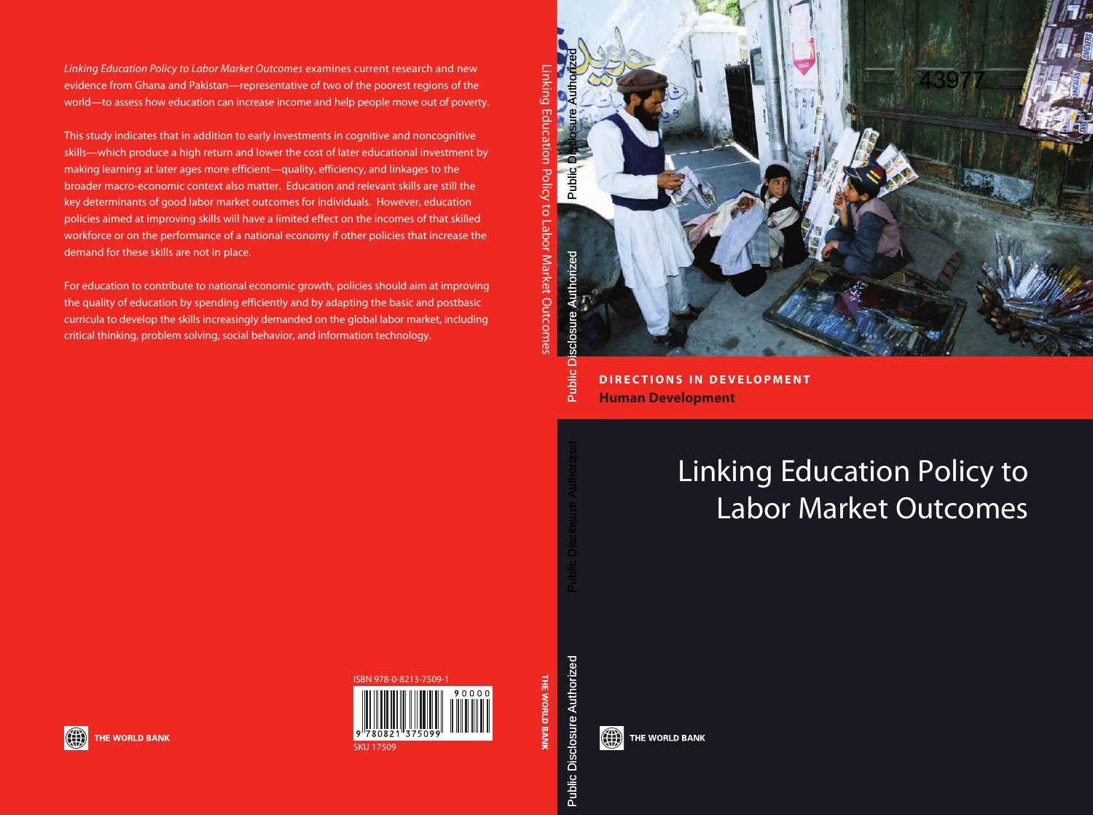

*DIRECTIONS IN DEVELOPMENT Human Development*

# Linking Education Policy to Labor Market Outcomes

43977





THE WORLD BANK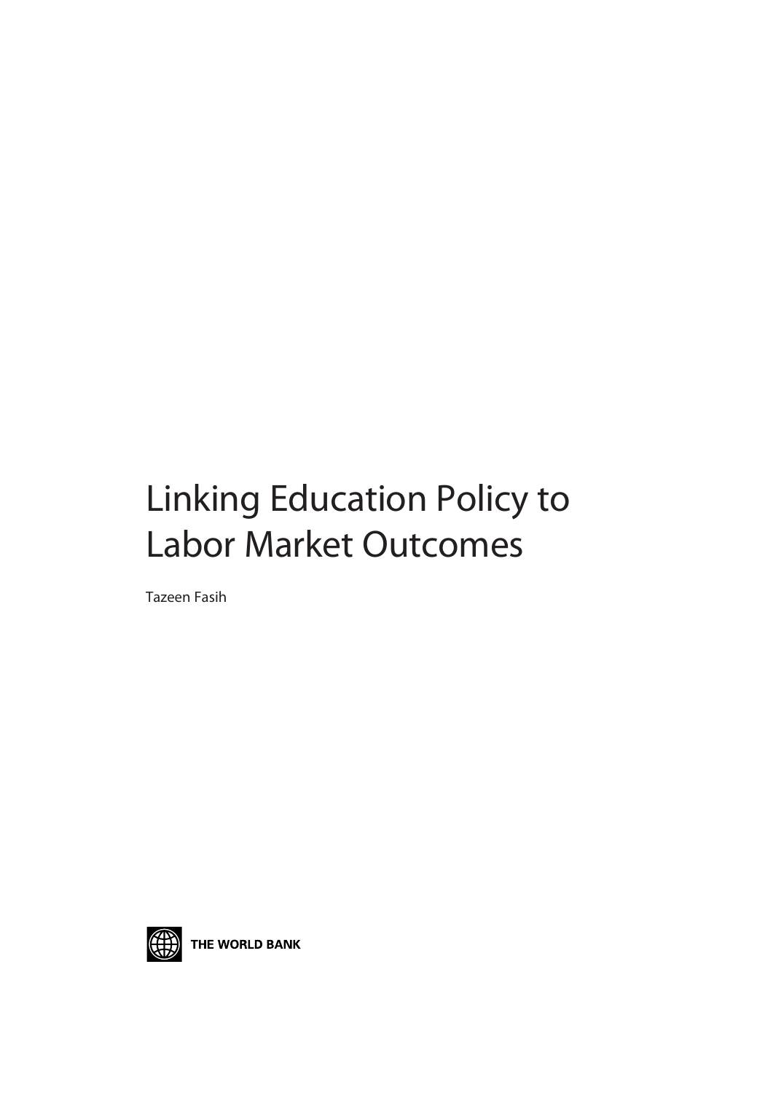**Tazeen Fasih** 

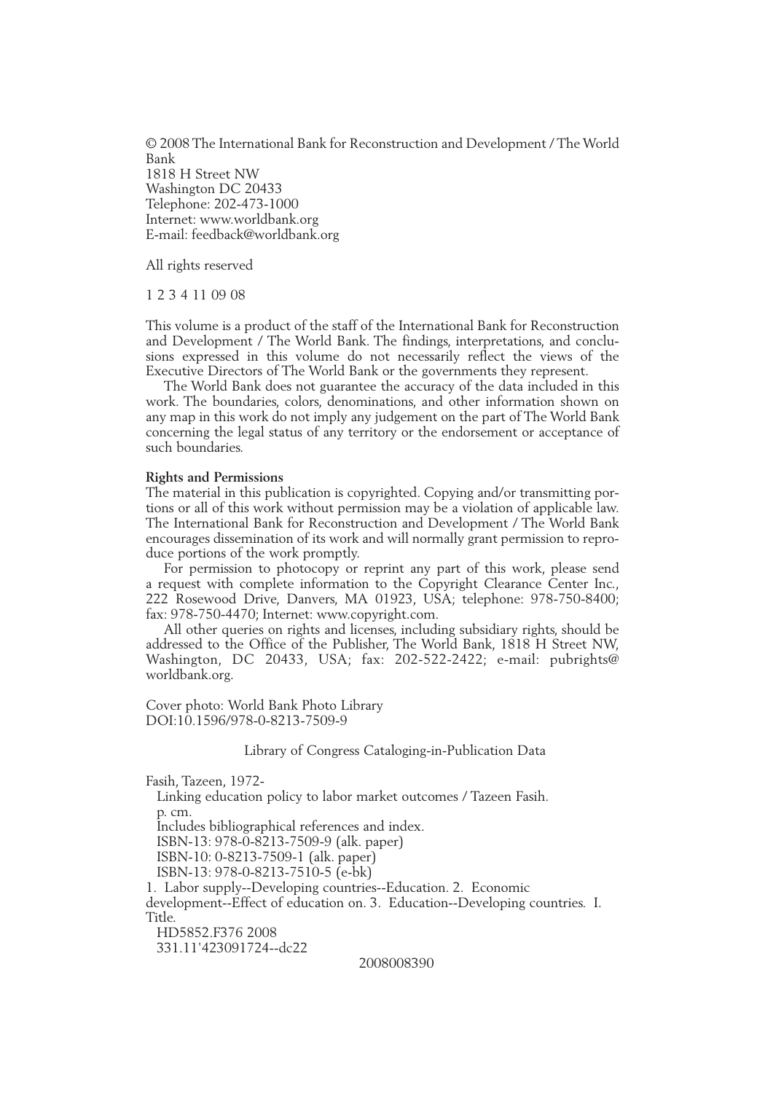© 2008 The International Bank for Reconstruction and Development / The World Bank 1818 H Street NW Washington DC 20433 Telephone: 202-473-1000 Internet: www.worldbank.org E-mail: feedback@worldbank.org

All rights reserved

1 2 3 4 11 09 08

This volume is a product of the staff of the International Bank for Reconstruction and Development / The World Bank. The findings, interpretations, and conclusions expressed in this volume do not necessarily reflect the views of the Executive Directors of The World Bank or the governments they represent.

The World Bank does not guarantee the accuracy of the data included in this work. The boundaries, colors, denominations, and other information shown on any map in this work do not imply any judgement on the part of The World Bank concerning the legal status of any territory or the endorsement or acceptance of such boundaries.

#### **Rights and Permissions**

The material in this publication is copyrighted. Copying and/or transmitting portions or all of this work without permission may be a violation of applicable law. The International Bank for Reconstruction and Development / The World Bank encourages dissemination of its work and will normally grant permission to reproduce portions of the work promptly.

For permission to photocopy or reprint any part of this work, please send a request with complete information to the Copyright Clearance Center Inc., 222 Rosewood Drive, Danvers, MA 01923, USA; telephone: 978-750-8400; fax: 978-750-4470; Internet: www.copyright.com.

All other queries on rights and licenses, including subsidiary rights, should be addressed to the Office of the Publisher, The World Bank, 1818 H Street NW, Washington, DC 20433, USA; fax: 202-522-2422; e-mail: pubrights@ worldbank.org.

Cover photo: World Bank Photo Library DOI:10.1596/978-0-8213-7509-9

Library of Congress Cataloging-in-Publication Data

Fasih, Tazeen, 1972- Linking education policy to labor market outcomes / Tazeen Fasih. p. cm. Includes bibliographical references and index. ISBN-13: 978-0-8213-7509-9 (alk. paper) ISBN-10: 0-8213-7509-1 (alk. paper) ISBN-13: 978-0-8213-7510-5 (e-bk) 1. Labor supply--Developing countries--Education. 2. Economic development--Effect of education on. 3. Education--Developing countries. I. Title.

HD5852.F376 2008 331.11'423091724--dc22

2008008390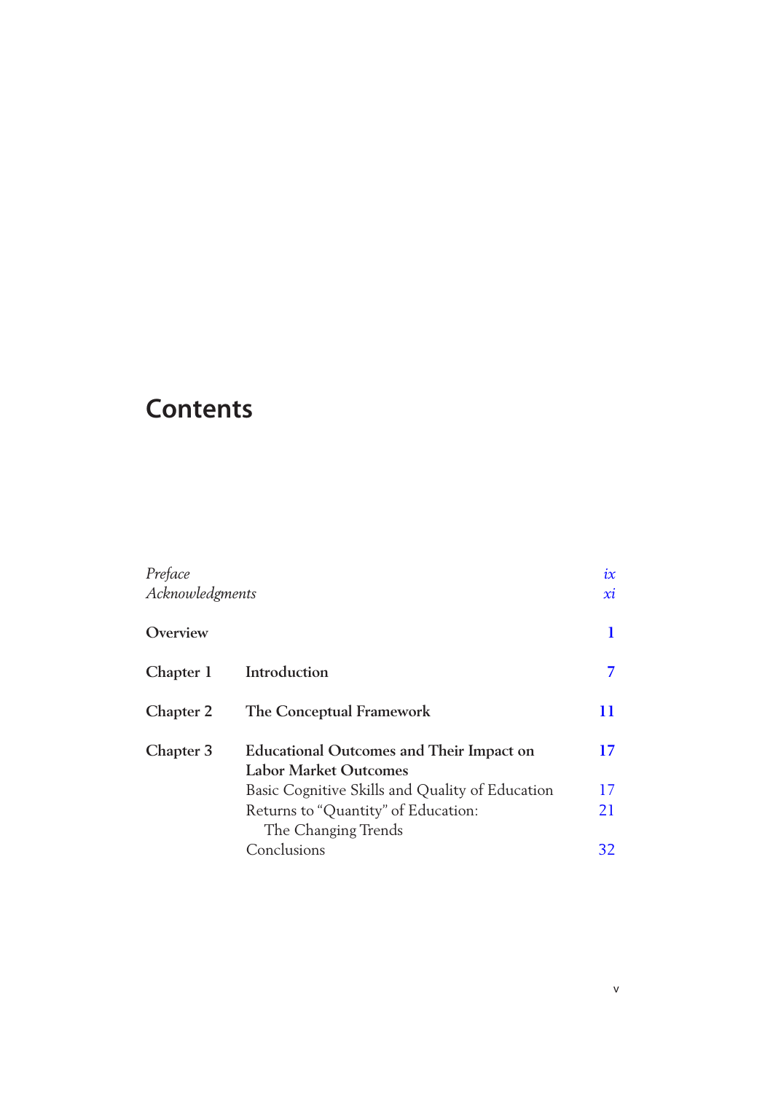# *Contents*

| Preface          |                                                                                 | $i\mathbf{x}$ |
|------------------|---------------------------------------------------------------------------------|---------------|
| Acknowledgments  |                                                                                 | хi            |
| Overview         |                                                                                 | L             |
| Chapter 1        | Introduction                                                                    | 7             |
| <b>Chapter 2</b> | The Conceptual Framework                                                        | 11            |
| Chapter 3        | <b>Educational Outcomes and Their Impact on</b><br><b>Labor Market Outcomes</b> | 17            |
|                  | Basic Cognitive Skills and Quality of Education                                 | 17            |
|                  | Returns to "Quantity" of Education:<br>The Changing Trends                      | 21            |
|                  | Conclusions                                                                     | 32            |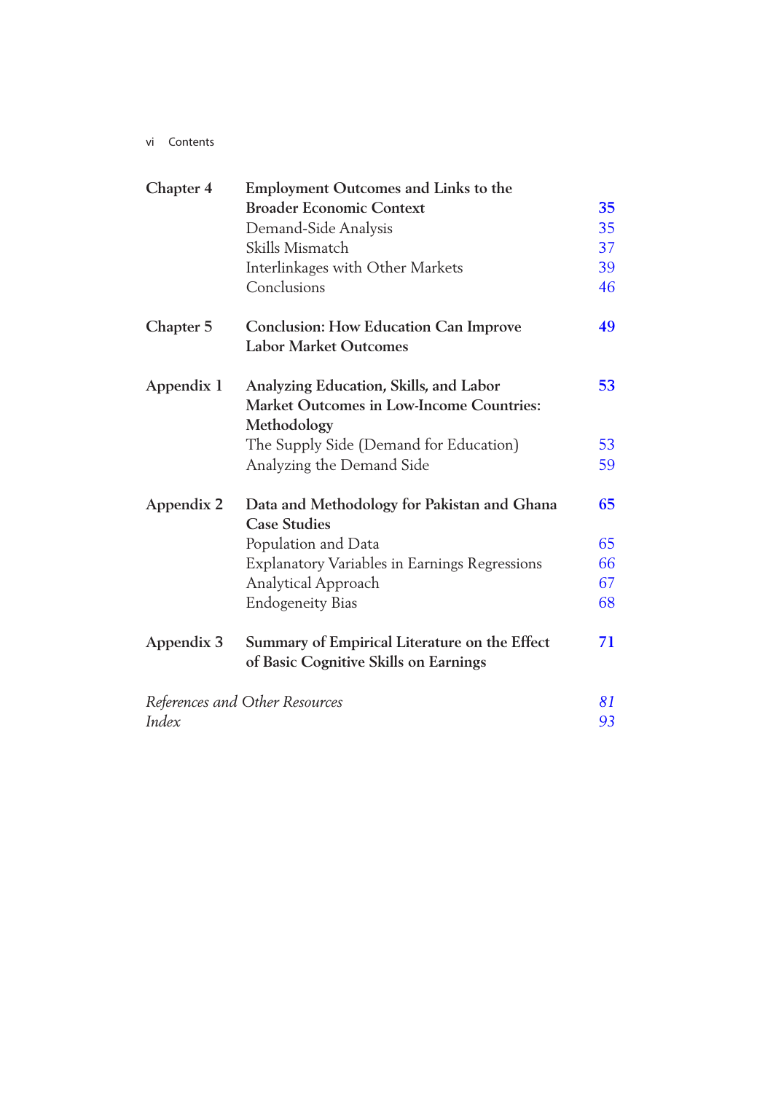### vi Contents

| Chapter 4  | <b>Employment Outcomes and Links to the</b>                                                              |    |
|------------|----------------------------------------------------------------------------------------------------------|----|
|            | <b>Broader Economic Context</b>                                                                          | 35 |
|            | Demand-Side Analysis                                                                                     | 35 |
|            | Skills Mismatch                                                                                          | 37 |
|            | Interlinkages with Other Markets                                                                         | 39 |
|            | Conclusions                                                                                              | 46 |
| Chapter 5  | <b>Conclusion: How Education Can Improve</b><br><b>Labor Market Outcomes</b>                             | 49 |
| Appendix 1 | Analyzing Education, Skills, and Labor<br><b>Market Outcomes in Low-Income Countries:</b><br>Methodology | 53 |
|            | The Supply Side (Demand for Education)                                                                   | 53 |
|            | Analyzing the Demand Side                                                                                | 59 |
| Appendix 2 | Data and Methodology for Pakistan and Ghana<br><b>Case Studies</b>                                       | 65 |
|            | Population and Data                                                                                      | 65 |
|            | <b>Explanatory Variables in Earnings Regressions</b>                                                     | 66 |
|            | Analytical Approach                                                                                      | 67 |
|            | <b>Endogeneity Bias</b>                                                                                  | 68 |
| Appendix 3 | Summary of Empirical Literature on the Effect<br>of Basic Cognitive Skills on Earnings                   | 71 |
|            | References and Other Resources                                                                           | 81 |
| Index      |                                                                                                          | 93 |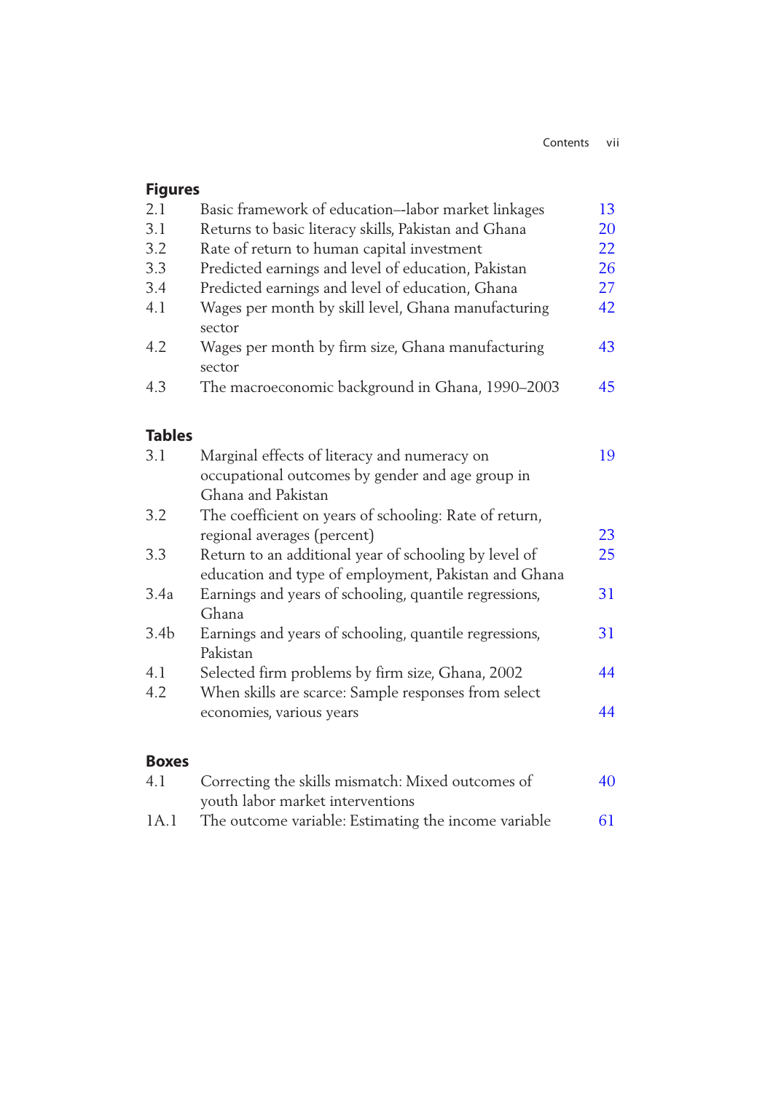# *Figures*

| 2.1              | Basic framework of education--labor market linkages                                                                    | 13 |
|------------------|------------------------------------------------------------------------------------------------------------------------|----|
| 3.1              | Returns to basic literacy skills, Pakistan and Ghana                                                                   | 20 |
| 3.2              | Rate of return to human capital investment                                                                             | 22 |
| 3.3              | Predicted earnings and level of education, Pakistan                                                                    | 26 |
| 3.4              | Predicted earnings and level of education, Ghana                                                                       | 27 |
| 4.1              | Wages per month by skill level, Ghana manufacturing<br>sector                                                          | 42 |
| 4.2              | Wages per month by firm size, Ghana manufacturing<br>sector                                                            | 43 |
| 4.3              | The macroeconomic background in Ghana, 1990-2003                                                                       | 45 |
| <b>Tables</b>    |                                                                                                                        |    |
| 3.1              | Marginal effects of literacy and numeracy on<br>occupational outcomes by gender and age group in<br>Ghana and Pakistan | 19 |
| 3.2              | The coefficient on years of schooling: Rate of return,                                                                 |    |
|                  | regional averages (percent)                                                                                            | 23 |
| 3.3              | Return to an additional year of schooling by level of<br>education and type of employment, Pakistan and Ghana          | 25 |
| 3.4a             | Earnings and years of schooling, quantile regressions,<br>Ghana                                                        | 31 |
| 3.4 <sub>b</sub> | Earnings and years of schooling, quantile regressions,<br>Pakistan                                                     | 31 |
| 4.1              | Selected firm problems by firm size, Ghana, 2002                                                                       | 44 |
| 4.2              | When skills are scarce: Sample responses from select                                                                   |    |
|                  | economies, various years                                                                                               | 44 |
|                  |                                                                                                                        |    |

# *Boxes*

| 4.1  | Correcting the skills mismatch: Mixed outcomes of    |    |  |
|------|------------------------------------------------------|----|--|
|      | youth labor market interventions                     |    |  |
| 1A.1 | The outcome variable: Estimating the income variable | 61 |  |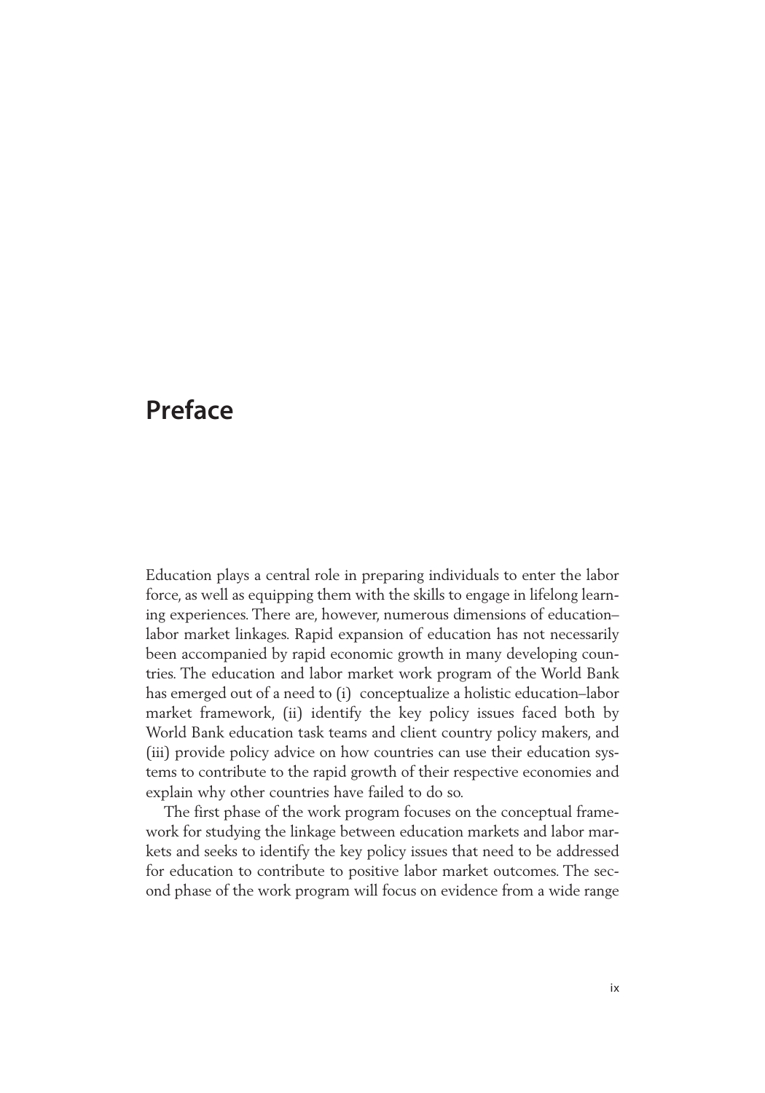# <span id="page-9-0"></span>*Preface*

Education plays a central role in preparing individuals to enter the labor force, as well as equipping them with the skills to engage in lifelong learning experiences. There are, however, numerous dimensions of education– labor market linkages. Rapid expansion of education has not necessarily been accompanied by rapid economic growth in many developing countries. The education and labor market work program of the World Bank has emerged out of a need to (i) conceptualize a holistic education–labor market framework, (ii) identify the key policy issues faced both by World Bank education task teams and client country policy makers, and (iii) provide policy advice on how countries can use their education systems to contribute to the rapid growth of their respective economies and explain why other countries have failed to do so.

The first phase of the work program focuses on the conceptual framework for studying the linkage between education markets and labor markets and seeks to identify the key policy issues that need to be addressed for education to contribute to positive labor market outcomes. The second phase of the work program will focus on evidence from a wide range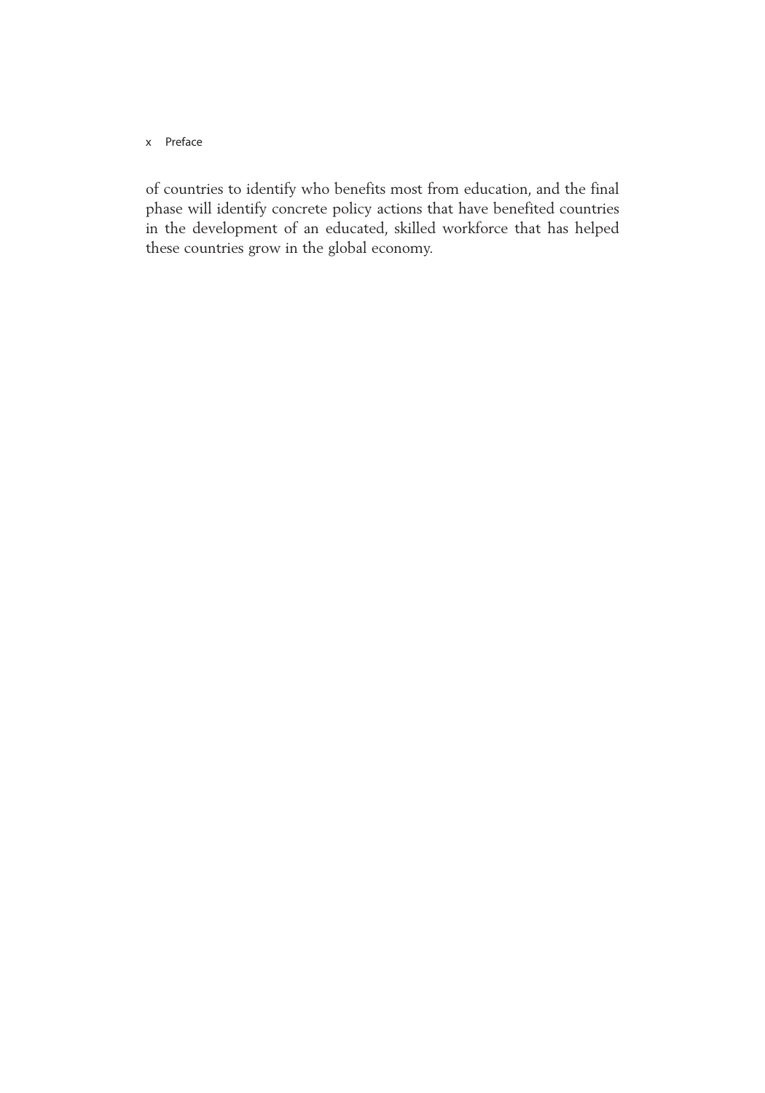### x Preface

of countries to identify who benefits most from education, and the final phase will identify concrete policy actions that have benefited countries in the development of an educated, skilled workforce that has helped these countries grow in the global economy.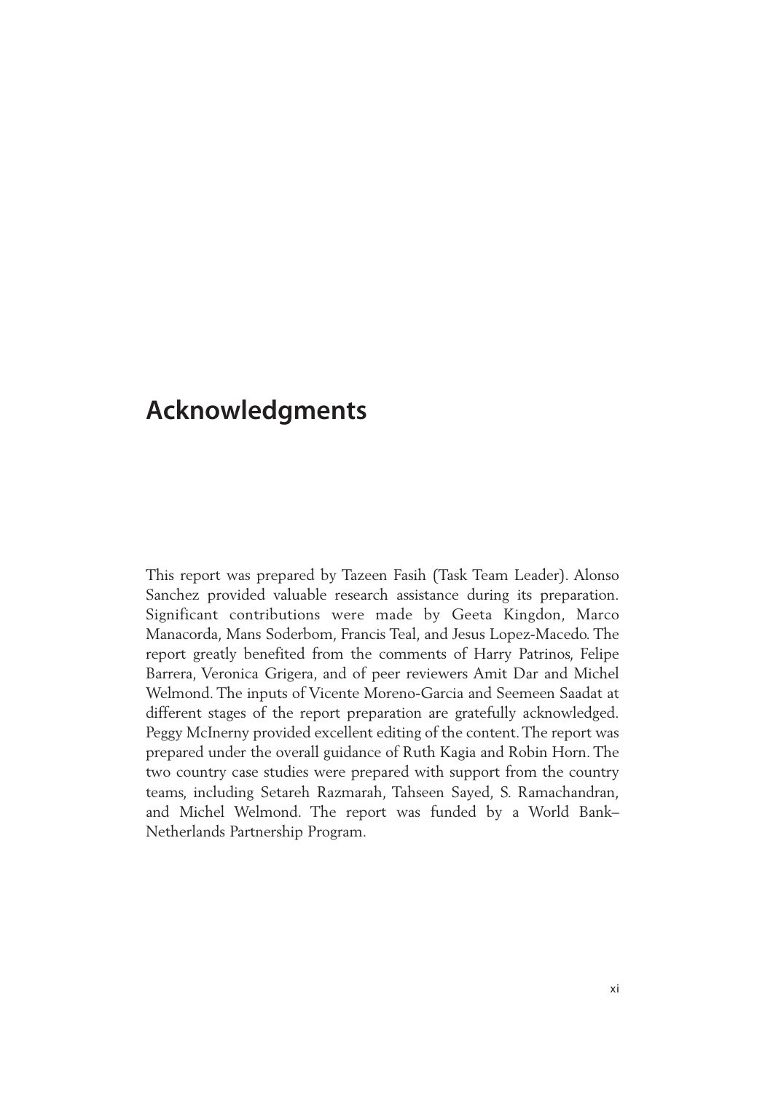# <span id="page-11-0"></span>*Acknowledgments*

This report was prepared by Tazeen Fasih (Task Team Leader). Alonso Sanchez provided valuable research assistance during its preparation. Significant contributions were made by Geeta Kingdon, Marco Manacorda, Mans Soderbom, Francis Teal, and Jesus Lopez-Macedo. The report greatly benefited from the comments of Harry Patrinos, Felipe Barrera, Veronica Grigera, and of peer reviewers Amit Dar and Michel Welmond. The inputs of Vicente Moreno-Garcia and Seemeen Saadat at different stages of the report preparation are gratefully acknowledged. Peggy McInerny provided excellent editing of the content.The report was prepared under the overall guidance of Ruth Kagia and Robin Horn. The two country case studies were prepared with support from the country teams, including Setareh Razmarah, Tahseen Sayed, S. Ramachandran, and Michel Welmond. The report was funded by a World Bank– Netherlands Partnership Program.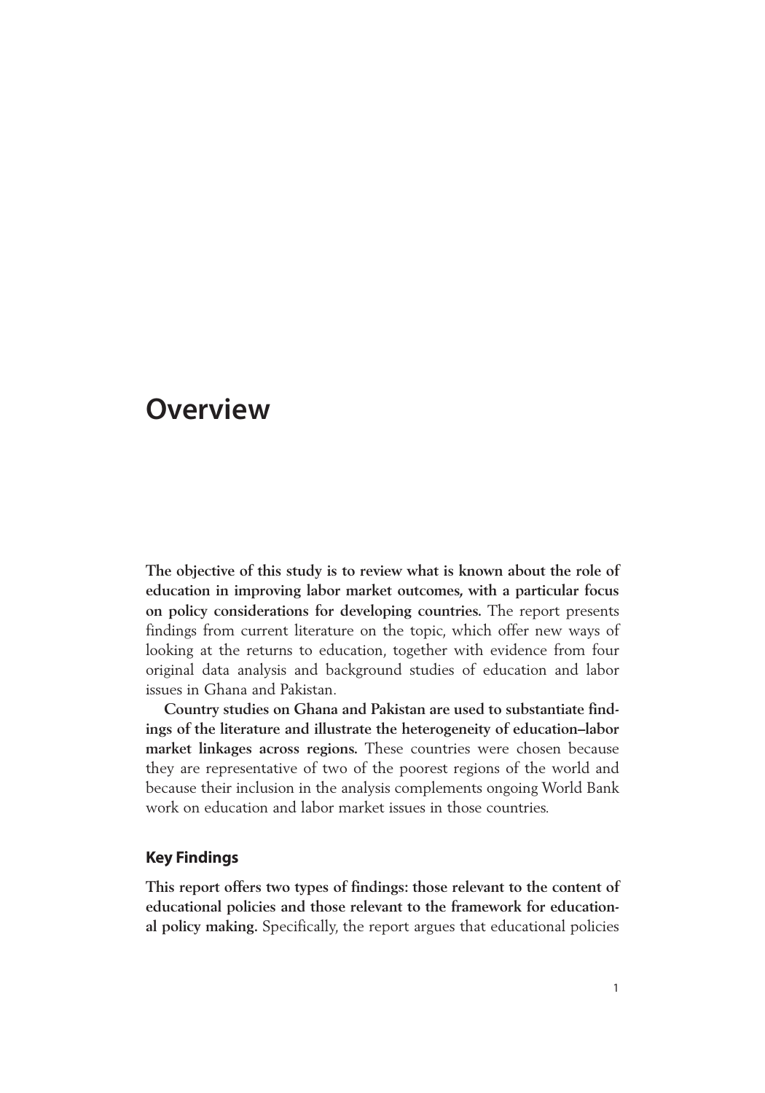# <span id="page-13-0"></span>*Overview*

**The objective of this study is to review what is known about the role of education in improving labor market outcomes, with a particular focus on policy considerations for developing countries.** The report presents findings from current literature on the topic, which offer new ways of looking at the returns to education, together with evidence from four original data analysis and background studies of education and labor issues in Ghana and Pakistan.

**Country studies on Ghana and Pakistan are used to substantiate findings of the literature and illustrate the heterogeneity of education–labor market linkages across regions.** These countries were chosen because they are representative of two of the poorest regions of the world and because their inclusion in the analysis complements ongoing World Bank work on education and labor market issues in those countries.

# *Key Findings*

**This report offers two types of findings: those relevant to the content of educational policies and those relevant to the framework for educational policy making.** Specifically, the report argues that educational policies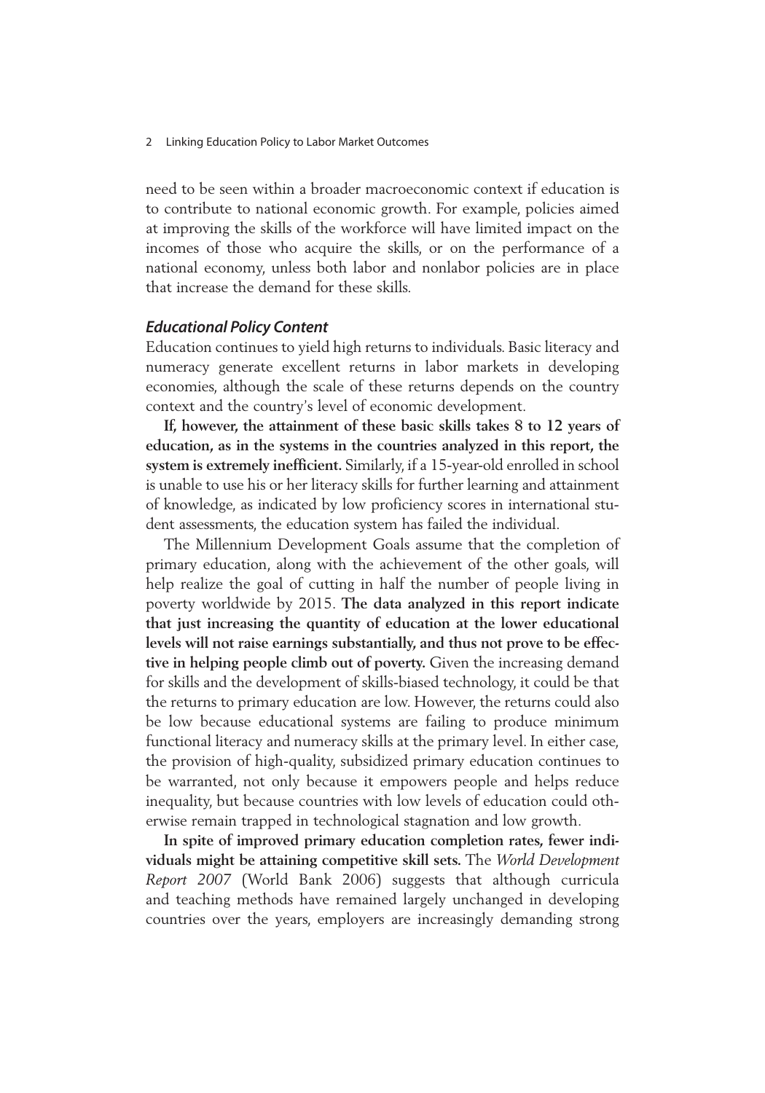need to be seen within a broader macroeconomic context if education is to contribute to national economic growth. For example, policies aimed at improving the skills of the workforce will have limited impact on the incomes of those who acquire the skills, or on the performance of a national economy, unless both labor and nonlabor policies are in place that increase the demand for these skills.

### *Educational Policy Content*

Education continues to yield high returns to individuals. Basic literacy and numeracy generate excellent returns in labor markets in developing economies, although the scale of these returns depends on the country context and the country's level of economic development.

**If, however, the attainment of these basic skills takes 8 to 12 years of education, as in the systems in the countries analyzed in this report, the system is extremely inefficient.** Similarly, if a 15-year-old enrolled in school is unable to use his or her literacy skills for further learning and attainment of knowledge, as indicated by low proficiency scores in international student assessments, the education system has failed the individual.

The Millennium Development Goals assume that the completion of primary education, along with the achievement of the other goals, will help realize the goal of cutting in half the number of people living in poverty worldwide by 2015. **The data analyzed in this report indicate that just increasing the quantity of education at the lower educational levels will not raise earnings substantially, and thus not prove to be effective in helping people climb out of poverty.** Given the increasing demand for skills and the development of skills-biased technology, it could be that the returns to primary education are low. However, the returns could also be low because educational systems are failing to produce minimum functional literacy and numeracy skills at the primary level. In either case, the provision of high-quality, subsidized primary education continues to be warranted, not only because it empowers people and helps reduce inequality, but because countries with low levels of education could otherwise remain trapped in technological stagnation and low growth.

**In spite of improved primary education completion rates, fewer individuals might be attaining competitive skill sets.** The *World Development Report 2007* (World Bank 2006) suggests that although curricula and teaching methods have remained largely unchanged in developing countries over the years, employers are increasingly demanding strong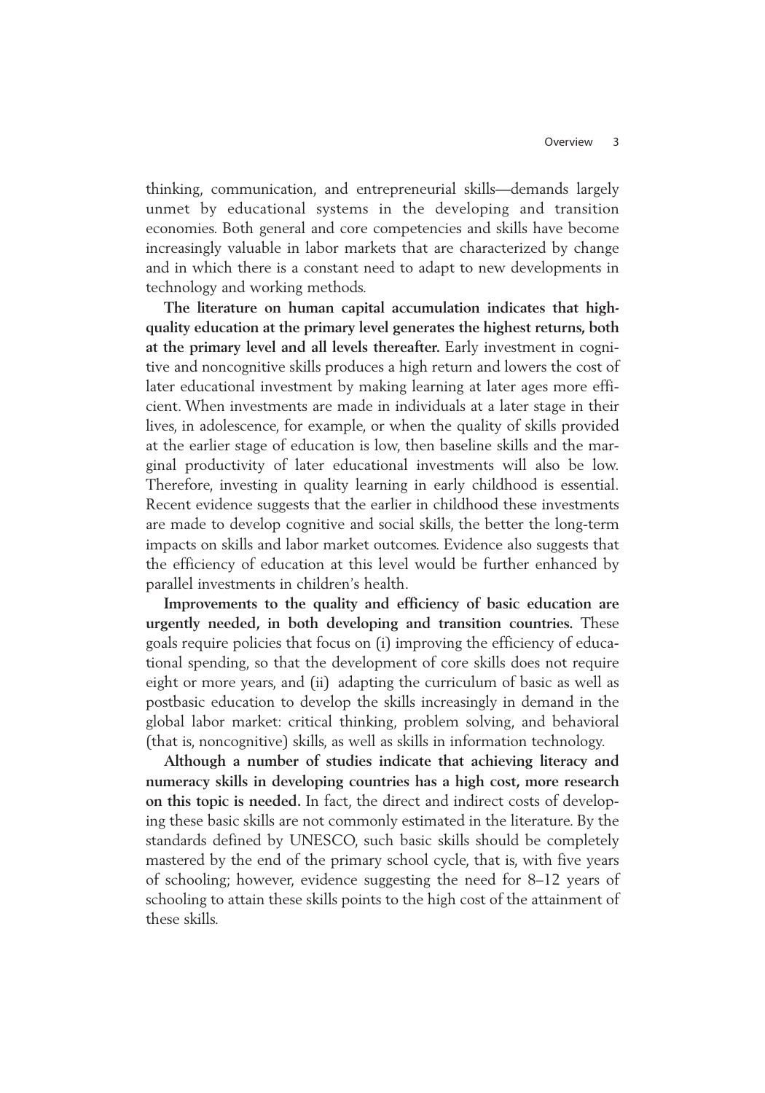thinking, communication, and entrepreneurial skills—demands largely unmet by educational systems in the developing and transition economies. Both general and core competencies and skills have become increasingly valuable in labor markets that are characterized by change and in which there is a constant need to adapt to new developments in technology and working methods.

**The literature on human capital accumulation indicates that highquality education at the primary level generates the highest returns, both at the primary level and all levels thereafter.** Early investment in cognitive and noncognitive skills produces a high return and lowers the cost of later educational investment by making learning at later ages more efficient. When investments are made in individuals at a later stage in their lives, in adolescence, for example, or when the quality of skills provided at the earlier stage of education is low, then baseline skills and the marginal productivity of later educational investments will also be low. Therefore, investing in quality learning in early childhood is essential. Recent evidence suggests that the earlier in childhood these investments are made to develop cognitive and social skills, the better the long-term impacts on skills and labor market outcomes. Evidence also suggests that the efficiency of education at this level would be further enhanced by parallel investments in children's health.

**Improvements to the quality and efficiency of basic education are urgently needed, in both developing and transition countries.** These goals require policies that focus on (i) improving the efficiency of educational spending, so that the development of core skills does not require eight or more years, and (ii) adapting the curriculum of basic as well as postbasic education to develop the skills increasingly in demand in the global labor market: critical thinking, problem solving, and behavioral (that is, noncognitive) skills, as well as skills in information technology.

**Although a number of studies indicate that achieving literacy and numeracy skills in developing countries has a high cost, more research on this topic is needed.** In fact, the direct and indirect costs of developing these basic skills are not commonly estimated in the literature. By the standards defined by UNESCO, such basic skills should be completely mastered by the end of the primary school cycle, that is, with five years of schooling; however, evidence suggesting the need for 8–12 years of schooling to attain these skills points to the high cost of the attainment of these skills.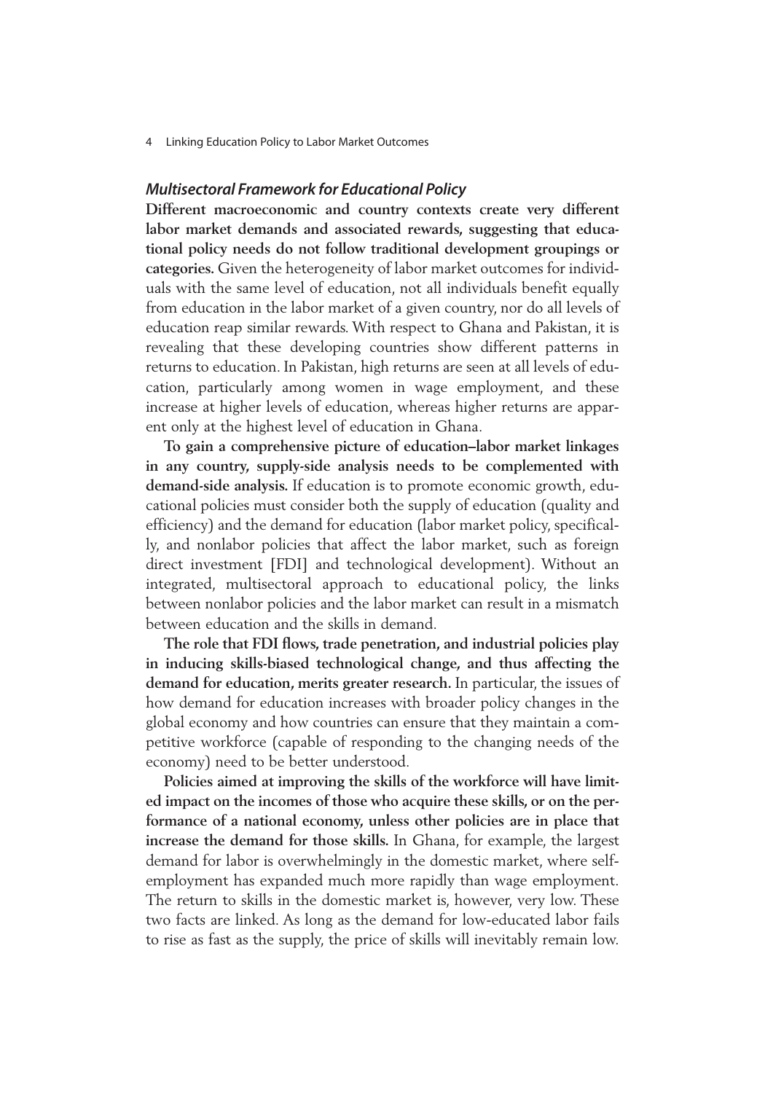### *Multisectoral Framework for Educational Policy*

**Different macroeconomic and country contexts create very different labor market demands and associated rewards, suggesting that educational policy needs do not follow traditional development groupings or categories.** Given the heterogeneity of labor market outcomes for individuals with the same level of education, not all individuals benefit equally from education in the labor market of a given country, nor do all levels of education reap similar rewards. With respect to Ghana and Pakistan, it is revealing that these developing countries show different patterns in returns to education. In Pakistan, high returns are seen at all levels of education, particularly among women in wage employment, and these increase at higher levels of education, whereas higher returns are apparent only at the highest level of education in Ghana.

**To gain a comprehensive picture of education–labor market linkages in any country, supply-side analysis needs to be complemented with demand-side analysis.** If education is to promote economic growth, educational policies must consider both the supply of education (quality and efficiency) and the demand for education (labor market policy, specifically, and nonlabor policies that affect the labor market, such as foreign direct investment [FDI] and technological development). Without an integrated, multisectoral approach to educational policy, the links between nonlabor policies and the labor market can result in a mismatch between education and the skills in demand.

**The role that FDI flows, trade penetration, and industrial policies play in inducing skills-biased technological change, and thus affecting the demand for education, merits greater research.** In particular, the issues of how demand for education increases with broader policy changes in the global economy and how countries can ensure that they maintain a competitive workforce (capable of responding to the changing needs of the economy) need to be better understood.

**Policies aimed at improving the skills of the workforce will have limited impact on the incomes of those who acquire these skills, or on the performance of a national economy, unless other policies are in place that increase the demand for those skills.** In Ghana, for example, the largest demand for labor is overwhelmingly in the domestic market, where selfemployment has expanded much more rapidly than wage employment. The return to skills in the domestic market is, however, very low. These two facts are linked. As long as the demand for low-educated labor fails to rise as fast as the supply, the price of skills will inevitably remain low.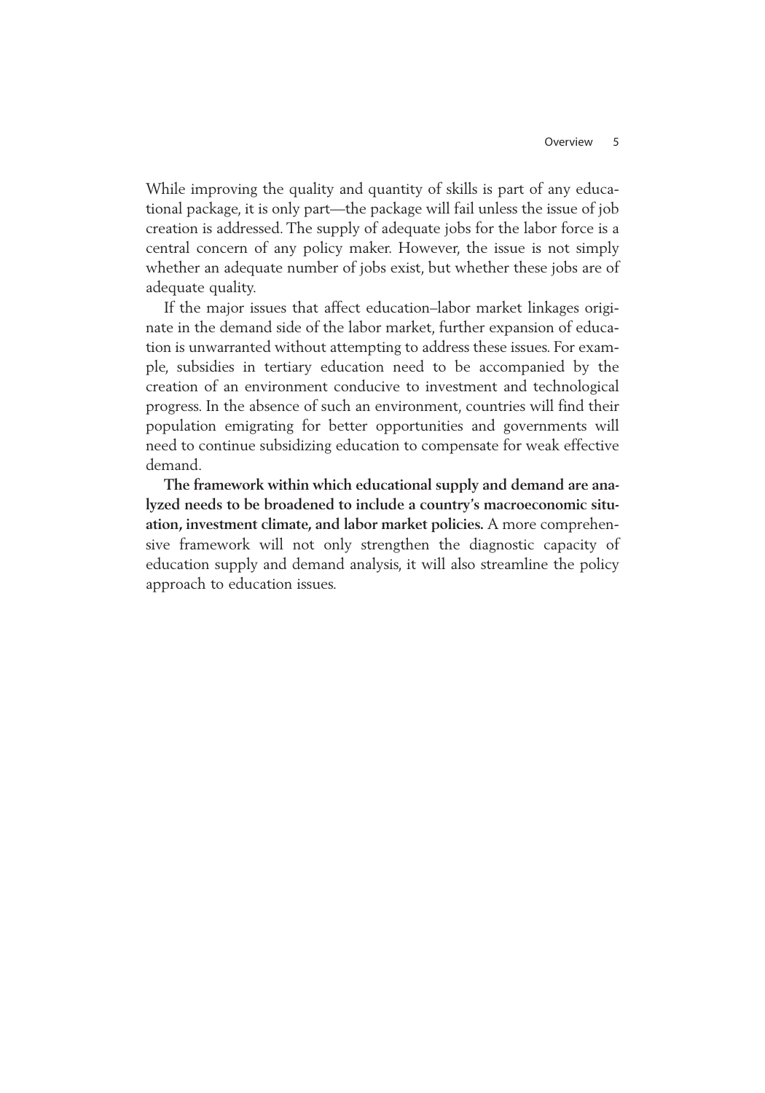While improving the quality and quantity of skills is part of any educational package, it is only part—the package will fail unless the issue of job creation is addressed. The supply of adequate jobs for the labor force is a central concern of any policy maker. However, the issue is not simply whether an adequate number of jobs exist, but whether these jobs are of adequate quality.

If the major issues that affect education–labor market linkages originate in the demand side of the labor market, further expansion of education is unwarranted without attempting to address these issues. For example, subsidies in tertiary education need to be accompanied by the creation of an environment conducive to investment and technological progress. In the absence of such an environment, countries will find their population emigrating for better opportunities and governments will need to continue subsidizing education to compensate for weak effective demand.

**The framework within which educational supply and demand are analyzed needs to be broadened to include a country's macroeconomic situation, investment climate, and labor market policies.** A more comprehensive framework will not only strengthen the diagnostic capacity of education supply and demand analysis, it will also streamline the policy approach to education issues.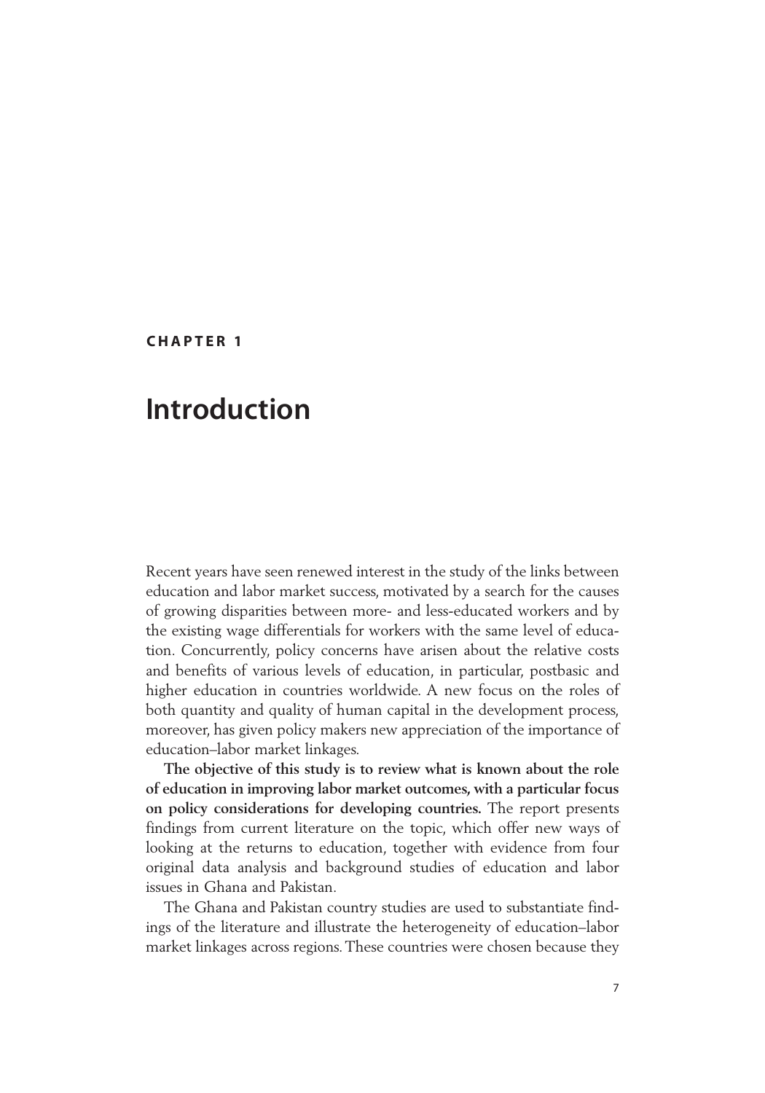# <span id="page-19-0"></span>*CHAPTER 1*

# *Introduction*

Recent years have seen renewed interest in the study of the links between education and labor market success, motivated by a search for the causes of growing disparities between more- and less-educated workers and by the existing wage differentials for workers with the same level of education. Concurrently, policy concerns have arisen about the relative costs and benefits of various levels of education, in particular, postbasic and higher education in countries worldwide. A new focus on the roles of both quantity and quality of human capital in the development process, moreover, has given policy makers new appreciation of the importance of education–labor market linkages.

**The objective of this study is to review what is known about the role of education in improving labor market outcomes, with a particular focus on policy considerations for developing countries.** The report presents findings from current literature on the topic, which offer new ways of looking at the returns to education, together with evidence from four original data analysis and background studies of education and labor issues in Ghana and Pakistan.

The Ghana and Pakistan country studies are used to substantiate findings of the literature and illustrate the heterogeneity of education–labor market linkages across regions. These countries were chosen because they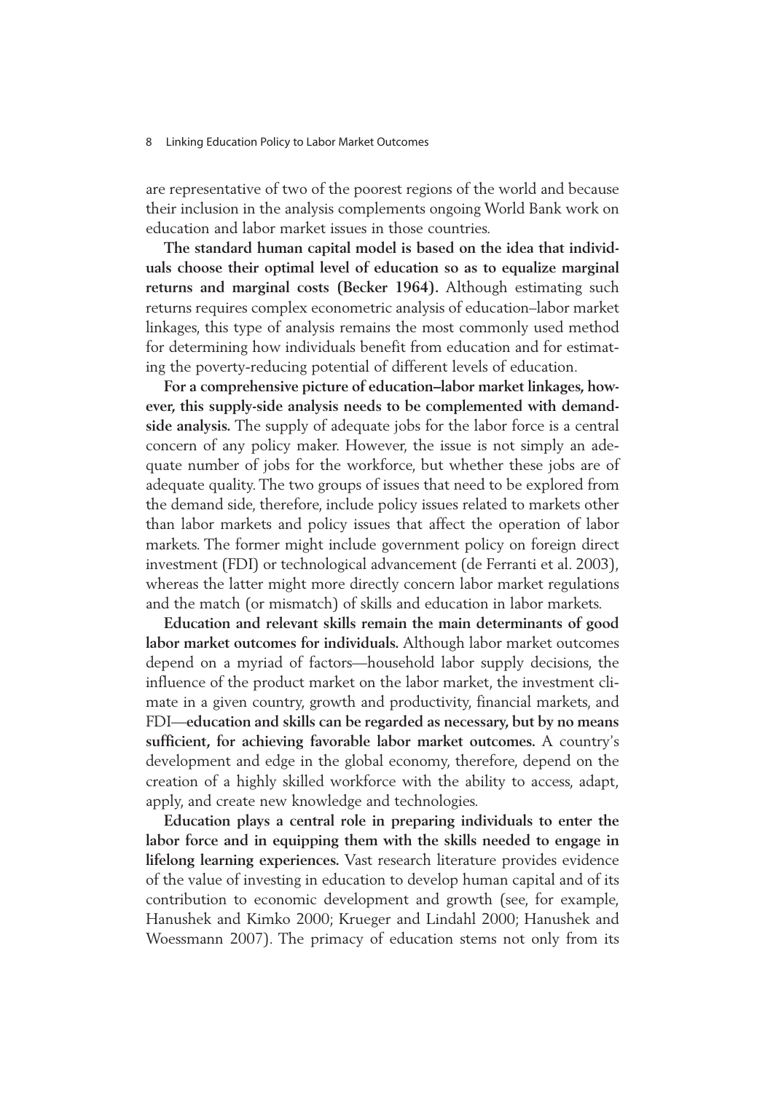are representative of two of the poorest regions of the world and because their inclusion in the analysis complements ongoing World Bank work on education and labor market issues in those countries.

**The standard human capital model is based on the idea that individuals choose their optimal level of education so as to equalize marginal returns and marginal costs (Becker 1964).** Although estimating such returns requires complex econometric analysis of education–labor market linkages, this type of analysis remains the most commonly used method for determining how individuals benefit from education and for estimating the poverty-reducing potential of different levels of education.

**For a comprehensive picture of education–labor market linkages, however, this supply-side analysis needs to be complemented with demandside analysis.** The supply of adequate jobs for the labor force is a central concern of any policy maker. However, the issue is not simply an adequate number of jobs for the workforce, but whether these jobs are of adequate quality. The two groups of issues that need to be explored from the demand side, therefore, include policy issues related to markets other than labor markets and policy issues that affect the operation of labor markets. The former might include government policy on foreign direct investment (FDI) or technological advancement (de Ferranti et al. 2003), whereas the latter might more directly concern labor market regulations and the match (or mismatch) of skills and education in labor markets.

**Education and relevant skills remain the main determinants of good labor market outcomes for individuals.** Although labor market outcomes depend on a myriad of factors—household labor supply decisions, the influence of the product market on the labor market, the investment climate in a given country, growth and productivity, financial markets, and FDI—**education and skills can be regarded as necessary, but by no means sufficient, for achieving favorable labor market outcomes.** A country's development and edge in the global economy, therefore, depend on the creation of a highly skilled workforce with the ability to access, adapt, apply, and create new knowledge and technologies.

**Education plays a central role in preparing individuals to enter the labor force and in equipping them with the skills needed to engage in lifelong learning experiences.** Vast research literature provides evidence of the value of investing in education to develop human capital and of its contribution to economic development and growth (see, for example, Hanushek and Kimko 2000; Krueger and Lindahl 2000; Hanushek and Woessmann 2007). The primacy of education stems not only from its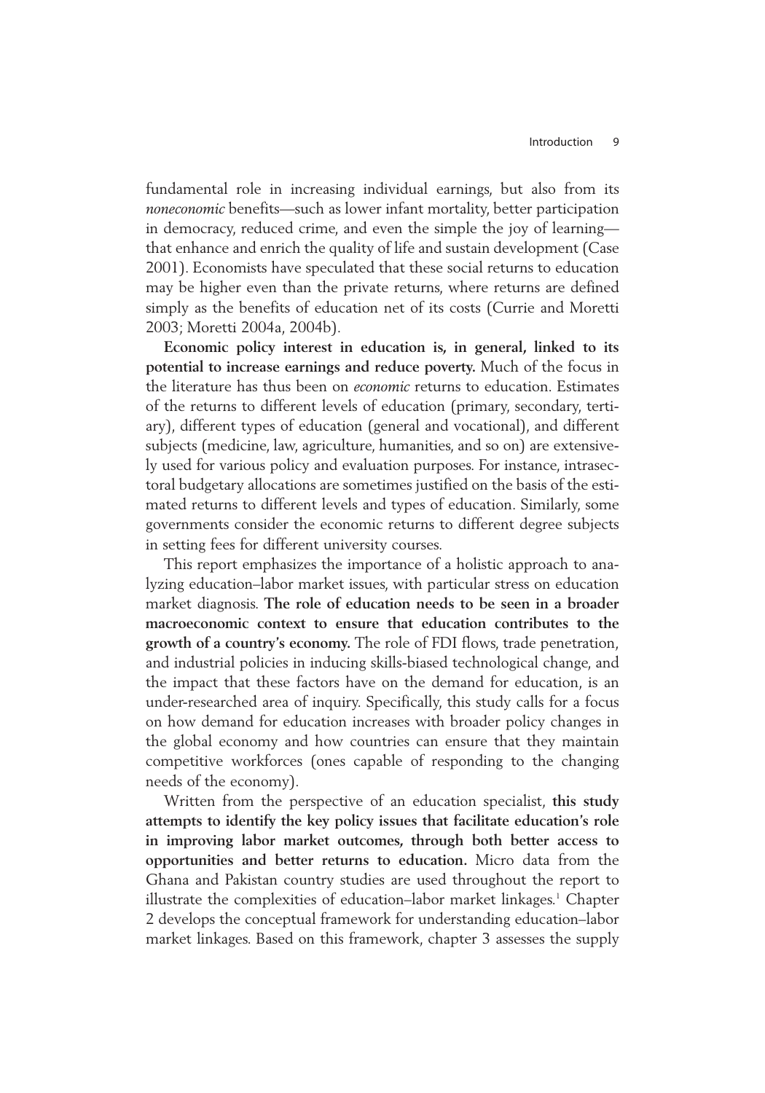fundamental role in increasing individual earnings, but also from its *noneconomic* benefits—such as lower infant mortality, better participation in democracy, reduced crime, and even the simple the joy of learning that enhance and enrich the quality of life and sustain development (Case 2001). Economists have speculated that these social returns to education may be higher even than the private returns, where returns are defined simply as the benefits of education net of its costs (Currie and Moretti 2003; Moretti 2004a, 2004b).

**Economic policy interest in education is, in general, linked to its potential to increase earnings and reduce poverty.** Much of the focus in the literature has thus been on *economic* returns to education. Estimates of the returns to different levels of education (primary, secondary, tertiary), different types of education (general and vocational), and different subjects (medicine, law, agriculture, humanities, and so on) are extensively used for various policy and evaluation purposes. For instance, intrasectoral budgetary allocations are sometimes justified on the basis of the estimated returns to different levels and types of education. Similarly, some governments consider the economic returns to different degree subjects in setting fees for different university courses.

This report emphasizes the importance of a holistic approach to analyzing education–labor market issues, with particular stress on education market diagnosis. **The role of education needs to be seen in a broader macroeconomic context to ensure that education contributes to the growth of a country's economy.** The role of FDI flows, trade penetration, and industrial policies in inducing skills-biased technological change, and the impact that these factors have on the demand for education, is an under-researched area of inquiry. Specifically, this study calls for a focus on how demand for education increases with broader policy changes in the global economy and how countries can ensure that they maintain competitive workforces (ones capable of responding to the changing needs of the economy).

Written from the perspective of an education specialist, **this study attempts to identify the key policy issues that facilitate education's role in improving labor market outcomes, through both better access to opportunities and better returns to education.** Micro data from the Ghana and Pakistan country studies are used throughout the report to illustrate the complexities of education–labor market linkages.<sup>1</sup> Chapter 2 develops the conceptual framework for understanding education–labor market linkages. Based on this framework, chapter 3 assesses the supply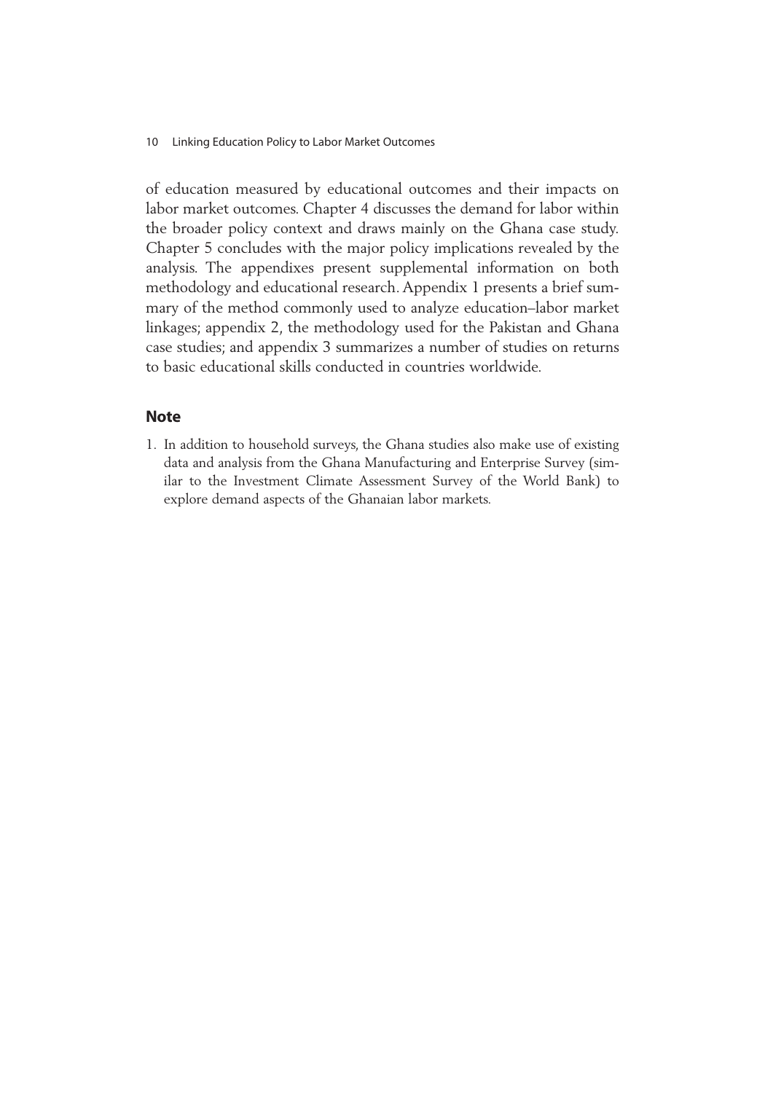of education measured by educational outcomes and their impacts on labor market outcomes. Chapter 4 discusses the demand for labor within the broader policy context and draws mainly on the Ghana case study. Chapter 5 concludes with the major policy implications revealed by the analysis. The appendixes present supplemental information on both methodology and educational research. Appendix 1 presents a brief summary of the method commonly used to analyze education–labor market linkages; appendix 2, the methodology used for the Pakistan and Ghana case studies; and appendix 3 summarizes a number of studies on returns to basic educational skills conducted in countries worldwide.

### *Note*

1. In addition to household surveys, the Ghana studies also make use of existing data and analysis from the Ghana Manufacturing and Enterprise Survey (similar to the Investment Climate Assessment Survey of the World Bank) to explore demand aspects of the Ghanaian labor markets.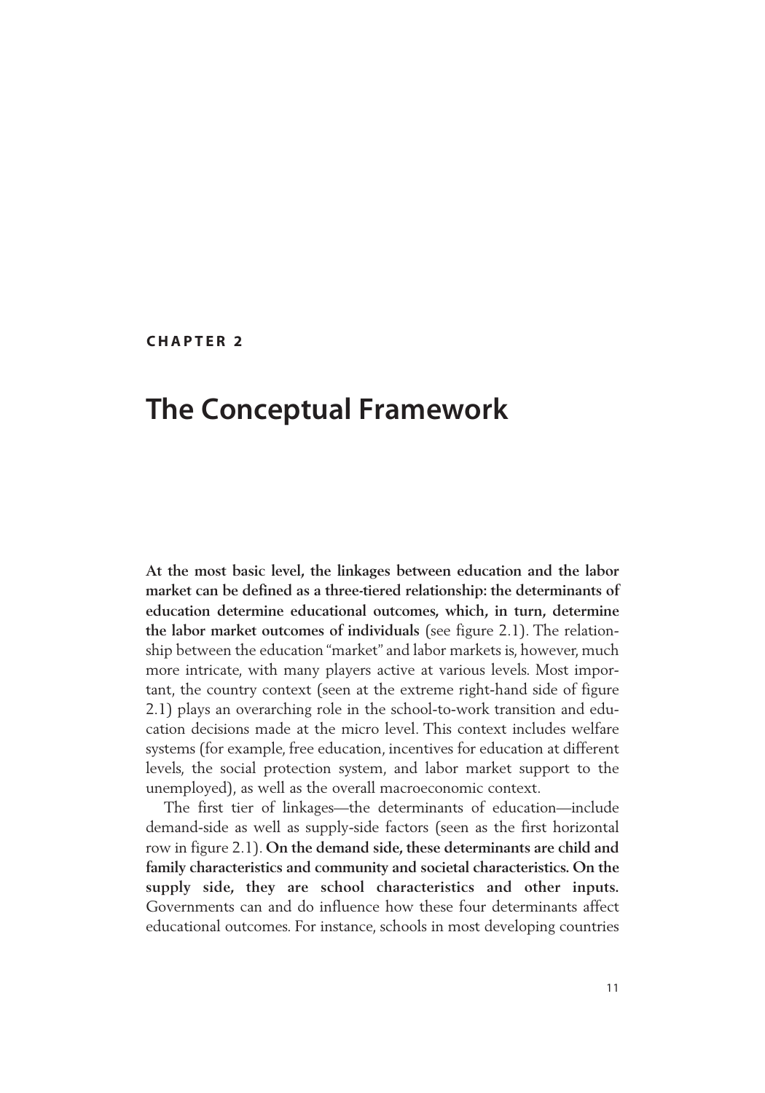<span id="page-23-0"></span>*CHAPTER 2*

# *The Conceptual Framework*

**At the most basic level, the linkages between education and the labor market can be defined as a three-tiered relationship: the determinants of education determine educational outcomes, which, in turn, determine the labor market outcomes of individuals** (see figure 2.1). The relationship between the education "market" and labor markets is, however, much more intricate, with many players active at various levels. Most important, the country context (seen at the extreme right-hand side of figure 2.1) plays an overarching role in the school-to-work transition and education decisions made at the micro level. This context includes welfare systems (for example, free education, incentives for education at different levels, the social protection system, and labor market support to the unemployed), as well as the overall macroeconomic context.

The first tier of linkages—the determinants of education—include demand-side as well as supply-side factors (seen as the first horizontal row in figure 2.1). **On the demand side, these determinants are child and family characteristics and community and societal characteristics. On the supply side, they are school characteristics and other inputs.** Governments can and do influence how these four determinants affect educational outcomes. For instance, schools in most developing countries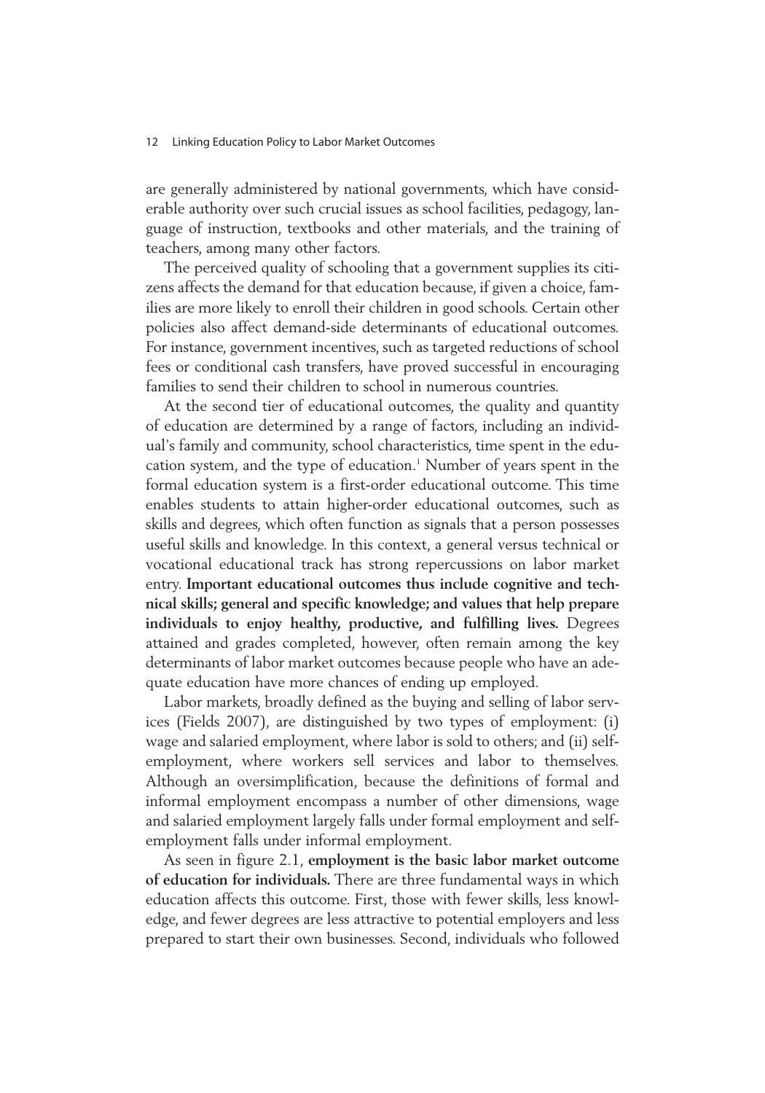are generally administered by national governments, which have considerable authority over such crucial issues as school facilities, pedagogy, language of instruction, textbooks and other materials, and the training of teachers, among many other factors.

The perceived quality of schooling that a government supplies its citizens affects the demand for that education because, if given a choice, families are more likely to enroll their children in good schools. Certain other policies also affect demand-side determinants of educational outcomes. For instance, government incentives, such as targeted reductions of school fees or conditional cash transfers, have proved successful in encouraging families to send their children to school in numerous countries.

At the second tier of educational outcomes, the quality and quantity of education are determined by a range of factors, including an individual's family and community, school characteristics, time spent in the education system, and the type of education.<sup>1</sup> Number of years spent in the formal education system is a first-order educational outcome. This time enables students to attain higher-order educational outcomes, such as skills and degrees, which often function as signals that a person possesses useful skills and knowledge. In this context, a general versus technical or vocational educational track has strong repercussions on labor market entry. **Important educational outcomes thus include cognitive and technical skills; general and specific knowledge; and values that help prepare individuals to enjoy healthy, productive, and fulfilling lives.** Degrees attained and grades completed, however, often remain among the key determinants of labor market outcomes because people who have an adequate education have more chances of ending up employed.

Labor markets, broadly defined as the buying and selling of labor services (Fields 2007), are distinguished by two types of employment: (i) wage and salaried employment, where labor is sold to others; and (ii) selfemployment, where workers sell services and labor to themselves. Although an oversimplification, because the definitions of formal and informal employment encompass a number of other dimensions, wage and salaried employment largely falls under formal employment and selfemployment falls under informal employment.

As seen in figure 2.1, **employment is the basic labor market outcome of education for individuals.** There are three fundamental ways in which education affects this outcome. First, those with fewer skills, less knowledge, and fewer degrees are less attractive to potential employers and less prepared to start their own businesses. Second, individuals who followed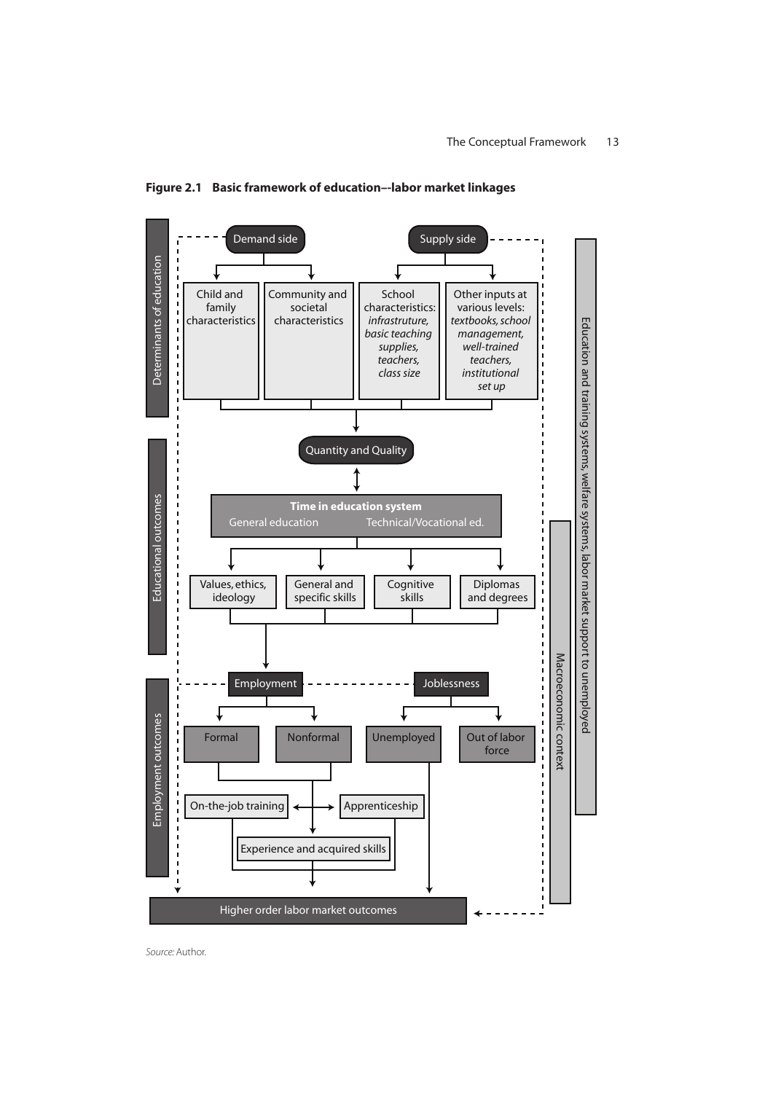

<span id="page-25-0"></span>*Figure 2.1 Basic framework of education–-labor market linkages* 

Source: Author.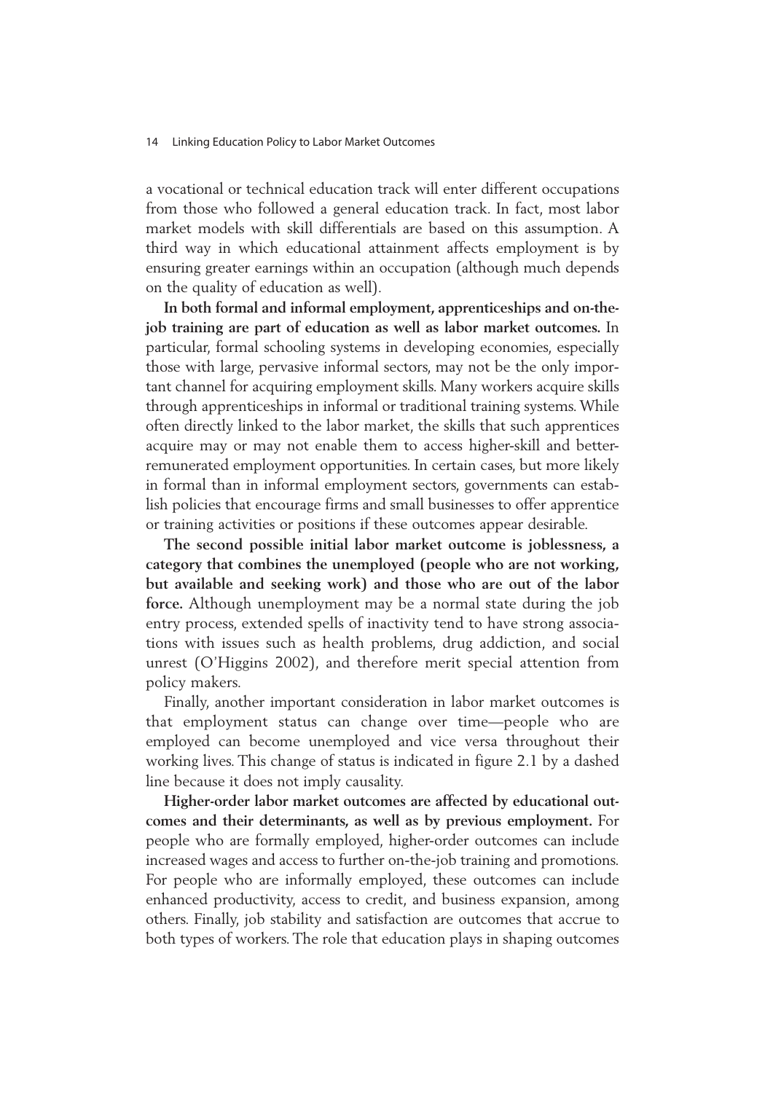a vocational or technical education track will enter different occupations from those who followed a general education track. In fact, most labor market models with skill differentials are based on this assumption. A third way in which educational attainment affects employment is by ensuring greater earnings within an occupation (although much depends on the quality of education as well).

**In both formal and informal employment, apprenticeships and on-thejob training are part of education as well as labor market outcomes.** In particular, formal schooling systems in developing economies, especially those with large, pervasive informal sectors, may not be the only important channel for acquiring employment skills. Many workers acquire skills through apprenticeships in informal or traditional training systems. While often directly linked to the labor market, the skills that such apprentices acquire may or may not enable them to access higher-skill and betterremunerated employment opportunities. In certain cases, but more likely in formal than in informal employment sectors, governments can establish policies that encourage firms and small businesses to offer apprentice or training activities or positions if these outcomes appear desirable.

**The second possible initial labor market outcome is joblessness, a category that combines the unemployed (people who are not working, but available and seeking work) and those who are out of the labor force.** Although unemployment may be a normal state during the job entry process, extended spells of inactivity tend to have strong associations with issues such as health problems, drug addiction, and social unrest (O'Higgins 2002), and therefore merit special attention from policy makers.

Finally, another important consideration in labor market outcomes is that employment status can change over time—people who are employed can become unemployed and vice versa throughout their working lives. This change of status is indicated in figure 2.1 by a dashed line because it does not imply causality.

**Higher-order labor market outcomes are affected by educational outcomes and their determinants, as well as by previous employment.** For people who are formally employed, higher-order outcomes can include increased wages and access to further on-the-job training and promotions. For people who are informally employed, these outcomes can include enhanced productivity, access to credit, and business expansion, among others. Finally, job stability and satisfaction are outcomes that accrue to both types of workers. The role that education plays in shaping outcomes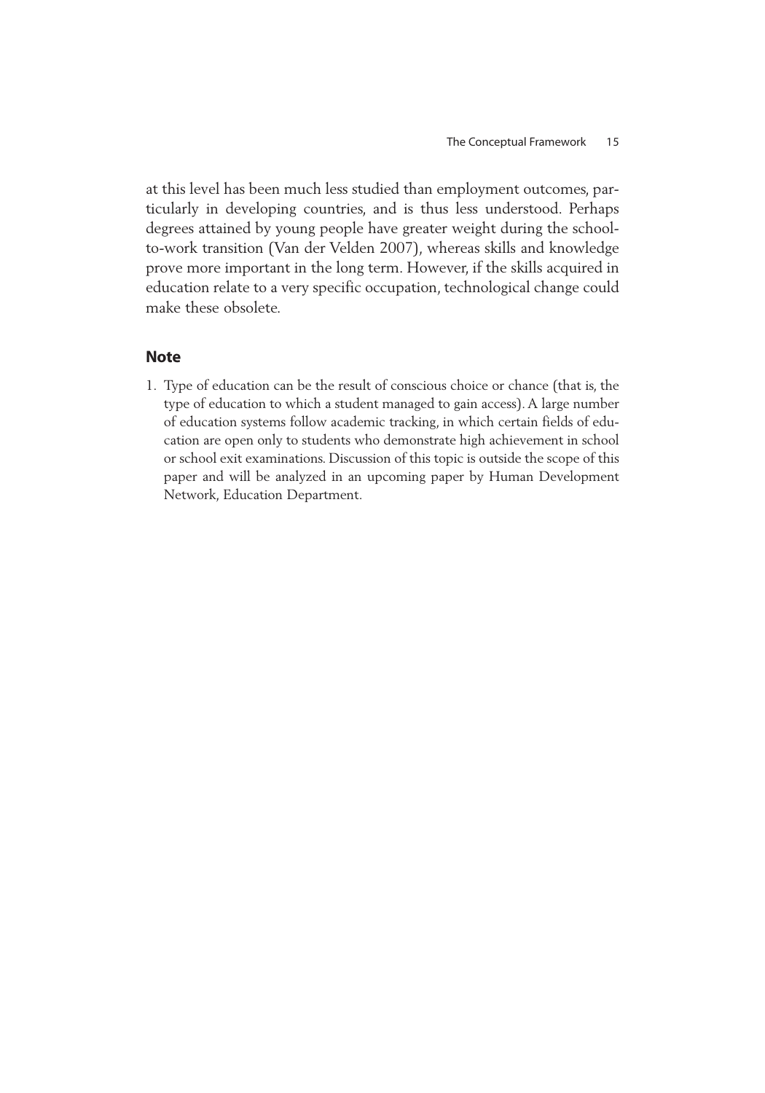at this level has been much less studied than employment outcomes, particularly in developing countries, and is thus less understood. Perhaps degrees attained by young people have greater weight during the schoolto-work transition (Van der Velden 2007), whereas skills and knowledge prove more important in the long term. However, if the skills acquired in education relate to a very specific occupation, technological change could make these obsolete.

### *Note*

1. Type of education can be the result of conscious choice or chance (that is, the type of education to which a student managed to gain access). A large number of education systems follow academic tracking, in which certain fields of education are open only to students who demonstrate high achievement in school or school exit examinations. Discussion of this topic is outside the scope of this paper and will be analyzed in an upcoming paper by Human Development Network, Education Department.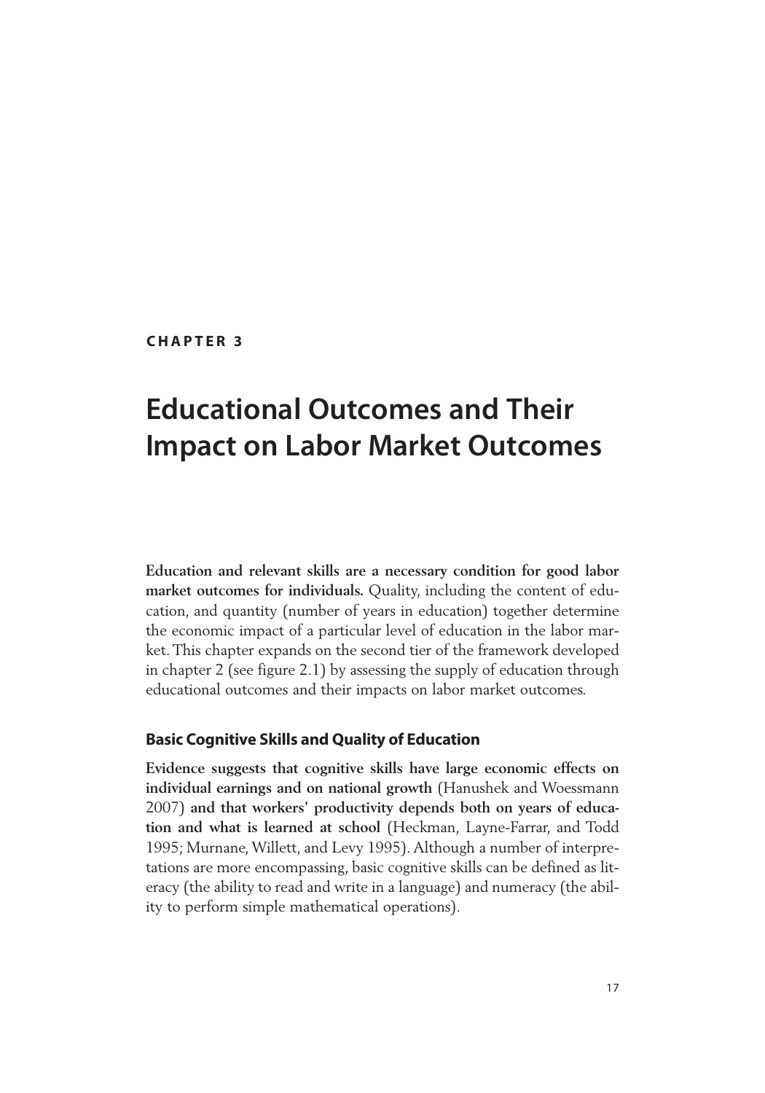<span id="page-29-0"></span>*CHAPTER 3*

# *Educational Outcomes and Their Impact on Labor Market Outcomes*

**Education and relevant skills are a necessary condition for good labor market outcomes for individuals.** Quality, including the content of education, and quantity (number of years in education) together determine the economic impact of a particular level of education in the labor market. This chapter expands on the second tier of the framework developed in chapter 2 (see figure 2.1) by assessing the supply of education through educational outcomes and their impacts on labor market outcomes.

## *Basic Cognitive Skills and Quality of Education*

**Evidence suggests that cognitive skills have large economic effects on individual earnings and on national growth** (Hanushek and Woessmann 2007) **and that workers' productivity depends both on years of education and what is learned at school** (Heckman, Layne-Farrar, and Todd 1995; Murnane, Willett, and Levy 1995). Although a number of interpretations are more encompassing, basic cognitive skills can be defined as literacy (the ability to read and write in a language) and numeracy (the ability to perform simple mathematical operations).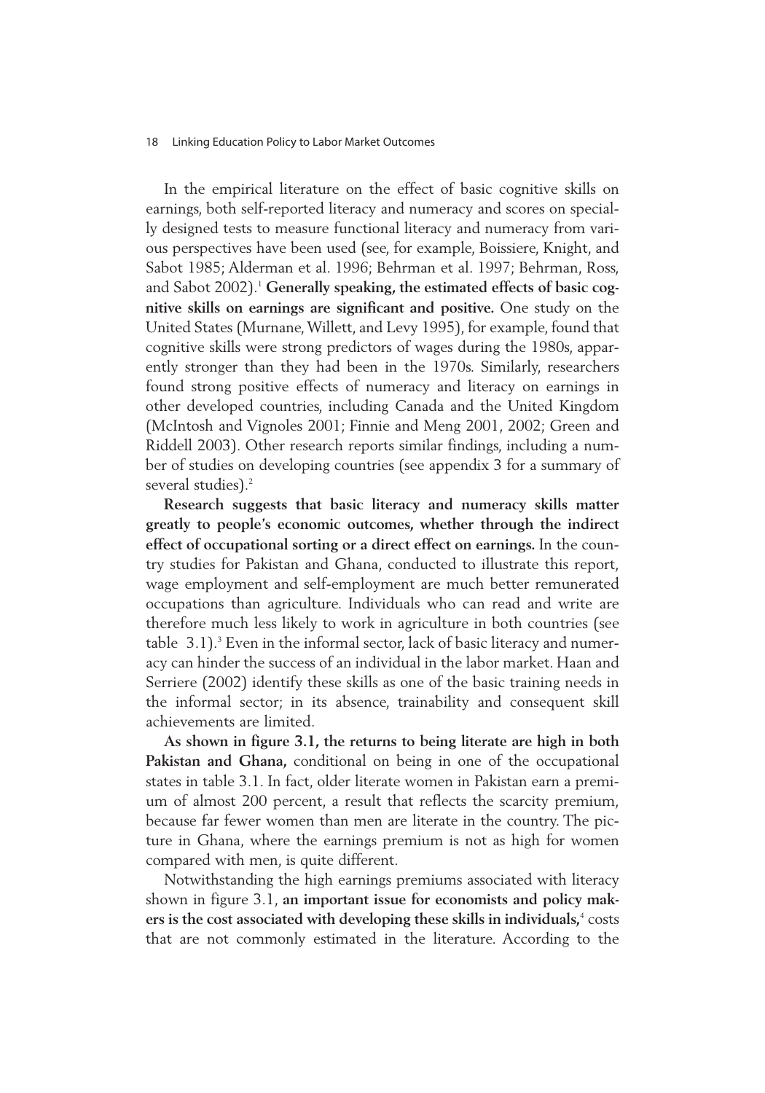In the empirical literature on the effect of basic cognitive skills on earnings, both self-reported literacy and numeracy and scores on specially designed tests to measure functional literacy and numeracy from various perspectives have been used (see, for example, Boissiere, Knight, and Sabot 1985; Alderman et al. 1996; Behrman et al. 1997; Behrman, Ross, and Sabot 2002).<sup>1</sup> Generally speaking, the estimated effects of basic cog**nitive skills on earnings are significant and positive.** One study on the United States (Murnane,Willett, and Levy 1995), for example, found that cognitive skills were strong predictors of wages during the 1980s, apparently stronger than they had been in the 1970s. Similarly, researchers found strong positive effects of numeracy and literacy on earnings in other developed countries, including Canada and the United Kingdom (McIntosh and Vignoles 2001; Finnie and Meng 2001, 2002; Green and Riddell 2003). Other research reports similar findings, including a number of studies on developing countries (see appendix 3 for a summary of several studies).<sup>2</sup>

**Research suggests that basic literacy and numeracy skills matter greatly to people's economic outcomes, whether through the indirect effect of occupational sorting or a direct effect on earnings.** In the country studies for Pakistan and Ghana, conducted to illustrate this report, wage employment and self-employment are much better remunerated occupations than agriculture. Individuals who can read and write are therefore much less likely to work in agriculture in both countries (see table  $3.1$ ).<sup>3</sup> Even in the informal sector, lack of basic literacy and numeracy can hinder the success of an individual in the labor market. Haan and Serriere (2002) identify these skills as one of the basic training needs in the informal sector; in its absence, trainability and consequent skill achievements are limited.

**As shown in figure 3.1, the returns to being literate are high in both Pakistan and Ghana,** conditional on being in one of the occupational states in table 3.1. In fact, older literate women in Pakistan earn a premium of almost 200 percent, a result that reflects the scarcity premium, because far fewer women than men are literate in the country. The picture in Ghana, where the earnings premium is not as high for women compared with men, is quite different.

Notwithstanding the high earnings premiums associated with literacy shown in figure 3.1, **an important issue for economists and policy makers is the cost associated with developing these skills in individuals,**<sup>4</sup> costs that are not commonly estimated in the literature. According to the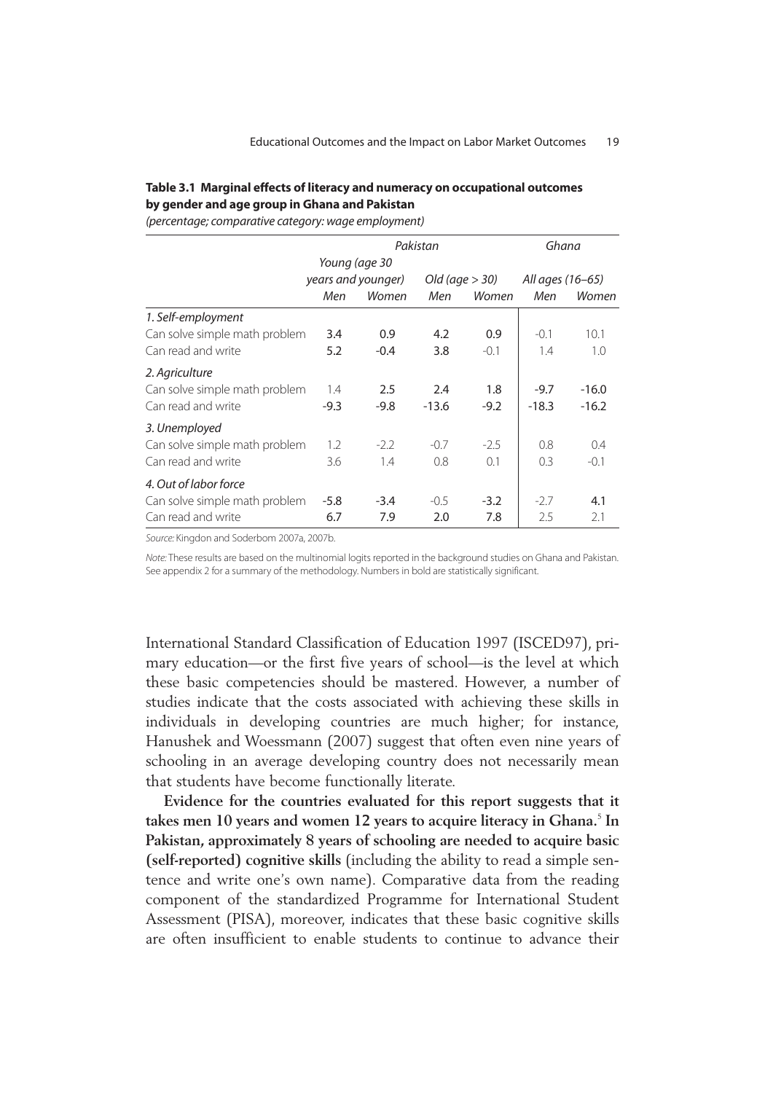### <span id="page-31-0"></span>*Table 3.1 Marginal effects of literacy and numeracy on occupational outcomes by gender and age group in Ghana and Pakistan*

(percentage; comparative category: wage employment)

|                               | Pakistan           |        |                  | Ghana  |                  |         |
|-------------------------------|--------------------|--------|------------------|--------|------------------|---------|
|                               | Young (age 30      |        |                  |        |                  |         |
|                               | years and younger) |        | Old (age $>$ 30) |        | All ages (16-65) |         |
|                               | Men                | Women  | Men              | Women  | Men              | Women   |
| 1. Self-employment            |                    |        |                  |        |                  |         |
| Can solve simple math problem | 3.4                | 0.9    | 4.2              | 0.9    | $-0.1$           | 10.1    |
| Can read and write            | 5.2                | $-0.4$ | 3.8              | $-0.1$ | 1.4              | 1.0     |
| 2. Agriculture                |                    |        |                  |        |                  |         |
| Can solve simple math problem | 1.4                | 2.5    | 2.4              | 1.8    | $-9.7$           | $-16.0$ |
| Can read and write            | $-9.3$             | $-9.8$ | $-13.6$          | $-9.2$ | $-18.3$          | $-16.2$ |
| 3. Unemployed                 |                    |        |                  |        |                  |         |
| Can solve simple math problem | $1.2^{\circ}$      | $-2.2$ | $-0.7$           | $-2.5$ | 0.8              | 0.4     |
| Can read and write            | 3.6                | 1.4    | 0.8              | 0.1    | 0.3              | $-0.1$  |
| 4. Out of labor force         |                    |        |                  |        |                  |         |
| Can solve simple math problem | $-5.8$             | $-3.4$ | $-0.5$           | $-3.2$ | $-2.7$           | 4.1     |
| Can read and write            | 6.7                | 7.9    | 2.0              | 7.8    | 2.5              | 2.1     |

Source: Kingdon and Soderbom 2007a, 2007b.

Note: These results are based on the multinomial logits reported in the background studies on Ghana and Pakistan. See appendix 2 for a summary of the methodology. Numbers in bold are statistically significant.

International Standard Classification of Education 1997 (ISCED97), primary education—or the first five years of school—is the level at which these basic competencies should be mastered. However, a number of studies indicate that the costs associated with achieving these skills in individuals in developing countries are much higher; for instance, Hanushek and Woessmann (2007) suggest that often even nine years of schooling in an average developing country does not necessarily mean that students have become functionally literate.

**Evidence for the countries evaluated for this report suggests that it takes men 10 years and women 12 years to acquire literacy in Ghana.**<sup>5</sup> **In Pakistan, approximately 8 years of schooling are needed to acquire basic (self-reported) cognitive skills** (including the ability to read a simple sentence and write one's own name). Comparative data from the reading component of the standardized Programme for International Student Assessment (PISA), moreover, indicates that these basic cognitive skills are often insufficient to enable students to continue to advance their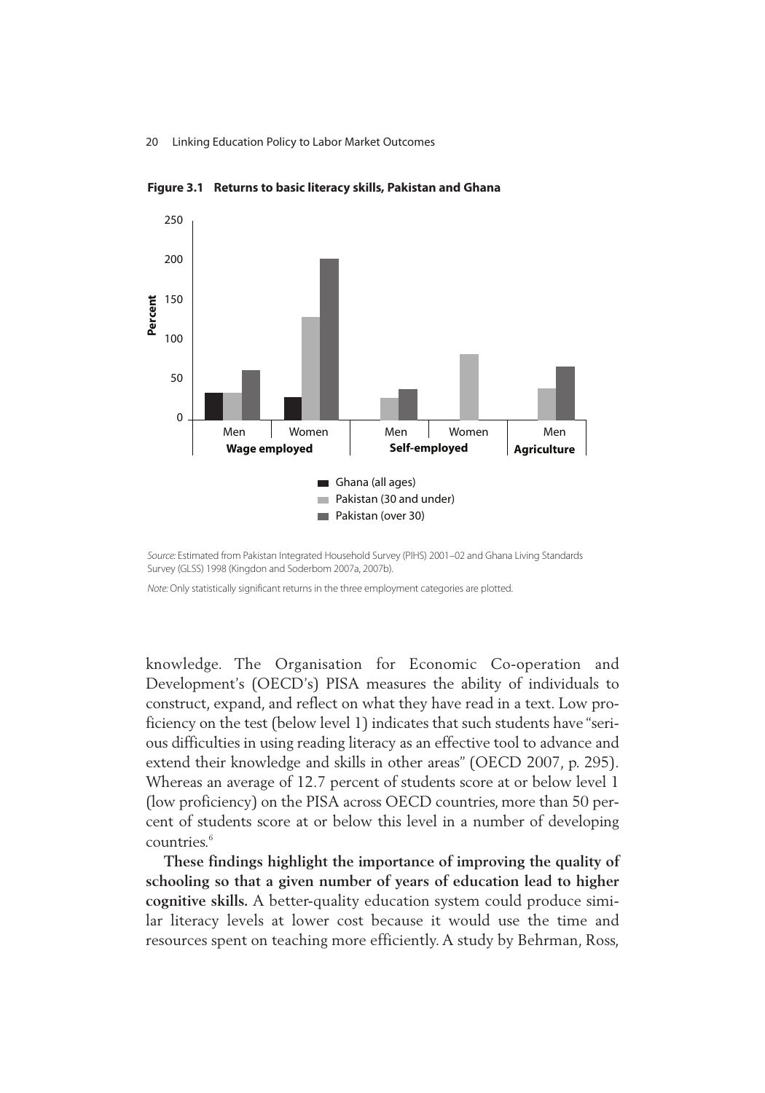

<span id="page-32-0"></span>*Figure 3.1 Returns to basic literacy skills, Pakistan and Ghana*

Source: Estimated from Pakistan Integrated Household Survey (PIHS) 2001–02 and Ghana Living Standards Survey (GLSS) 1998 (Kingdon and Soderbom 2007a, 2007b).

Note: Only statistically significant returns in the three employment categories are plotted.

knowledge. The Organisation for Economic Co-operation and Development's (OECD's) PISA measures the ability of individuals to construct, expand, and reflect on what they have read in a text. Low proficiency on the test (below level 1) indicates that such students have "serious difficulties in using reading literacy as an effective tool to advance and extend their knowledge and skills in other areas" (OECD 2007, p. 295). Whereas an average of 12.7 percent of students score at or below level 1 (low proficiency) on the PISA across OECD countries, more than 50 percent of students score at or below this level in a number of developing countries.<sup>6</sup>

**These findings highlight the importance of improving the quality of schooling so that a given number of years of education lead to higher cognitive skills.** A better-quality education system could produce similar literacy levels at lower cost because it would use the time and resources spent on teaching more efficiently. A study by Behrman, Ross,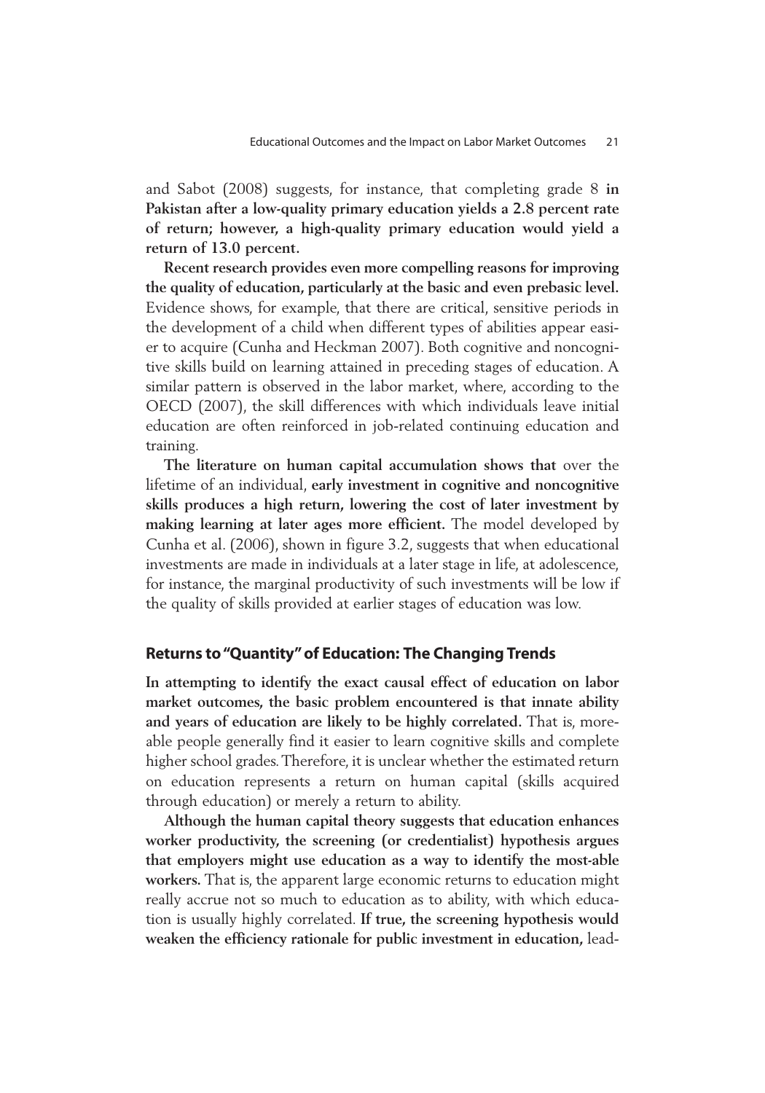<span id="page-33-0"></span>and Sabot (2008) suggests, for instance, that completing grade 8 **in Pakistan after a low-quality primary education yields a 2.8 percent rate of return; however, a high-quality primary education would yield a return of 13.0 percent.**

**Recent research provides even more compelling reasons for improving the quality of education, particularly at the basic and even prebasic level.** Evidence shows, for example, that there are critical, sensitive periods in the development of a child when different types of abilities appear easier to acquire (Cunha and Heckman 2007). Both cognitive and noncognitive skills build on learning attained in preceding stages of education. A similar pattern is observed in the labor market, where, according to the OECD (2007), the skill differences with which individuals leave initial education are often reinforced in job-related continuing education and training.

**The literature on human capital accumulation shows that** over the lifetime of an individual, **early investment in cognitive and noncognitive skills produces a high return, lowering the cost of later investment by making learning at later ages more efficient.** The model developed by Cunha et al. (2006), shown in figure 3.2, suggests that when educational investments are made in individuals at a later stage in life, at adolescence, for instance, the marginal productivity of such investments will be low if the quality of skills provided at earlier stages of education was low.

# *Returns to "Quantity" of Education: The Changing Trends*

**In attempting to identify the exact causal effect of education on labor market outcomes, the basic problem encountered is that innate ability and years of education are likely to be highly correlated.** That is, moreable people generally find it easier to learn cognitive skills and complete higher school grades.Therefore, it is unclear whether the estimated return on education represents a return on human capital (skills acquired through education) or merely a return to ability.

**Although the human capital theory suggests that education enhances worker productivity, the screening (or credentialist) hypothesis argues that employers might use education as a way to identify the most-able workers.** That is, the apparent large economic returns to education might really accrue not so much to education as to ability, with which education is usually highly correlated. **If true, the screening hypothesis would weaken the efficiency rationale for public investment in education,** lead-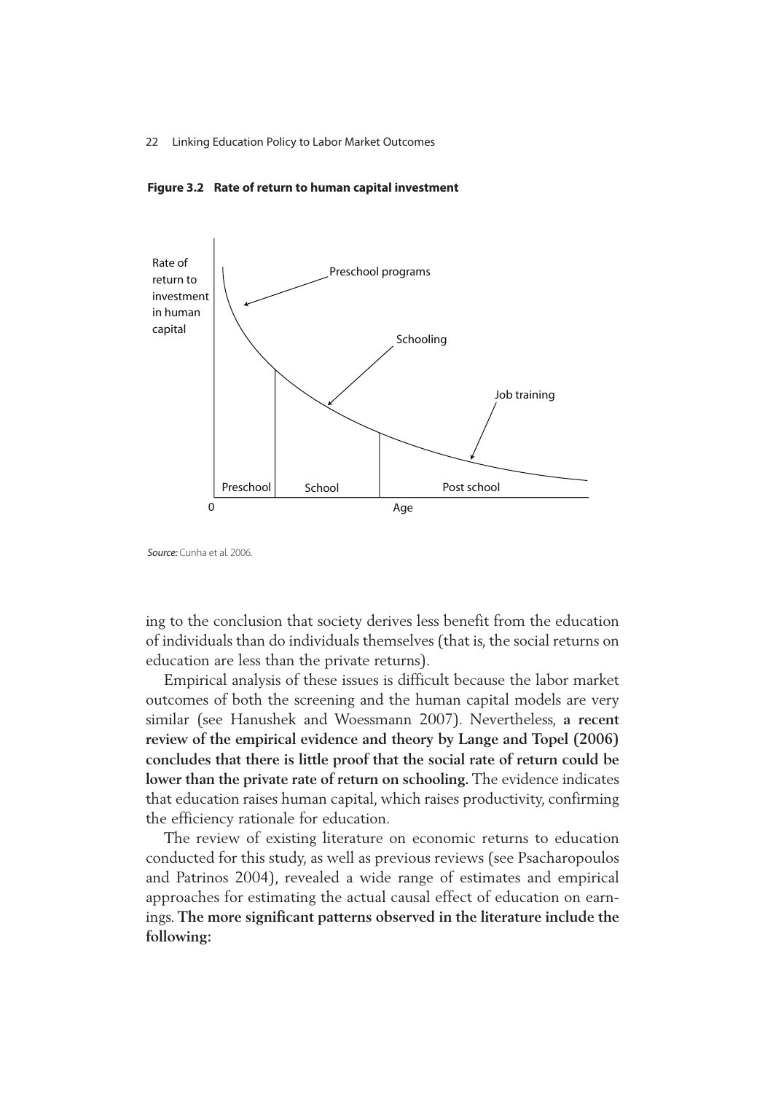

<span id="page-34-0"></span>*Figure 3.2 Rate of return to human capital investment* 

Source: Cunha et al. 2006.

ing to the conclusion that society derives less benefit from the education of individuals than do individuals themselves (that is, the social returns on education are less than the private returns).

Empirical analysis of these issues is difficult because the labor market outcomes of both the screening and the human capital models are very similar (see Hanushek and Woessmann 2007). Nevertheless, **a recent review of the empirical evidence and theory by Lange and Topel (2006) concludes that there is little proof that the social rate of return could be lower than the private rate of return on schooling.** The evidence indicates that education raises human capital, which raises productivity, confirming the efficiency rationale for education.

The review of existing literature on economic returns to education conducted for this study, as well as previous reviews (see Psacharopoulos and Patrinos 2004), revealed a wide range of estimates and empirical approaches for estimating the actual causal effect of education on earnings. **The more significant patterns observed in the literature include the following:**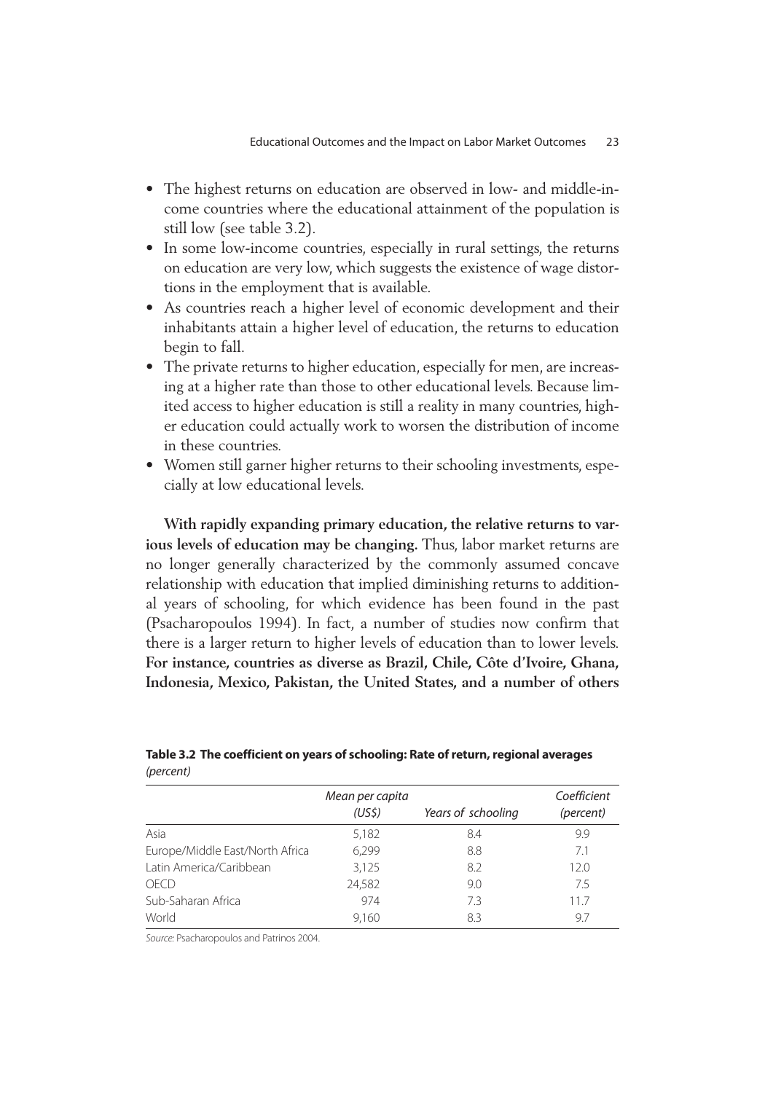- <span id="page-35-0"></span>• The highest returns on education are observed in low- and middle-income countries where the educational attainment of the population is still low (see table 3.2).
- In some low-income countries, especially in rural settings, the returns on education are very low, which suggests the existence of wage distortions in the employment that is available.
- As countries reach a higher level of economic development and their inhabitants attain a higher level of education, the returns to education begin to fall.
- The private returns to higher education, especially for men, are increasing at a higher rate than those to other educational levels. Because limited access to higher education is still a reality in many countries, higher education could actually work to worsen the distribution of income in these countries.
- Women still garner higher returns to their schooling investments, especially at low educational levels.

**With rapidly expanding primary education, the relative returns to various levels of education may be changing.** Thus, labor market returns are no longer generally characterized by the commonly assumed concave relationship with education that implied diminishing returns to additional years of schooling, for which evidence has been found in the past (Psacharopoulos 1994). In fact, a number of studies now confirm that there is a larger return to higher levels of education than to lower levels. **For instance, countries as diverse as Brazil, Chile, Côte d'Ivoire, Ghana, Indonesia, Mexico, Pakistan, the United States, and a number of others**

|                                 | Mean per capita | Coefficient        |           |
|---------------------------------|-----------------|--------------------|-----------|
|                                 | (USS)           | Years of schooling | (percent) |
| Asia                            | 5,182           | 8.4                | 9.9       |
| Europe/Middle East/North Africa | 6.299           | 8.8                | 7.1       |
| Latin America/Caribbean         | 3.125           | 8.2                | 12.0      |
| OFCD                            | 24,582          | 9.0                | 7.5       |
| Sub-Saharan Africa              | 974             | 7.3                | 11.7      |
| World                           | 9.160           | 8.3                | 9.7       |

#### *Table 3.2 The coefficient on years of schooling: Rate of return, regional averages* (percent)

Source: Psacharopoulos and Patrinos 2004.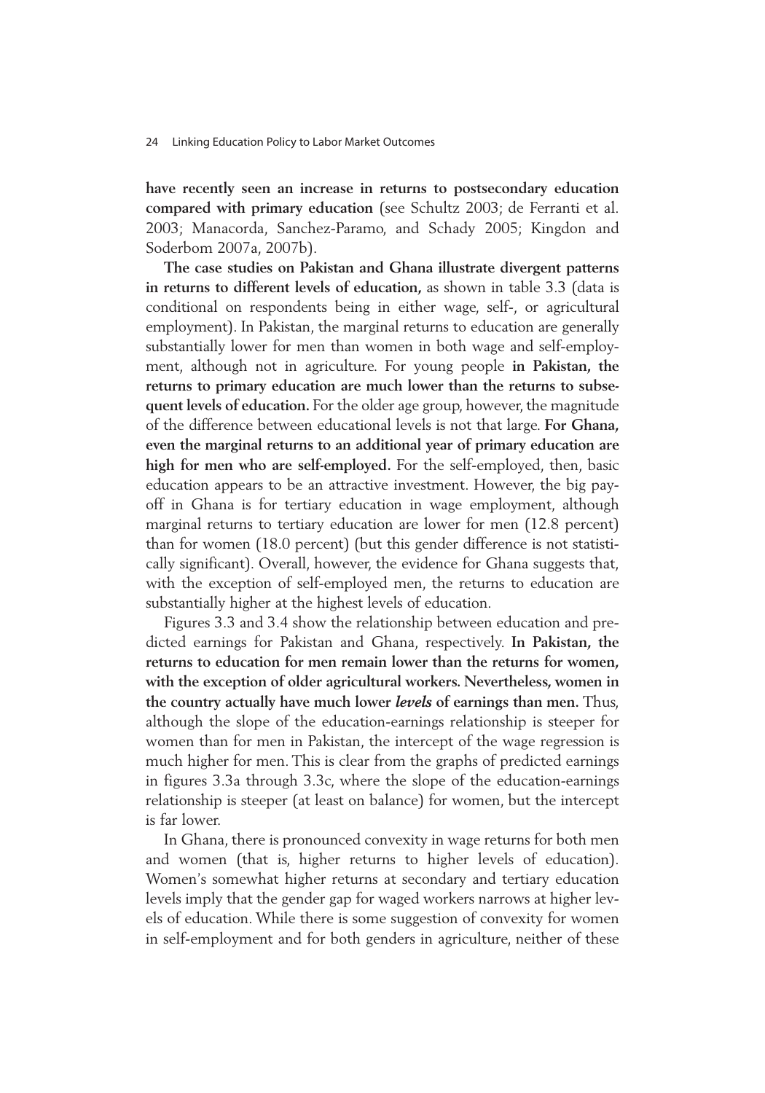**have recently seen an increase in returns to postsecondary education compared with primary education** (see Schultz 2003; de Ferranti et al. 2003; Manacorda, Sanchez-Paramo, and Schady 2005; Kingdon and Soderbom 2007a, 2007b).

**The case studies on Pakistan and Ghana illustrate divergent patterns in returns to different levels of education,** as shown in table 3.3 (data is conditional on respondents being in either wage, self-, or agricultural employment). In Pakistan, the marginal returns to education are generally substantially lower for men than women in both wage and self-employment, although not in agriculture. For young people **in Pakistan, the returns to primary education are much lower than the returns to subsequent levels of education.** For the older age group, however, the magnitude of the difference between educational levels is not that large. **For Ghana, even the marginal returns to an additional year of primary education are high for men who are self-employed.** For the self-employed, then, basic education appears to be an attractive investment. However, the big payoff in Ghana is for tertiary education in wage employment, although marginal returns to tertiary education are lower for men (12.8 percent) than for women (18.0 percent) (but this gender difference is not statistically significant). Overall, however, the evidence for Ghana suggests that, with the exception of self-employed men, the returns to education are substantially higher at the highest levels of education.

Figures 3.3 and 3.4 show the relationship between education and predicted earnings for Pakistan and Ghana, respectively. **In Pakistan, the returns to education for men remain lower than the returns for women, with the exception of older agricultural workers. Nevertheless, women in the country actually have much lower** *levels* **of earnings than men.** Thus, although the slope of the education-earnings relationship is steeper for women than for men in Pakistan, the intercept of the wage regression is much higher for men. This is clear from the graphs of predicted earnings in figures 3.3a through 3.3c, where the slope of the education-earnings relationship is steeper (at least on balance) for women, but the intercept is far lower.

In Ghana, there is pronounced convexity in wage returns for both men and women (that is, higher returns to higher levels of education). Women's somewhat higher returns at secondary and tertiary education levels imply that the gender gap for waged workers narrows at higher levels of education. While there is some suggestion of convexity for women in self-employment and for both genders in agriculture, neither of these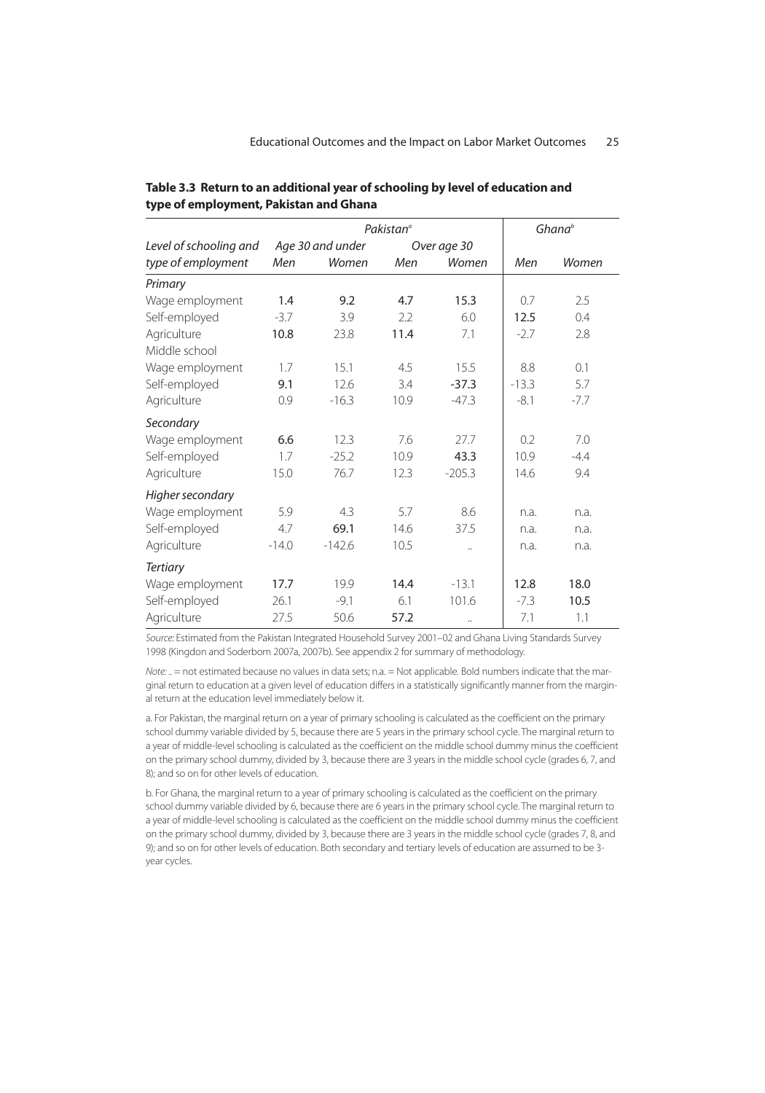|                        |         | Pakistan <sup>ª</sup>           | $G$ hana $\phi$ |                      |         |        |
|------------------------|---------|---------------------------------|-----------------|----------------------|---------|--------|
| Level of schooling and |         | Age 30 and under<br>Over age 30 |                 |                      |         |        |
| type of employment     | Men     | Women                           | Men             | Women                | Men     | Women  |
| Primary                |         |                                 |                 |                      |         |        |
| Wage employment        | 1.4     | 9.2                             | 4.7             | 15.3                 | 0.7     | 2.5    |
| Self-employed          | $-3.7$  | 3.9                             | 2.2             | 6.0                  | 12.5    | 0.4    |
| Agriculture            | 10.8    | 23.8                            | 11.4            | 7.1                  | $-2.7$  | 2.8    |
| Middle school          |         |                                 |                 |                      |         |        |
| Wage employment        | 1.7     | 15.1                            | 4.5             | 15.5                 | 8.8     | () 1   |
| Self-employed          | 9.1     | 12.6                            | 3.4             | $-37.3$              | $-13.3$ | 5.7    |
| Agriculture            | 0.9     | $-16.3$                         | 10.9            | $-47.3$              | $-8.1$  | $-7.7$ |
| Secondary              |         |                                 |                 |                      |         |        |
| Wage employment        | 6.6     | 12.3                            | 7.6             | 27.7                 | 0.2     | 7.0    |
| Self-employed          | 1.7     | $-25.2$                         | 10.9            | 43.3                 | 10.9    | $-4.4$ |
| Agriculture            | 15.0    | 76.7                            | 12.3            | $-205.3$             | 14.6    | 9.4    |
| Higher secondary       |         |                                 |                 |                      |         |        |
| Wage employment        | 5.9     | 4.3                             | 5.7             | 8.6                  | n.a.    | n.a.   |
| Self-employed          | 4.7     | 69.1                            | 14.6            | 37.5                 | n.a.    | n.a.   |
| Agriculture            | $-14.0$ | $-142.6$                        | 10.5            | $\ddot{\phantom{a}}$ | n.a.    | n.a.   |
| <b>Tertiary</b>        |         |                                 |                 |                      |         |        |
| Wage employment        | 17.7    | 19.9                            | 14.4            | $-13.1$              | 12.8    | 18.0   |
| Self-employed          | 26.1    | $-9.1$                          | 6.1             | 101.6                | $-7.3$  | 10.5   |
| Agriculture            | 27.5    | 50.6                            | 57.2            | $\ldots$             | 7.1     | 1.1    |

## *Table 3.3 Return to an additional year of schooling by level of education and type of employment, Pakistan and Ghana*

Source: Estimated from the Pakistan Integrated Household Survey 2001–02 and Ghana Living Standards Survey 1998 (Kingdon and Soderbom 2007a, 2007b). See appendix 2 for summary of methodology.

Note: .. = not estimated because no values in data sets; n.a. = Not applicable. Bold numbers indicate that the marginal return to education at a given level of education differs in a statistically significantly manner from the marginal return at the education level immediately below it.

a. For Pakistan, the marginal return on a year of primary schooling is calculated as the coefficient on the primary school dummy variable divided by 5, because there are 5 years in the primary school cycle. The marginal return to a year of middle-level schooling is calculated as the coefficient on the middle school dummy minus the coefficient on the primary school dummy, divided by 3, because there are 3 years in the middle school cycle (grades 6, 7, and 8); and so on for other levels of education.

b. For Ghana, the marginal return to a year of primary schooling is calculated as the coefficient on the primary school dummy variable divided by 6, because there are 6 years in the primary school cycle. The marginal return to a year of middle-level schooling is calculated as the coefficient on the middle school dummy minus the coefficient on the primary school dummy, divided by 3, because there are 3 years in the middle school cycle (grades 7, 8, and 9); and so on for other levels of education. Both secondary and tertiary levels of education are assumed to be 3 year cycles.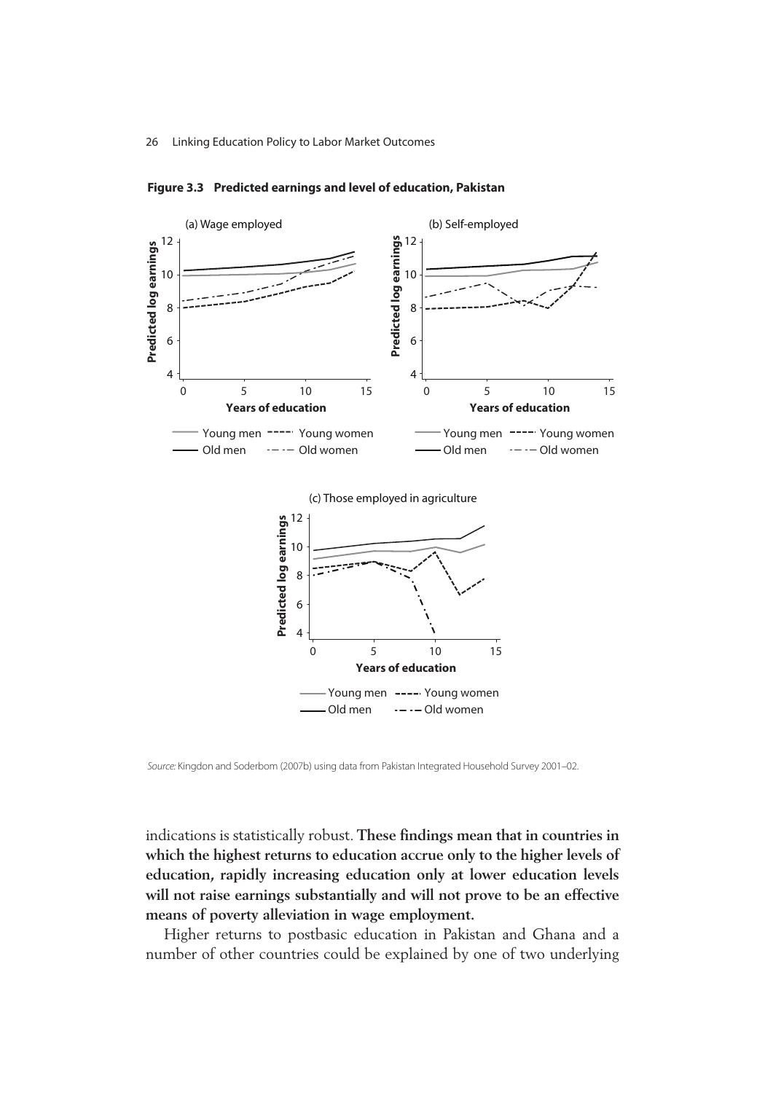

*Figure 3.3 Predicted earnings and level of education, Pakistan*

Source: Kingdon and Soderbom (2007b) using data from Pakistan Integrated Household Survey 2001–02.

indications is statistically robust. **These findings mean that in countries in which the highest returns to education accrue only to the higher levels of education, rapidly increasing education only at lower education levels will not raise earnings substantially and will not prove to be an effective means of poverty alleviation in wage employment.**

Higher returns to postbasic education in Pakistan and Ghana and a number of other countries could be explained by one of two underlying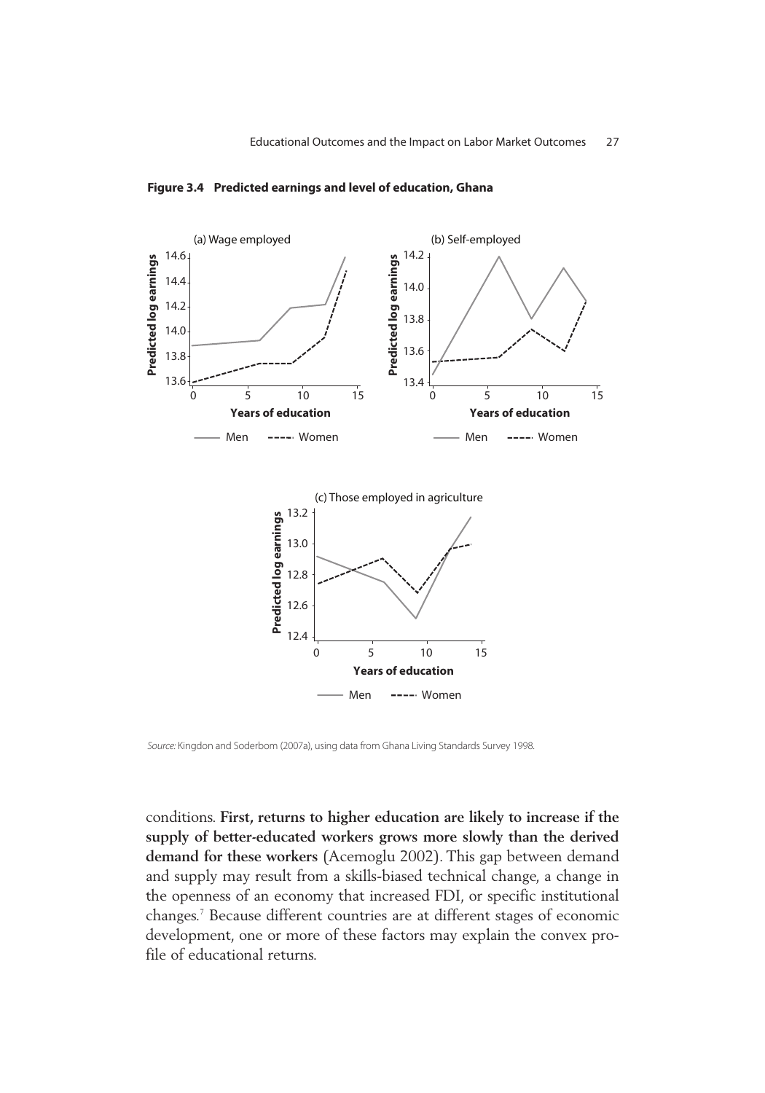

*Figure 3.4 Predicted earnings and level of education, Ghana* 

**Years of education** Men ---- Women

Source: Kingdon and Soderbom (2007a), using data from Ghana Living Standards Survey 1998.

conditions. **First, returns to higher education are likely to increase if the supply of better-educated workers grows more slowly than the derived demand for these workers** (Acemoglu 2002). This gap between demand and supply may result from a skills-biased technical change, a change in the openness of an economy that increased FDI, or specific institutional changes.7 Because different countries are at different stages of economic development, one or more of these factors may explain the convex profile of educational returns.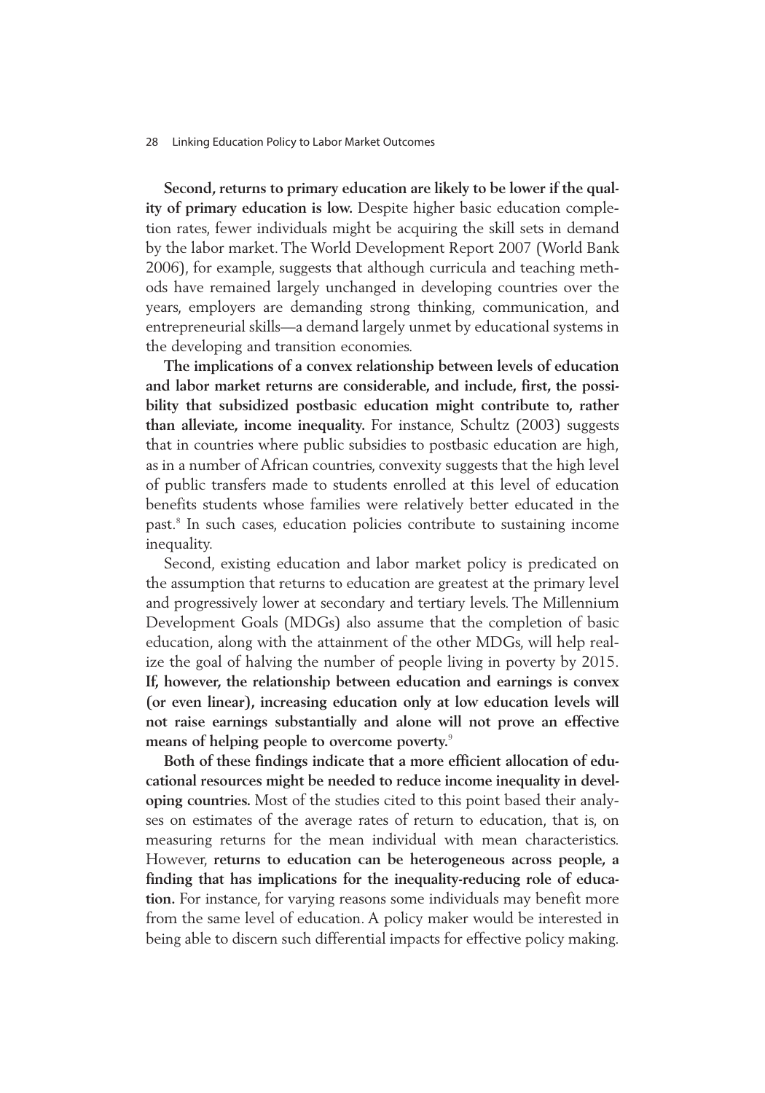**Second, returns to primary education are likely to be lower if the quality of primary education is low.** Despite higher basic education completion rates, fewer individuals might be acquiring the skill sets in demand by the labor market. The World Development Report 2007 (World Bank 2006), for example, suggests that although curricula and teaching methods have remained largely unchanged in developing countries over the years, employers are demanding strong thinking, communication, and entrepreneurial skills—a demand largely unmet by educational systems in the developing and transition economies.

**The implications of a convex relationship between levels of education and labor market returns are considerable, and include, first, the possibility that subsidized postbasic education might contribute to, rather than alleviate, income inequality.** For instance, Schultz (2003) suggests that in countries where public subsidies to postbasic education are high, as in a number of African countries, convexity suggests that the high level of public transfers made to students enrolled at this level of education benefits students whose families were relatively better educated in the past.8 In such cases, education policies contribute to sustaining income inequality.

Second, existing education and labor market policy is predicated on the assumption that returns to education are greatest at the primary level and progressively lower at secondary and tertiary levels. The Millennium Development Goals (MDGs) also assume that the completion of basic education, along with the attainment of the other MDGs, will help realize the goal of halving the number of people living in poverty by 2015. **If, however, the relationship between education and earnings is convex (or even linear), increasing education only at low education levels will not raise earnings substantially and alone will not prove an effective means of helping people to overcome poverty.**<sup>9</sup>

**Both of these findings indicate that a more efficient allocation of educational resources might be needed to reduce income inequality in developing countries.** Most of the studies cited to this point based their analyses on estimates of the average rates of return to education, that is, on measuring returns for the mean individual with mean characteristics. However, **returns to education can be heterogeneous across people, a finding that has implications for the inequality-reducing role of education.** For instance, for varying reasons some individuals may benefit more from the same level of education. A policy maker would be interested in being able to discern such differential impacts for effective policy making.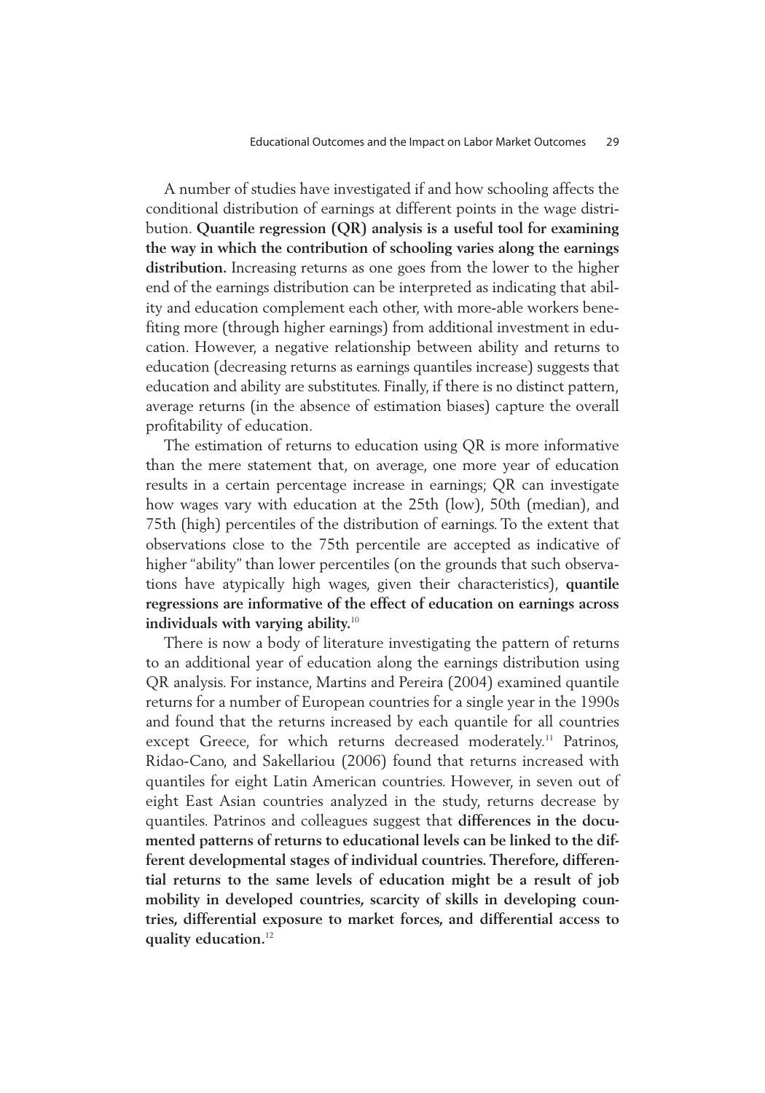A number of studies have investigated if and how schooling affects the conditional distribution of earnings at different points in the wage distribution. **Quantile regression (QR) analysis is a useful tool for examining the way in which the contribution of schooling varies along the earnings distribution.** Increasing returns as one goes from the lower to the higher end of the earnings distribution can be interpreted as indicating that ability and education complement each other, with more-able workers benefiting more (through higher earnings) from additional investment in education. However, a negative relationship between ability and returns to education (decreasing returns as earnings quantiles increase) suggests that education and ability are substitutes. Finally, if there is no distinct pattern, average returns (in the absence of estimation biases) capture the overall profitability of education.

The estimation of returns to education using QR is more informative than the mere statement that, on average, one more year of education results in a certain percentage increase in earnings; QR can investigate how wages vary with education at the 25th (low), 50th (median), and 75th (high) percentiles of the distribution of earnings. To the extent that observations close to the 75th percentile are accepted as indicative of higher "ability" than lower percentiles (on the grounds that such observations have atypically high wages, given their characteristics), **quantile regressions are informative of the effect of education on earnings across individuals with varying ability.**<sup>10</sup>

There is now a body of literature investigating the pattern of returns to an additional year of education along the earnings distribution using QR analysis. For instance, Martins and Pereira (2004) examined quantile returns for a number of European countries for a single year in the 1990s and found that the returns increased by each quantile for all countries except Greece, for which returns decreased moderately.<sup>11</sup> Patrinos, Ridao-Cano, and Sakellariou (2006) found that returns increased with quantiles for eight Latin American countries. However, in seven out of eight East Asian countries analyzed in the study, returns decrease by quantiles. Patrinos and colleagues suggest that **differences in the documented patterns of returns to educational levels can be linked to the different developmental stages of individual countries. Therefore, differential returns to the same levels of education might be a result of job mobility in developed countries, scarcity of skills in developing countries, differential exposure to market forces, and differential access to quality education.**<sup>12</sup>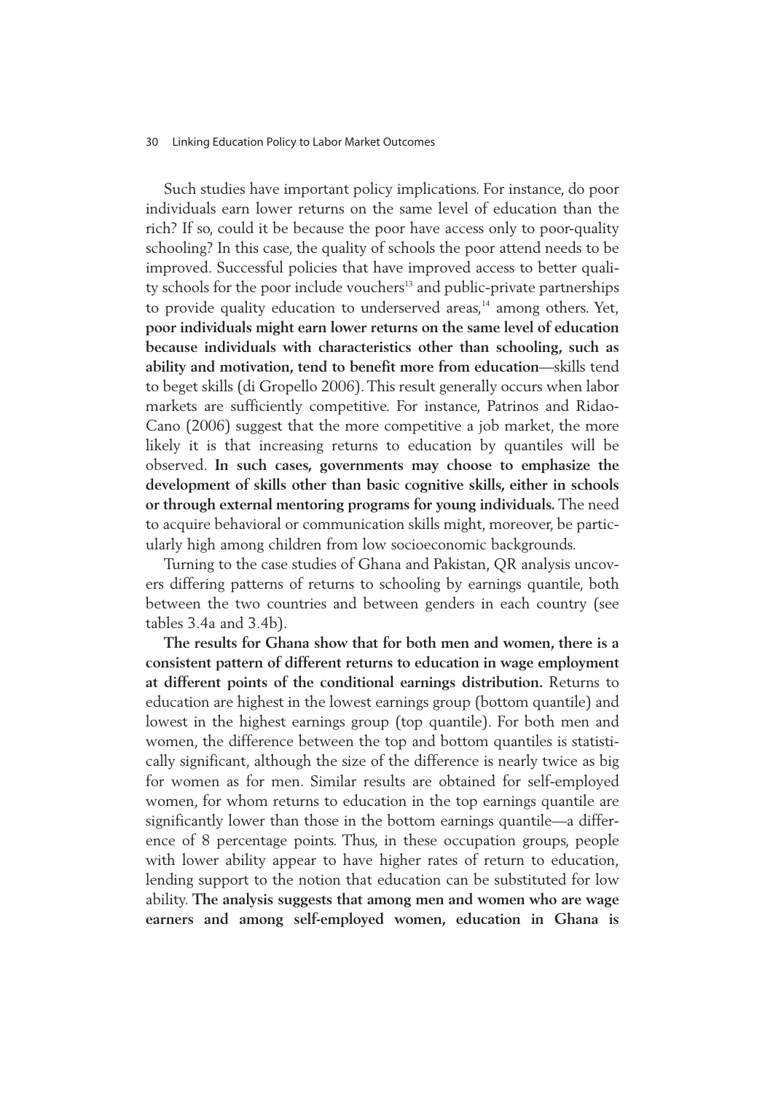Such studies have important policy implications. For instance, do poor individuals earn lower returns on the same level of education than the rich? If so, could it be because the poor have access only to poor-quality schooling? In this case, the quality of schools the poor attend needs to be improved. Successful policies that have improved access to better quality schools for the poor include vouchers<sup>13</sup> and public-private partnerships to provide quality education to underserved areas, $14$  among others. Yet, **poor individuals might earn lower returns on the same level of education because individuals with characteristics other than schooling, such as ability and motivation, tend to benefit more from education**—skills tend to beget skills (di Gropello 2006). This result generally occurs when labor markets are sufficiently competitive. For instance, Patrinos and Ridao-Cano (2006) suggest that the more competitive a job market, the more likely it is that increasing returns to education by quantiles will be observed. **In such cases, governments may choose to emphasize the development of skills other than basic cognitive skills, either in schools or through external mentoring programs for young individuals.** The need to acquire behavioral or communication skills might, moreover, be particularly high among children from low socioeconomic backgrounds.

Turning to the case studies of Ghana and Pakistan, QR analysis uncovers differing patterns of returns to schooling by earnings quantile, both between the two countries and between genders in each country (see tables 3.4a and 3.4b).

**The results for Ghana show that for both men and women, there is a consistent pattern of different returns to education in wage employment at different points of the conditional earnings distribution.** Returns to education are highest in the lowest earnings group (bottom quantile) and lowest in the highest earnings group (top quantile). For both men and women, the difference between the top and bottom quantiles is statistically significant, although the size of the difference is nearly twice as big for women as for men. Similar results are obtained for self-employed women, for whom returns to education in the top earnings quantile are significantly lower than those in the bottom earnings quantile—a difference of 8 percentage points. Thus, in these occupation groups, people with lower ability appear to have higher rates of return to education, lending support to the notion that education can be substituted for low ability. **The analysis suggests that among men and women who are wage earners and among self-employed women, education in Ghana is**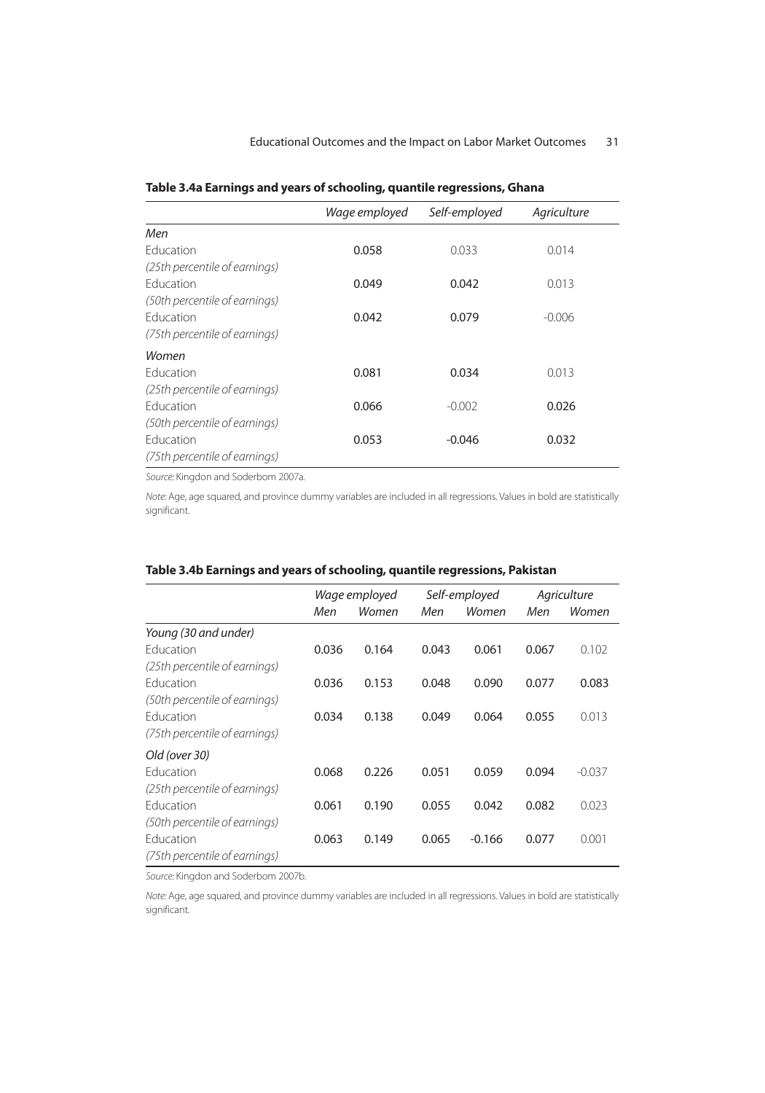|                               | Wage employed | Self-employed | Agriculture |
|-------------------------------|---------------|---------------|-------------|
| Men                           |               |               |             |
| <b>Education</b>              | 0.058         | 0.033         | 0.014       |
| (25th percentile of earnings) |               |               |             |
| <b>Education</b>              | 0.049         | 0.042         | 0.013       |
| (50th percentile of earnings) |               |               |             |
| <b>Education</b>              | 0.042         | 0.079         | $-0.006$    |
| (75th percentile of earnings) |               |               |             |
| Women                         |               |               |             |
| <b>Education</b>              | 0.081         | 0.034         | 0.013       |
| (25th percentile of earnings) |               |               |             |
| <b>Education</b>              | 0.066         | $-0.002$      | 0.026       |
| (50th percentile of earnings) |               |               |             |
| <b>Education</b>              | 0.053         | $-0.046$      | 0.032       |
| (75th percentile of earnings) |               |               |             |

| Table 3.4a Earnings and years of schooling, quantile regressions, Ghana |  |  |
|-------------------------------------------------------------------------|--|--|
|                                                                         |  |  |

Source: Kingdon and Soderbom 2007a.

Note: Age, age squared, and province dummy variables are included in all regressions. Values in bold are statistically significant.

|                               | Wage employed |       | Self-employed |          | Agriculture |          |
|-------------------------------|---------------|-------|---------------|----------|-------------|----------|
|                               | Men           | Women | Men           | Women    | Men         | Women    |
| Young (30 and under)          |               |       |               |          |             |          |
| <b>Education</b>              | 0.036         | 0.164 | 0.043         | 0.061    | 0.067       | 0.102    |
| (25th percentile of earnings) |               |       |               |          |             |          |
| <b>Education</b>              | 0.036         | 0.153 | 0.048         | 0.090    | 0.077       | 0.083    |
| (50th percentile of earnings) |               |       |               |          |             |          |
| <b>Education</b>              | 0.034         | 0.138 | 0.049         | 0.064    | 0.055       | 0.013    |
| (75th percentile of earnings) |               |       |               |          |             |          |
| Old (over 30)                 |               |       |               |          |             |          |
| <b>Education</b>              | 0.068         | 0.226 | 0.051         | 0.059    | 0.094       | $-0.037$ |
| (25th percentile of earnings) |               |       |               |          |             |          |
| <b>Education</b>              | 0.061         | 0.190 | 0.055         | 0.042    | 0.082       | 0.023    |
| (50th percentile of earnings) |               |       |               |          |             |          |
| <b>Education</b>              | 0.063         | 0.149 | 0.065         | $-0.166$ | 0.077       | 0.001    |
| (75th percentile of earnings) |               |       |               |          |             |          |

## *Table 3.4b Earnings and years of schooling, quantile regressions, Pakistan*

Source: Kingdon and Soderbom 2007b.

Note: Age, age squared, and province dummy variables are included in all regressions. Values in bold are statistically significant.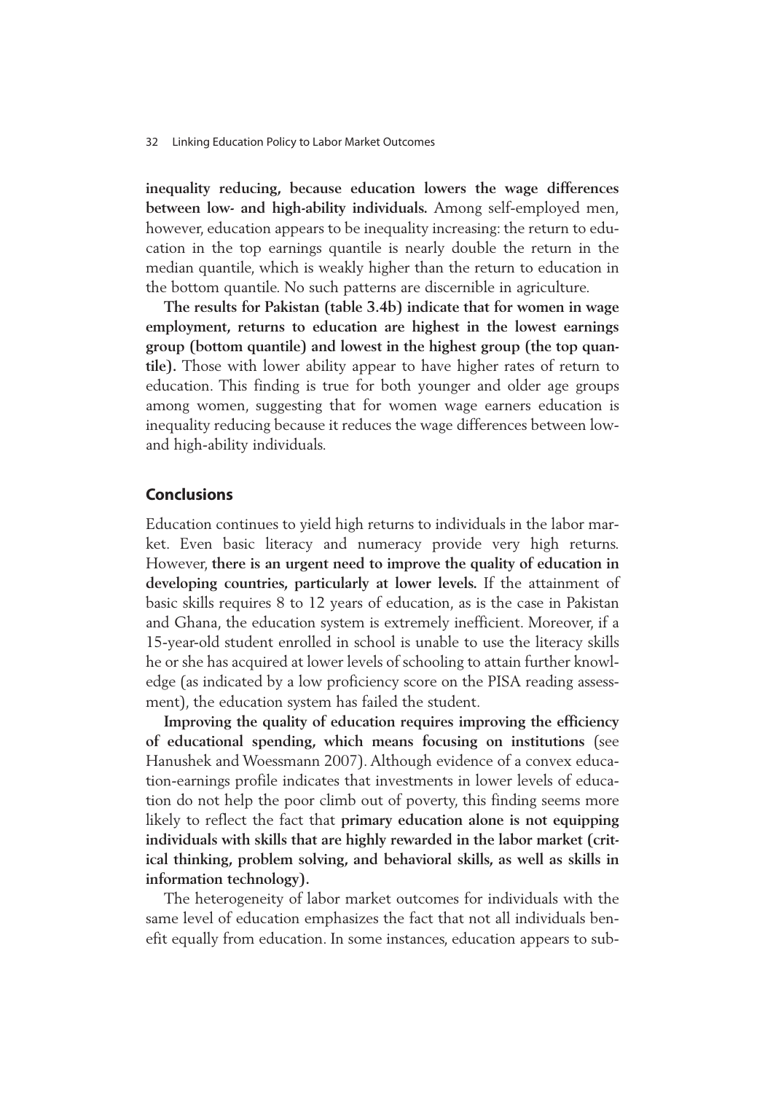**inequality reducing, because education lowers the wage differences between low- and high-ability individuals.** Among self-employed men, however, education appears to be inequality increasing: the return to education in the top earnings quantile is nearly double the return in the median quantile, which is weakly higher than the return to education in the bottom quantile. No such patterns are discernible in agriculture.

**The results for Pakistan (table 3.4b) indicate that for women in wage employment, returns to education are highest in the lowest earnings group (bottom quantile) and lowest in the highest group (the top quantile).** Those with lower ability appear to have higher rates of return to education. This finding is true for both younger and older age groups among women, suggesting that for women wage earners education is inequality reducing because it reduces the wage differences between lowand high-ability individuals.

## *Conclusions*

Education continues to yield high returns to individuals in the labor market. Even basic literacy and numeracy provide very high returns. However, **there is an urgent need to improve the quality of education in developing countries, particularly at lower levels.** If the attainment of basic skills requires 8 to 12 years of education, as is the case in Pakistan and Ghana, the education system is extremely inefficient. Moreover, if a 15-year-old student enrolled in school is unable to use the literacy skills he or she has acquired at lower levels of schooling to attain further knowledge (as indicated by a low proficiency score on the PISA reading assessment), the education system has failed the student.

**Improving the quality of education requires improving the efficiency of educational spending, which means focusing on institutions** (see Hanushek and Woessmann 2007). Although evidence of a convex education-earnings profile indicates that investments in lower levels of education do not help the poor climb out of poverty, this finding seems more likely to reflect the fact that **primary education alone is not equipping individuals with skills that are highly rewarded in the labor market (critical thinking, problem solving, and behavioral skills, as well as skills in information technology).**

The heterogeneity of labor market outcomes for individuals with the same level of education emphasizes the fact that not all individuals benefit equally from education. In some instances, education appears to sub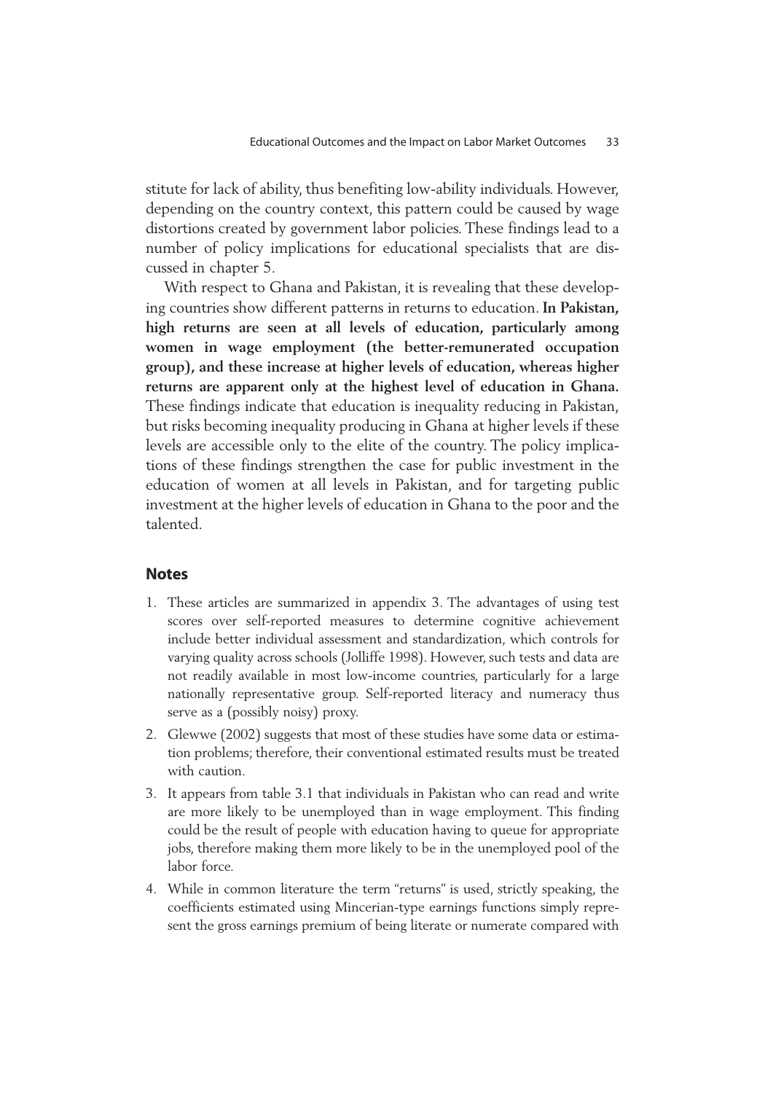stitute for lack of ability, thus benefiting low-ability individuals. However, depending on the country context, this pattern could be caused by wage distortions created by government labor policies. These findings lead to a number of policy implications for educational specialists that are discussed in chapter 5.

With respect to Ghana and Pakistan, it is revealing that these developing countries show different patterns in returns to education. **In Pakistan, high returns are seen at all levels of education, particularly among women in wage employment (the better-remunerated occupation group), and these increase at higher levels of education, whereas higher returns are apparent only at the highest level of education in Ghana.** These findings indicate that education is inequality reducing in Pakistan, but risks becoming inequality producing in Ghana at higher levels if these levels are accessible only to the elite of the country. The policy implications of these findings strengthen the case for public investment in the education of women at all levels in Pakistan, and for targeting public investment at the higher levels of education in Ghana to the poor and the talented.

#### *Notes*

- 1. These articles are summarized in appendix 3. The advantages of using test scores over self-reported measures to determine cognitive achievement include better individual assessment and standardization, which controls for varying quality across schools (Jolliffe 1998). However, such tests and data are not readily available in most low-income countries, particularly for a large nationally representative group. Self-reported literacy and numeracy thus serve as a (possibly noisy) proxy.
- 2. Glewwe (2002) suggests that most of these studies have some data or estimation problems; therefore, their conventional estimated results must be treated with caution.
- 3. It appears from table 3.1 that individuals in Pakistan who can read and write are more likely to be unemployed than in wage employment. This finding could be the result of people with education having to queue for appropriate jobs, therefore making them more likely to be in the unemployed pool of the labor force.
- 4. While in common literature the term "returns" is used, strictly speaking, the coefficients estimated using Mincerian-type earnings functions simply represent the gross earnings premium of being literate or numerate compared with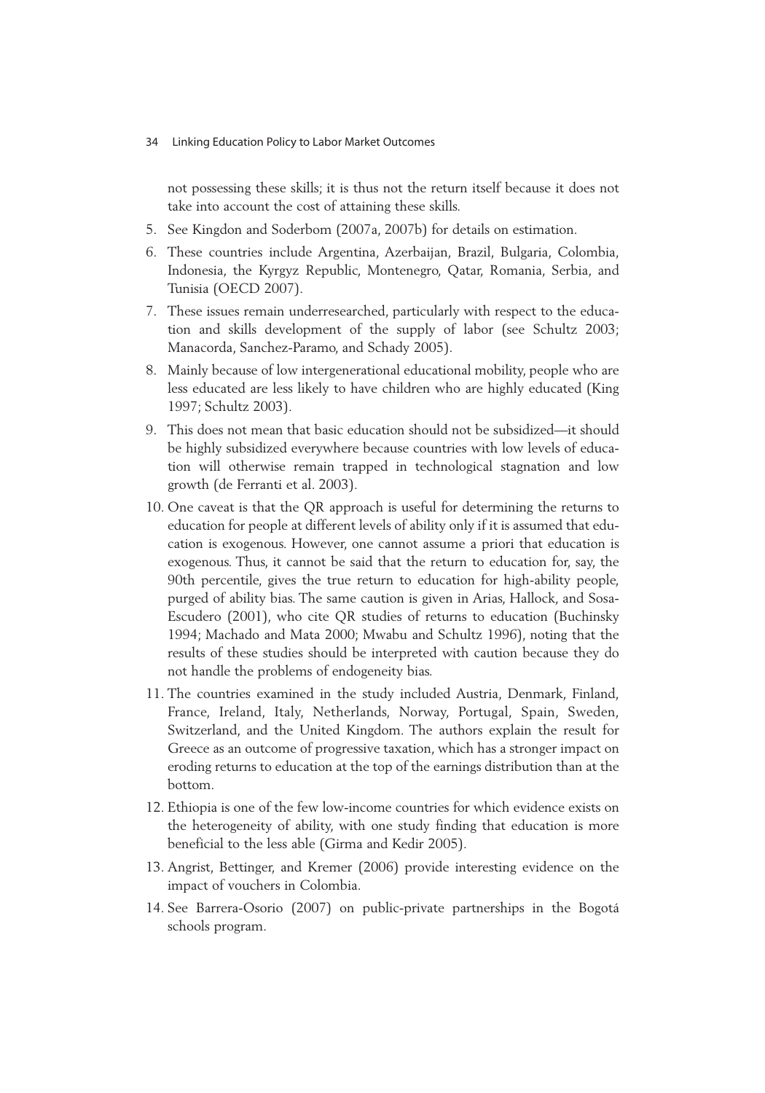not possessing these skills; it is thus not the return itself because it does not take into account the cost of attaining these skills.

- 5. See Kingdon and Soderbom (2007a, 2007b) for details on estimation.
- 6. These countries include Argentina, Azerbaijan, Brazil, Bulgaria, Colombia, Indonesia, the Kyrgyz Republic, Montenegro, Qatar, Romania, Serbia, and Tunisia (OECD 2007).
- 7. These issues remain underresearched, particularly with respect to the education and skills development of the supply of labor (see Schultz 2003; Manacorda, Sanchez-Paramo, and Schady 2005).
- 8. Mainly because of low intergenerational educational mobility, people who are less educated are less likely to have children who are highly educated (King 1997; Schultz 2003).
- 9. This does not mean that basic education should not be subsidized—it should be highly subsidized everywhere because countries with low levels of education will otherwise remain trapped in technological stagnation and low growth (de Ferranti et al. 2003).
- 10. One caveat is that the QR approach is useful for determining the returns to education for people at different levels of ability only if it is assumed that education is exogenous. However, one cannot assume a priori that education is exogenous. Thus, it cannot be said that the return to education for, say, the 90th percentile, gives the true return to education for high-ability people, purged of ability bias. The same caution is given in Arias, Hallock, and Sosa-Escudero (2001), who cite QR studies of returns to education (Buchinsky 1994; Machado and Mata 2000; Mwabu and Schultz 1996), noting that the results of these studies should be interpreted with caution because they do not handle the problems of endogeneity bias.
- 11. The countries examined in the study included Austria, Denmark, Finland, France, Ireland, Italy, Netherlands, Norway, Portugal, Spain, Sweden, Switzerland, and the United Kingdom. The authors explain the result for Greece as an outcome of progressive taxation, which has a stronger impact on eroding returns to education at the top of the earnings distribution than at the bottom.
- 12. Ethiopia is one of the few low-income countries for which evidence exists on the heterogeneity of ability, with one study finding that education is more beneficial to the less able (Girma and Kedir 2005).
- 13. Angrist, Bettinger, and Kremer (2006) provide interesting evidence on the impact of vouchers in Colombia.
- 14. See Barrera-Osorio (2007) on public-private partnerships in the Bogotá schools program.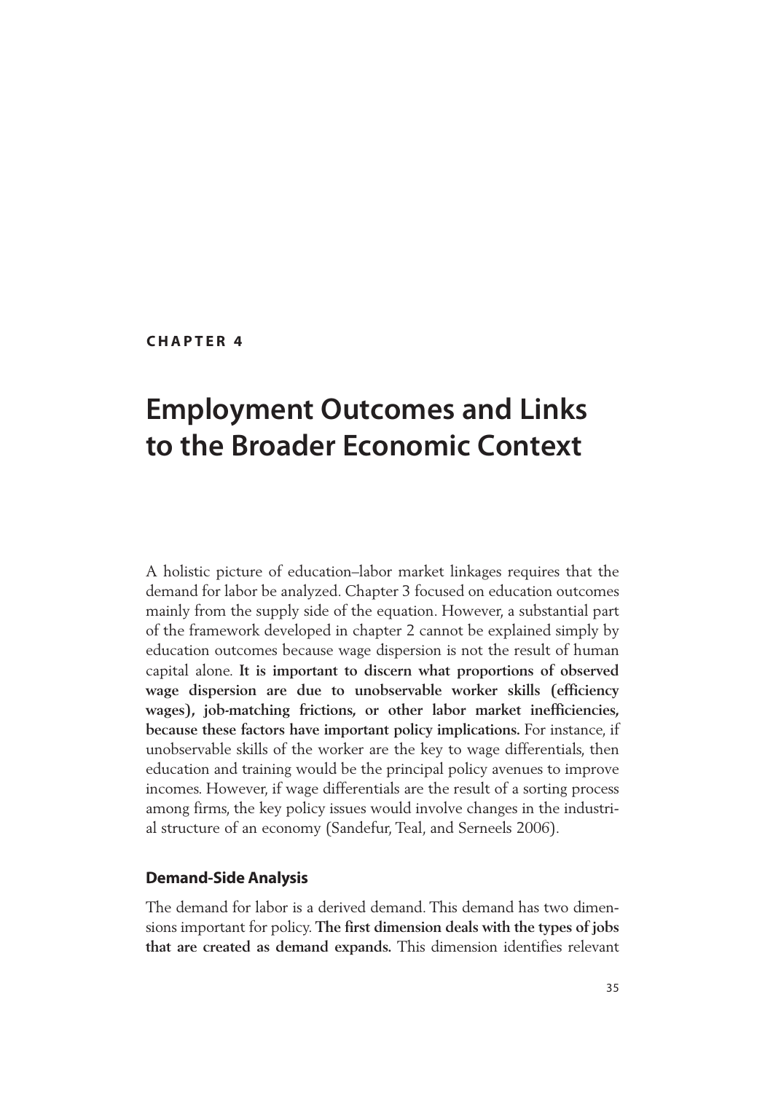# *CHAPTER 4*

# *Employment Outcomes and Links to the Broader Economic Context*

A holistic picture of education–labor market linkages requires that the demand for labor be analyzed. Chapter 3 focused on education outcomes mainly from the supply side of the equation. However, a substantial part of the framework developed in chapter 2 cannot be explained simply by education outcomes because wage dispersion is not the result of human capital alone. **It is important to discern what proportions of observed wage dispersion are due to unobservable worker skills (efficiency wages), job-matching frictions, or other labor market inefficiencies, because these factors have important policy implications.** For instance, if unobservable skills of the worker are the key to wage differentials, then education and training would be the principal policy avenues to improve incomes. However, if wage differentials are the result of a sorting process among firms, the key policy issues would involve changes in the industrial structure of an economy (Sandefur, Teal, and Serneels 2006).

# *Demand-Side Analysis*

The demand for labor is a derived demand. This demand has two dimensions important for policy. **The first dimension deals with the types of jobs that are created as demand expands.** This dimension identifies relevant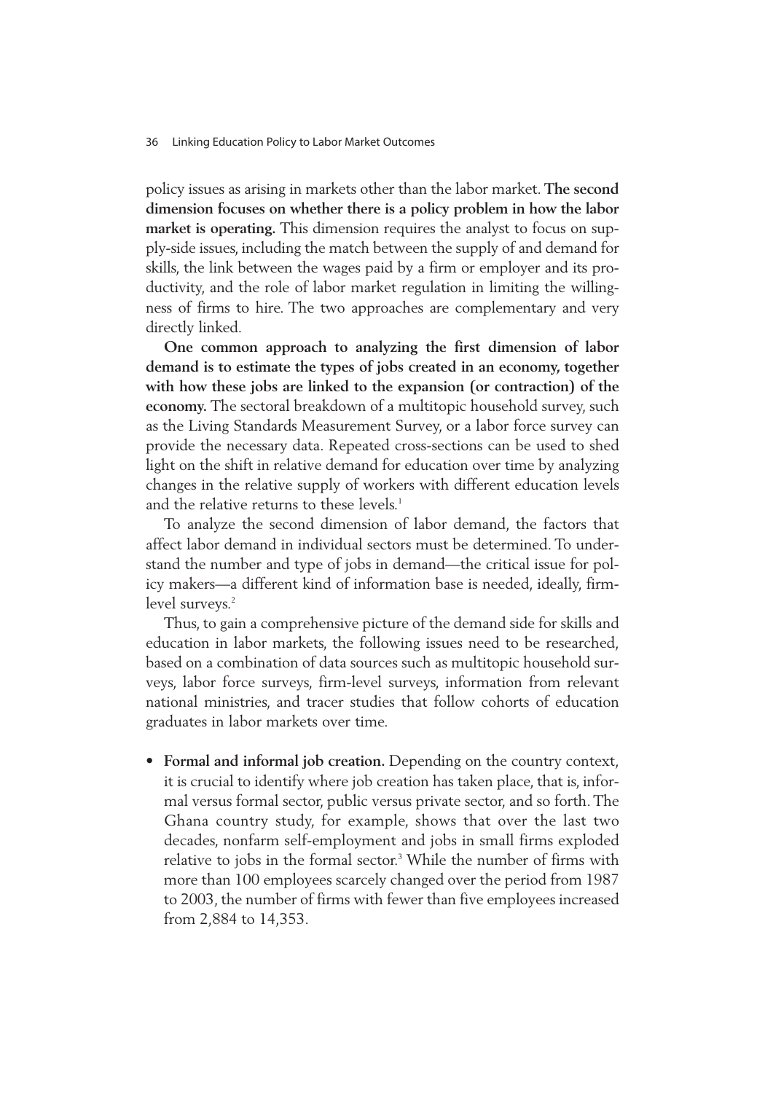policy issues as arising in markets other than the labor market. **The second dimension focuses on whether there is a policy problem in how the labor market is operating.** This dimension requires the analyst to focus on supply-side issues, including the match between the supply of and demand for skills, the link between the wages paid by a firm or employer and its productivity, and the role of labor market regulation in limiting the willingness of firms to hire. The two approaches are complementary and very directly linked.

**One common approach to analyzing the first dimension of labor demand is to estimate the types of jobs created in an economy, together with how these jobs are linked to the expansion (or contraction) of the economy.** The sectoral breakdown of a multitopic household survey, such as the Living Standards Measurement Survey, or a labor force survey can provide the necessary data. Repeated cross-sections can be used to shed light on the shift in relative demand for education over time by analyzing changes in the relative supply of workers with different education levels and the relative returns to these levels.<sup>1</sup>

To analyze the second dimension of labor demand, the factors that affect labor demand in individual sectors must be determined. To understand the number and type of jobs in demand—the critical issue for policy makers—a different kind of information base is needed, ideally, firmlevel surveys.<sup>2</sup>

Thus, to gain a comprehensive picture of the demand side for skills and education in labor markets, the following issues need to be researched, based on a combination of data sources such as multitopic household surveys, labor force surveys, firm-level surveys, information from relevant national ministries, and tracer studies that follow cohorts of education graduates in labor markets over time.

• **Formal and informal job creation.** Depending on the country context, it is crucial to identify where job creation has taken place, that is, informal versus formal sector, public versus private sector, and so forth. The Ghana country study, for example, shows that over the last two decades, nonfarm self-employment and jobs in small firms exploded relative to jobs in the formal sector.<sup>3</sup> While the number of firms with more than 100 employees scarcely changed over the period from 1987 to 2003, the number of firms with fewer than five employees increased from 2,884 to 14,353.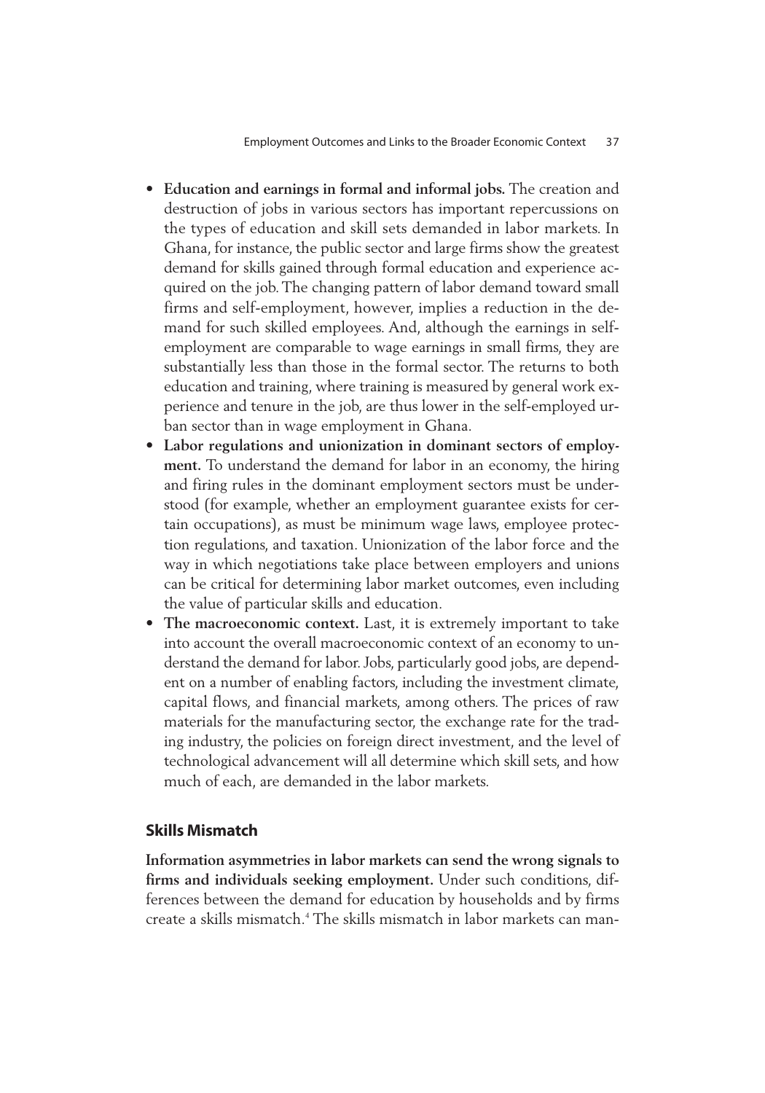- **Education and earnings in formal and informal jobs.** The creation and destruction of jobs in various sectors has important repercussions on the types of education and skill sets demanded in labor markets. In Ghana, for instance, the public sector and large firms show the greatest demand for skills gained through formal education and experience acquired on the job. The changing pattern of labor demand toward small firms and self-employment, however, implies a reduction in the demand for such skilled employees. And, although the earnings in selfemployment are comparable to wage earnings in small firms, they are substantially less than those in the formal sector. The returns to both education and training, where training is measured by general work experience and tenure in the job, are thus lower in the self-employed urban sector than in wage employment in Ghana.
- **Labor regulations and unionization in dominant sectors of employment.** To understand the demand for labor in an economy, the hiring and firing rules in the dominant employment sectors must be understood (for example, whether an employment guarantee exists for certain occupations), as must be minimum wage laws, employee protection regulations, and taxation. Unionization of the labor force and the way in which negotiations take place between employers and unions can be critical for determining labor market outcomes, even including the value of particular skills and education.
- **The macroeconomic context.** Last, it is extremely important to take into account the overall macroeconomic context of an economy to understand the demand for labor. Jobs, particularly good jobs, are dependent on a number of enabling factors, including the investment climate, capital flows, and financial markets, among others. The prices of raw materials for the manufacturing sector, the exchange rate for the trading industry, the policies on foreign direct investment, and the level of technological advancement will all determine which skill sets, and how much of each, are demanded in the labor markets.

# *Skills Mismatch*

**Information asymmetries in labor markets can send the wrong signals to firms and individuals seeking employment.** Under such conditions, differences between the demand for education by households and by firms create a skills mismatch.4 The skills mismatch in labor markets can man-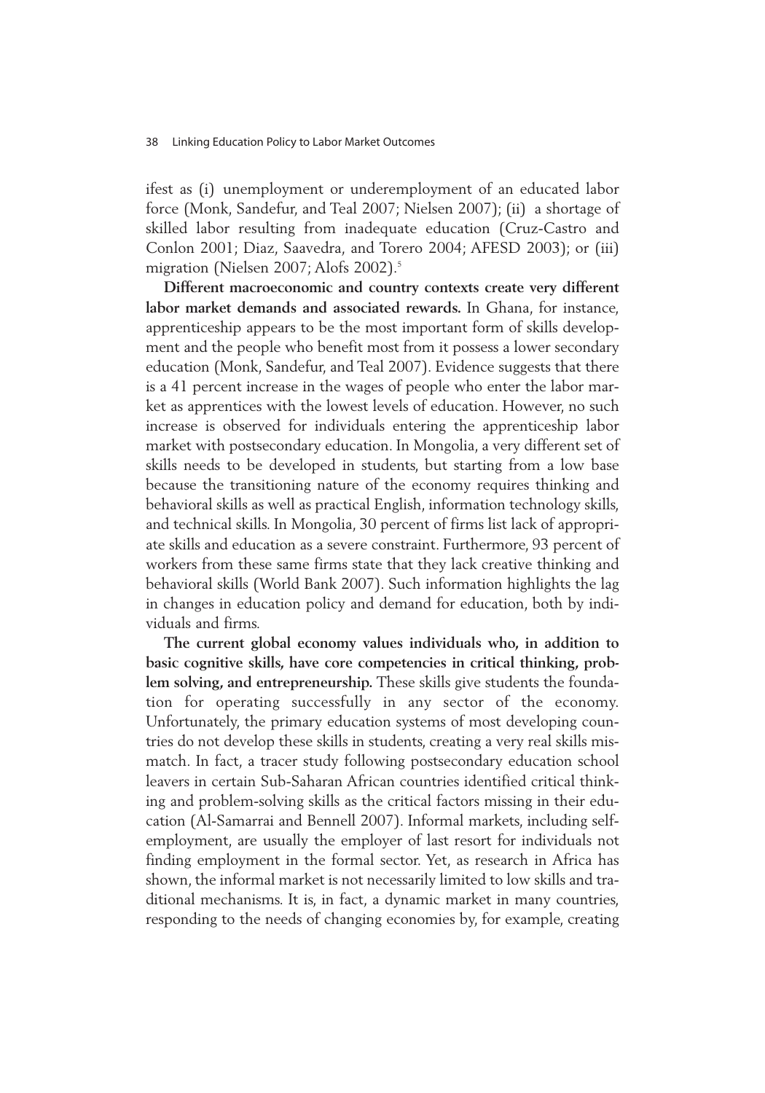ifest as (i) unemployment or underemployment of an educated labor force (Monk, Sandefur, and Teal 2007; Nielsen 2007); (ii) a shortage of skilled labor resulting from inadequate education (Cruz-Castro and Conlon 2001; Diaz, Saavedra, and Torero 2004; AFESD 2003); or (iii) migration (Nielsen 2007; Alofs 2002).<sup>5</sup>

**Different macroeconomic and country contexts create very different labor market demands and associated rewards.** In Ghana, for instance, apprenticeship appears to be the most important form of skills development and the people who benefit most from it possess a lower secondary education (Monk, Sandefur, and Teal 2007). Evidence suggests that there is a 41 percent increase in the wages of people who enter the labor market as apprentices with the lowest levels of education. However, no such increase is observed for individuals entering the apprenticeship labor market with postsecondary education. In Mongolia, a very different set of skills needs to be developed in students, but starting from a low base because the transitioning nature of the economy requires thinking and behavioral skills as well as practical English, information technology skills, and technical skills. In Mongolia, 30 percent of firms list lack of appropriate skills and education as a severe constraint. Furthermore, 93 percent of workers from these same firms state that they lack creative thinking and behavioral skills (World Bank 2007). Such information highlights the lag in changes in education policy and demand for education, both by individuals and firms.

**The current global economy values individuals who, in addition to basic cognitive skills, have core competencies in critical thinking, problem solving, and entrepreneurship.** These skills give students the foundation for operating successfully in any sector of the economy. Unfortunately, the primary education systems of most developing countries do not develop these skills in students, creating a very real skills mismatch. In fact, a tracer study following postsecondary education school leavers in certain Sub-Saharan African countries identified critical thinking and problem-solving skills as the critical factors missing in their education (Al-Samarrai and Bennell 2007). Informal markets, including selfemployment, are usually the employer of last resort for individuals not finding employment in the formal sector. Yet, as research in Africa has shown, the informal market is not necessarily limited to low skills and traditional mechanisms. It is, in fact, a dynamic market in many countries, responding to the needs of changing economies by, for example, creating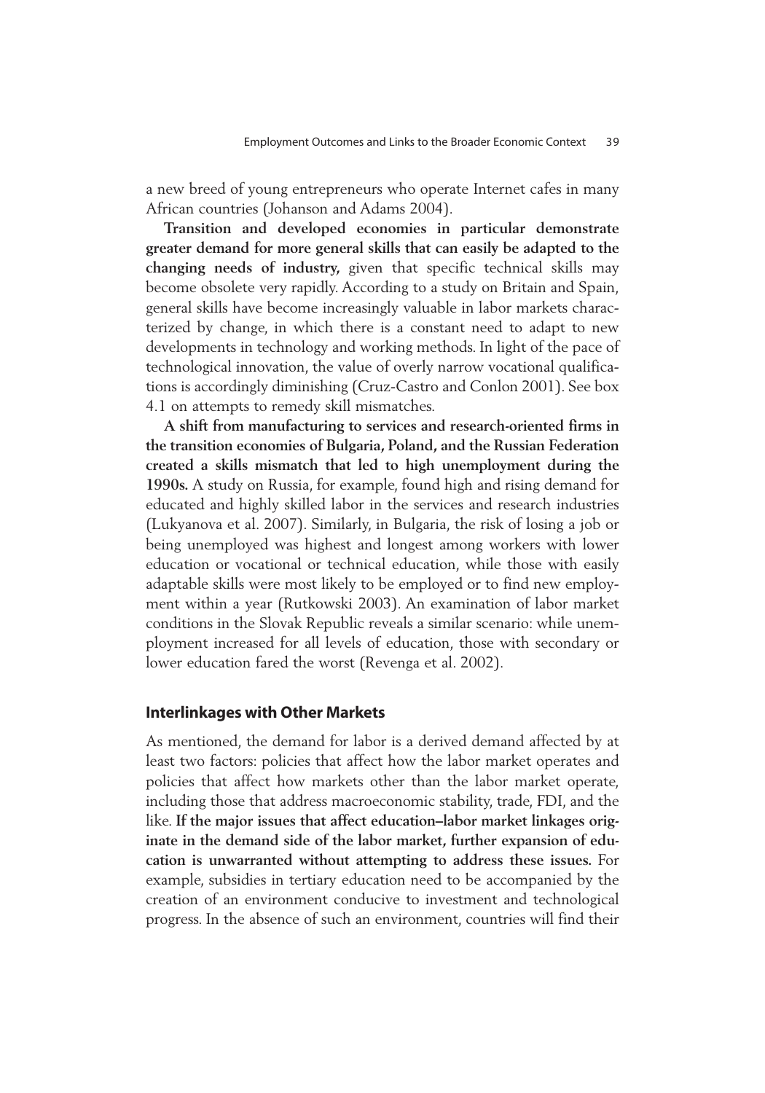a new breed of young entrepreneurs who operate Internet cafes in many African countries (Johanson and Adams 2004).

**Transition and developed economies in particular demonstrate greater demand for more general skills that can easily be adapted to the changing needs of industry,** given that specific technical skills may become obsolete very rapidly. According to a study on Britain and Spain, general skills have become increasingly valuable in labor markets characterized by change, in which there is a constant need to adapt to new developments in technology and working methods. In light of the pace of technological innovation, the value of overly narrow vocational qualifications is accordingly diminishing (Cruz-Castro and Conlon 2001). See box 4.1 on attempts to remedy skill mismatches.

**A shift from manufacturing to services and research-oriented firms in the transition economies of Bulgaria, Poland, and the Russian Federation created a skills mismatch that led to high unemployment during the 1990s.** A study on Russia, for example, found high and rising demand for educated and highly skilled labor in the services and research industries (Lukyanova et al. 2007). Similarly, in Bulgaria, the risk of losing a job or being unemployed was highest and longest among workers with lower education or vocational or technical education, while those with easily adaptable skills were most likely to be employed or to find new employment within a year (Rutkowski 2003). An examination of labor market conditions in the Slovak Republic reveals a similar scenario: while unemployment increased for all levels of education, those with secondary or lower education fared the worst (Revenga et al. 2002).

### *Interlinkages with Other Markets*

As mentioned, the demand for labor is a derived demand affected by at least two factors: policies that affect how the labor market operates and policies that affect how markets other than the labor market operate, including those that address macroeconomic stability, trade, FDI, and the like. **If the major issues that affect education–labor market linkages originate in the demand side of the labor market, further expansion of education is unwarranted without attempting to address these issues.** For example, subsidies in tertiary education need to be accompanied by the creation of an environment conducive to investment and technological progress. In the absence of such an environment, countries will find their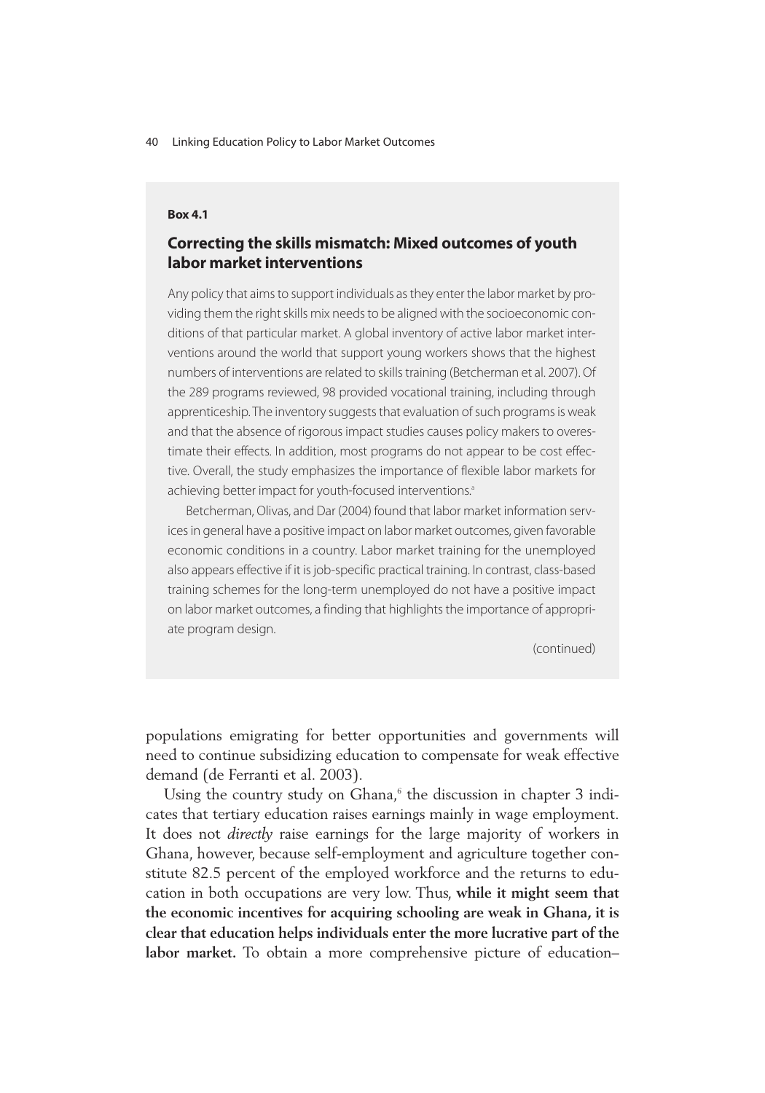#### *Box 4.1*

# *Correcting the skills mismatch: Mixed outcomes of youth labor market interventions*

Any policy that aims to support individuals as they enter the labor market by providing them the right skills mix needs to be aligned with the socioeconomic conditions of that particular market. A global inventory of active labor market interventions around the world that support young workers shows that the highest numbers of interventions are related to skills training (Betcherman et al. 2007). Of the 289 programs reviewed, 98 provided vocational training, including through apprenticeship. The inventory suggests that evaluation of such programs is weak and that the absence of rigorous impact studies causes policy makers to overestimate their effects. In addition, most programs do not appear to be cost effective. Overall, the study emphasizes the importance of flexible labor markets for achieving better impact for youth-focused interventions.<sup>a</sup>

Betcherman, Olivas, and Dar (2004) found that labor market information services in general have a positive impact on labor market outcomes, given favorable economic conditions in a country. Labor market training for the unemployed also appears effective if it is job-specific practical training. In contrast, class-based training schemes for the long-term unemployed do not have a positive impact on labor market outcomes, a finding that highlights the importance of appropriate program design.

(continued)

populations emigrating for better opportunities and governments will need to continue subsidizing education to compensate for weak effective demand (de Ferranti et al. 2003).

Using the country study on Ghana,<sup>6</sup> the discussion in chapter 3 indicates that tertiary education raises earnings mainly in wage employment. It does not *directly* raise earnings for the large majority of workers in Ghana, however, because self-employment and agriculture together constitute 82.5 percent of the employed workforce and the returns to education in both occupations are very low. Thus, **while it might seem that the economic incentives for acquiring schooling are weak in Ghana, it is clear that education helps individuals enter the more lucrative part of the labor market.** To obtain a more comprehensive picture of education–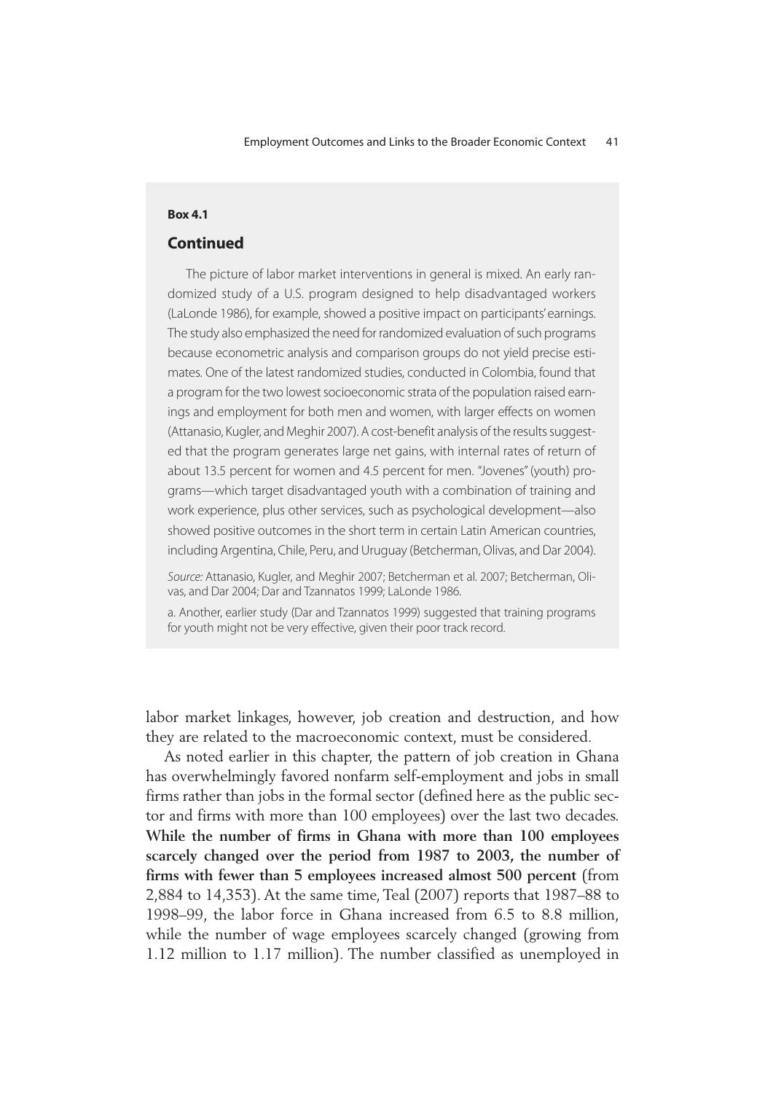# *Box 4.1*

## *Continued*

The picture of labor market interventions in general is mixed. An early randomized study of a U.S. program designed to help disadvantaged workers (LaLonde 1986), for example, showed a positive impact on participants' earnings. The study also emphasized the need for randomized evaluation of such programs because econometric analysis and comparison groups do not yield precise estimates. One of the latest randomized studies, conducted in Colombia, found that a program for the two lowest socioeconomic strata of the population raised earnings and employment for both men and women, with larger effects on women (Attanasio, Kugler, and Meghir 2007). A cost-benefit analysis of the results suggested that the program generates large net gains, with internal rates of return of about 13.5 percent for women and 4.5 percent for men. "Jovenes" (youth) programs—which target disadvantaged youth with a combination of training and work experience, plus other services, such as psychological development—also showed positive outcomes in the short term in certain Latin American countries, including Argentina, Chile, Peru, and Uruguay (Betcherman, Olivas, and Dar 2004).

Source: Attanasio, Kugler, and Meghir 2007; Betcherman et al. 2007; Betcherman, Olivas, and Dar 2004; Dar and Tzannatos 1999; LaLonde 1986.

a. Another, earlier study (Dar and Tzannatos 1999) suggested that training programs for youth might not be very effective, given their poor track record.

labor market linkages, however, job creation and destruction, and how they are related to the macroeconomic context, must be considered.

As noted earlier in this chapter, the pattern of job creation in Ghana has overwhelmingly favored nonfarm self-employment and jobs in small firms rather than jobs in the formal sector (defined here as the public sector and firms with more than 100 employees) over the last two decades. **While the number of firms in Ghana with more than 100 employees scarcely changed over the period from 1987 to 2003, the number of firms with fewer than 5 employees increased almost 500 percent** (from 2,884 to 14,353). At the same time, Teal (2007) reports that 1987–88 to 1998–99, the labor force in Ghana increased from 6.5 to 8.8 million, while the number of wage employees scarcely changed (growing from 1.12 million to 1.17 million). The number classified as unemployed in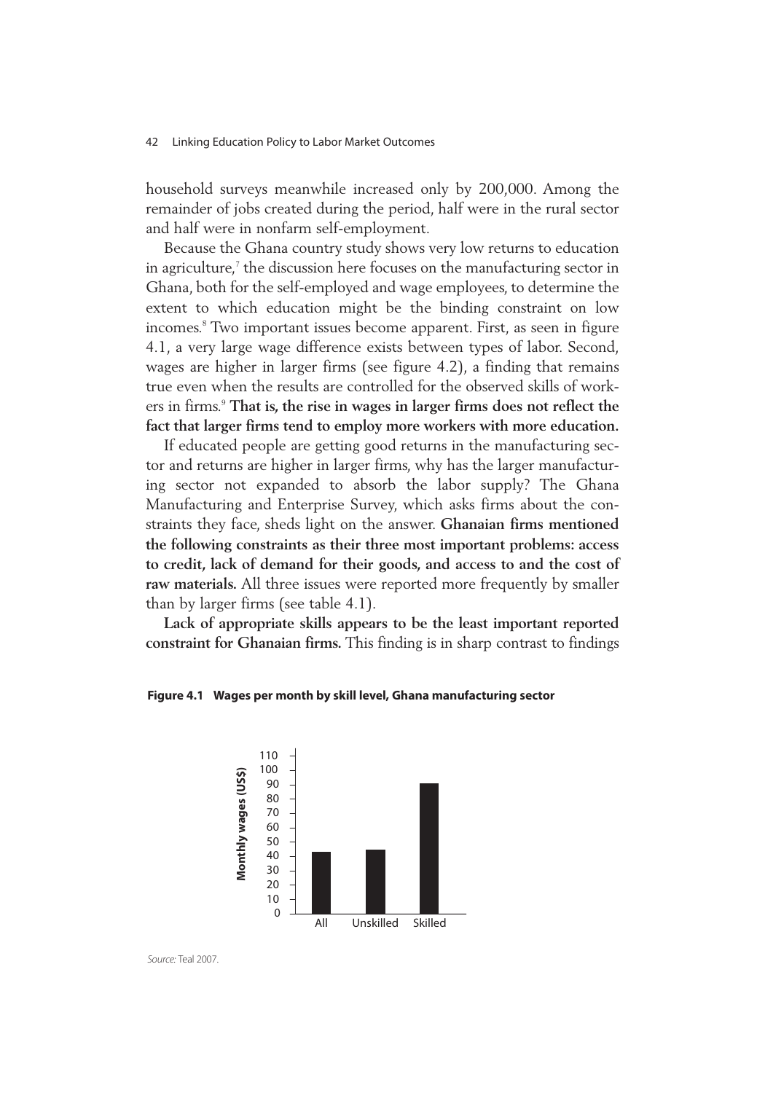household surveys meanwhile increased only by 200,000. Among the remainder of jobs created during the period, half were in the rural sector and half were in nonfarm self-employment.

Because the Ghana country study shows very low returns to education in agriculture,<sup>7</sup> the discussion here focuses on the manufacturing sector in Ghana, both for the self-employed and wage employees, to determine the extent to which education might be the binding constraint on low incomes.<sup>8</sup> Two important issues become apparent. First, as seen in figure 4.1, a very large wage difference exists between types of labor. Second, wages are higher in larger firms (see figure 4.2), a finding that remains true even when the results are controlled for the observed skills of workers in firms.9 **That is, the rise in wages in larger firms does not reflect the fact that larger firms tend to employ more workers with more education.**

If educated people are getting good returns in the manufacturing sector and returns are higher in larger firms, why has the larger manufacturing sector not expanded to absorb the labor supply? The Ghana Manufacturing and Enterprise Survey, which asks firms about the constraints they face, sheds light on the answer. **Ghanaian firms mentioned the following constraints as their three most important problems: access to credit, lack of demand for their goods, and access to and the cost of raw materials.** All three issues were reported more frequently by smaller than by larger firms (see table 4.1).

**Lack of appropriate skills appears to be the least important reported constraint for Ghanaian firms.** This finding is in sharp contrast to findings

#### *Figure 4.1 Wages per month by skill level, Ghana manufacturing sector*



Source: Teal 2007.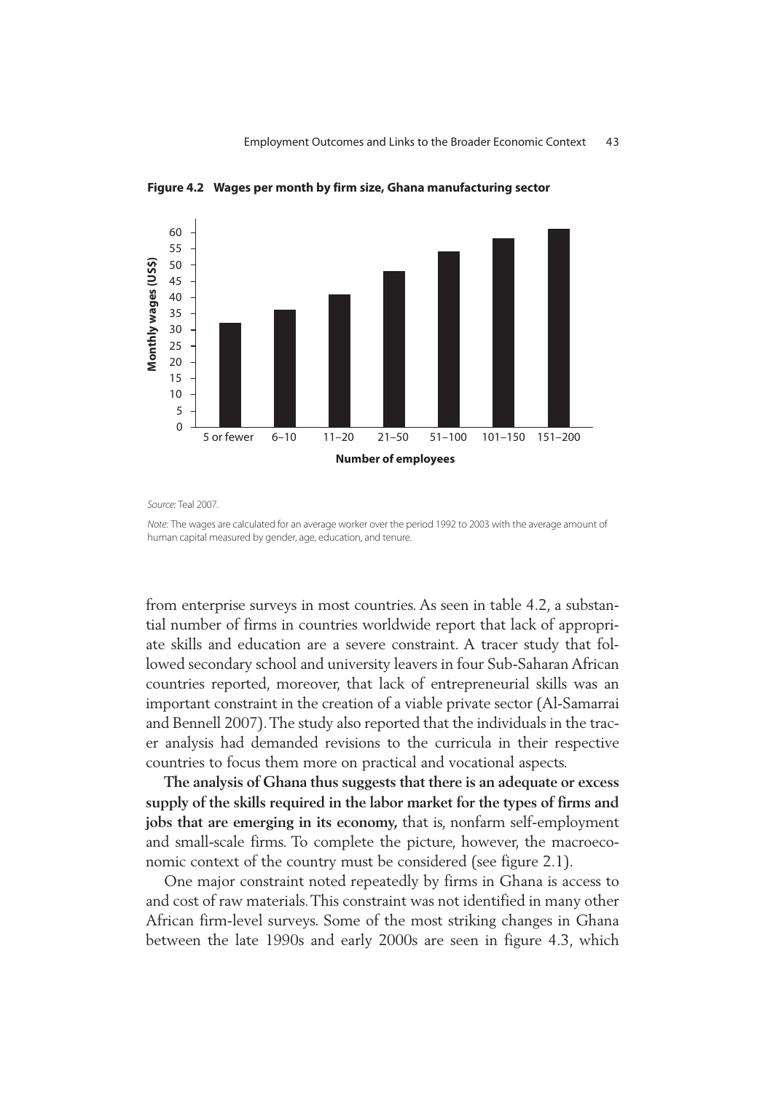

*Figure 4.2 Wages per month by firm size, Ghana manufacturing sector*

Source: Teal 2007.

Note: The wages are calculated for an average worker over the period 1992 to 2003 with the average amount of human capital measured by gender, age, education, and tenure.

from enterprise surveys in most countries. As seen in table 4.2, a substantial number of firms in countries worldwide report that lack of appropriate skills and education are a severe constraint. A tracer study that followed secondary school and university leavers in four Sub-Saharan African countries reported, moreover, that lack of entrepreneurial skills was an important constraint in the creation of a viable private sector (Al-Samarrai and Bennell 2007).The study also reported that the individuals in the tracer analysis had demanded revisions to the curricula in their respective countries to focus them more on practical and vocational aspects.

**The analysis of Ghana thus suggests that there is an adequate or excess supply of the skills required in the labor market for the types of firms and jobs that are emerging in its economy,** that is, nonfarm self-employment and small-scale firms. To complete the picture, however, the macroeconomic context of the country must be considered (see figure 2.1).

One major constraint noted repeatedly by firms in Ghana is access to and cost of raw materials.This constraint was not identified in many other African firm-level surveys. Some of the most striking changes in Ghana between the late 1990s and early 2000s are seen in figure 4.3, which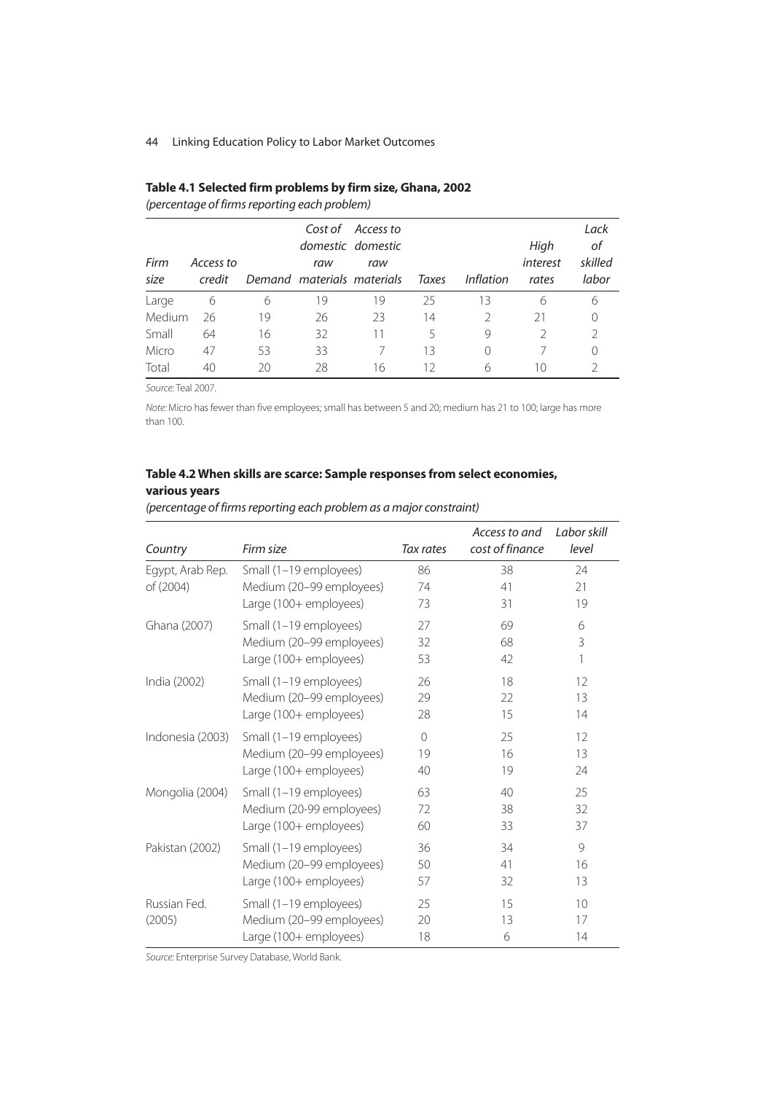## *Table 4.1 Selected firm problems by firm size, Ghana, 2002*

(percentage of firms reporting each problem)

| Firm<br>size | Access to<br>credit |    | raw<br>Demand materials materials | Cost of Access to<br>domestic domestic<br>raw | Taxes | <i>Inflation</i> | High<br>interest<br>rates | Lack<br>οf<br>skilled<br>labor |
|--------------|---------------------|----|-----------------------------------|-----------------------------------------------|-------|------------------|---------------------------|--------------------------------|
| Large        | 6                   | 6  | 19                                | 19                                            | 25    | 13               | 6                         | 6                              |
| Medium       | 26                  | 19 | 26                                | 23                                            | 14    |                  | 21                        |                                |
| Small        | 64                  | 16 | 32                                | 11                                            | 5     | 9                |                           |                                |
| Micro        | 47                  | 53 | 33                                |                                               | 13    | 0                |                           |                                |
| Total        | 40                  | 20 | 28                                | 16                                            | 12    | 6                | 10                        |                                |

Source: Teal 2007.

Note: Micro has fewer than five employees; small has between 5 and 20; medium has 21 to 100; large has more than 100.

## *Table 4.2 When skills are scarce: Sample responses from select economies, various years*

(percentage of firms reporting each problem as a major constraint)

| Country                | Firm size                                                                    | Tax rates      | Access to and<br>cost of finance | Labor skill<br>level        |
|------------------------|------------------------------------------------------------------------------|----------------|----------------------------------|-----------------------------|
| Egypt, Arab Rep.       | Small (1-19 employees)                                                       | 86             | 38                               | 24                          |
| of (2004)              | Medium (20-99 employees)                                                     | 74             | 41                               | 21                          |
|                        | Large (100+ employees)                                                       | 73             | 31                               | 19                          |
| Ghana (2007)           | Small (1-19 employees)                                                       | 27             | 69                               | 6                           |
|                        | Medium (20-99 employees)                                                     | 32             | 68                               | 3                           |
|                        | Large (100+ employees)                                                       | 53             | 42                               | 1                           |
| India (2002)           | Small (1-19 employees)                                                       | 26             | 18                               | 12                          |
|                        | Medium (20-99 employees)                                                     | 29             | 22                               | 13                          |
|                        | Large (100+ employees)                                                       | 28             | 15                               | 14                          |
| Indonesia (2003)       | Small (1-19 employees)                                                       | $\Omega$       | 25                               | 12                          |
|                        | Medium (20-99 employees)                                                     | 19             | 16                               | 13                          |
|                        | Large (100+ employees)                                                       | 40             | 19                               | 24                          |
| Mongolia (2004)        | Small (1-19 employees)                                                       | 63             | 40                               | 25                          |
|                        | Medium (20-99 employees)                                                     | 72             | 38                               | 32                          |
|                        | Large (100+ employees)                                                       | 60             | 33                               | 37                          |
| Pakistan (2002)        | Small (1-19 employees)                                                       | 36             | 34                               | 9                           |
|                        | Medium (20-99 employees)                                                     | 50             | 41                               | 16                          |
|                        | Large (100+ employees)                                                       | 57             | 32                               | 13                          |
| Russian Fed.<br>(2005) | Small (1-19 employees)<br>Medium (20-99 employees)<br>Large (100+ employees) | 25<br>20<br>18 | 15<br>13<br>6                    | 10 <sup>2</sup><br>17<br>14 |

Source: Enterprise Survey Database, World Bank.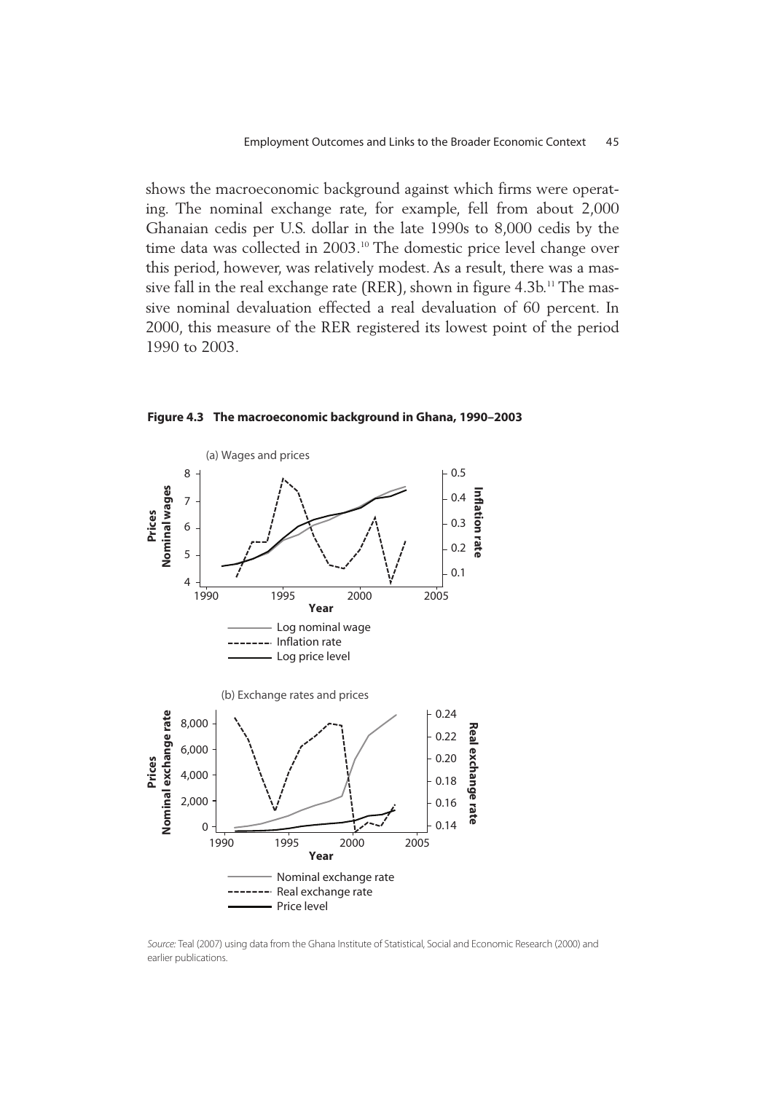shows the macroeconomic background against which firms were operating. The nominal exchange rate, for example, fell from about 2,000 Ghanaian cedis per U.S. dollar in the late 1990s to 8,000 cedis by the time data was collected in 2003.10 The domestic price level change over this period, however, was relatively modest. As a result, there was a massive fall in the real exchange rate (RER), shown in figure  $4.3b$ .<sup>11</sup> The massive nominal devaluation effected a real devaluation of 60 percent. In 2000, this measure of the RER registered its lowest point of the period 1990 to 2003.



*Figure 4.3 The macroeconomic background in Ghana, 1990–2003*

Source: Teal (2007) using data from the Ghana Institute of Statistical, Social and Economic Research (2000) and earlier publications.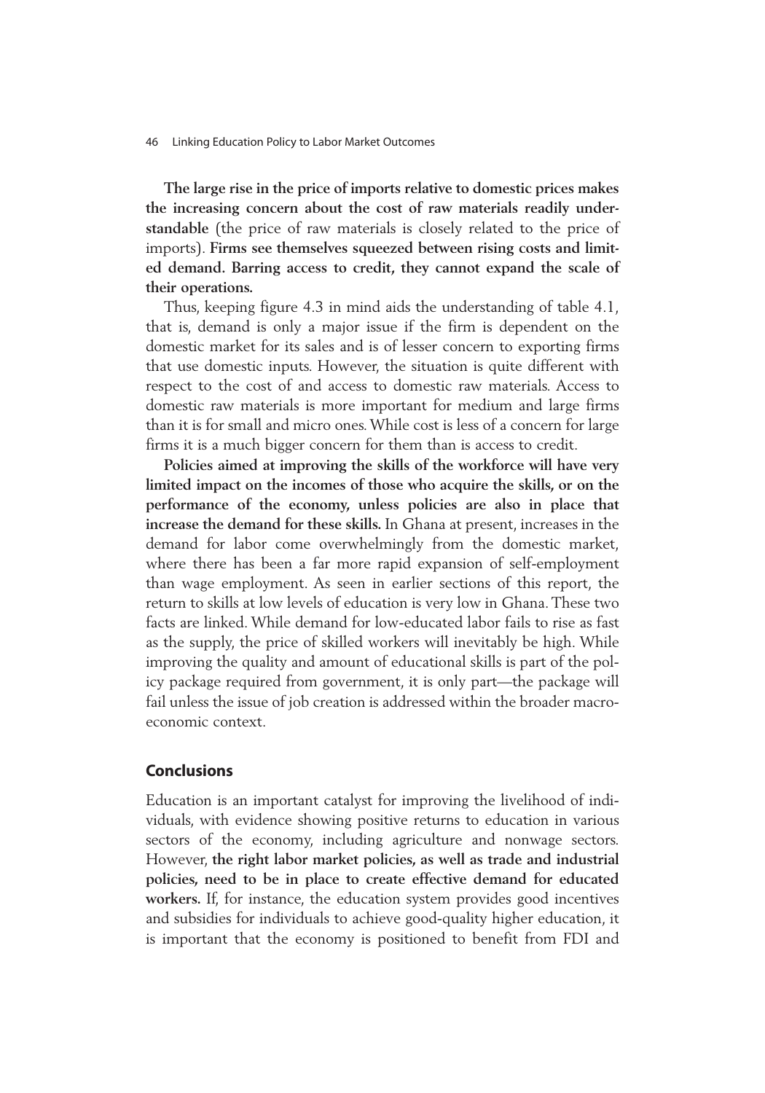**The large rise in the price of imports relative to domestic prices makes the increasing concern about the cost of raw materials readily understandable** (the price of raw materials is closely related to the price of imports). **Firms see themselves squeezed between rising costs and limited demand. Barring access to credit, they cannot expand the scale of their operations.**

Thus, keeping figure 4.3 in mind aids the understanding of table 4.1, that is, demand is only a major issue if the firm is dependent on the domestic market for its sales and is of lesser concern to exporting firms that use domestic inputs. However, the situation is quite different with respect to the cost of and access to domestic raw materials. Access to domestic raw materials is more important for medium and large firms than it is for small and micro ones. While cost is less of a concern for large firms it is a much bigger concern for them than is access to credit.

**Policies aimed at improving the skills of the workforce will have very limited impact on the incomes of those who acquire the skills, or on the performance of the economy, unless policies are also in place that increase the demand for these skills.** In Ghana at present, increases in the demand for labor come overwhelmingly from the domestic market, where there has been a far more rapid expansion of self-employment than wage employment. As seen in earlier sections of this report, the return to skills at low levels of education is very low in Ghana. These two facts are linked. While demand for low-educated labor fails to rise as fast as the supply, the price of skilled workers will inevitably be high. While improving the quality and amount of educational skills is part of the policy package required from government, it is only part—the package will fail unless the issue of job creation is addressed within the broader macroeconomic context.

# *Conclusions*

Education is an important catalyst for improving the livelihood of individuals, with evidence showing positive returns to education in various sectors of the economy, including agriculture and nonwage sectors. However, **the right labor market policies, as well as trade and industrial policies, need to be in place to create effective demand for educated workers.** If, for instance, the education system provides good incentives and subsidies for individuals to achieve good-quality higher education, it is important that the economy is positioned to benefit from FDI and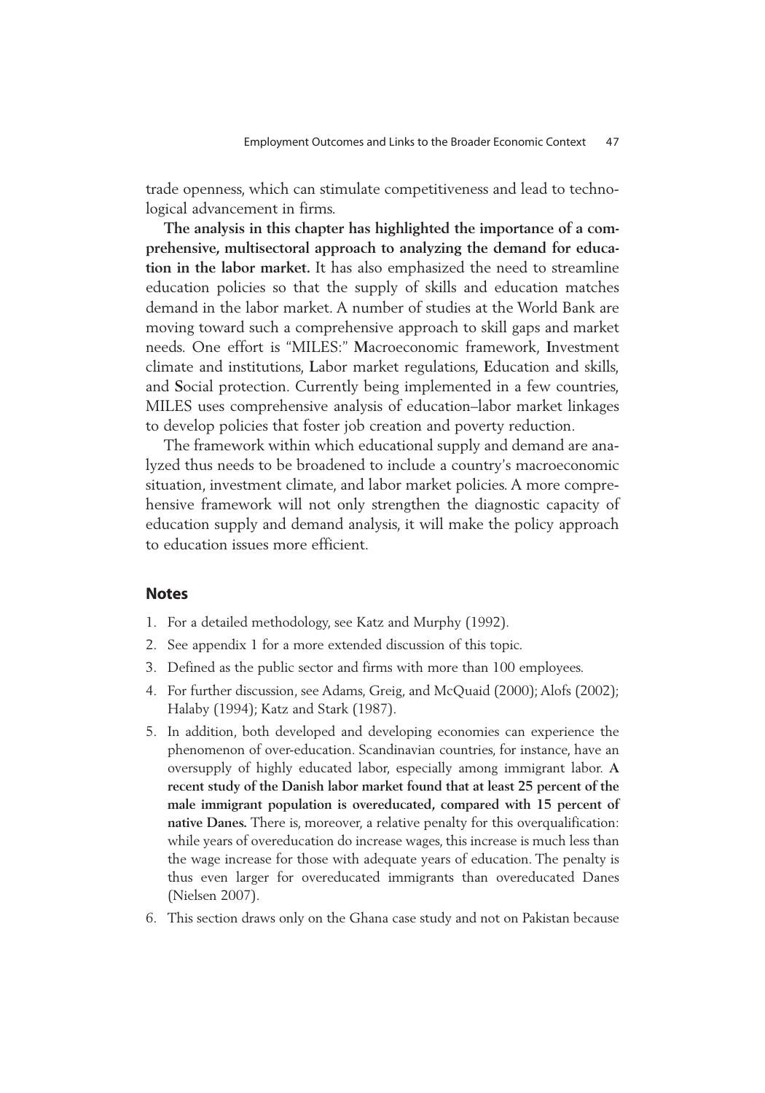trade openness, which can stimulate competitiveness and lead to technological advancement in firms.

**The analysis in this chapter has highlighted the importance of a comprehensive, multisectoral approach to analyzing the demand for education in the labor market.** It has also emphasized the need to streamline education policies so that the supply of skills and education matches demand in the labor market. A number of studies at the World Bank are moving toward such a comprehensive approach to skill gaps and market needs. One effort is "MILES:" **M**acroeconomic framework, **I**nvestment climate and institutions, **L**abor market regulations, **E**ducation and skills, and **S**ocial protection. Currently being implemented in a few countries, MILES uses comprehensive analysis of education–labor market linkages to develop policies that foster job creation and poverty reduction.

The framework within which educational supply and demand are analyzed thus needs to be broadened to include a country's macroeconomic situation, investment climate, and labor market policies. A more comprehensive framework will not only strengthen the diagnostic capacity of education supply and demand analysis, it will make the policy approach to education issues more efficient.

# *Notes*

- 1. For a detailed methodology, see Katz and Murphy (1992).
- 2. See appendix 1 for a more extended discussion of this topic.
- 3. Defined as the public sector and firms with more than 100 employees.
- 4. For further discussion, see Adams, Greig, and McQuaid (2000); Alofs (2002); Halaby (1994); Katz and Stark (1987).
- 5. In addition, both developed and developing economies can experience the phenomenon of over-education. Scandinavian countries, for instance, have an oversupply of highly educated labor, especially among immigrant labor. **A recent study of the Danish labor market found that at least 25 percent of the male immigrant population is overeducated, compared with 15 percent of native Danes.** There is, moreover, a relative penalty for this overqualification: while years of overeducation do increase wages, this increase is much less than the wage increase for those with adequate years of education. The penalty is thus even larger for overeducated immigrants than overeducated Danes (Nielsen 2007).
- 6. This section draws only on the Ghana case study and not on Pakistan because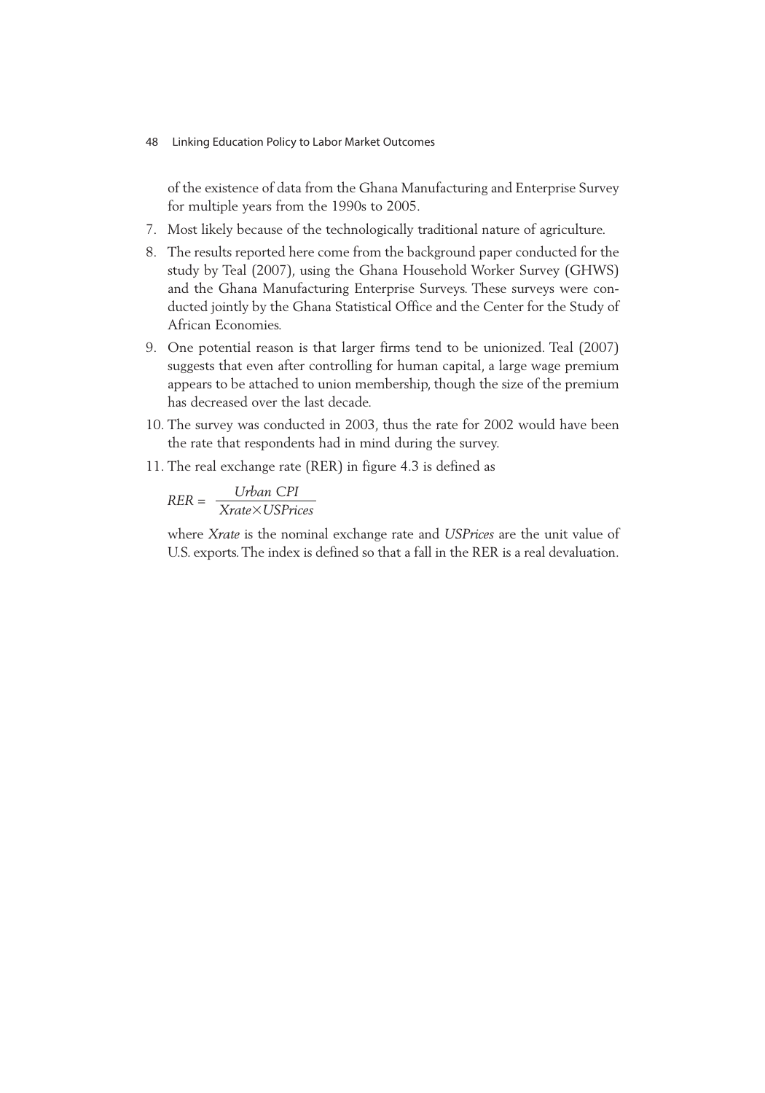of the existence of data from the Ghana Manufacturing and Enterprise Survey for multiple years from the 1990s to 2005.

- 7. Most likely because of the technologically traditional nature of agriculture.
- 8. The results reported here come from the background paper conducted for the study by Teal (2007), using the Ghana Household Worker Survey (GHWS) and the Ghana Manufacturing Enterprise Surveys. These surveys were conducted jointly by the Ghana Statistical Office and the Center for the Study of African Economies.
- 9. One potential reason is that larger firms tend to be unionized. Teal (2007) suggests that even after controlling for human capital, a large wage premium appears to be attached to union membership, though the size of the premium has decreased over the last decade.
- 10. The survey was conducted in 2003, thus the rate for 2002 would have been the rate that respondents had in mind during the survey.
- 11. The real exchange rate (RER) in figure 4.3 is defined as

$$
RER = \frac{Urban \; CPI}{Xrate \times USPrices}
$$

where *Xrate* is the nominal exchange rate and *USPrices* are the unit value of U.S. exports.The index is defined so that a fall in the RER is a real devaluation.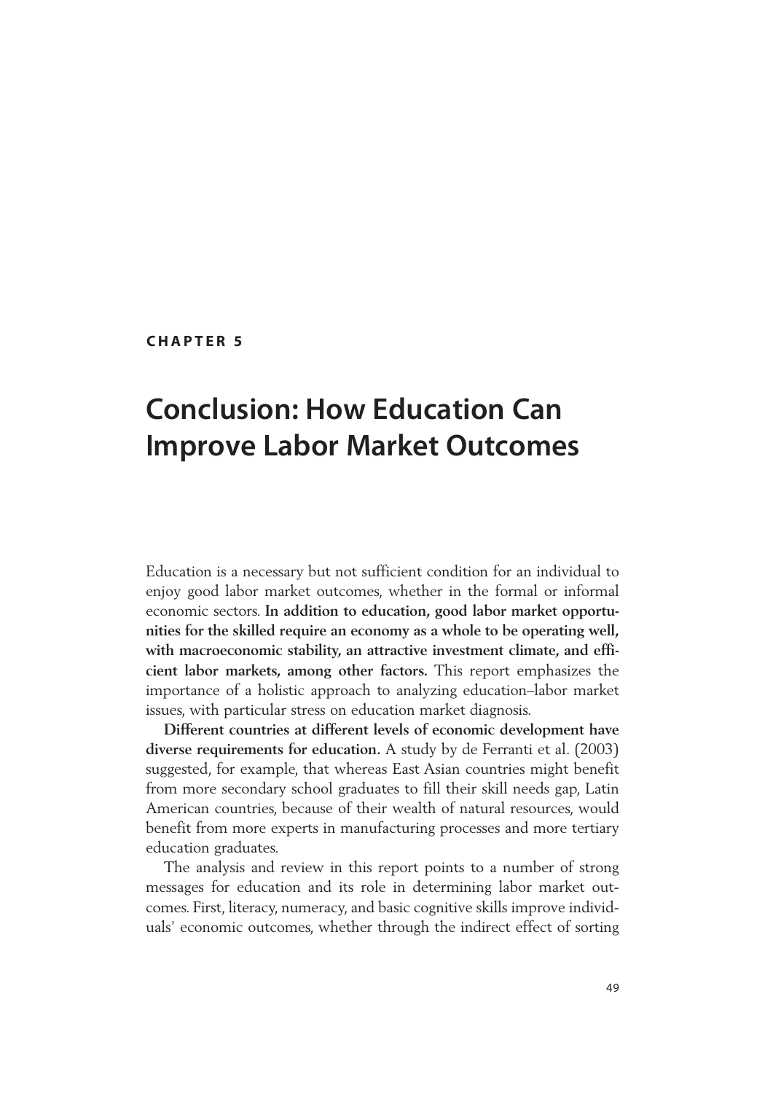*CHAPTER 5*

# *Conclusion: How Education Can Improve Labor Market Outcomes*

Education is a necessary but not sufficient condition for an individual to enjoy good labor market outcomes, whether in the formal or informal economic sectors. **In addition to education, good labor market opportunities for the skilled require an economy as a whole to be operating well, with macroeconomic stability, an attractive investment climate, and efficient labor markets, among other factors.** This report emphasizes the importance of a holistic approach to analyzing education–labor market issues, with particular stress on education market diagnosis.

**Different countries at different levels of economic development have diverse requirements for education.** A study by de Ferranti et al. (2003) suggested, for example, that whereas East Asian countries might benefit from more secondary school graduates to fill their skill needs gap, Latin American countries, because of their wealth of natural resources, would benefit from more experts in manufacturing processes and more tertiary education graduates.

The analysis and review in this report points to a number of strong messages for education and its role in determining labor market outcomes. First, literacy, numeracy, and basic cognitive skills improve individuals' economic outcomes, whether through the indirect effect of sorting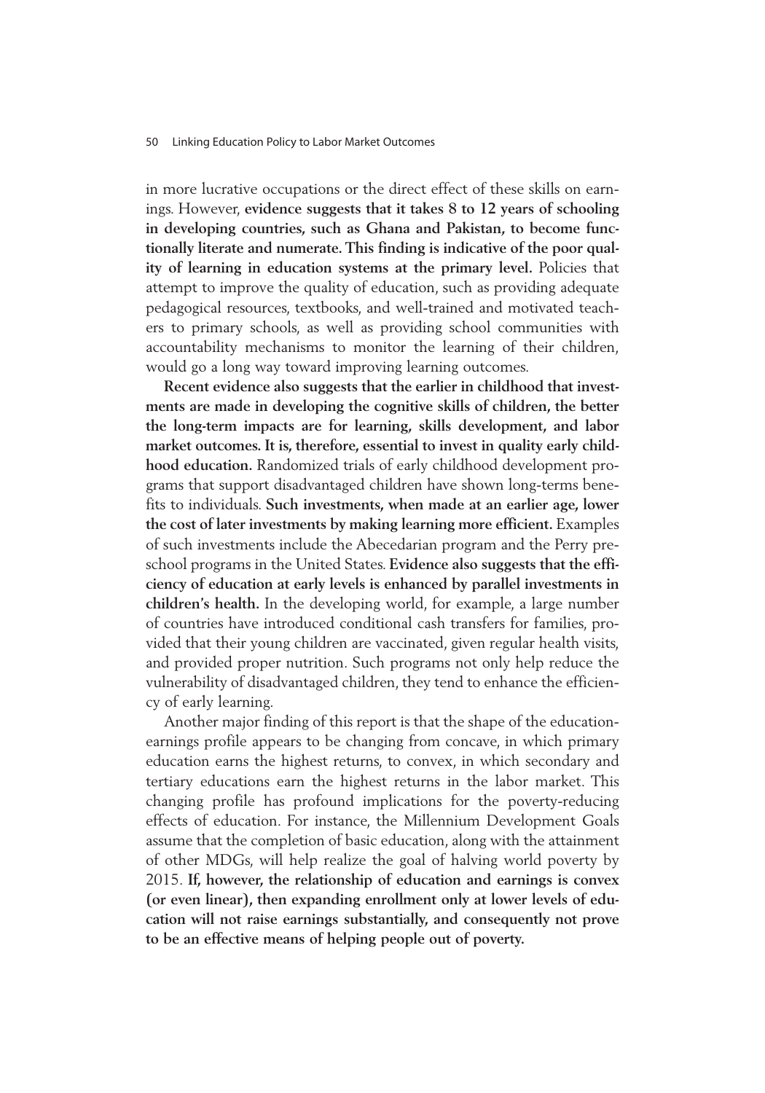in more lucrative occupations or the direct effect of these skills on earnings. However, **evidence suggests that it takes 8 to 12 years of schooling in developing countries, such as Ghana and Pakistan, to become functionally literate and numerate. This finding is indicative of the poor quality of learning in education systems at the primary level.** Policies that attempt to improve the quality of education, such as providing adequate pedagogical resources, textbooks, and well-trained and motivated teachers to primary schools, as well as providing school communities with accountability mechanisms to monitor the learning of their children, would go a long way toward improving learning outcomes.

**Recent evidence also suggests that the earlier in childhood that investments are made in developing the cognitive skills of children, the better the long-term impacts are for learning, skills development, and labor market outcomes. It is, therefore, essential to invest in quality early childhood education.** Randomized trials of early childhood development programs that support disadvantaged children have shown long-terms benefits to individuals. **Such investments, when made at an earlier age, lower the cost of later investments by making learning more efficient.** Examples of such investments include the Abecedarian program and the Perry preschool programs in the United States. **Evidence also suggests that the efficiency of education at early levels is enhanced by parallel investments in children's health.** In the developing world, for example, a large number of countries have introduced conditional cash transfers for families, provided that their young children are vaccinated, given regular health visits, and provided proper nutrition. Such programs not only help reduce the vulnerability of disadvantaged children, they tend to enhance the efficiency of early learning.

Another major finding of this report is that the shape of the educationearnings profile appears to be changing from concave, in which primary education earns the highest returns, to convex, in which secondary and tertiary educations earn the highest returns in the labor market. This changing profile has profound implications for the poverty-reducing effects of education. For instance, the Millennium Development Goals assume that the completion of basic education, along with the attainment of other MDGs, will help realize the goal of halving world poverty by 2015. **If, however, the relationship of education and earnings is convex (or even linear), then expanding enrollment only at lower levels of education will not raise earnings substantially, and consequently not prove to be an effective means of helping people out of poverty.**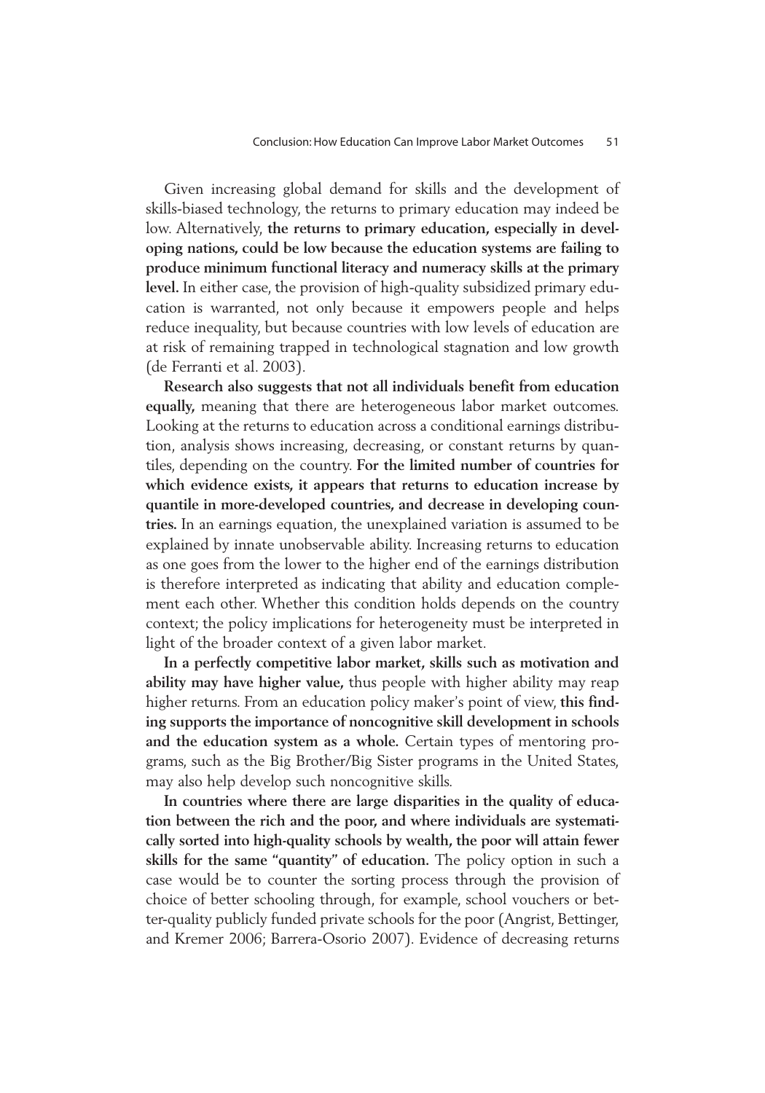Given increasing global demand for skills and the development of skills-biased technology, the returns to primary education may indeed be low. Alternatively, **the returns to primary education, especially in developing nations, could be low because the education systems are failing to produce minimum functional literacy and numeracy skills at the primary level.** In either case, the provision of high-quality subsidized primary education is warranted, not only because it empowers people and helps reduce inequality, but because countries with low levels of education are at risk of remaining trapped in technological stagnation and low growth (de Ferranti et al. 2003).

**Research also suggests that not all individuals benefit from education equally,** meaning that there are heterogeneous labor market outcomes. Looking at the returns to education across a conditional earnings distribution, analysis shows increasing, decreasing, or constant returns by quantiles, depending on the country. **For the limited number of countries for which evidence exists, it appears that returns to education increase by quantile in more-developed countries, and decrease in developing countries.** In an earnings equation, the unexplained variation is assumed to be explained by innate unobservable ability. Increasing returns to education as one goes from the lower to the higher end of the earnings distribution is therefore interpreted as indicating that ability and education complement each other. Whether this condition holds depends on the country context; the policy implications for heterogeneity must be interpreted in light of the broader context of a given labor market.

**In a perfectly competitive labor market, skills such as motivation and ability may have higher value,** thus people with higher ability may reap higher returns. From an education policy maker's point of view, **this finding supports the importance of noncognitive skill development in schools and the education system as a whole.** Certain types of mentoring programs, such as the Big Brother/Big Sister programs in the United States, may also help develop such noncognitive skills.

**In countries where there are large disparities in the quality of education between the rich and the poor, and where individuals are systematically sorted into high-quality schools by wealth, the poor will attain fewer skills for the same "quantity" of education.** The policy option in such a case would be to counter the sorting process through the provision of choice of better schooling through, for example, school vouchers or better-quality publicly funded private schools for the poor (Angrist, Bettinger, and Kremer 2006; Barrera-Osorio 2007). Evidence of decreasing returns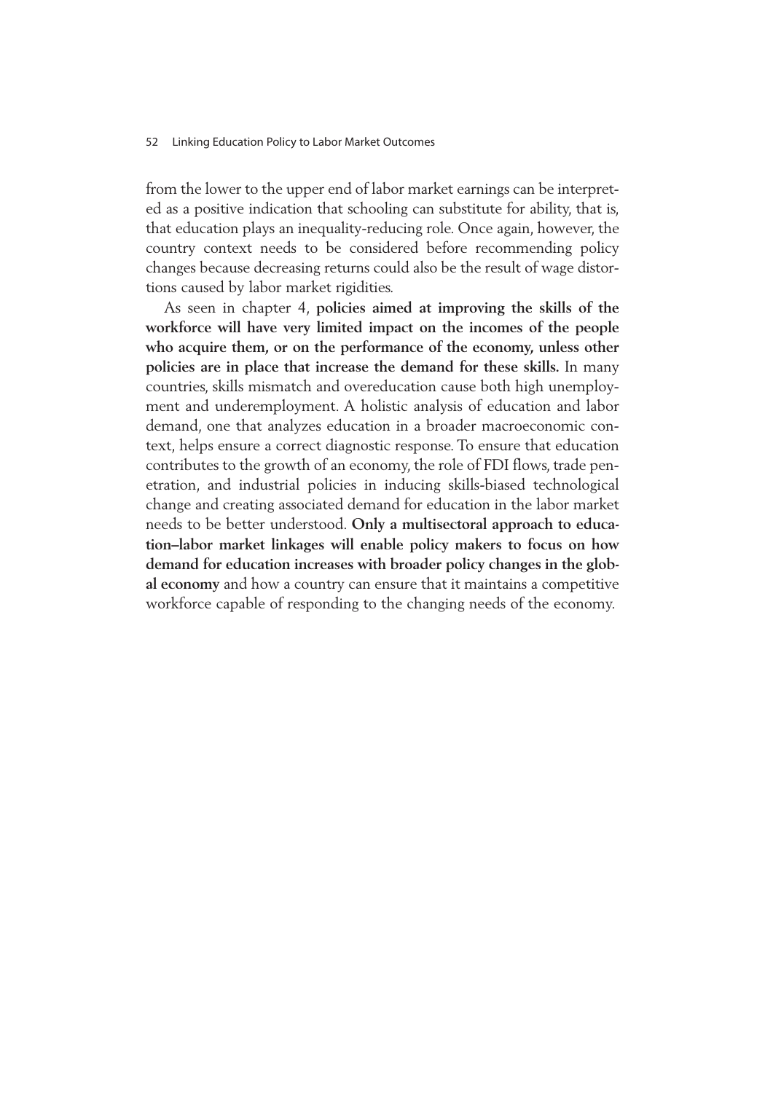from the lower to the upper end of labor market earnings can be interpreted as a positive indication that schooling can substitute for ability, that is, that education plays an inequality-reducing role. Once again, however, the country context needs to be considered before recommending policy changes because decreasing returns could also be the result of wage distortions caused by labor market rigidities.

As seen in chapter 4, **policies aimed at improving the skills of the workforce will have very limited impact on the incomes of the people who acquire them, or on the performance of the economy, unless other policies are in place that increase the demand for these skills.** In many countries, skills mismatch and overeducation cause both high unemployment and underemployment. A holistic analysis of education and labor demand, one that analyzes education in a broader macroeconomic context, helps ensure a correct diagnostic response. To ensure that education contributes to the growth of an economy, the role of FDI flows, trade penetration, and industrial policies in inducing skills-biased technological change and creating associated demand for education in the labor market needs to be better understood. **Only a multisectoral approach to education–labor market linkages will enable policy makers to focus on how demand for education increases with broader policy changes in the global economy** and how a country can ensure that it maintains a competitive workforce capable of responding to the changing needs of the economy.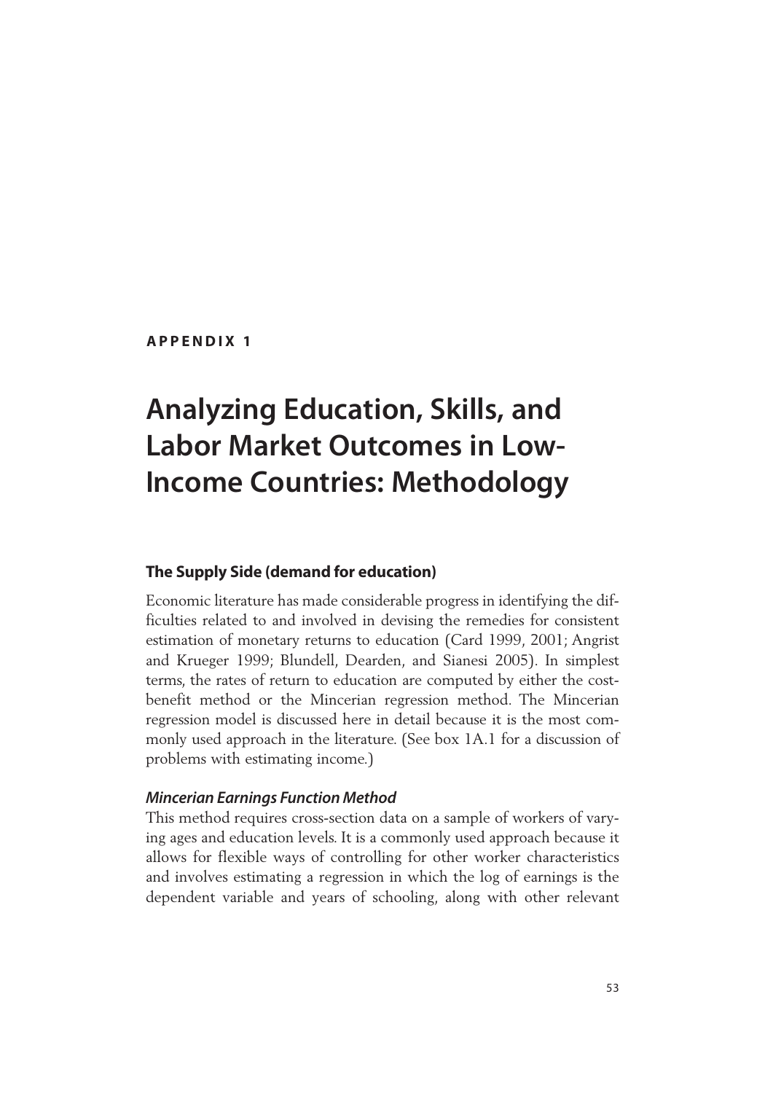*APPENDIX 1*

# *Analyzing Education, Skills, and Labor Market Outcomes in Low-Income Countries: Methodology*

## *The Supply Side (demand for education)*

Economic literature has made considerable progress in identifying the difficulties related to and involved in devising the remedies for consistent estimation of monetary returns to education (Card 1999, 2001; Angrist and Krueger 1999; Blundell, Dearden, and Sianesi 2005). In simplest terms, the rates of return to education are computed by either the costbenefit method or the Mincerian regression method. The Mincerian regression model is discussed here in detail because it is the most commonly used approach in the literature. (See box 1A.1 for a discussion of problems with estimating income.)

### *Mincerian Earnings Function Method*

This method requires cross-section data on a sample of workers of varying ages and education levels. It is a commonly used approach because it allows for flexible ways of controlling for other worker characteristics and involves estimating a regression in which the log of earnings is the dependent variable and years of schooling, along with other relevant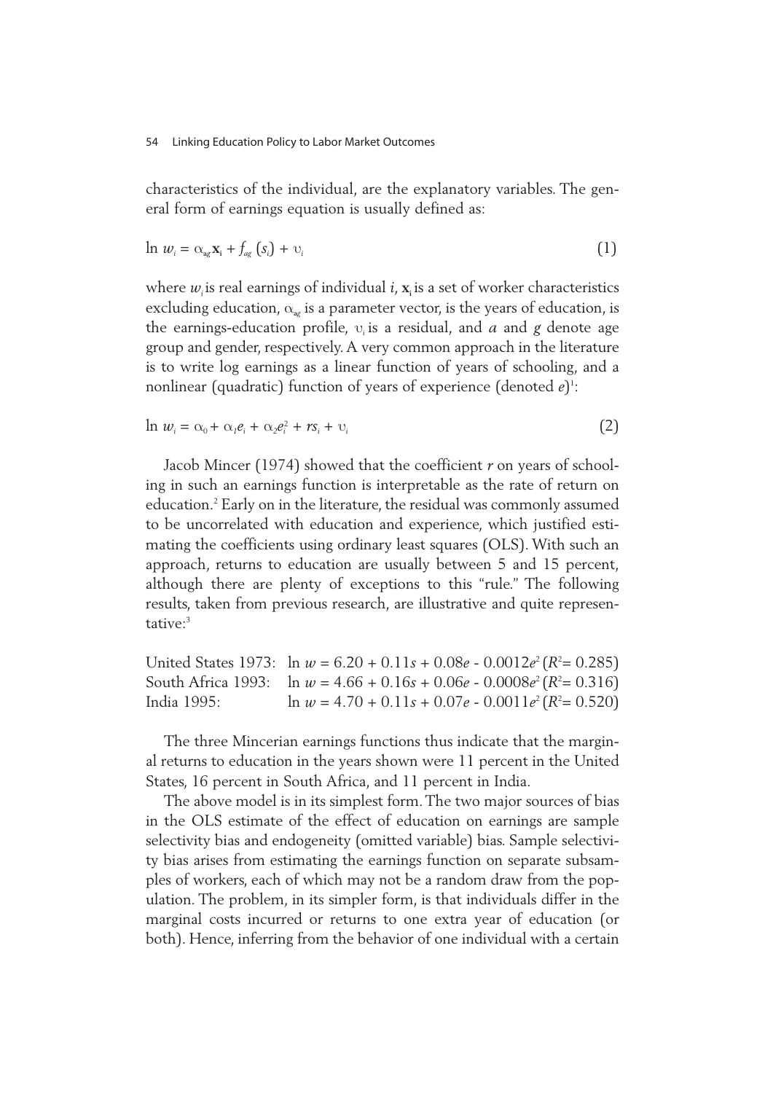characteristics of the individual, are the explanatory variables. The general form of earnings equation is usually defined as:

$$
\ln w_i = \alpha_{ag} \mathbf{x}_i + f_{ag} \left( s_i \right) + \upsilon_i \tag{1}
$$

where  $w_i$  is real earnings of individual  $i$ ,  $x_i$  is a set of worker characteristics excluding education,  $\alpha_{\alpha}$  is a parameter vector, is the years of education, is the earnings-education profile, υ*i* is a residual, and *a* and *g* denote age group and gender, respectively. A very common approach in the literature is to write log earnings as a linear function of years of schooling, and a nonlinear (quadratic) function of years of experience (denoted *e*) 1 :

$$
\ln w_i = \alpha_0 + \alpha_1 e_i + \alpha_2 e_i^2 + r s_i + v_i \tag{2}
$$

Jacob Mincer (1974) showed that the coefficient *r* on years of schooling in such an earnings function is interpretable as the rate of return on education.<sup>2</sup> Early on in the literature, the residual was commonly assumed to be uncorrelated with education and experience, which justified estimating the coefficients using ordinary least squares (OLS). With such an approach, returns to education are usually between 5 and 15 percent, although there are plenty of exceptions to this "rule." The following results, taken from previous research, are illustrative and quite representative:<sup>3</sup>

United States 1973:  $\ln w = 6.20 + 0.11s + 0.08e - 0.0012e^2 (R^2 = 0.285)$ South Africa 1993:  $\ln w = 4.66 + 0.16s + 0.06e - 0.0008e^2 (R^2 = 0.316)$ India 1995:  $\ln w = 4.70 + 0.11s + 0.07e - 0.0011e^2 (R^2 = 0.520)$ 

The three Mincerian earnings functions thus indicate that the marginal returns to education in the years shown were 11 percent in the United States, 16 percent in South Africa, and 11 percent in India.

The above model is in its simplest form. The two major sources of bias in the OLS estimate of the effect of education on earnings are sample selectivity bias and endogeneity (omitted variable) bias. Sample selectivity bias arises from estimating the earnings function on separate subsamples of workers, each of which may not be a random draw from the population. The problem, in its simpler form, is that individuals differ in the marginal costs incurred or returns to one extra year of education (or both). Hence, inferring from the behavior of one individual with a certain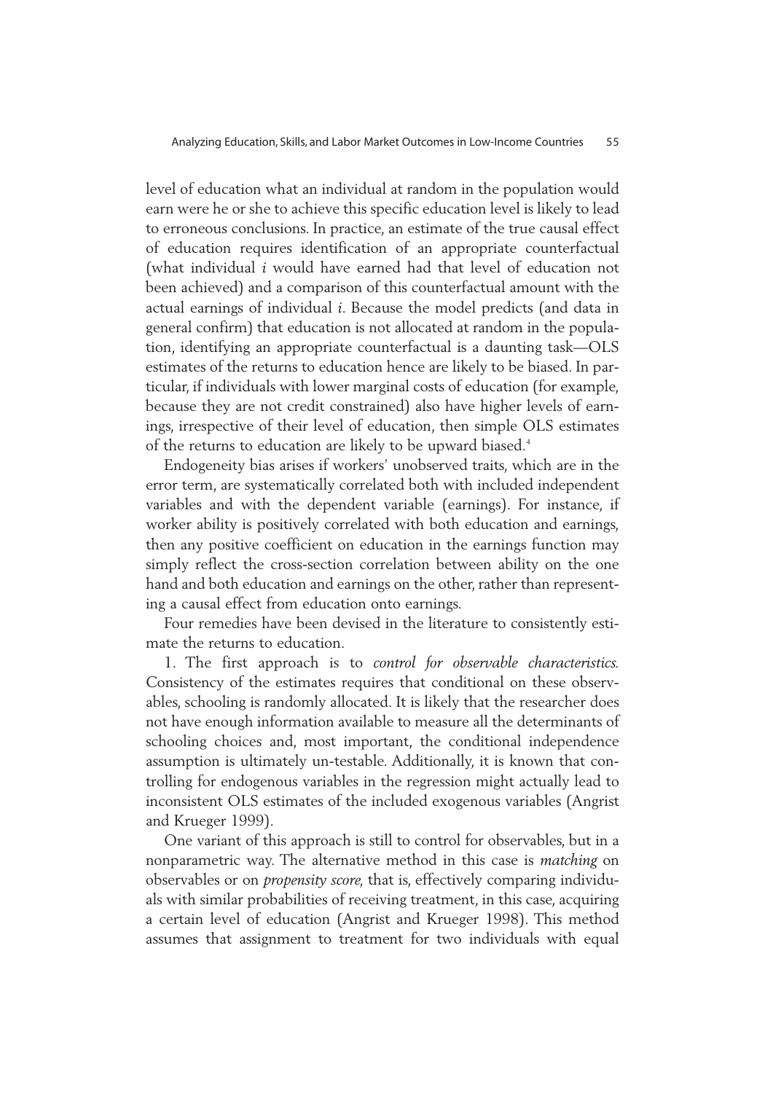level of education what an individual at random in the population would earn were he or she to achieve this specific education level is likely to lead to erroneous conclusions. In practice, an estimate of the true causal effect of education requires identification of an appropriate counterfactual (what individual *i* would have earned had that level of education not been achieved) and a comparison of this counterfactual amount with the actual earnings of individual *i*. Because the model predicts (and data in general confirm) that education is not allocated at random in the population, identifying an appropriate counterfactual is a daunting task—OLS estimates of the returns to education hence are likely to be biased. In particular, if individuals with lower marginal costs of education (for example, because they are not credit constrained) also have higher levels of earnings, irrespective of their level of education, then simple OLS estimates of the returns to education are likely to be upward biased.<sup>4</sup>

Endogeneity bias arises if workers' unobserved traits, which are in the error term, are systematically correlated both with included independent variables and with the dependent variable (earnings). For instance, if worker ability is positively correlated with both education and earnings, then any positive coefficient on education in the earnings function may simply reflect the cross-section correlation between ability on the one hand and both education and earnings on the other, rather than representing a causal effect from education onto earnings.

Four remedies have been devised in the literature to consistently estimate the returns to education.

1. The first approach is to *control for observable characteristics.* Consistency of the estimates requires that conditional on these observables, schooling is randomly allocated. It is likely that the researcher does not have enough information available to measure all the determinants of schooling choices and, most important, the conditional independence assumption is ultimately un-testable. Additionally, it is known that controlling for endogenous variables in the regression might actually lead to inconsistent OLS estimates of the included exogenous variables (Angrist and Krueger 1999).

One variant of this approach is still to control for observables, but in a nonparametric way. The alternative method in this case is *matching* on observables or on *propensity score,* that is, effectively comparing individuals with similar probabilities of receiving treatment, in this case, acquiring a certain level of education (Angrist and Krueger 1998). This method assumes that assignment to treatment for two individuals with equal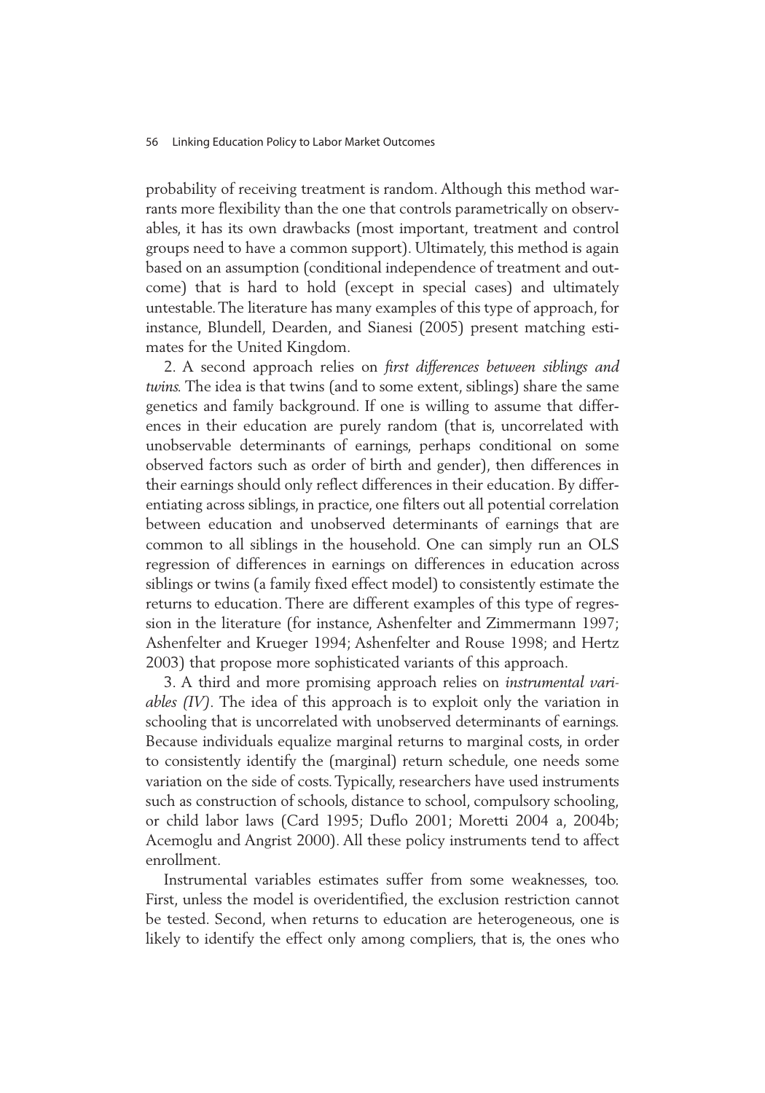probability of receiving treatment is random. Although this method warrants more flexibility than the one that controls parametrically on observables, it has its own drawbacks (most important, treatment and control groups need to have a common support). Ultimately, this method is again based on an assumption (conditional independence of treatment and outcome) that is hard to hold (except in special cases) and ultimately untestable.The literature has many examples of this type of approach, for instance, Blundell, Dearden, and Sianesi (2005) present matching estimates for the United Kingdom.

2. A second approach relies on *first differences between siblings and twins.* The idea is that twins (and to some extent, siblings) share the same genetics and family background. If one is willing to assume that differences in their education are purely random (that is, uncorrelated with unobservable determinants of earnings, perhaps conditional on some observed factors such as order of birth and gender), then differences in their earnings should only reflect differences in their education. By differentiating across siblings, in practice, one filters out all potential correlation between education and unobserved determinants of earnings that are common to all siblings in the household. One can simply run an OLS regression of differences in earnings on differences in education across siblings or twins (a family fixed effect model) to consistently estimate the returns to education. There are different examples of this type of regression in the literature (for instance, Ashenfelter and Zimmermann 1997; Ashenfelter and Krueger 1994; Ashenfelter and Rouse 1998; and Hertz 2003) that propose more sophisticated variants of this approach.

3. A third and more promising approach relies on *instrumental variables (IV).* The idea of this approach is to exploit only the variation in schooling that is uncorrelated with unobserved determinants of earnings. Because individuals equalize marginal returns to marginal costs, in order to consistently identify the (marginal) return schedule, one needs some variation on the side of costs. Typically, researchers have used instruments such as construction of schools, distance to school, compulsory schooling, or child labor laws (Card 1995; Duflo 2001; Moretti 2004 a, 2004b; Acemoglu and Angrist 2000). All these policy instruments tend to affect enrollment.

Instrumental variables estimates suffer from some weaknesses, too. First, unless the model is overidentified, the exclusion restriction cannot be tested. Second, when returns to education are heterogeneous, one is likely to identify the effect only among compliers, that is, the ones who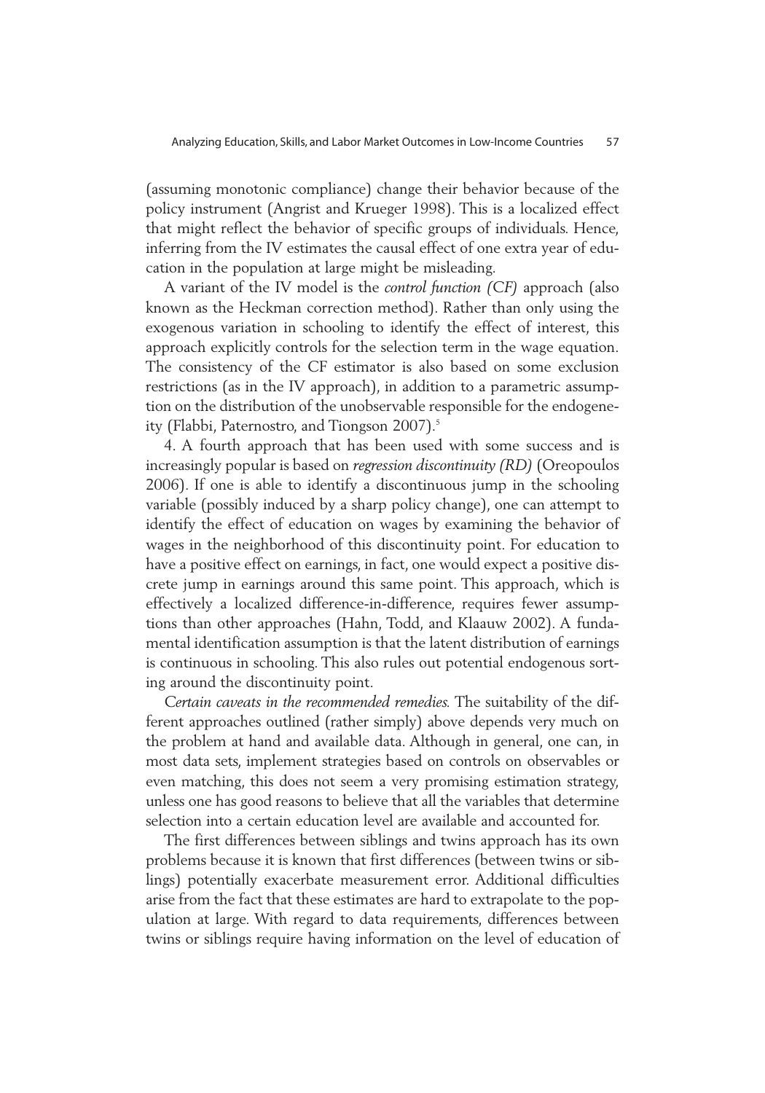(assuming monotonic compliance) change their behavior because of the policy instrument (Angrist and Krueger 1998). This is a localized effect that might reflect the behavior of specific groups of individuals. Hence, inferring from the IV estimates the causal effect of one extra year of education in the population at large might be misleading.

A variant of the IV model is the *control function (CF)* approach (also known as the Heckman correction method). Rather than only using the exogenous variation in schooling to identify the effect of interest, this approach explicitly controls for the selection term in the wage equation. The consistency of the CF estimator is also based on some exclusion restrictions (as in the IV approach), in addition to a parametric assumption on the distribution of the unobservable responsible for the endogeneity (Flabbi, Paternostro, and Tiongson 2007).<sup>5</sup>

4. A fourth approach that has been used with some success and is increasingly popular is based on *regression discontinuity (RD)* (Oreopoulos 2006). If one is able to identify a discontinuous jump in the schooling variable (possibly induced by a sharp policy change), one can attempt to identify the effect of education on wages by examining the behavior of wages in the neighborhood of this discontinuity point. For education to have a positive effect on earnings, in fact, one would expect a positive discrete jump in earnings around this same point. This approach, which is effectively a localized difference-in-difference, requires fewer assumptions than other approaches (Hahn, Todd, and Klaauw 2002). A fundamental identification assumption is that the latent distribution of earnings is continuous in schooling. This also rules out potential endogenous sorting around the discontinuity point.

*Certain caveats in the recommended remedies.* The suitability of the different approaches outlined (rather simply) above depends very much on the problem at hand and available data. Although in general, one can, in most data sets, implement strategies based on controls on observables or even matching, this does not seem a very promising estimation strategy, unless one has good reasons to believe that all the variables that determine selection into a certain education level are available and accounted for.

The first differences between siblings and twins approach has its own problems because it is known that first differences (between twins or siblings) potentially exacerbate measurement error. Additional difficulties arise from the fact that these estimates are hard to extrapolate to the population at large. With regard to data requirements, differences between twins or siblings require having information on the level of education of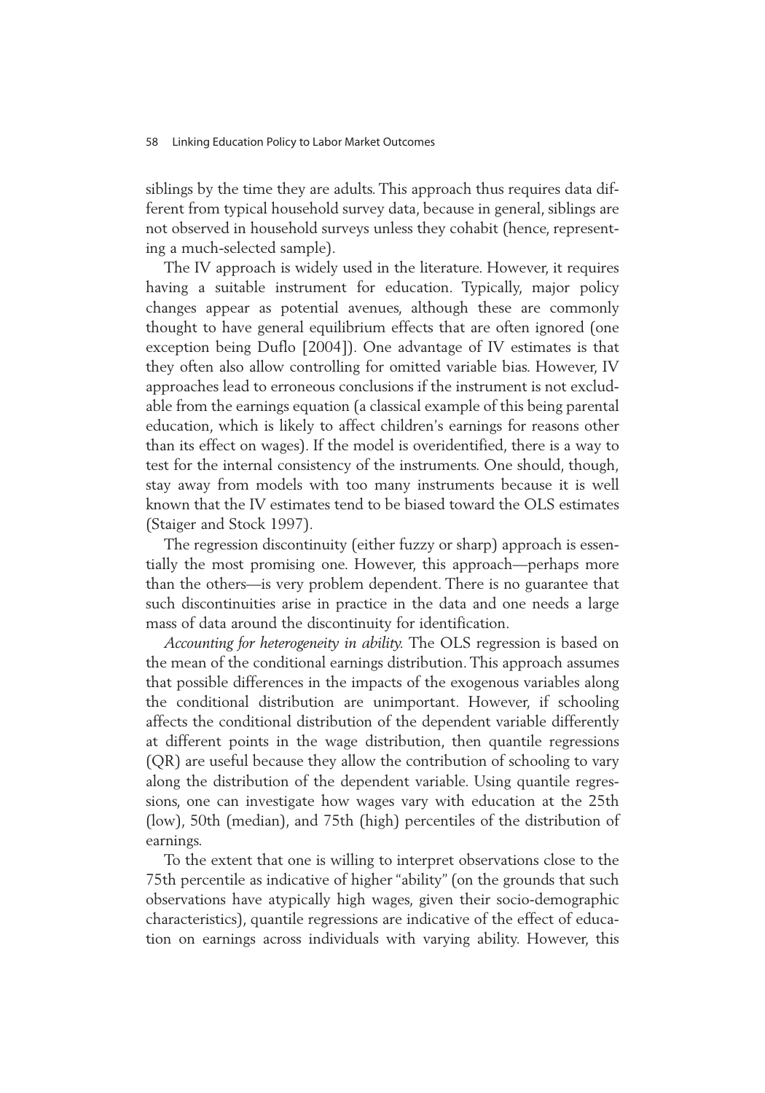siblings by the time they are adults. This approach thus requires data different from typical household survey data, because in general, siblings are not observed in household surveys unless they cohabit (hence, representing a much-selected sample).

The IV approach is widely used in the literature. However, it requires having a suitable instrument for education. Typically, major policy changes appear as potential avenues, although these are commonly thought to have general equilibrium effects that are often ignored (one exception being Duflo [2004]). One advantage of IV estimates is that they often also allow controlling for omitted variable bias. However, IV approaches lead to erroneous conclusions if the instrument is not excludable from the earnings equation (a classical example of this being parental education, which is likely to affect children's earnings for reasons other than its effect on wages). If the model is overidentified, there is a way to test for the internal consistency of the instruments. One should, though, stay away from models with too many instruments because it is well known that the IV estimates tend to be biased toward the OLS estimates (Staiger and Stock 1997).

The regression discontinuity (either fuzzy or sharp) approach is essentially the most promising one. However, this approach—perhaps more than the others—is very problem dependent. There is no guarantee that such discontinuities arise in practice in the data and one needs a large mass of data around the discontinuity for identification.

*Accounting for heterogeneity in ability.* The OLS regression is based on the mean of the conditional earnings distribution. This approach assumes that possible differences in the impacts of the exogenous variables along the conditional distribution are unimportant. However, if schooling affects the conditional distribution of the dependent variable differently at different points in the wage distribution, then quantile regressions (QR) are useful because they allow the contribution of schooling to vary along the distribution of the dependent variable. Using quantile regressions, one can investigate how wages vary with education at the 25th (low), 50th (median), and 75th (high) percentiles of the distribution of earnings.

To the extent that one is willing to interpret observations close to the 75th percentile as indicative of higher "ability" (on the grounds that such observations have atypically high wages, given their socio-demographic characteristics), quantile regressions are indicative of the effect of education on earnings across individuals with varying ability. However, this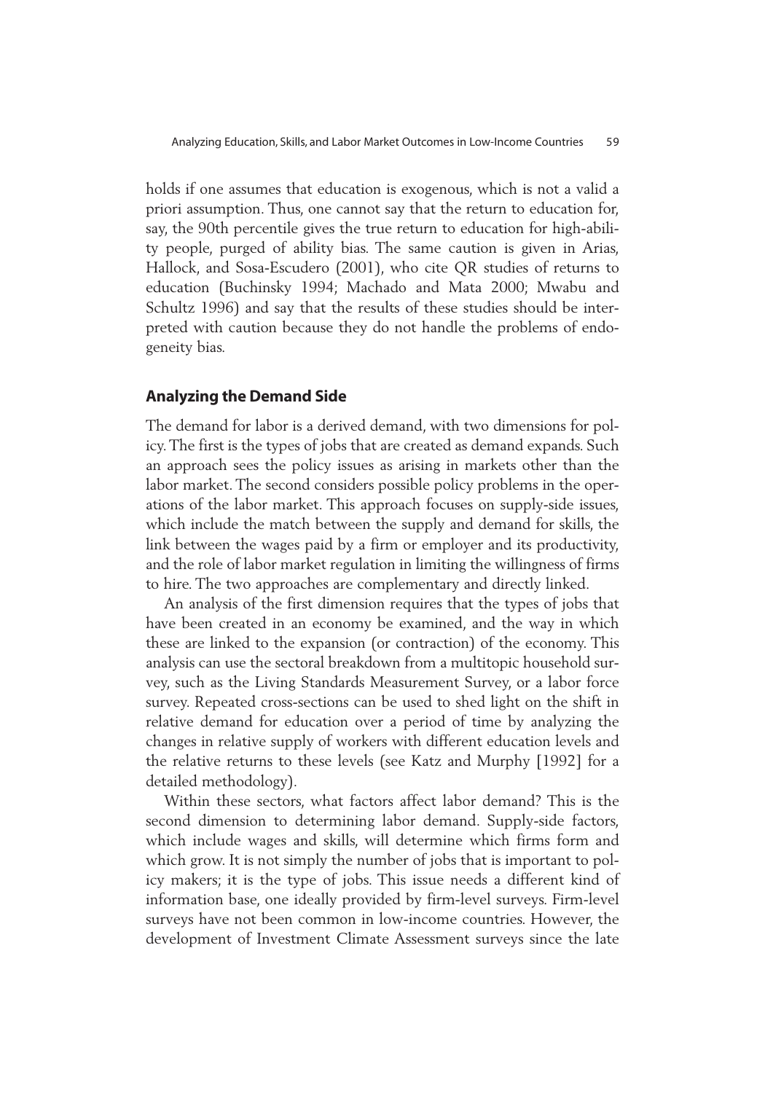holds if one assumes that education is exogenous, which is not a valid a priori assumption. Thus, one cannot say that the return to education for, say, the 90th percentile gives the true return to education for high-ability people, purged of ability bias. The same caution is given in Arias, Hallock, and Sosa-Escudero (2001), who cite QR studies of returns to education (Buchinsky 1994; Machado and Mata 2000; Mwabu and Schultz 1996) and say that the results of these studies should be interpreted with caution because they do not handle the problems of endogeneity bias.

## *Analyzing the Demand Side*

The demand for labor is a derived demand, with two dimensions for policy.The first is the types of jobs that are created as demand expands. Such an approach sees the policy issues as arising in markets other than the labor market. The second considers possible policy problems in the operations of the labor market. This approach focuses on supply-side issues, which include the match between the supply and demand for skills, the link between the wages paid by a firm or employer and its productivity, and the role of labor market regulation in limiting the willingness of firms to hire. The two approaches are complementary and directly linked.

An analysis of the first dimension requires that the types of jobs that have been created in an economy be examined, and the way in which these are linked to the expansion (or contraction) of the economy. This analysis can use the sectoral breakdown from a multitopic household survey, such as the Living Standards Measurement Survey, or a labor force survey. Repeated cross-sections can be used to shed light on the shift in relative demand for education over a period of time by analyzing the changes in relative supply of workers with different education levels and the relative returns to these levels (see Katz and Murphy [1992] for a detailed methodology).

Within these sectors, what factors affect labor demand? This is the second dimension to determining labor demand. Supply-side factors, which include wages and skills, will determine which firms form and which grow. It is not simply the number of jobs that is important to policy makers; it is the type of jobs. This issue needs a different kind of information base, one ideally provided by firm-level surveys. Firm-level surveys have not been common in low-income countries. However, the development of Investment Climate Assessment surveys since the late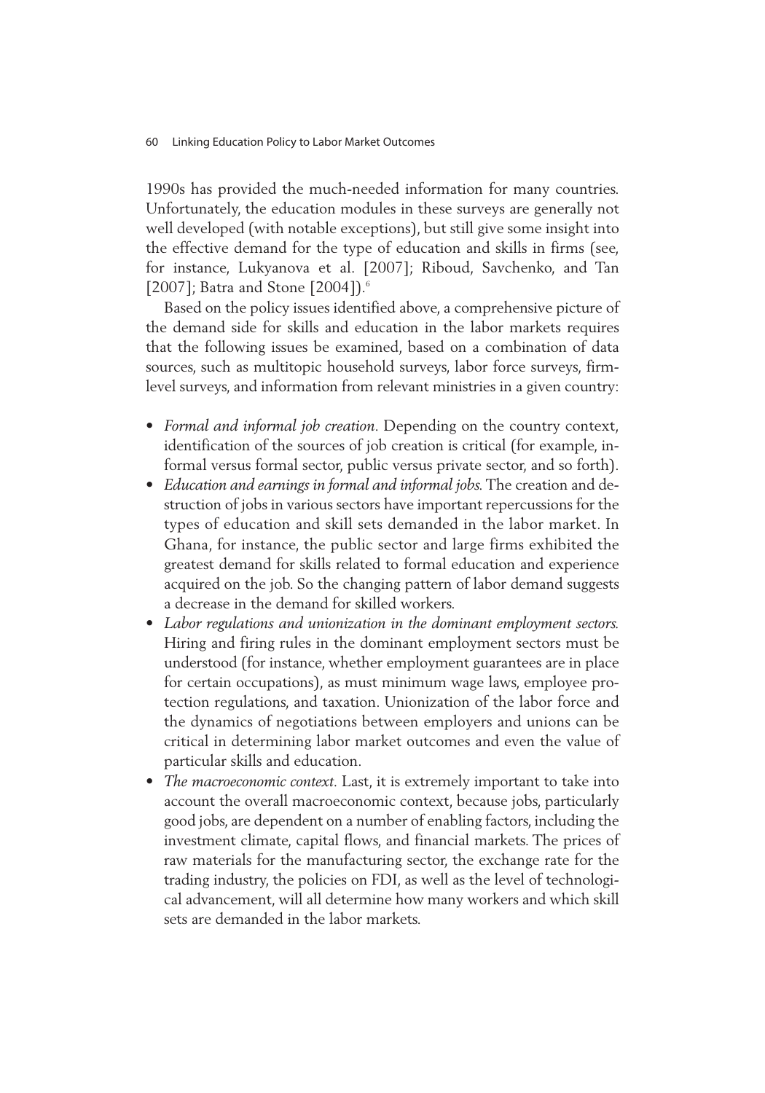1990s has provided the much-needed information for many countries. Unfortunately, the education modules in these surveys are generally not well developed (with notable exceptions), but still give some insight into the effective demand for the type of education and skills in firms (see, for instance, Lukyanova et al. [2007]; Riboud, Savchenko, and Tan [2007]; Batra and Stone [2004]).<sup>6</sup>

Based on the policy issues identified above, a comprehensive picture of the demand side for skills and education in the labor markets requires that the following issues be examined, based on a combination of data sources, such as multitopic household surveys, labor force surveys, firmlevel surveys, and information from relevant ministries in a given country:

- *Formal and informal job creation.* Depending on the country context, identification of the sources of job creation is critical (for example, informal versus formal sector, public versus private sector, and so forth).
- *Education and earnings in formal and informal jobs.* The creation and destruction of jobs in various sectors have important repercussions for the types of education and skill sets demanded in the labor market. In Ghana, for instance, the public sector and large firms exhibited the greatest demand for skills related to formal education and experience acquired on the job. So the changing pattern of labor demand suggests a decrease in the demand for skilled workers.
- *Labor regulations and unionization in the dominant employment sectors.* Hiring and firing rules in the dominant employment sectors must be understood (for instance, whether employment guarantees are in place for certain occupations), as must minimum wage laws, employee protection regulations, and taxation. Unionization of the labor force and the dynamics of negotiations between employers and unions can be critical in determining labor market outcomes and even the value of particular skills and education.
- *The macroeconomic context.* Last, it is extremely important to take into account the overall macroeconomic context, because jobs, particularly good jobs, are dependent on a number of enabling factors, including the investment climate, capital flows, and financial markets. The prices of raw materials for the manufacturing sector, the exchange rate for the trading industry, the policies on FDI, as well as the level of technological advancement, will all determine how many workers and which skill sets are demanded in the labor markets.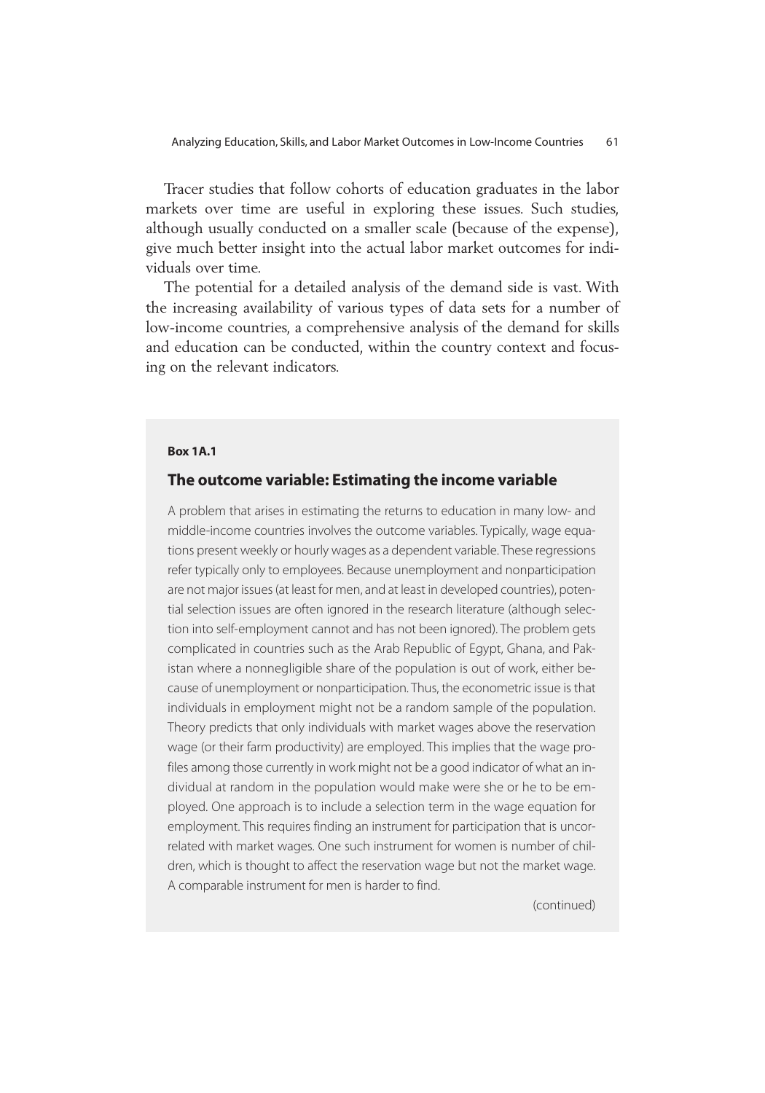Tracer studies that follow cohorts of education graduates in the labor markets over time are useful in exploring these issues. Such studies, although usually conducted on a smaller scale (because of the expense), give much better insight into the actual labor market outcomes for individuals over time.

The potential for a detailed analysis of the demand side is vast. With the increasing availability of various types of data sets for a number of low-income countries, a comprehensive analysis of the demand for skills and education can be conducted, within the country context and focusing on the relevant indicators.

### *Box 1A.1*

### *The outcome variable: Estimating the income variable*

A problem that arises in estimating the returns to education in many low- and middle-income countries involves the outcome variables. Typically, wage equations present weekly or hourly wages as a dependent variable. These regressions refer typically only to employees. Because unemployment and nonparticipation are not major issues (at least for men, and at least in developed countries), potential selection issues are often ignored in the research literature (although selection into self-employment cannot and has not been ignored). The problem gets complicated in countries such as the Arab Republic of Egypt, Ghana, and Pakistan where a nonnegligible share of the population is out of work, either because of unemployment or nonparticipation. Thus, the econometric issue is that individuals in employment might not be a random sample of the population. Theory predicts that only individuals with market wages above the reservation wage (or their farm productivity) are employed. This implies that the wage profiles among those currently in work might not be a good indicator of what an individual at random in the population would make were she or he to be employed. One approach is to include a selection term in the wage equation for employment. This requires finding an instrument for participation that is uncorrelated with market wages. One such instrument for women is number of children, which is thought to affect the reservation wage but not the market wage. A comparable instrument for men is harder to find.

(continued)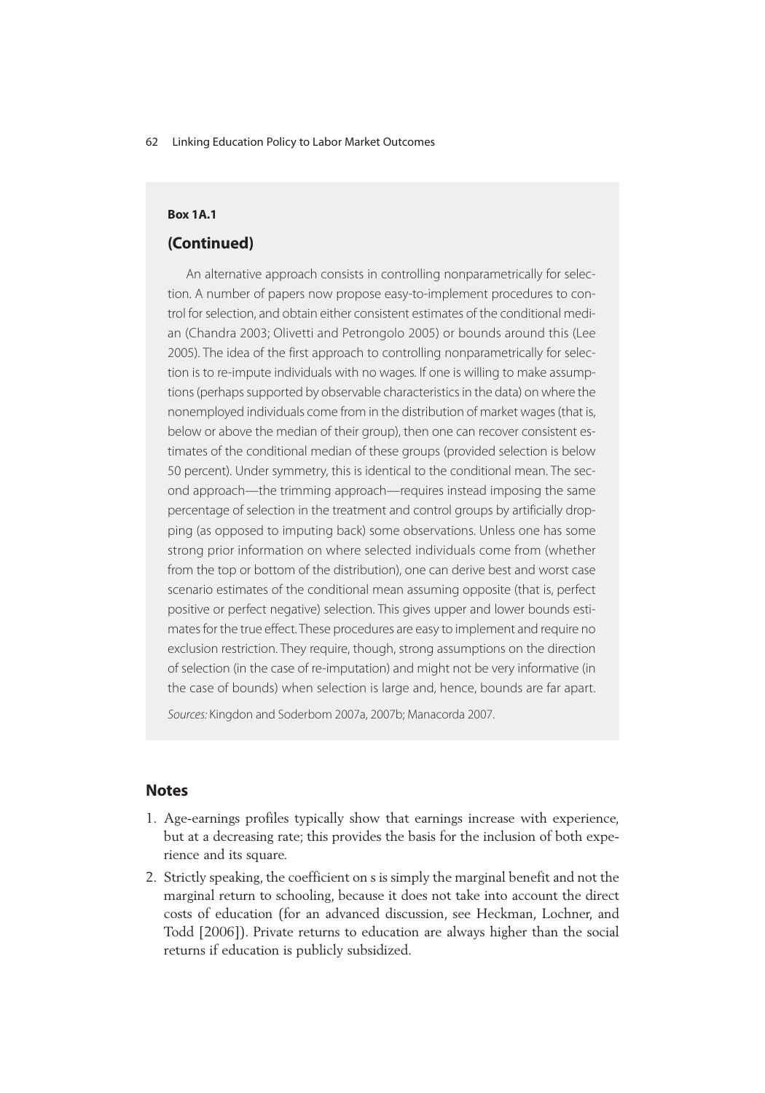### *Box 1A.1*

### *(Continued)*

An alternative approach consists in controlling nonparametrically for selection. A number of papers now propose easy-to-implement procedures to control for selection, and obtain either consistent estimates of the conditional median (Chandra 2003; Olivetti and Petrongolo 2005) or bounds around this (Lee 2005). The idea of the first approach to controlling nonparametrically for selection is to re-impute individuals with no wages. If one is willing to make assumptions (perhaps supported by observable characteristics in the data) on where the nonemployed individuals come from in the distribution of market wages (that is, below or above the median of their group), then one can recover consistent estimates of the conditional median of these groups (provided selection is below 50 percent). Under symmetry, this is identical to the conditional mean. The second approach—the trimming approach—requires instead imposing the same percentage of selection in the treatment and control groups by artificially dropping (as opposed to imputing back) some observations. Unless one has some strong prior information on where selected individuals come from (whether from the top or bottom of the distribution), one can derive best and worst case scenario estimates of the conditional mean assuming opposite (that is, perfect positive or perfect negative) selection. This gives upper and lower bounds estimates for the true effect. These procedures are easy to implement and require no exclusion restriction. They require, though, strong assumptions on the direction of selection (in the case of re-imputation) and might not be very informative (in the case of bounds) when selection is large and, hence, bounds are far apart.

Sources: Kingdon and Soderbom 2007a, 2007b; Manacorda 2007.

### *Notes*

- 1. Age-earnings profiles typically show that earnings increase with experience, but at a decreasing rate; this provides the basis for the inclusion of both experience and its square.
- 2. Strictly speaking, the coefficient on s is simply the marginal benefit and not the marginal return to schooling, because it does not take into account the direct costs of education (for an advanced discussion, see Heckman, Lochner, and Todd [2006]). Private returns to education are always higher than the social returns if education is publicly subsidized.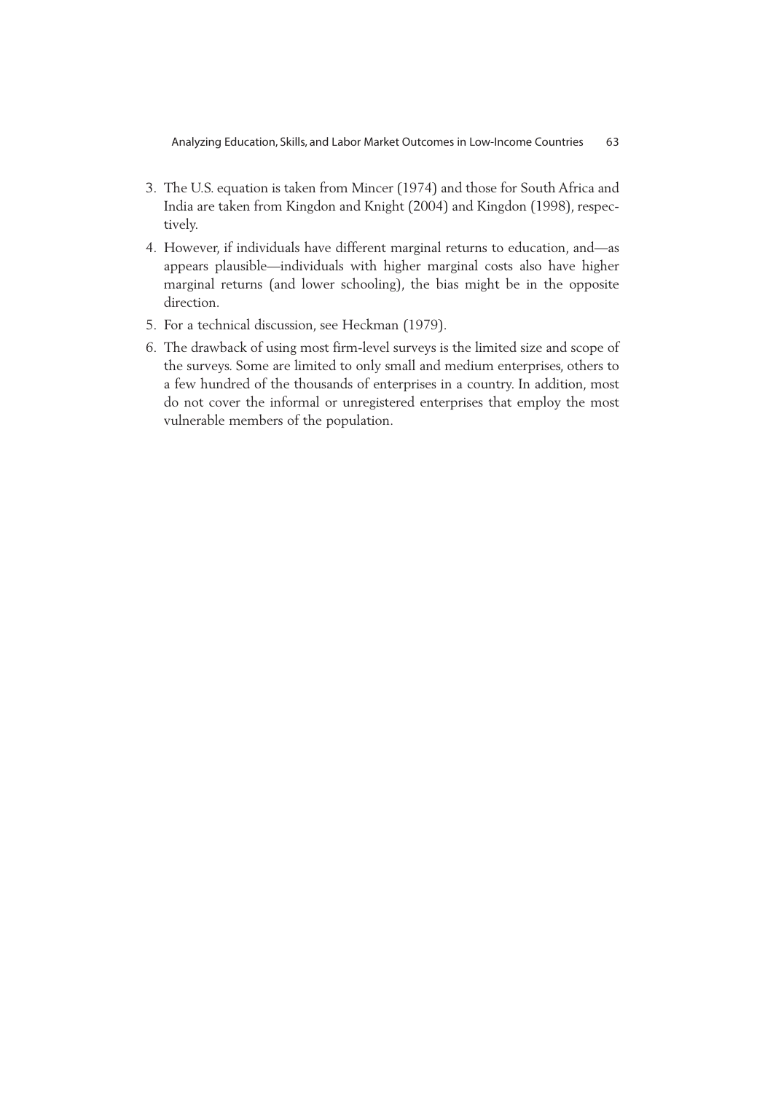- 3. The U.S. equation is taken from Mincer (1974) and those for South Africa and India are taken from Kingdon and Knight (2004) and Kingdon (1998), respectively.
- 4. However, if individuals have different marginal returns to education, and—as appears plausible—individuals with higher marginal costs also have higher marginal returns (and lower schooling), the bias might be in the opposite direction.
- 5. For a technical discussion, see Heckman (1979).
- 6. The drawback of using most firm-level surveys is the limited size and scope of the surveys. Some are limited to only small and medium enterprises, others to a few hundred of the thousands of enterprises in a country. In addition, most do not cover the informal or unregistered enterprises that employ the most vulnerable members of the population.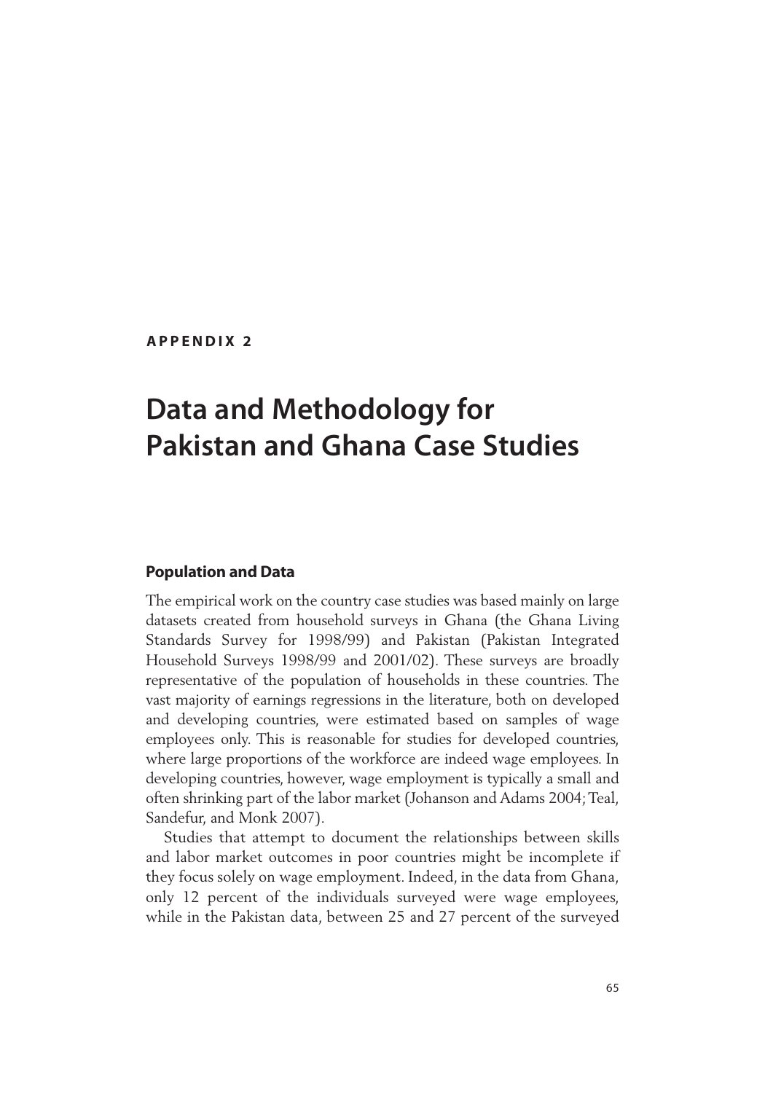*APPENDIX 2*

### *Data and Methodology for Pakistan and Ghana Case Studies*

### *Population and Data*

The empirical work on the country case studies was based mainly on large datasets created from household surveys in Ghana (the Ghana Living Standards Survey for 1998/99) and Pakistan (Pakistan Integrated Household Surveys 1998/99 and 2001/02). These surveys are broadly representative of the population of households in these countries. The vast majority of earnings regressions in the literature, both on developed and developing countries, were estimated based on samples of wage employees only. This is reasonable for studies for developed countries, where large proportions of the workforce are indeed wage employees. In developing countries, however, wage employment is typically a small and often shrinking part of the labor market (Johanson and Adams 2004;Teal, Sandefur, and Monk 2007).

Studies that attempt to document the relationships between skills and labor market outcomes in poor countries might be incomplete if they focus solely on wage employment. Indeed, in the data from Ghana, only 12 percent of the individuals surveyed were wage employees, while in the Pakistan data, between 25 and 27 percent of the surveyed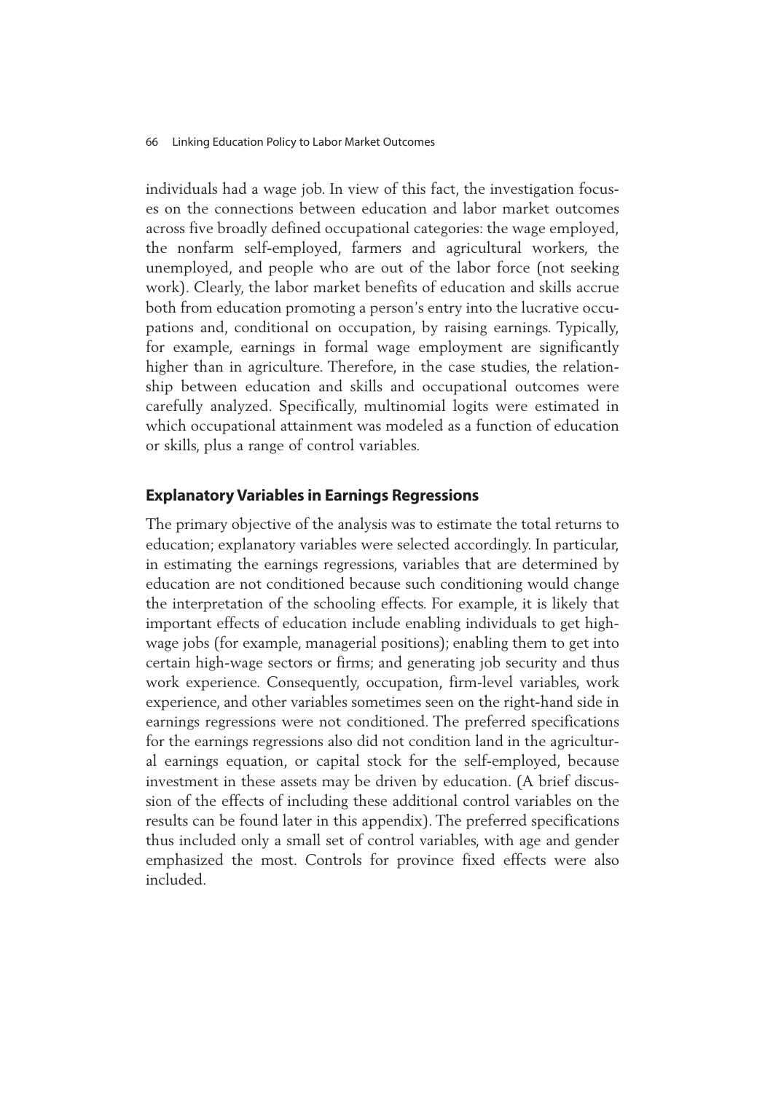individuals had a wage job. In view of this fact, the investigation focuses on the connections between education and labor market outcomes across five broadly defined occupational categories: the wage employed, the nonfarm self-employed, farmers and agricultural workers, the unemployed, and people who are out of the labor force (not seeking work). Clearly, the labor market benefits of education and skills accrue both from education promoting a person's entry into the lucrative occupations and, conditional on occupation, by raising earnings. Typically, for example, earnings in formal wage employment are significantly higher than in agriculture. Therefore, in the case studies, the relationship between education and skills and occupational outcomes were carefully analyzed. Specifically, multinomial logits were estimated in which occupational attainment was modeled as a function of education or skills, plus a range of control variables.

### *Explanatory Variables in Earnings Regressions*

The primary objective of the analysis was to estimate the total returns to education; explanatory variables were selected accordingly. In particular, in estimating the earnings regressions, variables that are determined by education are not conditioned because such conditioning would change the interpretation of the schooling effects. For example, it is likely that important effects of education include enabling individuals to get highwage jobs (for example, managerial positions); enabling them to get into certain high-wage sectors or firms; and generating job security and thus work experience. Consequently, occupation, firm-level variables, work experience, and other variables sometimes seen on the right-hand side in earnings regressions were not conditioned. The preferred specifications for the earnings regressions also did not condition land in the agricultural earnings equation, or capital stock for the self-employed, because investment in these assets may be driven by education. (A brief discussion of the effects of including these additional control variables on the results can be found later in this appendix). The preferred specifications thus included only a small set of control variables, with age and gender emphasized the most. Controls for province fixed effects were also included.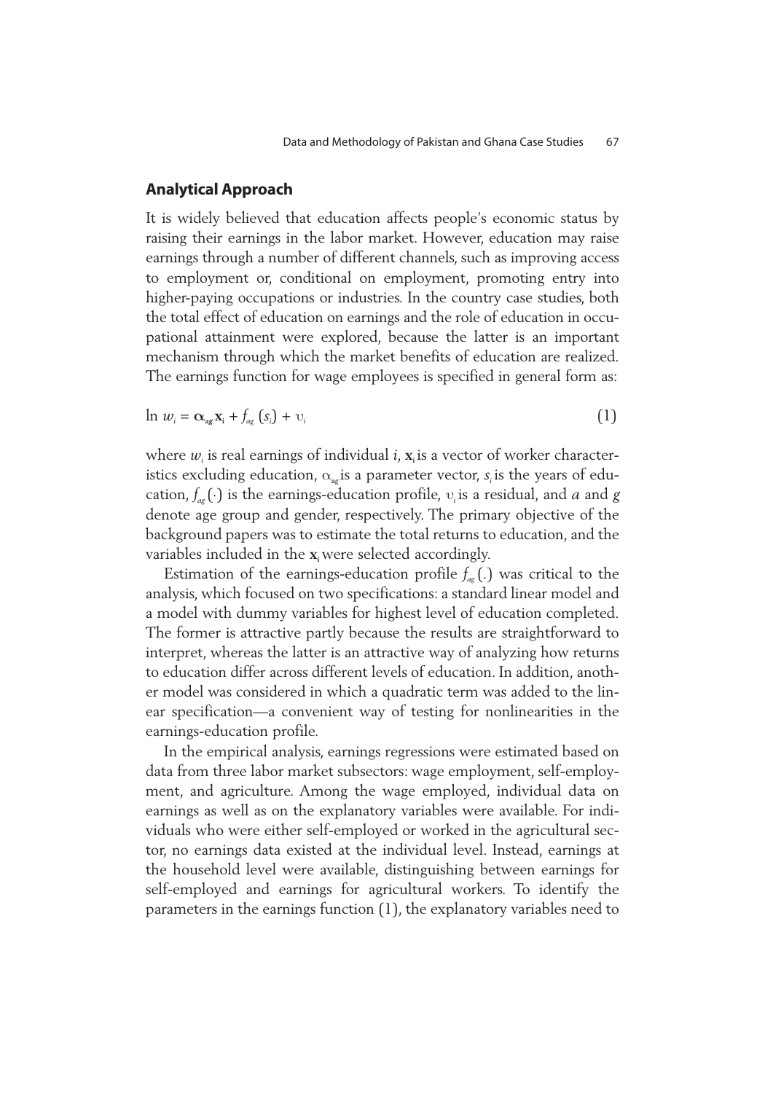### *Analytical Approach*

It is widely believed that education affects people's economic status by raising their earnings in the labor market. However, education may raise earnings through a number of different channels, such as improving access to employment or, conditional on employment, promoting entry into higher-paying occupations or industries. In the country case studies, both the total effect of education on earnings and the role of education in occupational attainment were explored, because the latter is an important mechanism through which the market benefits of education are realized. The earnings function for wage employees is specified in general form as:

$$
\ln w_i = \alpha_{ag} x_i + f_{ag} (s_i) + v_i \tag{1}
$$

where  $w_i$  is real earnings of individual  $i$ ,  $\mathbf{x}_i$  is a vector of worker characteristics excluding education, α**a***<sup>g</sup>* is a parameter vector, *si* is the years of education, *fag* (*.*) is the earnings-education profile, υ*i* is a residual, and *a* and *g* denote age group and gender, respectively. The primary objective of the background papers was to estimate the total returns to education, and the variables included in the **x**<sub>i</sub> were selected accordingly.

Estimation of the earnings-education profile  $f_{\alpha\beta}$  (.) was critical to the analysis, which focused on two specifications: a standard linear model and a model with dummy variables for highest level of education completed. The former is attractive partly because the results are straightforward to interpret, whereas the latter is an attractive way of analyzing how returns to education differ across different levels of education. In addition, another model was considered in which a quadratic term was added to the linear specification—a convenient way of testing for nonlinearities in the earnings-education profile.

In the empirical analysis, earnings regressions were estimated based on data from three labor market subsectors: wage employment, self-employment, and agriculture. Among the wage employed, individual data on earnings as well as on the explanatory variables were available. For individuals who were either self-employed or worked in the agricultural sector, no earnings data existed at the individual level. Instead, earnings at the household level were available, distinguishing between earnings for self-employed and earnings for agricultural workers. To identify the parameters in the earnings function (1), the explanatory variables need to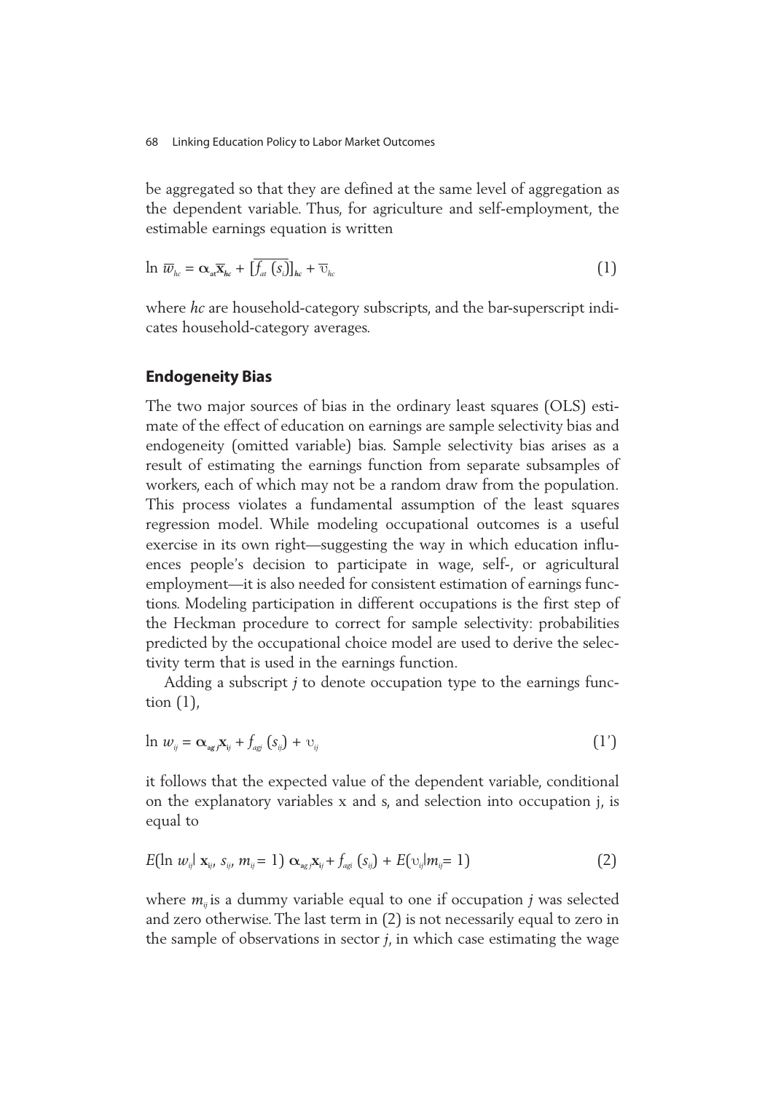be aggregated so that they are defined at the same level of aggregation as the dependent variable. Thus, for agriculture and self-employment, the estimable earnings equation is written

$$
\ln \overline{w}_{hc} = \alpha_{a} \overline{X}_{hc} + \overline{\left[ f_{at} \left( s_{i} \right) \right]}_{hc} + \overline{\upsilon}_{hc}
$$
\n(1)

where *hc* are household-category subscripts, and the bar-superscript indicates household-category averages.

### *Endogeneity Bias*

The two major sources of bias in the ordinary least squares (OLS) estimate of the effect of education on earnings are sample selectivity bias and endogeneity (omitted variable) bias. Sample selectivity bias arises as a result of estimating the earnings function from separate subsamples of workers, each of which may not be a random draw from the population. This process violates a fundamental assumption of the least squares regression model. While modeling occupational outcomes is a useful exercise in its own right—suggesting the way in which education influences people's decision to participate in wage, self-, or agricultural employment—it is also needed for consistent estimation of earnings functions. Modeling participation in different occupations is the first step of the Heckman procedure to correct for sample selectivity: probabilities predicted by the occupational choice model are used to derive the selectivity term that is used in the earnings function.

Adding a subscript *j* to denote occupation type to the earnings function (1),

$$
\ln w_{ij} = \alpha_{agj} \mathbf{x}_{ij} + f_{agj} \left( s_{ij} \right) + \upsilon_{ij} \tag{1'}
$$

it follows that the expected value of the dependent variable, conditional on the explanatory variables x and s, and selection into occupation j, is equal to

$$
E(\ln w_{ij} | \mathbf{x}_{ij}, \mathbf{s}_{ij}, \mathbf{m}_{ij} = 1) \mathbf{\alpha}_{\text{ag}} \mathbf{x}_{ij} + f_{\text{agi}} (\mathbf{s}_{ij}) + E(\nu_{ij} | \mathbf{m}_{ij} = 1)
$$
 (2)

where  $m_{ii}$  is a dummy variable equal to one if occupation *j* was selected and zero otherwise. The last term in (2) is not necessarily equal to zero in the sample of observations in sector  $j$ , in which case estimating the wage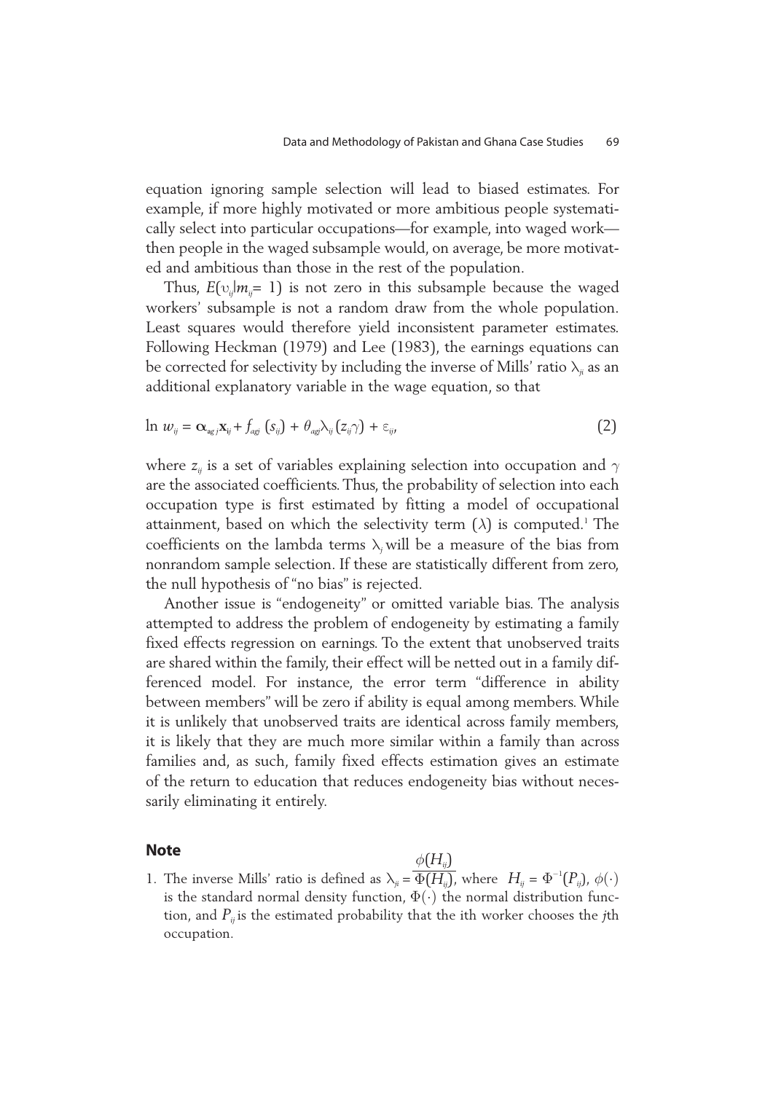equation ignoring sample selection will lead to biased estimates. For example, if more highly motivated or more ambitious people systematically select into particular occupations—for example, into waged work then people in the waged subsample would, on average, be more motivated and ambitious than those in the rest of the population.

Thus,  $E(v_i|m_i=1)$  is not zero in this subsample because the waged workers' subsample is not a random draw from the whole population. Least squares would therefore yield inconsistent parameter estimates. Following Heckman (1979) and Lee (1983), the earnings equations can be corrected for selectivity by including the inverse of Mills' ratio  $\lambda_i$  as an additional explanatory variable in the wage equation, so that

$$
\ln w_{ij} = \alpha_{\rm ag} \cdot \mathbf{x}_{ij} + f_{\rm ag} \left( s_{ij} \right) + \theta_{\rm ag} \lambda_{ij} \left( z_{ij} \gamma \right) + \epsilon_{ij}, \tag{2}
$$

where *z<sub>ij</sub>* is a set of variables explaining selection into occupation and *γ* are the associated coefficients. Thus, the probability of selection into each occupation type is first estimated by fitting a model of occupational attainment, based on which the selectivity term  $(\lambda)$  is computed.<sup>1</sup> The coefficients on the lambda terms λ*j* will be a measure of the bias from nonrandom sample selection. If these are statistically different from zero, the null hypothesis of "no bias" is rejected.

Another issue is "endogeneity" or omitted variable bias. The analysis attempted to address the problem of endogeneity by estimating a family fixed effects regression on earnings. To the extent that unobserved traits are shared within the family, their effect will be netted out in a family differenced model. For instance, the error term "difference in ability between members" will be zero if ability is equal among members. While it is unlikely that unobserved traits are identical across family members, it is likely that they are much more similar within a family than across families and, as such, family fixed effects estimation gives an estimate of the return to education that reduces endogeneity bias without necessarily eliminating it entirely.

### *Note*

1. The inverse Mills' ratio is defined as  $\lambda_{ji} = \frac{\phi(e^{i\pi} - i j)}{\Phi(H_{ij})}$ , where  $H_{ij} = \Phi^{-1}(P_{ij})$ ,  $\phi(\cdot)$ is the standard normal density function,  $\Phi(\cdot)$  the normal distribution function, and  $P_{ij}$  is the estimated probability that the *i*th worker chooses the *j*th occupation.  $\phi(H_{ii})$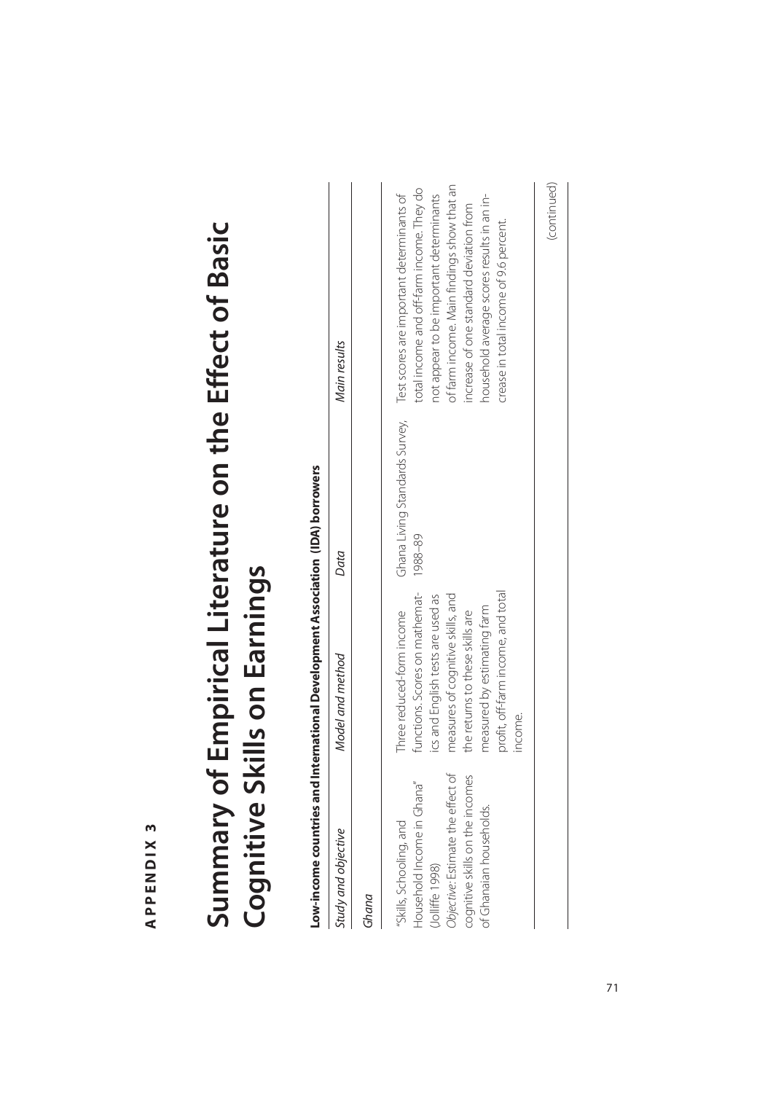### APPENDIX 3 *APPENDIX 3*

### Summary of Empirical Literature on the Effect of Basic *Summary of Empirical Literature on the Effect of Basic* Cognitive Skills on Earnings *Cognitive Skills on Earnings*

| $\frac{1}{2}$              |
|----------------------------|
|                            |
|                            |
| .<br>.<br>.                |
| i<br>i<br>.<br>.<br>.<br>. |

| Study and objective                                                                                                                                                                    | Model and method                                                                                                                                                                                                                              | Data    | Main results                                                                                                                                                                                                                                                                                                                                     |
|----------------------------------------------------------------------------------------------------------------------------------------------------------------------------------------|-----------------------------------------------------------------------------------------------------------------------------------------------------------------------------------------------------------------------------------------------|---------|--------------------------------------------------------------------------------------------------------------------------------------------------------------------------------------------------------------------------------------------------------------------------------------------------------------------------------------------------|
| Ghana                                                                                                                                                                                  |                                                                                                                                                                                                                                               |         |                                                                                                                                                                                                                                                                                                                                                  |
| income.<br>Objective: Estimate the effect of<br>cognitive skills on the incomes<br>Household Income in Ghana"<br>of Ghanaian households.<br>"Skills, Schooling, and<br>(Jolliffe 1998) | functions. Scores on mathemat-<br>profit, off-farm income, and total<br>measures of cognitive skills, and<br>ics and English tests are used as<br>measured by estimating farm<br>the returns to these skills are<br>Three reduced-form income | 1988-89 | of farm income. Main findings show that an<br>total income and off-farm income. They do<br>Ghana Living Standards Survey, Test scores are important determinants of<br>not appear to be important determinants<br>household average scores results in an in-<br>ncrease of one standard deviation from<br>crease in total income of 9.6 percent. |

(continued) (continued)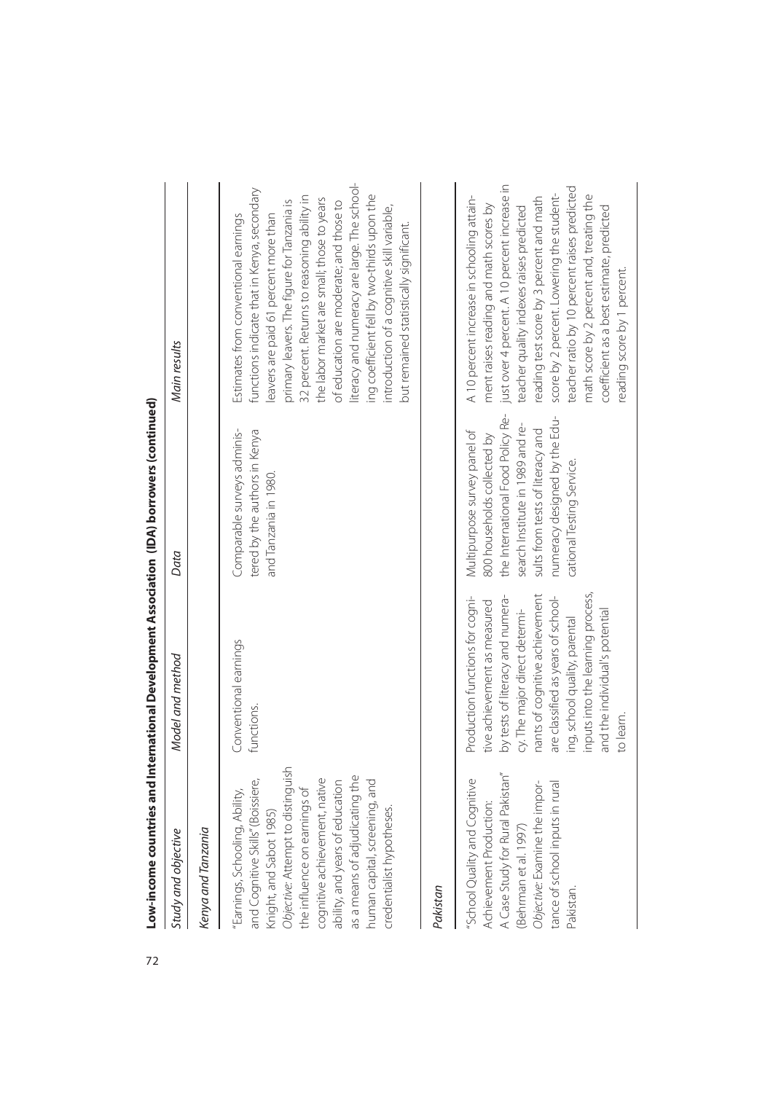| Study and objective                                                                                                                                                                                                                                                                                                                     | Model and method                                                                                                                                                                                                                                                                                                     | Data                                                                                                                                                                                                                                   | Main results                                                                                                                                                                                                                                                                                                                                                                                                                                                                                                 |
|-----------------------------------------------------------------------------------------------------------------------------------------------------------------------------------------------------------------------------------------------------------------------------------------------------------------------------------------|----------------------------------------------------------------------------------------------------------------------------------------------------------------------------------------------------------------------------------------------------------------------------------------------------------------------|----------------------------------------------------------------------------------------------------------------------------------------------------------------------------------------------------------------------------------------|--------------------------------------------------------------------------------------------------------------------------------------------------------------------------------------------------------------------------------------------------------------------------------------------------------------------------------------------------------------------------------------------------------------------------------------------------------------------------------------------------------------|
| Kenya and Tanzania                                                                                                                                                                                                                                                                                                                      |                                                                                                                                                                                                                                                                                                                      |                                                                                                                                                                                                                                        |                                                                                                                                                                                                                                                                                                                                                                                                                                                                                                              |
| Objective: Attempt to distinguish<br>as a means of adjudicating the<br>and Cognitive Skills" (Boissiere,<br>cognitive achievement, native<br>human capital, screening, and<br>ability, and years of education<br>the influence on earnings of<br>"Earnings, Schooling, Ability,<br>credentialist hypotheses.<br>Knight, and Sabot 1985) | Conventional earnings<br>functions.                                                                                                                                                                                                                                                                                  | Comparable surveys adminis-<br>tered by the authors in Kenya<br>and Tanzania in 1980.                                                                                                                                                  | literacy and numeracy are large. The school-<br>functions indicate that in Kenya, secondary<br>ing coefficient fell by two-thirds upon the<br>32 percent. Returns to reasoning ability in<br>the labor market are small; those to years<br>primary leavers. The figure for Tanzania is<br>of education are moderate; and those to<br>introduction of a cognitive skill variable,<br>leavers are paid 61 percent more than<br>Estimates from conventional earnings<br>but remained statistically significant. |
| Pakistan                                                                                                                                                                                                                                                                                                                                |                                                                                                                                                                                                                                                                                                                      |                                                                                                                                                                                                                                        |                                                                                                                                                                                                                                                                                                                                                                                                                                                                                                              |
| A Case Study for Rural Pakistan"<br>"School Quality and Cognitive<br>Objective: Examine the impor-<br>tance of school inputs in rural<br>Achievement Production:<br>(Behrman et al. 1997)<br>Pakistan.                                                                                                                                  | inputs into the learning process,<br>nants of cognitive achievement<br>are classified as years of school-<br>Production functions for cogni-<br>by tests of literacy and numera-<br>tive achievement as measured<br>cy. The major direct determi-<br>and the individual's potential<br>ing, school quality, parental | the International Food Policy Re-<br>numeracy designed by the Edu-<br>search Institute in 1989 and re-<br>sults from tests of literacy and<br>Multipurpose survey panel of<br>800 households collected by<br>cational Testing Service. | just over 4 percent. A 10 percent increase in<br>teacher ratio by 10 percent raises predicted<br>score by 2 percent. Lowering the student-<br>math score by 2 percent and, treating the<br>A 10 percent increase in schooling attain-<br>reading test score by 3 percent and math<br>ment raises reading and math scores by<br>coefficient as a best estimate, predicted<br>teacher quality indexes raises predicted                                                                                         |
|                                                                                                                                                                                                                                                                                                                                         |                                                                                                                                                                                                                                                                                                                      |                                                                                                                                                                                                                                        |                                                                                                                                                                                                                                                                                                                                                                                                                                                                                                              |

coefficient as a best estimate, predicted

reading score by 1 percent.

reading score by 1 percent.

to learn.

### Low-income countries and International Development Association (IDA) borrowers (continued) 72*Low-income countries and International Development Association (IDA) borrowers (continued)*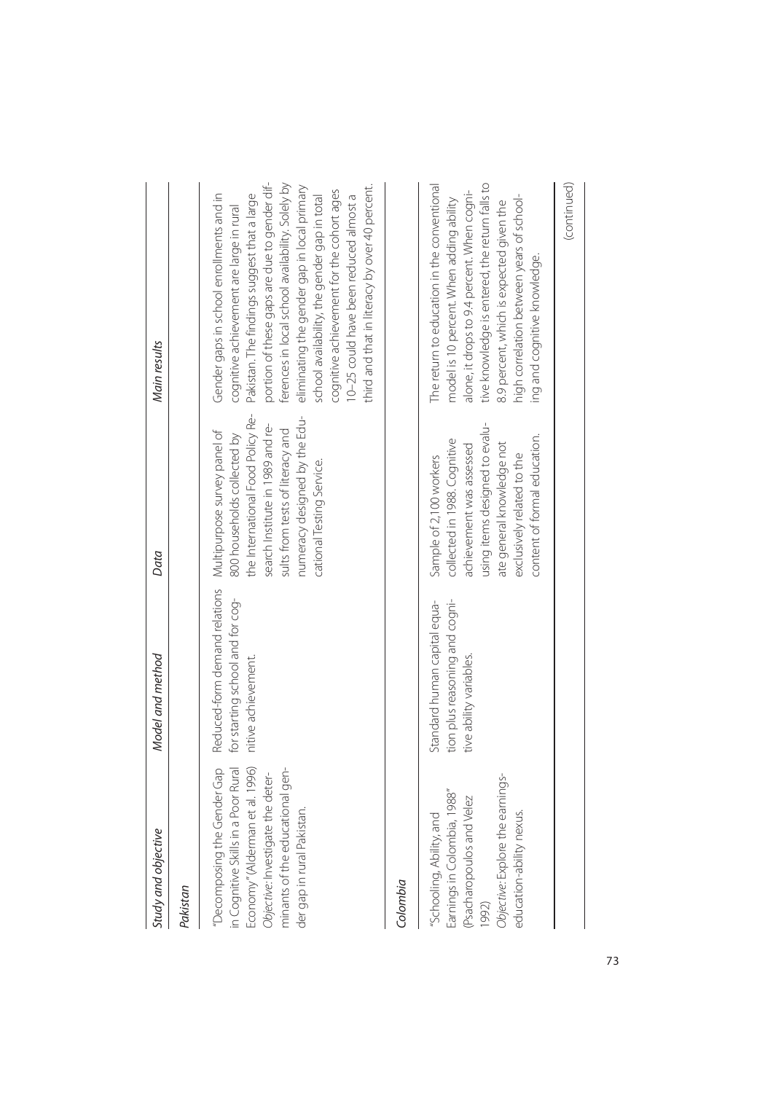| Study and objective                                                                                                                                                                                         | Model and method                                                                                                      | Data                                                                                                                                                                                                             | Main results                                                                                                                                                                                                                                                                                                                                                                                                                                                                    |
|-------------------------------------------------------------------------------------------------------------------------------------------------------------------------------------------------------------|-----------------------------------------------------------------------------------------------------------------------|------------------------------------------------------------------------------------------------------------------------------------------------------------------------------------------------------------------|---------------------------------------------------------------------------------------------------------------------------------------------------------------------------------------------------------------------------------------------------------------------------------------------------------------------------------------------------------------------------------------------------------------------------------------------------------------------------------|
| Pakistan                                                                                                                                                                                                    |                                                                                                                       |                                                                                                                                                                                                                  |                                                                                                                                                                                                                                                                                                                                                                                                                                                                                 |
| "Decomposing the Gender Gap<br>in Cognitive Skills in a Poor Rural<br>Economy" (Alderman et al. 1996)<br>minants of the educational gen-<br>Objective: Investigate the deter-<br>der gap in rural Pakistan. | Reduced-form demand relations Multipurpose survey panel of<br>for starting school and for cog-<br>nitive achievement. | the International Food Policy Re-<br>numeracy designed by the Edu-<br>search Institute in 1989 and re-<br>sults from tests of literacy and<br>800 households collected by<br>cational Testing Service.           | portion of these gaps are due to gender dif-<br>ferences in local school availability. Solely by<br>eliminating the gender gap in local primary<br>third and that in literacy by over 40 percent.<br>cognitive achievement for the cohort ages<br>Gender gaps in school enrollments and in<br>Pakistan. The findings suggest that a large<br>school availability, the gender gap in total<br>10-25 could have been reduced almost a<br>cognitive achievement are large in rural |
| Colombia                                                                                                                                                                                                    |                                                                                                                       |                                                                                                                                                                                                                  |                                                                                                                                                                                                                                                                                                                                                                                                                                                                                 |
| Objective: Explore the earnings-<br>Earnings in Colombia, 1988"<br>(Psacharopoulos and Velez<br>education-ability nexus.<br>"Schooling, Ability, and<br>1992)                                               | tion plus reasoning and cogni-<br>Standard human capital equa-<br>tive ability variables.                             | using items designed to evalu-<br>content of formal education.<br>collected in 1988. Cognitive<br>ate general knowledge not<br>achievement was assessed<br>exclusively related to the<br>Sample of 2,100 workers | tive knowledge is entered, the return falls to<br>The return to education in the conventional<br>alone, it drops to 9.4 percent. When cogni-<br>high correlation between years of school-<br>model is 10 percent. When adding ability<br>8.9 percent, which is expected given the<br>ing and cognitive knowledge.                                                                                                                                                               |
|                                                                                                                                                                                                             |                                                                                                                       |                                                                                                                                                                                                                  | (continued)                                                                                                                                                                                                                                                                                                                                                                                                                                                                     |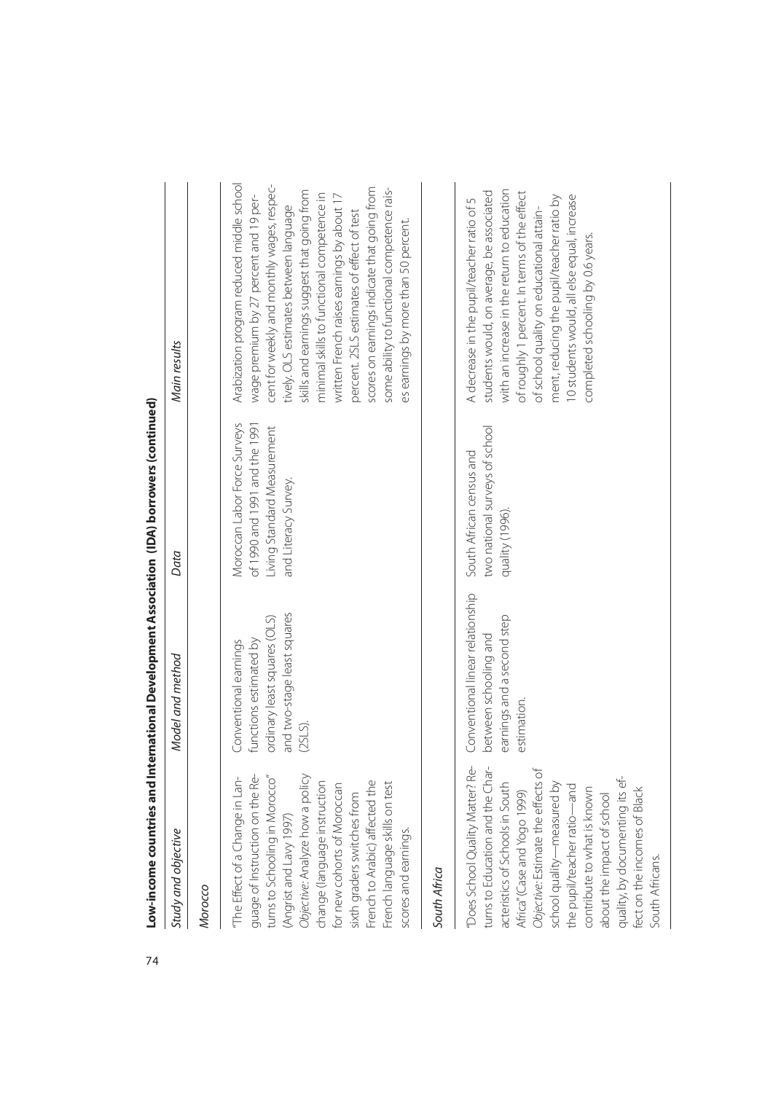|                                                                                                                                                                                                                                                                                                                                                                                               | האירויינדר האירויינדר אירויינדר אירויינדר אירויינדר אירויינדר אירויינדר אירויינדר אירויינדר אירויינדר אירויינד            |                                                                                                                      |                                                                                                                                                                                                                                                                                                                                                                                                                                                                                                           |
|-----------------------------------------------------------------------------------------------------------------------------------------------------------------------------------------------------------------------------------------------------------------------------------------------------------------------------------------------------------------------------------------------|---------------------------------------------------------------------------------------------------------------------------|----------------------------------------------------------------------------------------------------------------------|-----------------------------------------------------------------------------------------------------------------------------------------------------------------------------------------------------------------------------------------------------------------------------------------------------------------------------------------------------------------------------------------------------------------------------------------------------------------------------------------------------------|
| Study and objective                                                                                                                                                                                                                                                                                                                                                                           | Model and method                                                                                                          | Data                                                                                                                 | Main results                                                                                                                                                                                                                                                                                                                                                                                                                                                                                              |
| Morocco                                                                                                                                                                                                                                                                                                                                                                                       |                                                                                                                           |                                                                                                                      |                                                                                                                                                                                                                                                                                                                                                                                                                                                                                                           |
| Objective: Analyze how a policy<br>guage of Instruction on the Re-<br>turns to Schooling in Morocco"<br>"The Effect of a Change in Lan-<br>change (language instruction<br>French to Arabic) affected the<br>French language skills on test<br>for new cohorts of Moroccan<br>sixth graders switches from<br>(Angrist and Lavy 1997)<br>scores and earnings.                                  | and two-stage least squares<br>ordinary least squares (OLS)<br>functions estimated by<br>Conventional earnings<br>(2SLS). | Moroccan Labor Force Surveys<br>of 1990 and 1991 and the 1991<br>Living Standard Measurement<br>and Literacy Survey. | Arabization program reduced middle school<br>cent for weekly and monthly wages, respec-<br>scores on earnings indicate that going from<br>some ability to functional competence rais-<br>skills and earnings suggest that going from<br>minimal skills to functional competence in<br>written French raises earnings by about 17<br>wage premium by 27 percent and 19 per-<br>tively. OLS estimates between language<br>percent. 2SLS estimates of effect of test<br>es earnings by more than 50 percent. |
| South Africa                                                                                                                                                                                                                                                                                                                                                                                  |                                                                                                                           |                                                                                                                      |                                                                                                                                                                                                                                                                                                                                                                                                                                                                                                           |
| "Does School Quality Matter? Re-<br>turns to Education and the Char-<br>Objective: Estimate the effects of<br>quality, by documenting its ef-<br>acteristics of Schools in South<br>school quality—measured by<br>the pupil/teacher ratio-and<br>contribute to what is known<br>fect on the incomes of Black<br>Africa" (Case and Yogo 1999)<br>about the impact of school<br>South Africans. | Conventional linear relationship<br>earnings and a second step<br>between schooling and<br>estimation.                    | two national surveys of school<br>South African census and<br>quality (1996).                                        | with an increase in the return to education<br>students would, on average, be associated<br>of roughly 1 percent. In terms of the effect<br>ment, reducing the pupil/teacher ratio by<br>10 students would, all else equal, increase<br>A decrease in the pupil/teacher ratio of 5<br>of school quality on educational attain-<br>completed schooling by 0.6 years.                                                                                                                                       |

# 74*Low-income countries and International Development Association (IDA) borrowers (continued)*

 $74$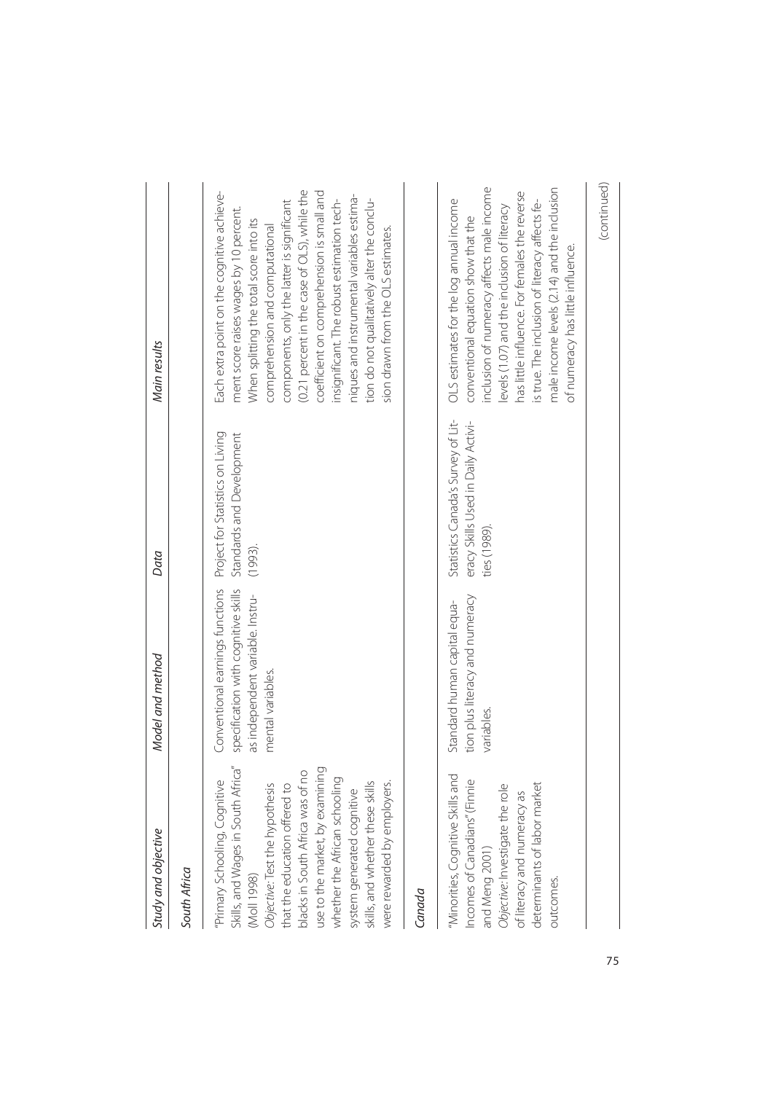| Study and objective                                                                                                                                                                                                                                                                                                                                            | Model and method                                                                                                                                                 | Data                                                                                     | Main results                                                                                                                                                                                                                                                                                                                                                                                                                                                                                  |
|----------------------------------------------------------------------------------------------------------------------------------------------------------------------------------------------------------------------------------------------------------------------------------------------------------------------------------------------------------------|------------------------------------------------------------------------------------------------------------------------------------------------------------------|------------------------------------------------------------------------------------------|-----------------------------------------------------------------------------------------------------------------------------------------------------------------------------------------------------------------------------------------------------------------------------------------------------------------------------------------------------------------------------------------------------------------------------------------------------------------------------------------------|
| South Africa                                                                                                                                                                                                                                                                                                                                                   |                                                                                                                                                                  |                                                                                          |                                                                                                                                                                                                                                                                                                                                                                                                                                                                                               |
| Skills, and Wages in South Africa"<br>use to the market, by examining<br>blacks in South Africa was of no<br>whether the African schooling<br>"Primary Schooling, Cognitive<br>skills, and whether these skills<br>were rewarded by employers.<br>Objective: Test the hypothesis<br>that the education offered to<br>system generated cognitive<br>(Moll 1998) | Conventional earnings functions Project for Statistics on Living<br>specification with cognitive skills<br>as independent variable. Instru-<br>mental variables. | Standards and Development<br>$(1993)$ .                                                  | (0.21 percent in the case of OLS), while the<br>Each extra point on the cognitive achieve-<br>coefficient on comprehension is small and<br>niques and instrumental variables estima-<br>insignificant. The robust estimation tech-<br>tion do not qualitatively alter the conclu-<br>components, only the latter is significant<br>ment score raises wages by 10 percent.<br>When splitting the total score into its<br>comprehension and computational<br>sion drawn from the OLS estimates. |
| Canada                                                                                                                                                                                                                                                                                                                                                         |                                                                                                                                                                  |                                                                                          |                                                                                                                                                                                                                                                                                                                                                                                                                                                                                               |
| "Minorities, Cognitive Skills and<br>Incomes of Canadians" (Finnie<br>determinants of labor market<br>Objective: Investigate the role<br>of literacy and numeracy as<br>and Meng 2001)<br>outcomes.                                                                                                                                                            | tion plus literacy and numeracy<br>Standard human capital equa-<br>variables.                                                                                    | Statistics Canada's Survey of Lit-<br>eracy Skills Used in Daily Activi-<br>ties (1989). | inclusion of numeracy affects male income<br>male income levels (2.14) and the inclusion<br>has little influence. For females the reverse<br>OLS estimates for the log annual income<br>is true. The inclusion of literacy affects fe-<br>levels (1.07) and the inclusion of literacy<br>conventional equation show that the<br>of numeracy has little influence.                                                                                                                             |
|                                                                                                                                                                                                                                                                                                                                                                |                                                                                                                                                                  |                                                                                          | (continued)                                                                                                                                                                                                                                                                                                                                                                                                                                                                                   |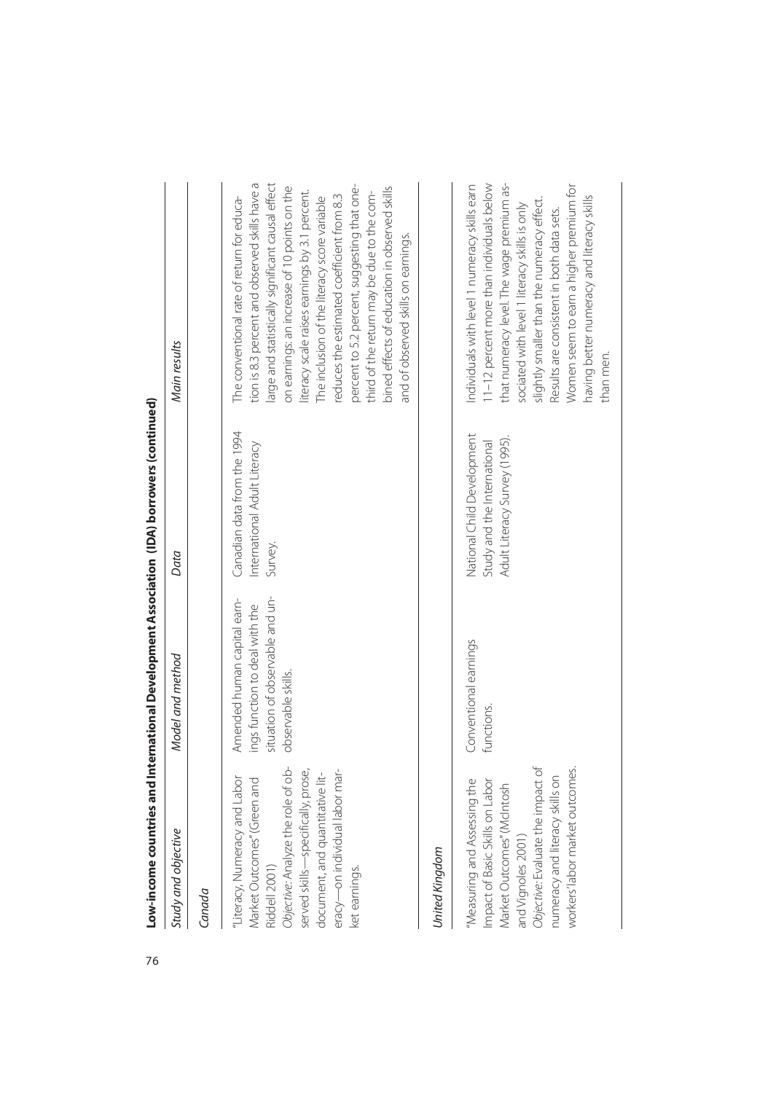| Study and objective                                                                                                                                                                                                                             | Model and method                                                                                                       | Data                                                                                       | Main results                                                                                                                                                                                                                                                                                                                                                                                                                                                                                                                            |
|-------------------------------------------------------------------------------------------------------------------------------------------------------------------------------------------------------------------------------------------------|------------------------------------------------------------------------------------------------------------------------|--------------------------------------------------------------------------------------------|-----------------------------------------------------------------------------------------------------------------------------------------------------------------------------------------------------------------------------------------------------------------------------------------------------------------------------------------------------------------------------------------------------------------------------------------------------------------------------------------------------------------------------------------|
| Canada                                                                                                                                                                                                                                          |                                                                                                                        |                                                                                            |                                                                                                                                                                                                                                                                                                                                                                                                                                                                                                                                         |
| Objective: Analyze the role of ob-<br>eracy-on individual labor mar-<br>served skills-specifically, prose,<br>document, and quantitative lit-<br>"Literacy, Numeracy and Labor<br>Market Outcomes" (Green and<br>Riddell 2001)<br>ket earnings. | situation of observable and un-<br>Amended human capital earn-<br>ings function to deal with the<br>observable skills. | Canadian data from the 1994<br>International Adult Literacy<br>Survey.                     | tion is 8.3 percent and observed skills have a<br>large and statistically significant causal effect<br>percent to 5.2 percent, suggesting that one-<br>on earnings: an increase of 10 points on the<br>bined effects of education in observed skills<br>literacy scale raises earnings by 3.1 percent.<br>third of the return may be due to the com-<br>reduces the estimated coefficient from 8.3<br>The inclusion of the literacy score variable<br>The conventional rate of return for educa-<br>and of observed skills on earnings. |
| United Kingdom                                                                                                                                                                                                                                  |                                                                                                                        |                                                                                            |                                                                                                                                                                                                                                                                                                                                                                                                                                                                                                                                         |
| Objective: Evaluate the impact of<br>workers' labor market outcomes.<br>numeracy and literacy skills on<br>"Measuring and Assessing the<br>Impact of Basic Skills on Labor<br>Market Outcomes" (McIntosh<br>and Vignoles 2001)                  | Conventional earnings<br>functions.                                                                                    | National Child Development<br>Adult Literacy Survey (1995).<br>Study and the International | 11-12 percent more than individuals below<br>Individuals with level 1 numeracy skills earn<br>that numeracy level. The wage premium as-<br>Women seem to eam a higher premium for<br>having better numeracy and literacy skills<br>slightly smaller than the numeracy effect.<br>sociated with level 1 literacy skills is only<br>Results are consistent in both data sets.<br>than men.                                                                                                                                                |

# 76*Low-income countries and International Development Association (IDA) borrowers (continued)*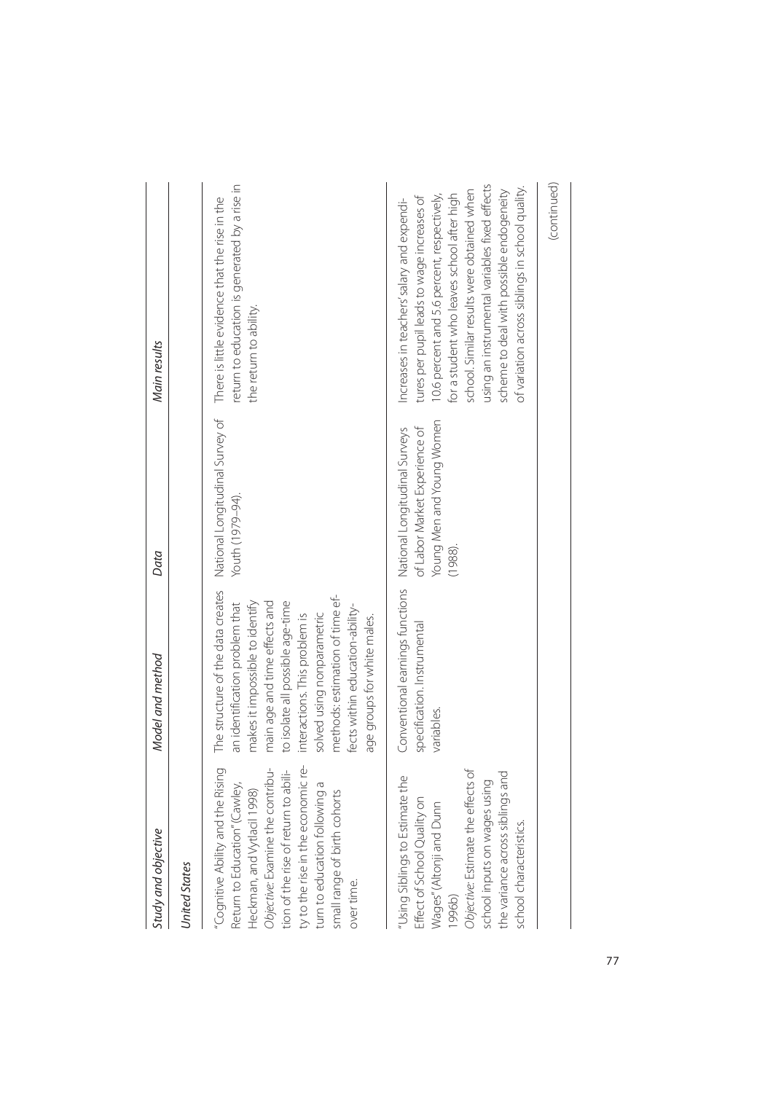| Study and objective                                                                                                                                                                                                                                          | Model and method                                                                                                                                                                                                                                                                                           | Data                                                                     | Main results                                                                                                                                                                                                                                                                                                                                                                        |
|--------------------------------------------------------------------------------------------------------------------------------------------------------------------------------------------------------------------------------------------------------------|------------------------------------------------------------------------------------------------------------------------------------------------------------------------------------------------------------------------------------------------------------------------------------------------------------|--------------------------------------------------------------------------|-------------------------------------------------------------------------------------------------------------------------------------------------------------------------------------------------------------------------------------------------------------------------------------------------------------------------------------------------------------------------------------|
| United States                                                                                                                                                                                                                                                |                                                                                                                                                                                                                                                                                                            |                                                                          |                                                                                                                                                                                                                                                                                                                                                                                     |
| ty to the rise in the economic re-<br>Objective: Examine the contribu-<br>tion of the rise of return to abili-<br>tum to education following a<br>Return to Education" (Cawley,<br>Heckman, and Vytlacil 1998)<br>small range of birth cohorts<br>over time. | methods: estimation of time ef-<br>makes it impossible to identify<br>main age and time effects and<br>an identification problem that<br>to isolate all possible age-time<br>fects within education-ability-<br>solved using nonparametric<br>interactions. This problem is<br>age groups for white males. | Youth (1979-94).                                                         | return to education is generated by a rise in<br>"Cognitive Ability and the Rising The structure of the data creates National Longitudinal Survey of There is little evidence that the rise in the<br>the return to ability.                                                                                                                                                        |
| Objective: Estimate the effects of<br>the variance across siblings and<br>"Using Siblings to Estimate the<br>school inputs on wages using<br>Effect of School Quality on<br>Wages" (Altonji and Dunn<br>school characteristics.<br>1996b)                    | Conventional earnings functions National Longitudinal Surveys<br>specification. Instrumental<br>variables.                                                                                                                                                                                                 | Young Men and Young Women<br>of Labor Market Experience of<br>$(1988)$ . | using an instrumental variables fixed effects<br>of variation across siblings in school quality.<br>scheme to deal with possible endogeneity<br>school. Similar results were obtained when<br>for a student who leaves school after high<br>10.6 percent and 5.6 percent, respectively,<br>tures per pupil leads to wage increases of<br>Increases in teachers' salary and expendi- |
|                                                                                                                                                                                                                                                              |                                                                                                                                                                                                                                                                                                            |                                                                          | (continued)                                                                                                                                                                                                                                                                                                                                                                         |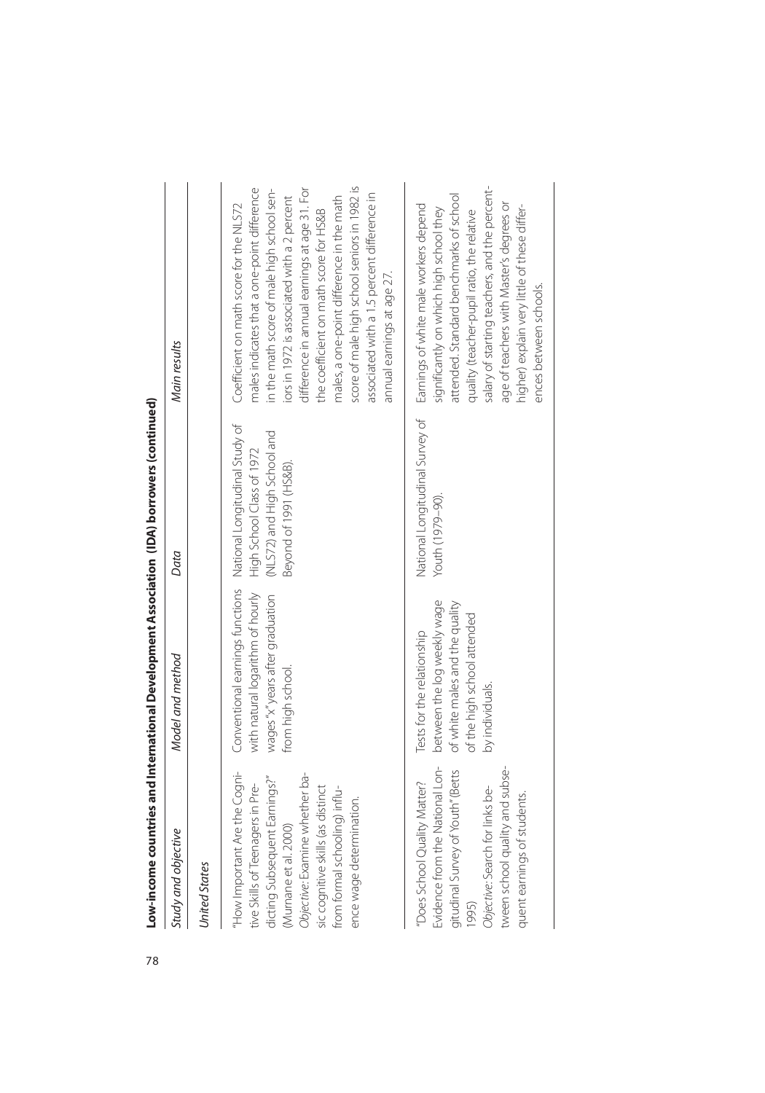| Study and objective                                                                                                                                                                                                                                             | Model and method                                                                                                                                            | Data                                                                               | Main results                                                                                                                                                                                                                                                                                                                                                                                                                                            |
|-----------------------------------------------------------------------------------------------------------------------------------------------------------------------------------------------------------------------------------------------------------------|-------------------------------------------------------------------------------------------------------------------------------------------------------------|------------------------------------------------------------------------------------|---------------------------------------------------------------------------------------------------------------------------------------------------------------------------------------------------------------------------------------------------------------------------------------------------------------------------------------------------------------------------------------------------------------------------------------------------------|
| <b>United States</b>                                                                                                                                                                                                                                            |                                                                                                                                                             |                                                                                    |                                                                                                                                                                                                                                                                                                                                                                                                                                                         |
| "How Important Are the Cogni-<br>Objective: Examine whether ba-<br>dicting Subsequent Earnings?"<br>tive Skills of Teenagers in Pre-<br>sic cognitive skills (as distinct<br>from formal schooling) influ-<br>ence wage determination.<br>(Murnane et al. 2000) | Conventional earnings functions National Longitudinal Study of<br>with natural logarithm of hourly<br>wages "X" years after graduation<br>from high school. | (NLS72) and High School and<br>High School Class of 1972<br>Beyond of 1991 (HS&B). | score of male high school seniors in 1982 is<br>males indicates that a one-point difference<br>difference in annual earnings at age 31. For<br>in the math score of male high school sen-<br>associated with a 1.5 percent difference in<br>iors in 1972 is associated with a 2 percent<br>males, a one-point difference in the math<br>Coefficient on math score for the NLS72<br>the coefficient on math score for HS&B<br>annual earnings at age 27. |
| Evidence from the National Lon-<br>gitudinal Survey of Youth" (Betts<br>tween school quality and subse-<br>"Does School Quality Matter?<br>Objective: Search for links be-<br>quent earnings of students.<br>1995)                                              | between the log weekly wage<br>of white males and the quality<br>of the high school attended<br>Tests for the relationship<br>by individuals.               | National Longitudinal Survey of<br>Youth (1979–90).                                | salary of starting teachers, and the percent-<br>attended. Standard benchmarks of school<br>age of teachers with Master's degrees or<br>Earnings of white male workers depend<br>higher) explain very little of these differ-<br>significantly on which high school they<br>quality (teacher-pupil ratio, the relative<br>ences between schools.                                                                                                        |

Low-income countries and International Development Association (IDA) borrowers (continued) 78*Low-income countries and International Development Association (IDA) borrowers (continued)*

78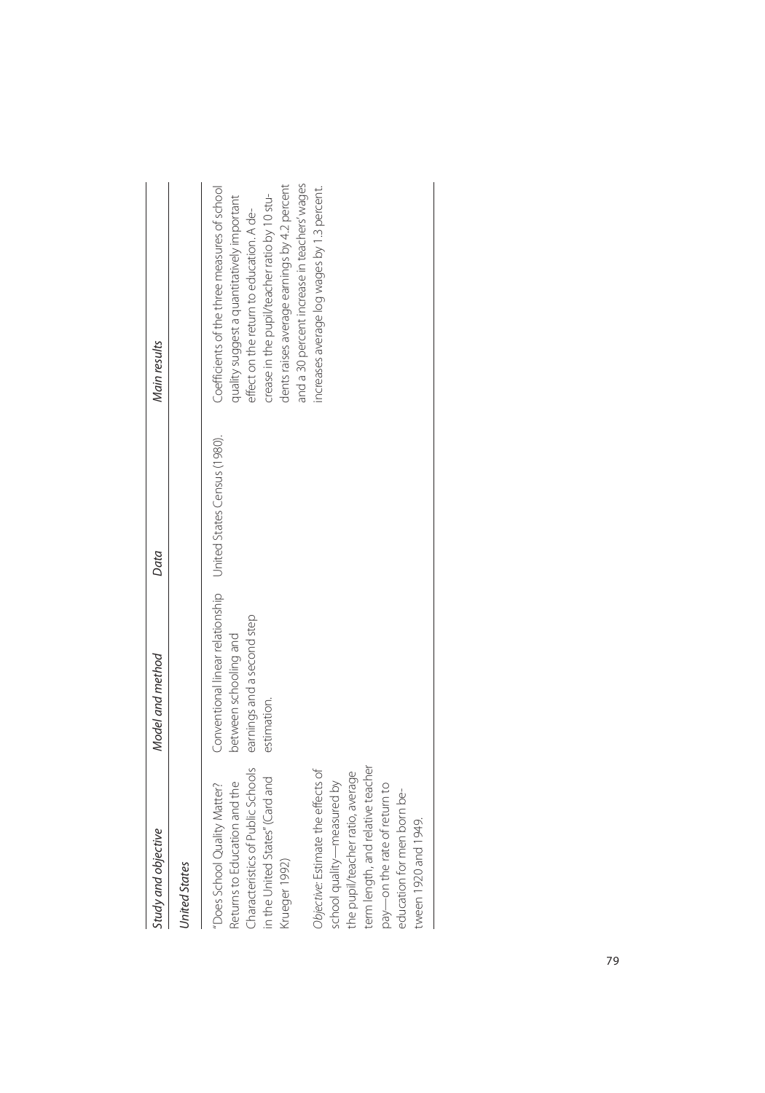| Study and objective                                                                                                                                                                                                                                                                                                                                                                     | Model and method                                                                                                                    | Data | Main results                                                                                                                                                                                                                                                                                                                          |
|-----------------------------------------------------------------------------------------------------------------------------------------------------------------------------------------------------------------------------------------------------------------------------------------------------------------------------------------------------------------------------------------|-------------------------------------------------------------------------------------------------------------------------------------|------|---------------------------------------------------------------------------------------------------------------------------------------------------------------------------------------------------------------------------------------------------------------------------------------------------------------------------------------|
| United States                                                                                                                                                                                                                                                                                                                                                                           |                                                                                                                                     |      |                                                                                                                                                                                                                                                                                                                                       |
| Characteristics of Public Schools<br>Objective: Estimate the effects of<br>term length, and relative teacher<br>the pupil/teacher ratio, average<br>in the United States" (Card and<br>Retums to Education and the<br>school quality-measured by<br>"Does School Quality Matter?<br>pay—on the rate of return to<br>education for men born be-<br>tween 1920 and 1949.<br>Krueger 1992) | Conventional linear relationship United States Census (1980).<br>earnings and a second step<br>between schooling and<br>estimation. |      | and a 30 percent increase in teachers' wages<br>dents raises average earnings by 4.2 percent<br>Coefficients of the three measures of school<br>increases average log wages by 1.3 percent.<br>crease in the pupil/teacher ratio by 10 stu-<br>quality suggest a quantitatively important<br>effect on the return to education. A de- |
|                                                                                                                                                                                                                                                                                                                                                                                         |                                                                                                                                     |      |                                                                                                                                                                                                                                                                                                                                       |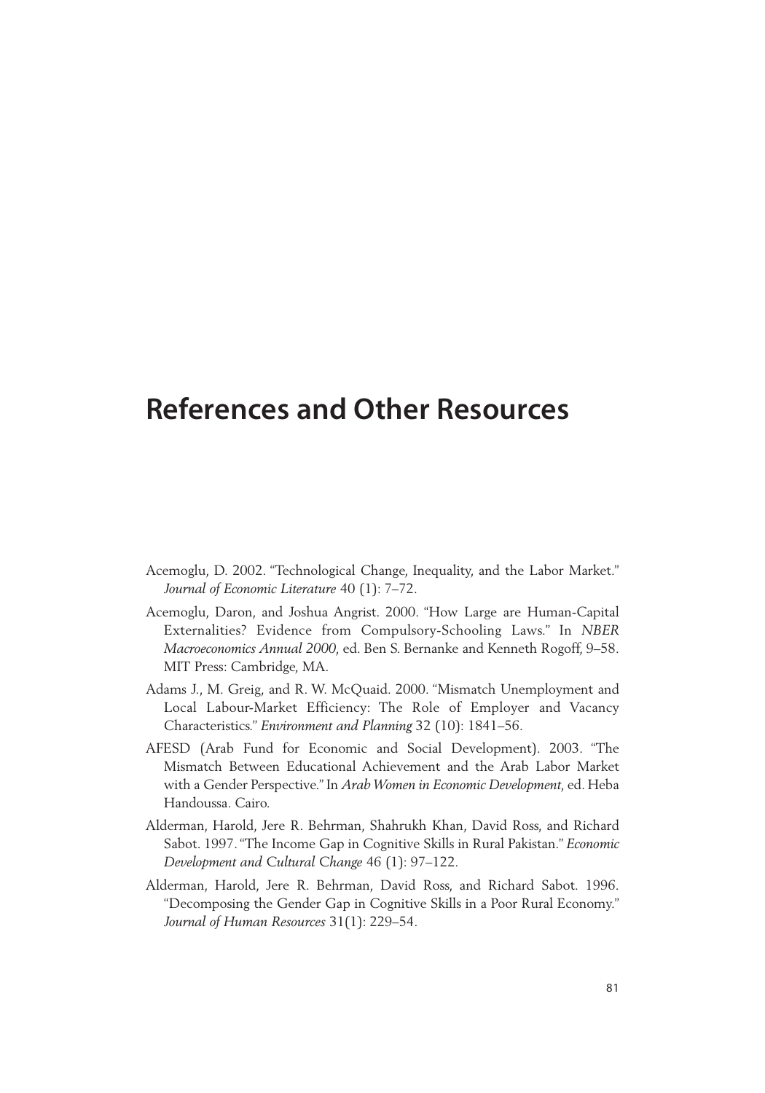### *References and Other Resources*

- Acemoglu, D. 2002. "Technological Change, Inequality, and the Labor Market." *Journal of Economic Literature* 40 (1): 7–72.
- Acemoglu, Daron, and Joshua Angrist. 2000. "How Large are Human-Capital Externalities? Evidence from Compulsory-Schooling Laws." In *NBER Macroeconomics Annual 2000,* ed. Ben S. Bernanke and Kenneth Rogoff, 9–58. MIT Press: Cambridge, MA.
- Adams J., M. Greig, and R. W. McQuaid. 2000. "Mismatch Unemployment and Local Labour-Market Efficiency: The Role of Employer and Vacancy Characteristics." *Environment and Planning* 32 (10): 1841–56.
- AFESD (Arab Fund for Economic and Social Development). 2003. "The Mismatch Between Educational Achievement and the Arab Labor Market with a Gender Perspective." In *Arab Women in Economic Development,* ed. Heba Handoussa. Cairo.
- Alderman, Harold, Jere R. Behrman, Shahrukh Khan, David Ross, and Richard Sabot. 1997. "The Income Gap in Cognitive Skills in Rural Pakistan." *Economic Development and Cultural Change* 46 (1): 97–122.
- Alderman, Harold, Jere R. Behrman, David Ross, and Richard Sabot. 1996. "Decomposing the Gender Gap in Cognitive Skills in a Poor Rural Economy." *Journal of Human Resources* 31(1): 229–54.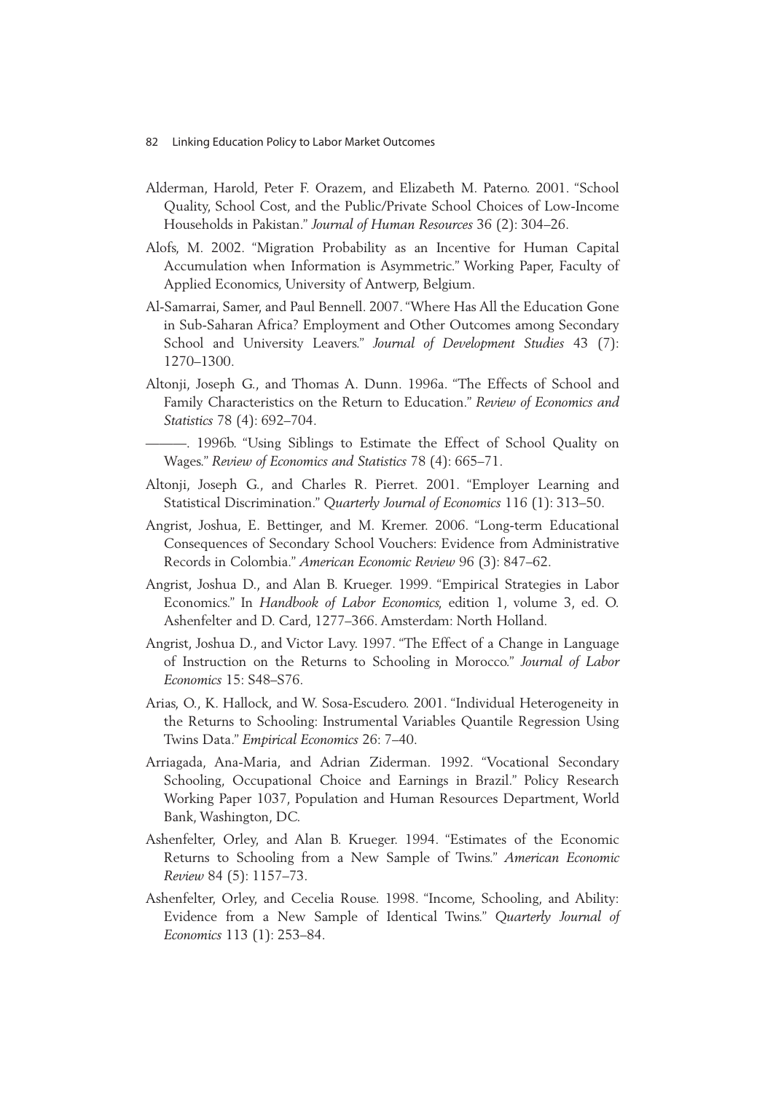- 82 Linking Education Policy to Labor Market Outcomes
- Alderman, Harold, Peter F. Orazem, and Elizabeth M. Paterno. 2001. "School Quality, School Cost, and the Public/Private School Choices of Low-Income Households in Pakistan." *Journal of Human Resources* 36 (2): 304–26.
- Alofs, M. 2002. "Migration Probability as an Incentive for Human Capital Accumulation when Information is Asymmetric." Working Paper, Faculty of Applied Economics, University of Antwerp, Belgium.
- Al-Samarrai, Samer, and Paul Bennell. 2007. "Where Has All the Education Gone in Sub-Saharan Africa? Employment and Other Outcomes among Secondary School and University Leavers." *Journal of Development Studies* 43 (7): 1270–1300.
- Altonji, Joseph G., and Thomas A. Dunn. 1996a. "The Effects of School and Family Characteristics on the Return to Education." *Review of Economics and Statistics* 78 (4): 692–704.
	- ———. 1996b. "Using Siblings to Estimate the Effect of School Quality on Wages." *Review of Economics and Statistics* 78 (4): 665–71.
- Altonji, Joseph G., and Charles R. Pierret. 2001. "Employer Learning and Statistical Discrimination." *Quarterly Journal of Economics* 116 (1): 313–50.
- Angrist, Joshua, E. Bettinger, and M. Kremer. 2006. "Long-term Educational Consequences of Secondary School Vouchers: Evidence from Administrative Records in Colombia." *American Economic Review* 96 (3): 847–62.
- Angrist, Joshua D., and Alan B. Krueger. 1999. "Empirical Strategies in Labor Economics." In *Handbook of Labor Economics,* edition 1, volume 3, ed. O. Ashenfelter and D. Card, 1277–366. Amsterdam: North Holland.
- Angrist, Joshua D., and Victor Lavy. 1997. "The Effect of a Change in Language of Instruction on the Returns to Schooling in Morocco." *Journal of Labor Economics* 15: S48–S76.
- Arias, O., K. Hallock, and W. Sosa-Escudero. 2001. "Individual Heterogeneity in the Returns to Schooling: Instrumental Variables Quantile Regression Using Twins Data." *Empirical Economics* 26: 7–40.
- Arriagada, Ana-Maria, and Adrian Ziderman. 1992. "Vocational Secondary Schooling, Occupational Choice and Earnings in Brazil." Policy Research Working Paper 1037, Population and Human Resources Department, World Bank, Washington, DC.
- Ashenfelter, Orley, and Alan B. Krueger. 1994. "Estimates of the Economic Returns to Schooling from a New Sample of Twins." *American Economic Review* 84 (5): 1157–73.
- Ashenfelter, Orley, and Cecelia Rouse. 1998. "Income, Schooling, and Ability: Evidence from a New Sample of Identical Twins." *Quarterly Journal of Economics* 113 (1): 253–84.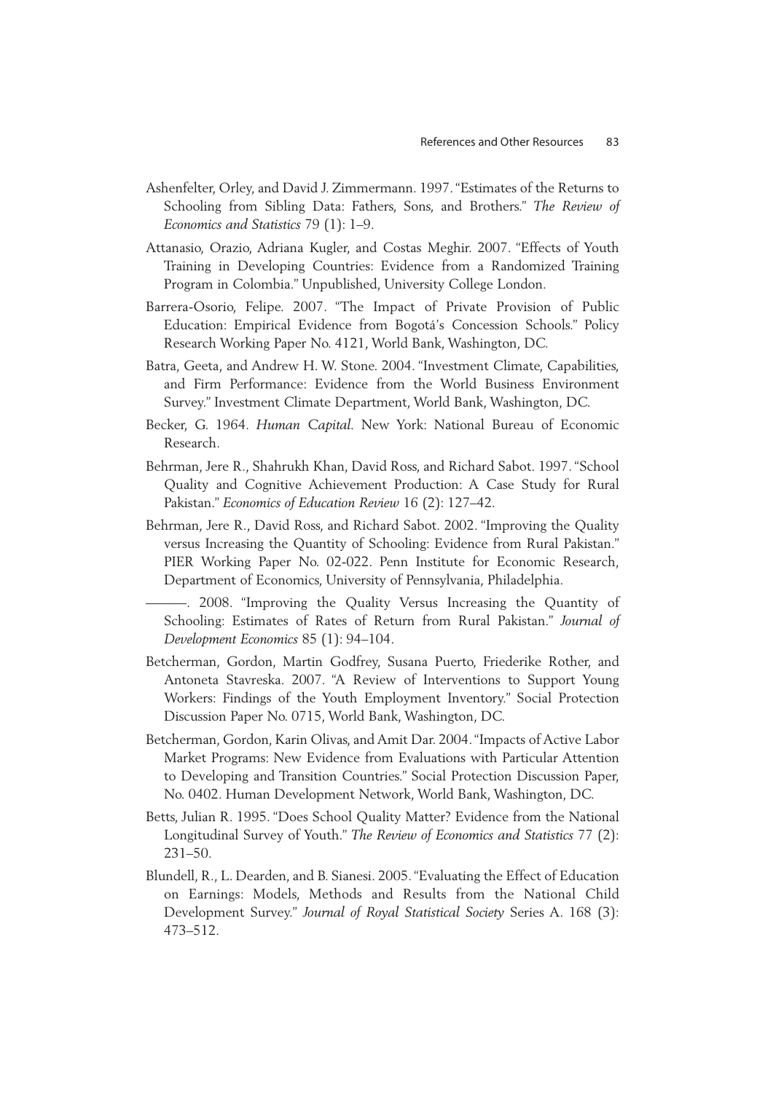- Ashenfelter, Orley, and David J. Zimmermann. 1997. "Estimates of the Returns to Schooling from Sibling Data: Fathers, Sons, and Brothers." *The Review of Economics and Statistics* 79 (1): 1–9.
- Attanasio, Orazio, Adriana Kugler, and Costas Meghir. 2007. "Effects of Youth Training in Developing Countries: Evidence from a Randomized Training Program in Colombia." Unpublished, University College London.
- Barrera-Osorio, Felipe. 2007. "The Impact of Private Provision of Public Education: Empirical Evidence from Bogotá's Concession Schools." Policy Research Working Paper No. 4121, World Bank, Washington, DC.
- Batra, Geeta, and Andrew H. W. Stone. 2004. "Investment Climate, Capabilities, and Firm Performance: Evidence from the World Business Environment Survey." Investment Climate Department, World Bank, Washington, DC.
- Becker, G. 1964. *Human Capital.* New York: National Bureau of Economic Research.
- Behrman, Jere R., Shahrukh Khan, David Ross, and Richard Sabot. 1997. "School Quality and Cognitive Achievement Production: A Case Study for Rural Pakistan." *Economics of Education Review* 16 (2): 127–42.
- Behrman, Jere R., David Ross, and Richard Sabot. 2002. "Improving the Quality versus Increasing the Quantity of Schooling: Evidence from Rural Pakistan." PIER Working Paper No. 02-022. Penn Institute for Economic Research, Department of Economics, University of Pennsylvania, Philadelphia.
- ———. 2008. "Improving the Quality Versus Increasing the Quantity of Schooling: Estimates of Rates of Return from Rural Pakistan." *Journal of Development Economics* 85 (1): 94–104.
- Betcherman, Gordon, Martin Godfrey, Susana Puerto, Friederike Rother, and Antoneta Stavreska. 2007. "A Review of Interventions to Support Young Workers: Findings of the Youth Employment Inventory." Social Protection Discussion Paper No. 0715, World Bank, Washington, DC.
- Betcherman, Gordon, Karin Olivas, and Amit Dar. 2004."Impacts of Active Labor Market Programs: New Evidence from Evaluations with Particular Attention to Developing and Transition Countries." Social Protection Discussion Paper, No. 0402. Human Development Network, World Bank, Washington, DC.
- Betts, Julian R. 1995. "Does School Quality Matter? Evidence from the National Longitudinal Survey of Youth." *The Review of Economics and Statistics* 77 (2): 231–50.
- Blundell, R., L. Dearden, and B. Sianesi. 2005. "Evaluating the Effect of Education on Earnings: Models, Methods and Results from the National Child Development Survey." *Journal of Royal Statistical Society* Series A. 168 (3): 473–512.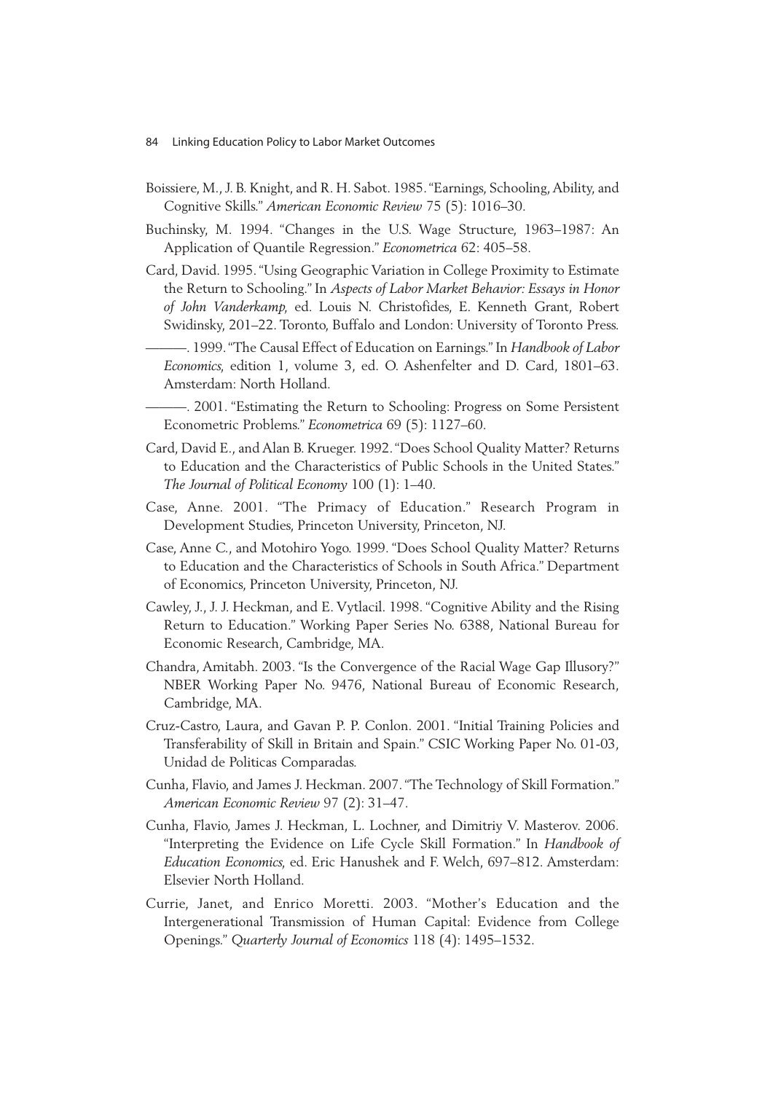- Boissiere, M., J. B. Knight, and R. H. Sabot. 1985. "Earnings, Schooling, Ability, and Cognitive Skills." *American Economic Review* 75 (5): 1016–30.
- Buchinsky, M. 1994. "Changes in the U.S. Wage Structure, 1963–1987: An Application of Quantile Regression." *Econometrica* 62: 405–58.
- Card, David. 1995. "Using Geographic Variation in College Proximity to Estimate the Return to Schooling." In *Aspects of Labor Market Behavior: Essays in Honor of John Vanderkamp,* ed. Louis N. Christofides, E. Kenneth Grant, Robert Swidinsky, 201–22. Toronto, Buffalo and London: University of Toronto Press.

———. 1999."The Causal Effect of Education on Earnings." In *Handbook of Labor Economics,* edition 1, volume 3, ed. O. Ashenfelter and D. Card, 1801–63. Amsterdam: North Holland.

-. 2001. "Estimating the Return to Schooling: Progress on Some Persistent Econometric Problems." *Econometrica* 69 (5): 1127–60.

- Card, David E., and Alan B. Krueger. 1992."Does School Quality Matter? Returns to Education and the Characteristics of Public Schools in the United States." *The Journal of Political Economy* 100 (1): 1–40.
- Case, Anne. 2001. "The Primacy of Education." Research Program in Development Studies, Princeton University, Princeton, NJ.
- Case, Anne C., and Motohiro Yogo. 1999. "Does School Quality Matter? Returns to Education and the Characteristics of Schools in South Africa." Department of Economics, Princeton University, Princeton, NJ.
- Cawley, J., J. J. Heckman, and E. Vytlacil. 1998. "Cognitive Ability and the Rising Return to Education." Working Paper Series No. 6388, National Bureau for Economic Research, Cambridge, MA.
- Chandra, Amitabh. 2003. "Is the Convergence of the Racial Wage Gap Illusory?" NBER Working Paper No. 9476, National Bureau of Economic Research, Cambridge, MA.
- Cruz-Castro, Laura, and Gavan P. P. Conlon. 2001. "Initial Training Policies and Transferability of Skill in Britain and Spain." CSIC Working Paper No. 01-03, Unidad de Politicas Comparadas.
- Cunha, Flavio, and James J. Heckman. 2007. "The Technology of Skill Formation." *American Economic Review* 97 (2): 31–47.
- Cunha, Flavio, James J. Heckman, L. Lochner, and Dimitriy V. Masterov. 2006. "Interpreting the Evidence on Life Cycle Skill Formation." In *Handbook of Education Economics,* ed. Eric Hanushek and F. Welch, 697–812. Amsterdam: Elsevier North Holland.
- Currie, Janet, and Enrico Moretti. 2003. "Mother's Education and the Intergenerational Transmission of Human Capital: Evidence from College Openings." *Quarterly Journal of Economics* 118 (4): 1495–1532.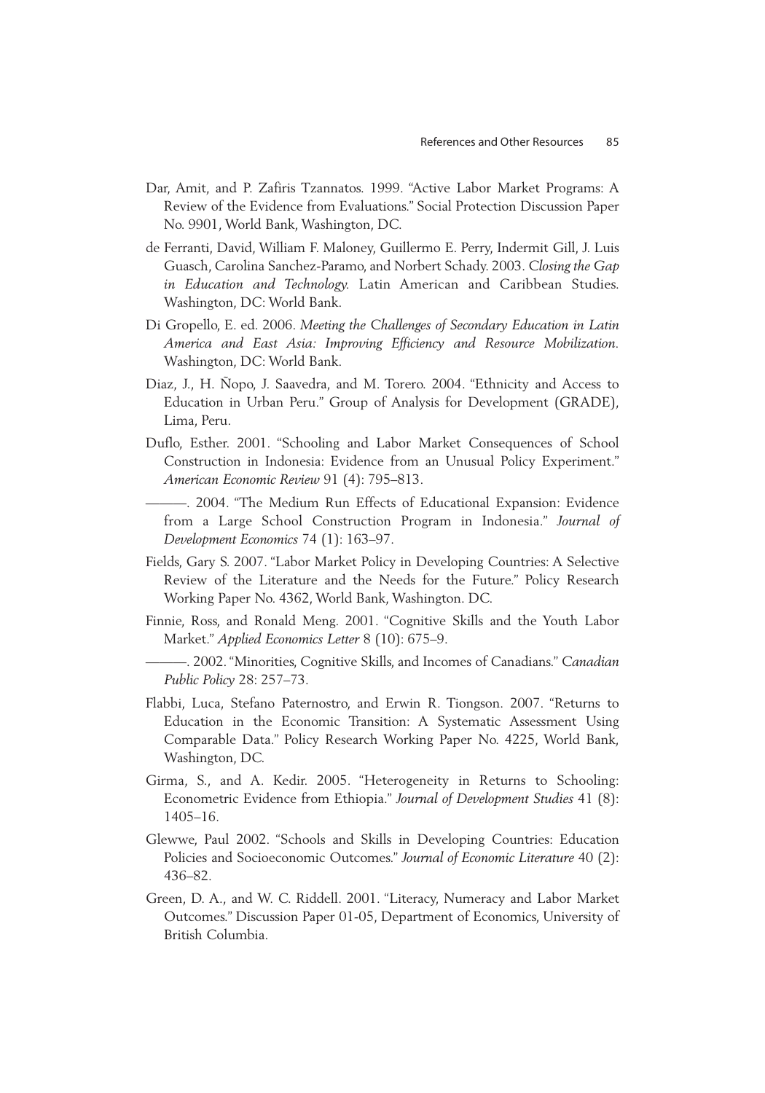- Dar, Amit, and P. Zafiris Tzannatos. 1999. "Active Labor Market Programs: A Review of the Evidence from Evaluations." Social Protection Discussion Paper No. 9901, World Bank, Washington, DC.
- de Ferranti, David, William F. Maloney, Guillermo E. Perry, Indermit Gill, J. Luis Guasch, Carolina Sanchez-Paramo, and Norbert Schady. 2003. *Closing the Gap in Education and Technology.* Latin American and Caribbean Studies. Washington, DC: World Bank.
- Di Gropello, E. ed. 2006. *Meeting the Challenges of Secondary Education in Latin America and East Asia: Improving Efficiency and Resource Mobilization.* Washington, DC: World Bank.
- Diaz, J., H. Ñopo, J. Saavedra, and M. Torero. 2004. "Ethnicity and Access to Education in Urban Peru." Group of Analysis for Development (GRADE), Lima, Peru.
- Duflo, Esther. 2001. "Schooling and Labor Market Consequences of School Construction in Indonesia: Evidence from an Unusual Policy Experiment." *American Economic Review* 91 (4): 795–813.
- -. 2004. "The Medium Run Effects of Educational Expansion: Evidence from a Large School Construction Program in Indonesia." *Journal of Development Economics* 74 (1): 163–97.
- Fields, Gary S. 2007. "Labor Market Policy in Developing Countries: A Selective Review of the Literature and the Needs for the Future." Policy Research Working Paper No. 4362, World Bank, Washington. DC.
- Finnie, Ross, and Ronald Meng. 2001. "Cognitive Skills and the Youth Labor Market." *Applied Economics Letter* 8 (10): 675–9.
	- ———. 2002. "Minorities, Cognitive Skills, and Incomes of Canadians." *Canadian Public Policy* 28: 257–73.
- Flabbi, Luca, Stefano Paternostro, and Erwin R. Tiongson. 2007. "Returns to Education in the Economic Transition: A Systematic Assessment Using Comparable Data." Policy Research Working Paper No. 4225, World Bank, Washington, DC.
- Girma, S., and A. Kedir. 2005. "Heterogeneity in Returns to Schooling: Econometric Evidence from Ethiopia." *Journal of Development Studies* 41 (8): 1405–16.
- Glewwe, Paul 2002. "Schools and Skills in Developing Countries: Education Policies and Socioeconomic Outcomes." *Journal of Economic Literature* 40 (2): 436–82.
- Green, D. A., and W. C. Riddell. 2001. "Literacy, Numeracy and Labor Market Outcomes." Discussion Paper 01-05, Department of Economics, University of British Columbia.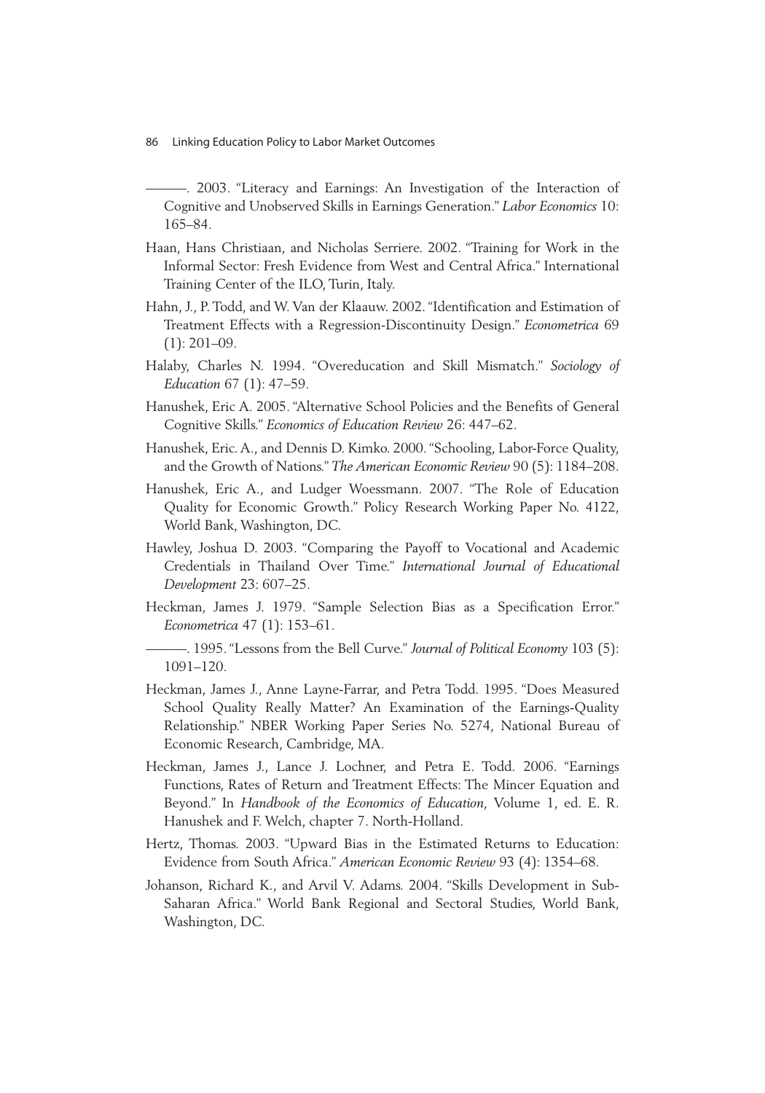- 86 Linking Education Policy to Labor Market Outcomes
	- ———. 2003. "Literacy and Earnings: An Investigation of the Interaction of Cognitive and Unobserved Skills in Earnings Generation." *Labor Economics* 10: 165–84.
- Haan, Hans Christiaan, and Nicholas Serriere. 2002. "Training for Work in the Informal Sector: Fresh Evidence from West and Central Africa." International Training Center of the ILO, Turin, Italy.
- Hahn, J., P. Todd, and W. Van der Klaauw. 2002. "Identification and Estimation of Treatment Effects with a Regression-Discontinuity Design." *Econometrica* 69  $(1): 201 - 09.$
- Halaby, Charles N. 1994. "Overeducation and Skill Mismatch." *Sociology of Education* 67 (1): 47–59.
- Hanushek, Eric A. 2005. "Alternative School Policies and the Benefits of General Cognitive Skills." *Economics of Education Review* 26: 447–62.
- Hanushek, Eric. A., and Dennis D. Kimko. 2000. "Schooling, Labor-Force Quality, and the Growth of Nations." *The American Economic Review* 90 (5): 1184–208.
- Hanushek, Eric A., and Ludger Woessmann. 2007. "The Role of Education Quality for Economic Growth." Policy Research Working Paper No. 4122, World Bank, Washington, DC.
- Hawley, Joshua D. 2003. "Comparing the Payoff to Vocational and Academic Credentials in Thailand Over Time." *International Journal of Educational Development* 23: 607–25.
- Heckman, James J. 1979. "Sample Selection Bias as a Specification Error." *Econometrica* 47 (1): 153–61.

———. 1995. "Lessons from the Bell Curve." *Journal of Political Economy* 103 (5): 1091–120.

- Heckman, James J., Anne Layne-Farrar, and Petra Todd. 1995. "Does Measured School Quality Really Matter? An Examination of the Earnings-Quality Relationship." NBER Working Paper Series No. 5274, National Bureau of Economic Research, Cambridge, MA.
- Heckman, James J., Lance J. Lochner, and Petra E. Todd. 2006. "Earnings Functions, Rates of Return and Treatment Effects: The Mincer Equation and Beyond." In *Handbook of the Economics of Education,* Volume 1, ed. E. R. Hanushek and F. Welch, chapter 7. North-Holland.
- Hertz, Thomas. 2003. "Upward Bias in the Estimated Returns to Education: Evidence from South Africa." *American Economic Review* 93 (4): 1354–68.
- Johanson, Richard K., and Arvil V. Adams. 2004. "Skills Development in Sub-Saharan Africa." World Bank Regional and Sectoral Studies, World Bank, Washington, DC.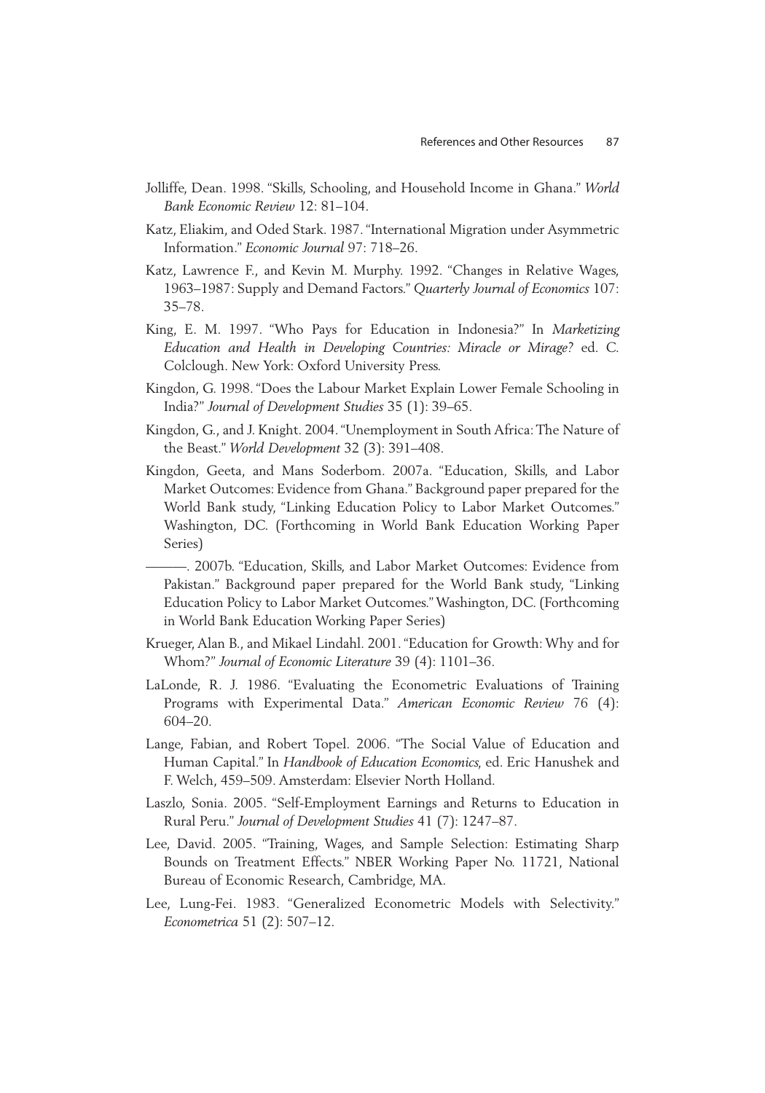- Jolliffe, Dean. 1998. "Skills, Schooling, and Household Income in Ghana." *World Bank Economic Review* 12: 81–104.
- Katz, Eliakim, and Oded Stark. 1987. "International Migration under Asymmetric Information." *Economic Journal* 97: 718–26.
- Katz, Lawrence F., and Kevin M. Murphy. 1992. "Changes in Relative Wages, 1963–1987: Supply and Demand Factors." *Quarterly Journal of Economics* 107: 35–78.
- King, E. M. 1997. "Who Pays for Education in Indonesia?" In *Marketizing Education and Health in Developing Countries: Miracle or Mirage?* ed. C. Colclough. New York: Oxford University Press.
- Kingdon, G. 1998. "Does the Labour Market Explain Lower Female Schooling in India?" *Journal of Development Studies* 35 (1): 39–65.
- Kingdon, G., and J. Knight. 2004. "Unemployment in South Africa: The Nature of the Beast." *World Development* 32 (3): 391–408.
- Kingdon, Geeta, and Mans Soderbom. 2007a. "Education, Skills, and Labor Market Outcomes: Evidence from Ghana." Background paper prepared for the World Bank study, "Linking Education Policy to Labor Market Outcomes." Washington, DC. (Forthcoming in World Bank Education Working Paper Series)

———. 2007b. "Education, Skills, and Labor Market Outcomes: Evidence from Pakistan." Background paper prepared for the World Bank study, "Linking Education Policy to Labor Market Outcomes." Washington, DC. (Forthcoming in World Bank Education Working Paper Series)

- Krueger, Alan B., and Mikael Lindahl. 2001. "Education for Growth: Why and for Whom?" *Journal of Economic Literature* 39 (4): 1101–36.
- LaLonde, R. J. 1986. "Evaluating the Econometric Evaluations of Training Programs with Experimental Data." *American Economic Review* 76 (4): 604–20.
- Lange, Fabian, and Robert Topel. 2006. "The Social Value of Education and Human Capital." In *Handbook of Education Economics,* ed. Eric Hanushek and F. Welch, 459–509. Amsterdam: Elsevier North Holland.
- Laszlo, Sonia. 2005. "Self-Employment Earnings and Returns to Education in Rural Peru." *Journal of Development Studies* 41 (7): 1247–87.
- Lee, David. 2005. "Training, Wages, and Sample Selection: Estimating Sharp Bounds on Treatment Effects." NBER Working Paper No. 11721, National Bureau of Economic Research, Cambridge, MA.
- Lee, Lung-Fei. 1983. "Generalized Econometric Models with Selectivity." *Econometrica* 51 (2): 507–12.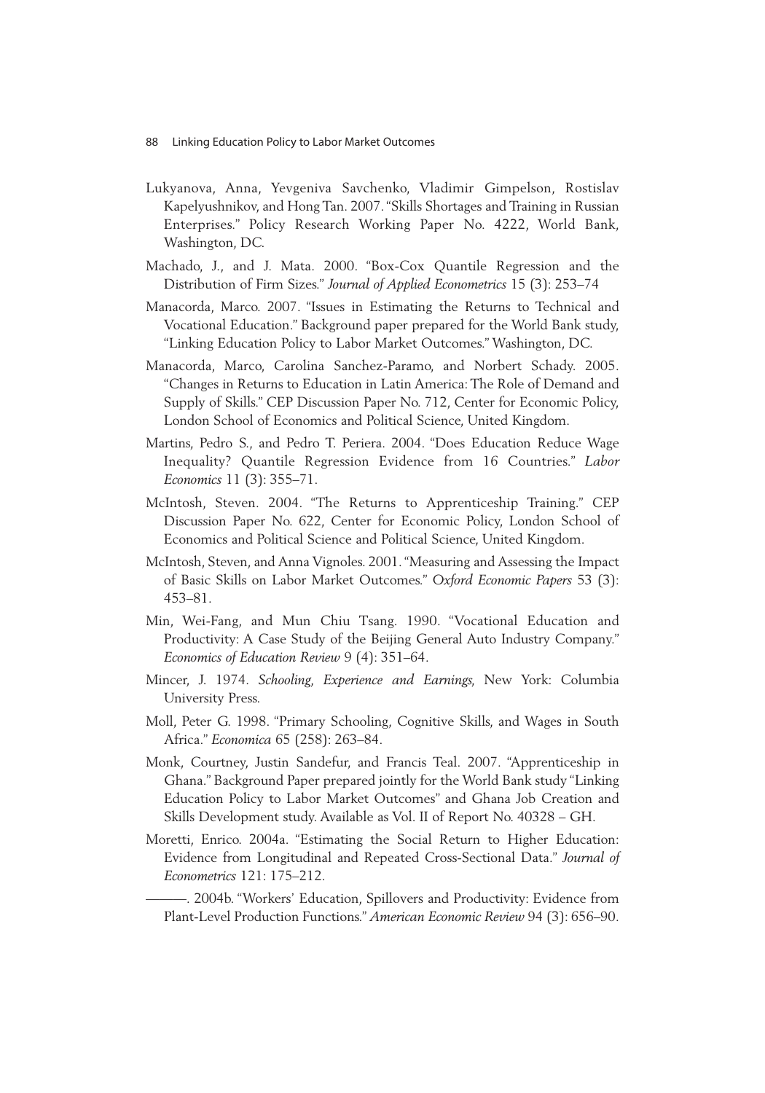- 88 Linking Education Policy to Labor Market Outcomes
- Lukyanova, Anna, Yevgeniva Savchenko, Vladimir Gimpelson, Rostislav Kapelyushnikov, and Hong Tan. 2007. "Skills Shortages and Training in Russian Enterprises." Policy Research Working Paper No. 4222, World Bank, Washington, DC.
- Machado, J., and J. Mata. 2000. "Box-Cox Quantile Regression and the Distribution of Firm Sizes." *Journal of Applied Econometrics* 15 (3): 253–74
- Manacorda, Marco. 2007. "Issues in Estimating the Returns to Technical and Vocational Education." Background paper prepared for the World Bank study, "Linking Education Policy to Labor Market Outcomes." Washington, DC.
- Manacorda, Marco, Carolina Sanchez-Paramo, and Norbert Schady. 2005. "Changes in Returns to Education in Latin America: The Role of Demand and Supply of Skills." CEP Discussion Paper No. 712, Center for Economic Policy, London School of Economics and Political Science, United Kingdom.
- Martins, Pedro S., and Pedro T. Periera. 2004. "Does Education Reduce Wage Inequality? Quantile Regression Evidence from 16 Countries." *Labor Economics* 11 (3): 355–71.
- McIntosh, Steven. 2004. "The Returns to Apprenticeship Training." CEP Discussion Paper No. 622, Center for Economic Policy, London School of Economics and Political Science and Political Science, United Kingdom.
- McIntosh, Steven, and Anna Vignoles. 2001. "Measuring and Assessing the Impact of Basic Skills on Labor Market Outcomes." *Oxford Economic Papers* 53 (3): 453–81.
- Min, Wei-Fang, and Mun Chiu Tsang. 1990. "Vocational Education and Productivity: A Case Study of the Beijing General Auto Industry Company." *Economics of Education Review* 9 (4): 351–64.
- Mincer, J. 1974. *Schooling, Experience and Earnings,* New York: Columbia University Press.
- Moll, Peter G. 1998. "Primary Schooling, Cognitive Skills, and Wages in South Africa." *Economica* 65 (258): 263–84.
- Monk, Courtney, Justin Sandefur, and Francis Teal. 2007. "Apprenticeship in Ghana." Background Paper prepared jointly for the World Bank study "Linking Education Policy to Labor Market Outcomes" and Ghana Job Creation and Skills Development study. Available as Vol. II of Report No. 40328 – GH.
- Moretti, Enrico. 2004a. "Estimating the Social Return to Higher Education: Evidence from Longitudinal and Repeated Cross-Sectional Data." *Journal of Econometrics* 121: 175–212.
	- ———. 2004b. "Workers' Education, Spillovers and Productivity: Evidence from Plant-Level Production Functions." *American Economic Review* 94 (3): 656–90.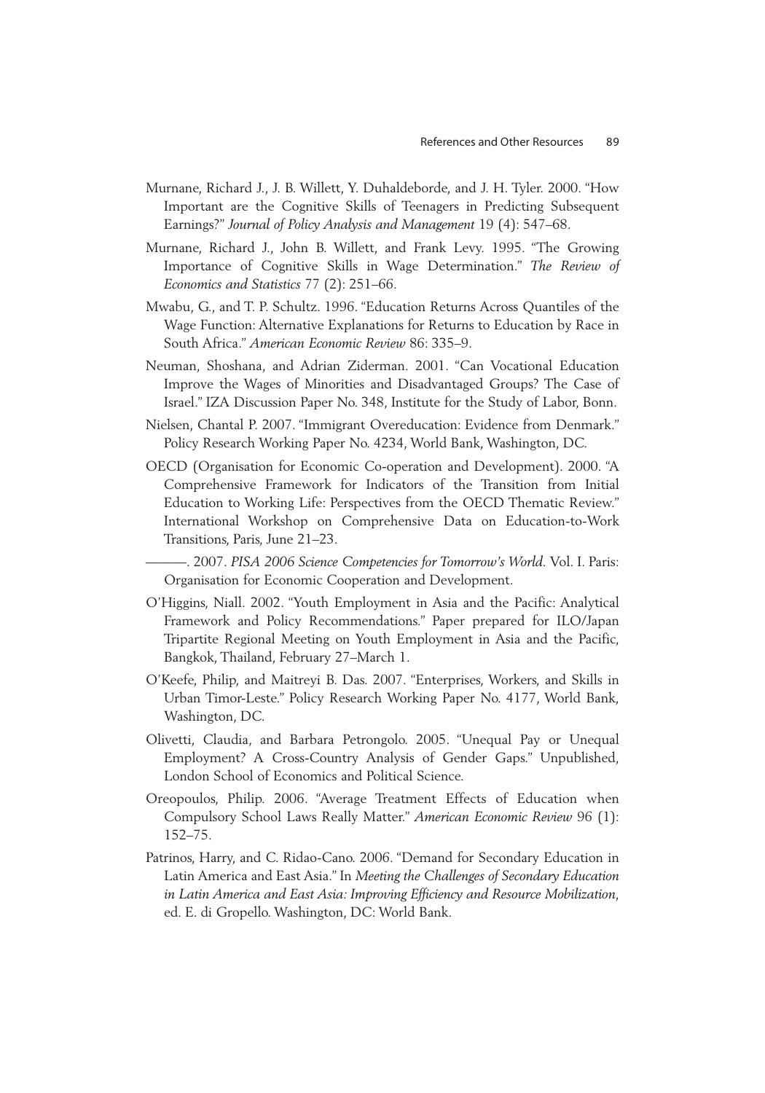- Murnane, Richard J., J. B. Willett, Y. Duhaldeborde, and J. H. Tyler. 2000. "How Important are the Cognitive Skills of Teenagers in Predicting Subsequent Earnings?" *Journal of Policy Analysis and Management* 19 (4): 547–68.
- Murnane, Richard J., John B. Willett, and Frank Levy. 1995. "The Growing Importance of Cognitive Skills in Wage Determination." *The Review of Economics and Statistics* 77 (2): 251–66.
- Mwabu, G., and T. P. Schultz. 1996. "Education Returns Across Quantiles of the Wage Function: Alternative Explanations for Returns to Education by Race in South Africa." *American Economic Review* 86: 335–9.
- Neuman, Shoshana, and Adrian Ziderman. 2001. "Can Vocational Education Improve the Wages of Minorities and Disadvantaged Groups? The Case of Israel." IZA Discussion Paper No. 348, Institute for the Study of Labor, Bonn.
- Nielsen, Chantal P. 2007. "Immigrant Overeducation: Evidence from Denmark." Policy Research Working Paper No. 4234, World Bank, Washington, DC.
- OECD (Organisation for Economic Co-operation and Development). 2000. "A Comprehensive Framework for Indicators of the Transition from Initial Education to Working Life: Perspectives from the OECD Thematic Review." International Workshop on Comprehensive Data on Education-to-Work Transitions, Paris, June 21–23.

———. 2007. *PISA 2006 Science Competencies for Tomorrow's World.* Vol. I. Paris: Organisation for Economic Cooperation and Development.

- O'Higgins, Niall. 2002. "Youth Employment in Asia and the Pacific: Analytical Framework and Policy Recommendations." Paper prepared for ILO/Japan Tripartite Regional Meeting on Youth Employment in Asia and the Pacific, Bangkok, Thailand, February 27–March 1.
- O'Keefe, Philip, and Maitreyi B. Das. 2007. "Enterprises, Workers, and Skills in Urban Timor-Leste." Policy Research Working Paper No. 4177, World Bank, Washington, DC.
- Olivetti, Claudia, and Barbara Petrongolo. 2005. "Unequal Pay or Unequal Employment? A Cross-Country Analysis of Gender Gaps." Unpublished, London School of Economics and Political Science.
- Oreopoulos, Philip. 2006. "Average Treatment Effects of Education when Compulsory School Laws Really Matter." *American Economic Review* 96 (1): 152–75.
- Patrinos, Harry, and C. Ridao-Cano. 2006. "Demand for Secondary Education in Latin America and East Asia." In *Meeting the Challenges of Secondary Education in Latin America and East Asia: Improving Efficiency and Resource Mobilization,* ed. E. di Gropello. Washington, DC: World Bank.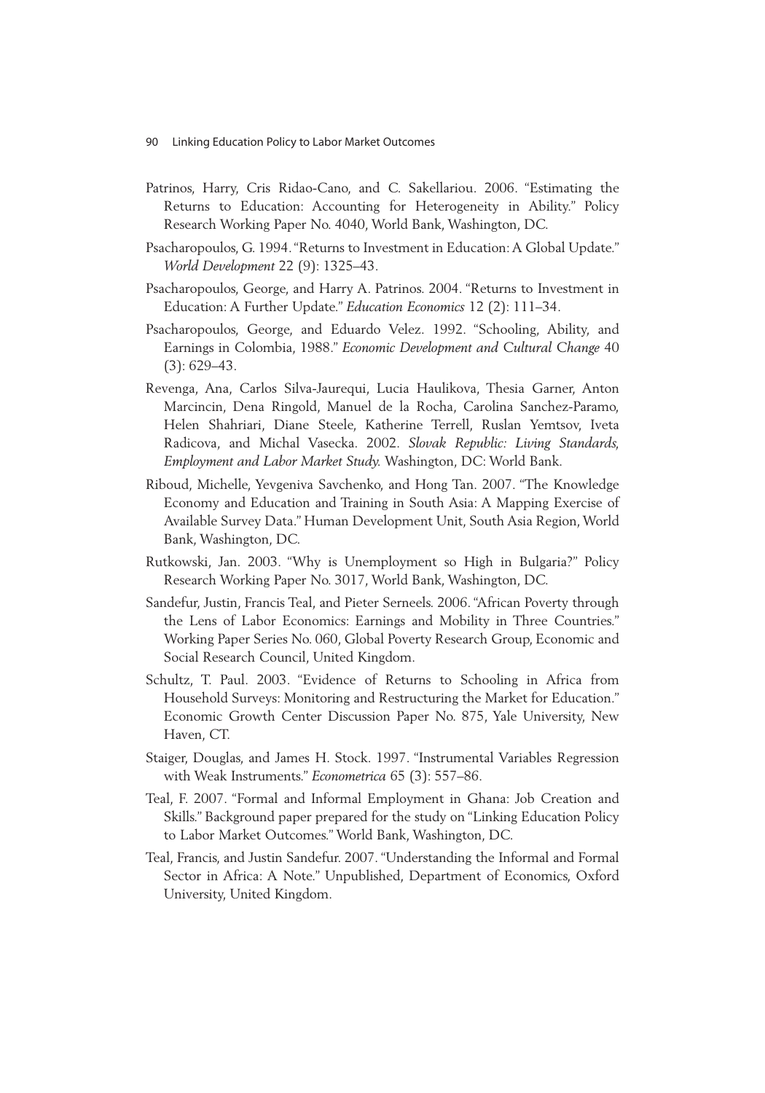- Patrinos, Harry, Cris Ridao-Cano, and C. Sakellariou. 2006. "Estimating the Returns to Education: Accounting for Heterogeneity in Ability." Policy Research Working Paper No. 4040, World Bank, Washington, DC.
- Psacharopoulos, G. 1994."Returns to Investment in Education:A Global Update." *World Development* 22 (9): 1325–43.
- Psacharopoulos, George, and Harry A. Patrinos. 2004. "Returns to Investment in Education: A Further Update." *Education Economics* 12 (2): 111–34.
- Psacharopoulos, George, and Eduardo Velez. 1992. "Schooling, Ability, and Earnings in Colombia, 1988." *Economic Development and Cultural Change* 40 (3): 629–43.
- Revenga, Ana, Carlos Silva-Jaurequi, Lucia Haulikova, Thesia Garner, Anton Marcincin, Dena Ringold, Manuel de la Rocha, Carolina Sanchez-Paramo, Helen Shahriari, Diane Steele, Katherine Terrell, Ruslan Yemtsov, Iveta Radicova, and Michal Vasecka. 2002. *Slovak Republic: Living Standards, Employment and Labor Market Study.* Washington, DC: World Bank.
- Riboud, Michelle, Yevgeniva Savchenko, and Hong Tan. 2007. "The Knowledge Economy and Education and Training in South Asia: A Mapping Exercise of Available Survey Data." Human Development Unit, South Asia Region, World Bank, Washington, DC.
- Rutkowski, Jan. 2003. "Why is Unemployment so High in Bulgaria?" Policy Research Working Paper No. 3017, World Bank, Washington, DC.
- Sandefur, Justin, Francis Teal, and Pieter Serneels. 2006. "African Poverty through the Lens of Labor Economics: Earnings and Mobility in Three Countries." Working Paper Series No. 060, Global Poverty Research Group, Economic and Social Research Council, United Kingdom.
- Schultz, T. Paul. 2003. "Evidence of Returns to Schooling in Africa from Household Surveys: Monitoring and Restructuring the Market for Education." Economic Growth Center Discussion Paper No. 875, Yale University, New Haven, CT.
- Staiger, Douglas, and James H. Stock. 1997. "Instrumental Variables Regression with Weak Instruments." *Econometrica* 65 (3): 557–86.
- Teal, F. 2007. "Formal and Informal Employment in Ghana: Job Creation and Skills." Background paper prepared for the study on "Linking Education Policy to Labor Market Outcomes." World Bank, Washington, DC.
- Teal, Francis, and Justin Sandefur. 2007. "Understanding the Informal and Formal Sector in Africa: A Note." Unpublished, Department of Economics, Oxford University, United Kingdom.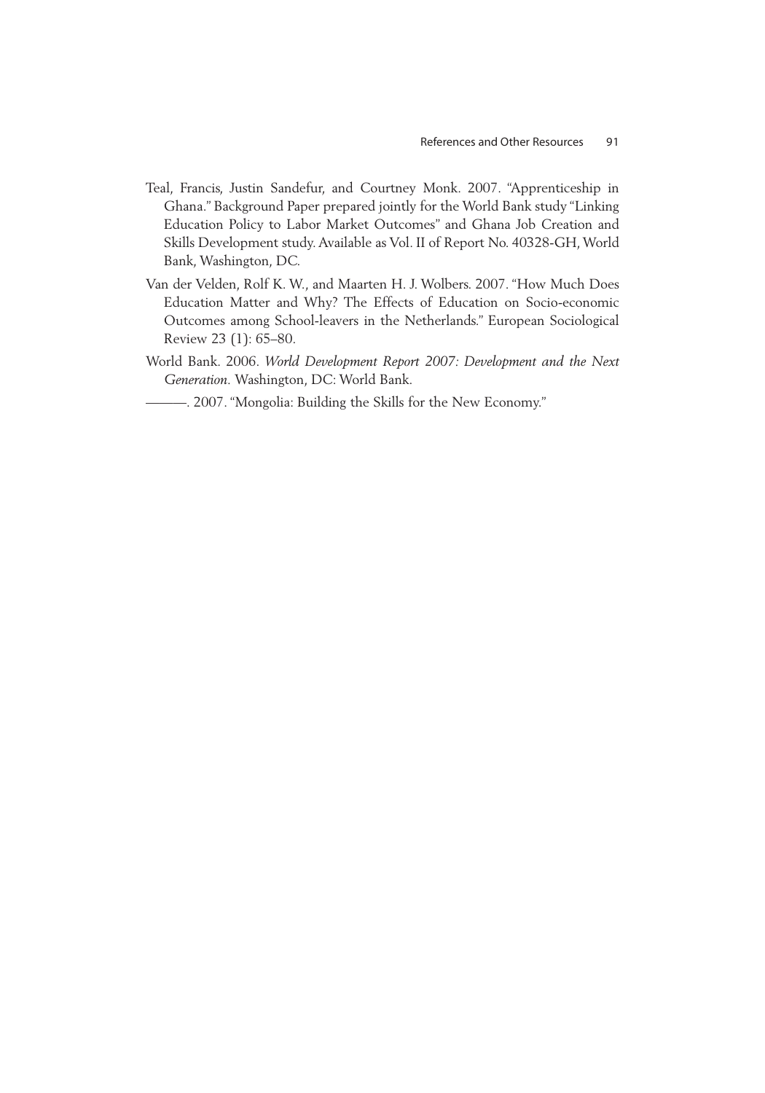- Teal, Francis, Justin Sandefur, and Courtney Monk. 2007. "Apprenticeship in Ghana." Background Paper prepared jointly for the World Bank study "Linking Education Policy to Labor Market Outcomes" and Ghana Job Creation and Skills Development study. Available as Vol. II of Report No. 40328-GH, World Bank, Washington, DC.
- Van der Velden, Rolf K. W., and Maarten H. J. Wolbers. 2007. "How Much Does Education Matter and Why? The Effects of Education on Socio-economic Outcomes among School-leavers in the Netherlands." European Sociological Review 23 (1): 65–80.
- World Bank. 2006. *World Development Report 2007: Development and the Next Generation.* Washington, DC: World Bank.
- ———. 2007. "Mongolia: Building the Skills for the New Economy."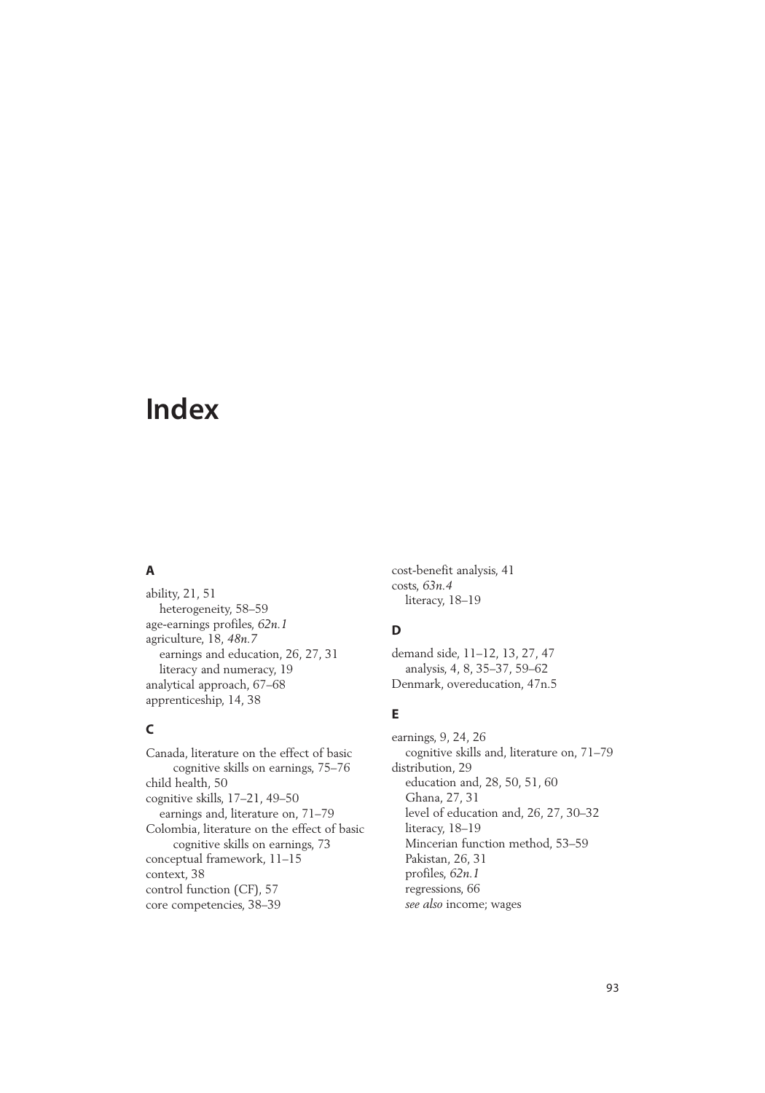### *Index*

### *A*

ability, 21, 51 heterogeneity, 58–59 age-earnings profiles, *62n.1* agriculture, 18, *48n.7* earnings and education, 26, 27, 31 literacy and numeracy, 19 analytical approach, 67–68 apprenticeship, 14, 38

### *C*

Canada, literature on the effect of basic cognitive skills on earnings, 75–76 child health, 50 cognitive skills, 17–21, 49–50 earnings and, literature on, 71–79 Colombia, literature on the effect of basic cognitive skills on earnings, 73 conceptual framework, 11–15 context, 38 control function (CF), 57 core competencies, 38–39

cost-benefit analysis, 41 costs, *63n.4* literacy, 18–19

### *D*

demand side, 11–12, 13, 27, 47 analysis, 4, 8, 35–37, 59–62 Denmark, overeducation, 47n.5

### *E*

earnings, 9, 24, 26 cognitive skills and, literature on, 71–79 distribution, 29 education and, 28, 50, 51, 60 Ghana, 27, 31 level of education and, 26, 27, 30–32 literacy, 18–19 Mincerian function method, 53–59 Pakistan, 26, 31 profiles, *62n.1* regressions, 66 *see also* income; wages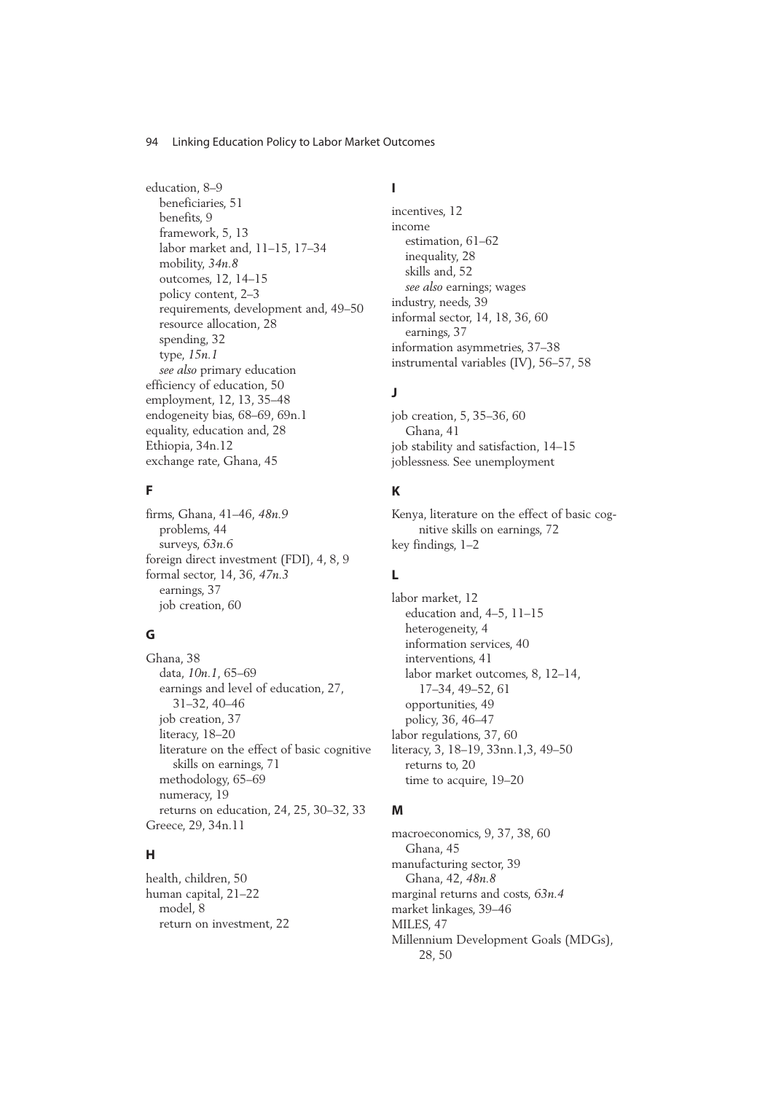education, 8–9 beneficiaries, 51 benefits, 9 framework, 5, 13 labor market and, 11–15, 17–34 mobility, *34n.8* outcomes, 12, 14–15 policy content, 2–3 requirements, development and, 49–50 resource allocation, 28 spending, 32 type, *15n.1 see also* primary education efficiency of education, 50 employment, 12, 13, 35–48 endogeneity bias, 68–69, 69n.1 equality, education and, 28 Ethiopia, 34n.12 exchange rate, Ghana, 45

### *F*

firms, Ghana, 41–46, *48n.9* problems, 44 surveys, *63n.6* foreign direct investment (FDI), 4, 8, 9 formal sector, 14, 36, *47n.3* earnings, 37 job creation, 60

### *G*

Ghana, 38 data, *10n.1,* 65–69 earnings and level of education, 27, 31–32, 40–46 job creation, 37 literacy, 18–20 literature on the effect of basic cognitive skills on earnings, 71 methodology, 65–69 numeracy, 19 returns on education, 24, 25, 30–32, 33 Greece, 29, 34n.11

### *H*

health, children, 50 human capital, 21–22 model, 8 return on investment, 22

### *I*

incentives, 12 income estimation, 61–62 inequality, 28 skills and, 52 *see also* earnings; wages industry, needs, 39 informal sector, 14, 18, 36, 60 earnings, 37 information asymmetries, 37–38 instrumental variables (IV), 56–57, 58

### *J*

job creation, 5, 35–36, 60 Ghana, 41 job stability and satisfaction, 14–15 joblessness. See unemployment

### *K*

Kenya, literature on the effect of basic cognitive skills on earnings, 72 key findings, 1–2

### *L*

labor market, 12 education and, 4–5, 11–15 heterogeneity, 4 information services, 40 interventions, 41 labor market outcomes, 8, 12–14, 17–34, 49–52, 61 opportunities, 49 policy, 36, 46–47 labor regulations, 37, 60 literacy, 3, 18–19, 33nn.1,3, 49–50 returns to, 20 time to acquire, 19–20

### *M*

macroeconomics, 9, 37, 38, 60 Ghana, 45 manufacturing sector, 39 Ghana, 42, *48n.8* marginal returns and costs, *63n.4* market linkages, 39–46 MILES, 47 Millennium Development Goals (MDGs), 28, 50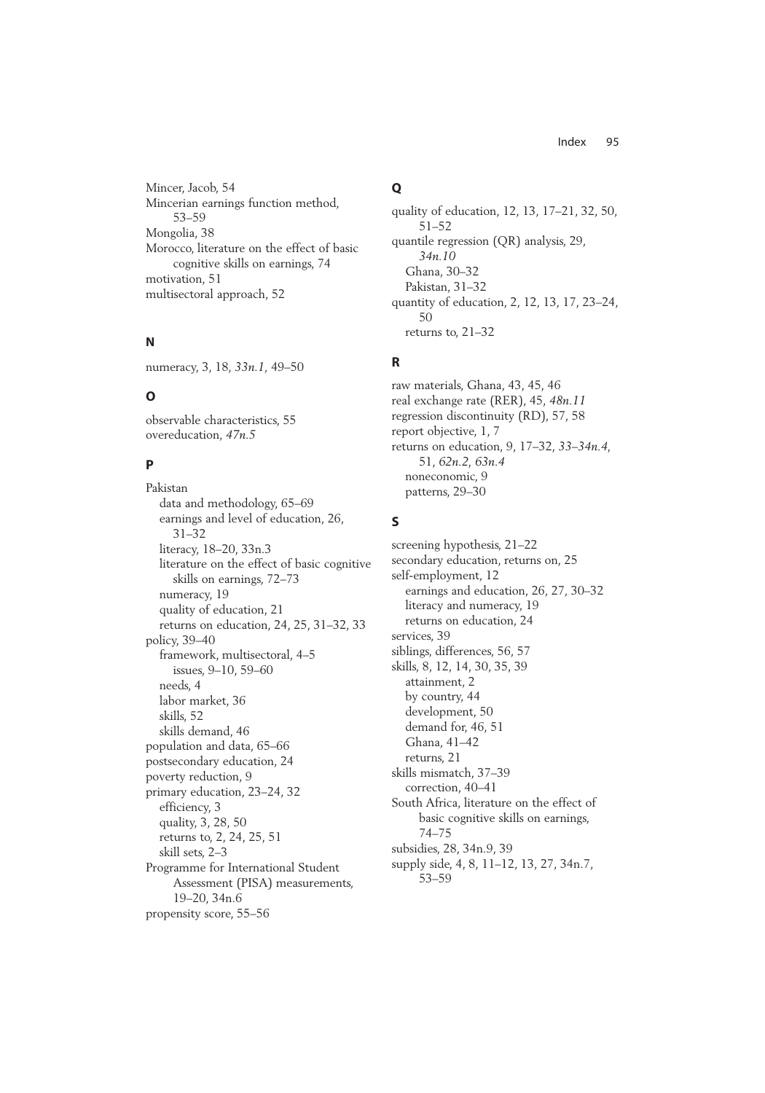Index 95

Mincer, Jacob, 54 Mincerian earnings function method, 53–59 Mongolia, 38 Morocco, literature on the effect of basic cognitive skills on earnings, 74 motivation, 51 multisectoral approach, 52

### *N*

numeracy, 3, 18, *33n.1,* 49–50

### *O*

observable characteristics, 55 overeducation, *47n.5*

### *P*

Pakistan data and methodology, 65–69 earnings and level of education, 26, 31–32 literacy, 18–20, 33n.3 literature on the effect of basic cognitive skills on earnings, 72–73 numeracy, 19 quality of education, 21 returns on education, 24, 25, 31–32, 33 policy, 39–40 framework, multisectoral, 4–5 issues, 9–10, 59–60 needs, 4 labor market, 36 skills, 52 skills demand, 46 population and data, 65–66 postsecondary education, 24 poverty reduction, 9 primary education, 23–24, 32 efficiency, 3 quality, 3, 28, 50 returns to, 2, 24, 25, 51 skill sets, 2–3 Programme for International Student Assessment (PISA) measurements, 19–20, 34n.6 propensity score, 55–56

### *Q*

quality of education, 12, 13, 17–21, 32, 50, 51–52 quantile regression (QR) analysis, 29, *34n.10* Ghana, 30–32 Pakistan, 31–32 quantity of education, 2, 12, 13, 17, 23–24, 50 returns to, 21–32

### *R*

raw materials, Ghana, 43, 45, 46 real exchange rate (RER), 45, *48n.11* regression discontinuity (RD), 57, 58 report objective, 1, 7 returns on education, 9, 17–32, *33–34n.4,* 51, *62n.2, 63n.4* noneconomic, 9 patterns, 29–30

### *S*

screening hypothesis, 21–22 secondary education, returns on, 25 self-employment, 12 earnings and education, 26, 27, 30–32 literacy and numeracy, 19 returns on education, 24 services, 39 siblings, differences, 56, 57 skills, 8, 12, 14, 30, 35, 39 attainment, 2 by country, 44 development, 50 demand for, 46, 51 Ghana, 41–42 returns, 21 skills mismatch, 37–39 correction, 40–41 South Africa, literature on the effect of basic cognitive skills on earnings, 74–75 subsidies, 28, 34n.9, 39 supply side, 4, 8, 11–12, 13, 27, 34n.7, 53–59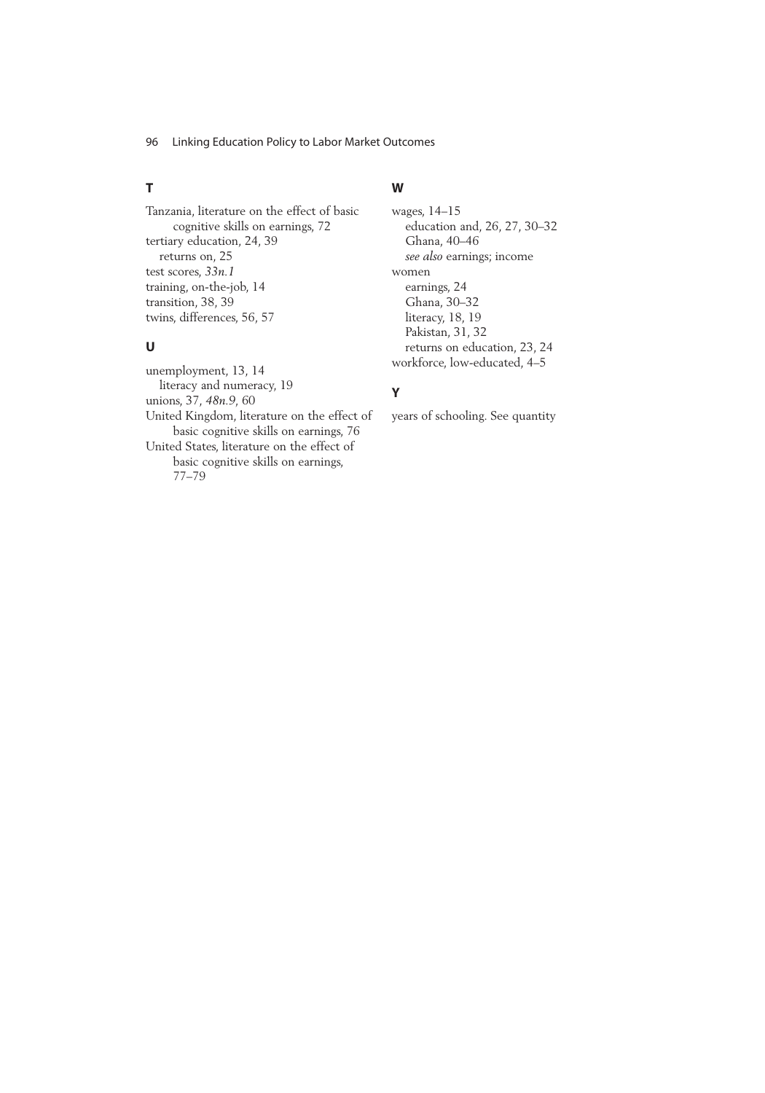96 Linking Education Policy to Labor Market Outcomes

# *T*

Tanzania, literature on the effect of basic cognitive skills on earnings, 72 tertiary education, 24, 39 returns on, 25 test scores, *33n.1* training, on-the-job, 14 transition, 38, 39 twins, differences, 56, 57

#### *U*

unemployment, 13, 14 literacy and numeracy, 19 unions, 37, *48n.9,* 60 United Kingdom, literature on the effect of basic cognitive skills on earnings, 76 United States, literature on the effect of basic cognitive skills on earnings, 77–79

## *W*

wages, 14–15 education and, 26, 27, 30–32 Ghana, 40–46 *see also* earnings; income women earnings, 24 Ghana, 30–32 literacy, 18, 19 Pakistan, 31, 32 returns on education, 23, 24 workforce, low-educated, 4–5

## *Y*

years of schooling. See quantity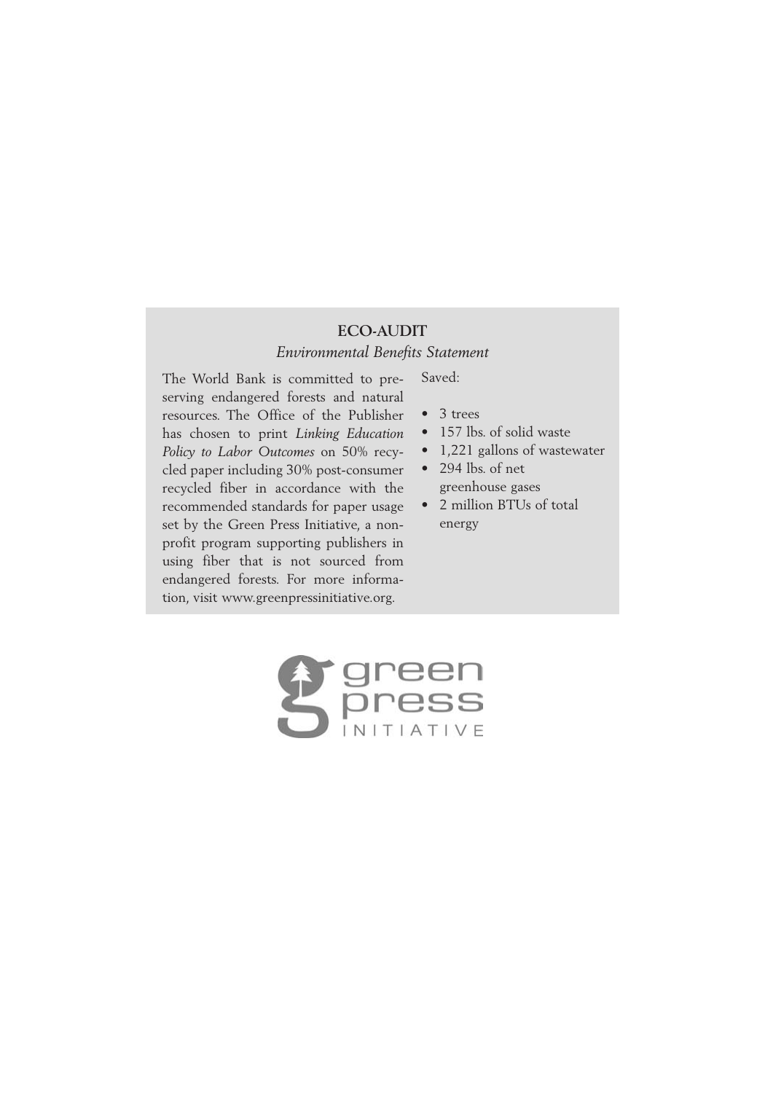# **ECO-AUDIT**

#### *Environmental Benefits Statement*

The World Bank is committed to preserving endangered forests and natural resources. The Office of the Publisher has chosen to print *Linking Education Policy to Labor Outcomes* on 50% recycled paper including 30% post-consumer recycled fiber in accordance with the recommended standards for paper usage set by the Green Press Initiative, a nonprofit program supporting publishers in using fiber that is not sourced from endangered forests. For more information, visit www.greenpressinitiative.org.

Saved:

- 3 trees
- 157 lbs. of solid waste
- 1,221 gallons of wastewater
- 294 lbs. of net greenhouse gases
- 2 million BTUs of total energy